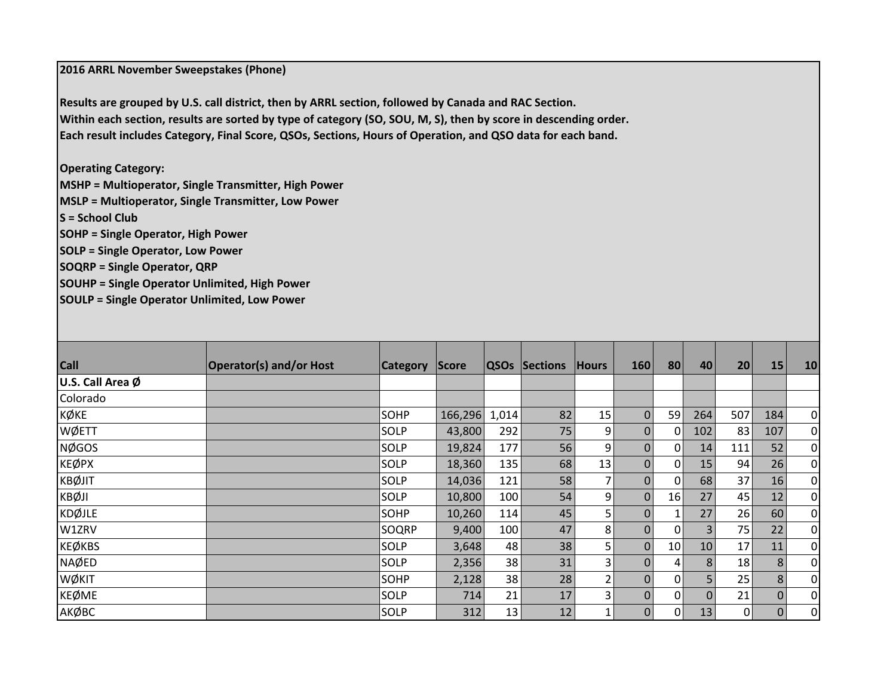**2016 ARRL November Sweepstakes (Phone)**

**Results are grouped by U.S. call district, then by ARRL section, followed by Canada and RAC Section.** Within each section, results are sorted by type of category (SO, SOU, M, S), then by score in descending order. Each result includes Category, Final Score, QSOs, Sections, Hours of Operation, and QSO data for each band.

**Operating Category:**

**MSHP <sup>=</sup> Multioperator, Single Transmitter, High Power**

**MSLP <sup>=</sup> Multioperator, Single Transmitter, Low Power**

**S <sup>=</sup> School Club**

**SOHP <sup>=</sup> Single Operator, High Power**

**SOLP <sup>=</sup> Single Operator, Low Power**

**SOQRP <sup>=</sup> Single Operator, QRP**

**SOUHP <sup>=</sup> Single Operator Unlimited, High Power**

**SOULP <sup>=</sup> Single Operator Unlimited, Low Power**

| <b>Call</b>      | <b>Operator(s) and/or Host</b> | <b>Category</b> | Score   | QSO <sub>S</sub> | Sections | <b>Hours</b>   | 160         | 80             | 40             | 20  | 15          | 10             |
|------------------|--------------------------------|-----------------|---------|------------------|----------|----------------|-------------|----------------|----------------|-----|-------------|----------------|
| U.S. Call Area Ø |                                |                 |         |                  |          |                |             |                |                |     |             |                |
| Colorado         |                                |                 |         |                  |          |                |             |                |                |     |             |                |
| <b>KØKE</b>      |                                | <b>SOHP</b>     | 166,296 | 1,014            | 82       | 15             | $\mathbf 0$ | 59             | 264            | 507 | 184         | $\overline{0}$ |
| WØETT            |                                | SOLP            | 43,800  | 292              | 75       | 9              | $\mathbf 0$ | 0              | 102            | 83  | 107         | $\overline{0}$ |
| <b>NØGOS</b>     |                                | SOLP            | 19,824  | 177              | 56       | 9              | $\mathbf 0$ | 0              | 14             | 111 | 52          | $\overline{0}$ |
| <b>KEØPX</b>     |                                | SOLP            | 18,360  | 135              | 68       | 13             | 0           | 0              | 15             | 94  | 26          | $\overline{0}$ |
| <b>KBØJIT</b>    |                                | SOLP            | 14,036  | 121              | 58       |                | $\mathbf 0$ | $\mathbf 0$    | 68             | 37  | 16          | $\overline{0}$ |
| <b>KBØJI</b>     |                                | SOLP            | 10,800  | 100              | 54       | 9              | $\Omega$    | 16             | 27             | 45  | 12          | $\overline{0}$ |
| <b>KDØJLE</b>    |                                | <b>SOHP</b>     | 10,260  | 114              | 45       | 5 <sub>1</sub> | $\Omega$    | 1              | 27             | 26  | 60          | $\overline{0}$ |
| W1ZRV            |                                | SOQRP           | 9,400   | 100              | 47       | 8              | $\Omega$    | $\Omega$       | $\overline{3}$ | 75  | 22          | $\overline{0}$ |
| <b>KEØKBS</b>    |                                | SOLP            | 3,648   | 48               | 38       | 5 <sub>1</sub> | $\Omega$    | 10             | 10             | 17  | 11          | $\overline{0}$ |
| <b>NAØED</b>     |                                | SOLP            | 2,356   | 38               | 31       | 3              | $\Omega$    | 4              | 8 <sup>1</sup> | 18  | 8           | $\overline{0}$ |
| WØKIT            |                                | <b>SOHP</b>     | 2,128   | 38               | 28       | 2              | $\Omega$    | $\overline{0}$ | 5              | 25  | 8           | $\overline{0}$ |
| <b>KEØME</b>     |                                | SOLP            | 714     | 21               | 17       | 3              | $\Omega$    | 0              | $\Omega$       | 21  | $\mathbf 0$ | $\overline{0}$ |
| АКФВС            |                                | SOLP            | 312     | 13               | 12       |                | $\mathbf 0$ | $\mathbf 0$    | 13             | 0   | $\Omega$    | $\overline{0}$ |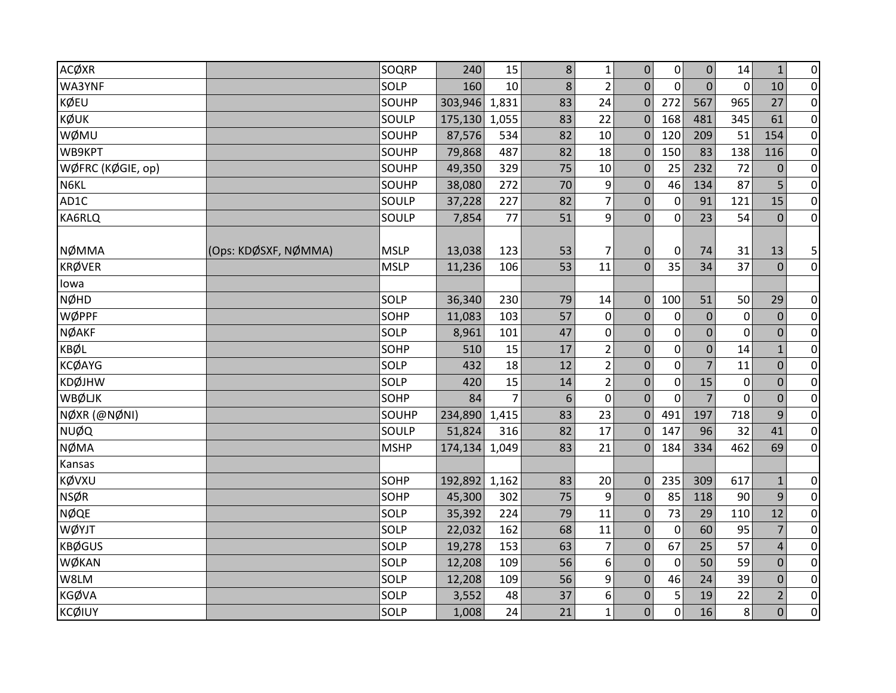| ACØXR             |                      | SOQRP       | 240     | 15             | 8 <sup>1</sup> | $1\,$            | $\boldsymbol{0}$ | 0            | $\overline{0}$   | 14          | $\mathbf{1}$   | $\overline{0}$ |
|-------------------|----------------------|-------------|---------|----------------|----------------|------------------|------------------|--------------|------------------|-------------|----------------|----------------|
| WA3YNF            |                      | SOLP        | 160     | 10             | 8              | $\overline{2}$   | $\overline{0}$   | $\mathbf 0$  | $\mathbf{0}$     | $\mathbf 0$ | 10             | $\overline{0}$ |
| <b>KØEU</b>       |                      | SOUHP       | 303,946 | 1,831          | 83             | 24               | $\mathbf{0}$     | 272          | 567              | 965         | 27             | $\overline{0}$ |
| KØUK              |                      | SOULP       | 175,130 | 1,055          | 83             | 22               | $\Omega$         | 168          | 481              | 345         | 61             | $\overline{0}$ |
| WØMU              |                      | SOUHP       | 87,576  | 534            | 82             | 10               | $\mathbf 0$      | 120          | 209              | 51          | 154            | $\overline{0}$ |
| WB9KPT            |                      | SOUHP       | 79,868  | 487            | 82             | 18               | $\Omega$         | 150          | 83               | 138         | 116            | $\overline{0}$ |
| WØFRC (KØGIE, op) |                      | SOUHP       | 49,350  | 329            | 75             | $10\,$           | $\mathbf{0}$     | 25           | 232              | 72          | $\mathbf 0$    | $\overline{0}$ |
| N6KL              |                      | SOUHP       | 38,080  | 272            | 70             | 9                | $\mathbf{0}$     | 46           | 134              | 87          | 5              | $\overline{0}$ |
| AD1C              |                      | SOULP       | 37,228  | 227            | 82             | 7                | $\mathbf 0$      | $\mathbf 0$  | 91               | 121         | 15             | $\overline{0}$ |
| KA6RLQ            |                      | SOULP       | 7,854   | 77             | 51             | 9                | 0                | $\mathbf 0$  | 23               | 54          | $\mathbf{0}$   | $\overline{0}$ |
|                   |                      |             |         |                |                |                  |                  |              |                  |             |                |                |
| <b>NØMMA</b>      | (Ops: KDØSXF, NØMMA) | <b>MSLP</b> | 13,038  | 123            | 53             | 7                | $\boldsymbol{0}$ | $\mathbf 0$  | 74               | 31          | 13             | 5              |
| <b>KRØVER</b>     |                      | <b>MSLP</b> | 11,236  | 106            | 53             | 11               | $\overline{0}$   | 35           | 34               | 37          | $\overline{0}$ | $\overline{0}$ |
| lowa              |                      |             |         |                |                |                  |                  |              |                  |             |                |                |
| <b>NØHD</b>       |                      | SOLP        | 36,340  | 230            | 79             | 14               | $\mathbf{0}$     | 100          | 51               | 50          | 29             | $\overline{0}$ |
| WØPPF             |                      | SOHP        | 11,083  | 103            | 57             | $\pmb{0}$        | 0                | 0            | $\boldsymbol{0}$ | $\mathbf 0$ | $\mathbf 0$    | $\overline{0}$ |
| <b>NØAKF</b>      |                      | SOLP        | 8,961   | 101            | 47             | $\pmb{0}$        | 0                | $\mathbf 0$  | $\mathbf 0$      | $\mathbf 0$ | $\mathbf 0$    | $\overline{0}$ |
| <b>KBØL</b>       |                      | SOHP        | 510     | 15             | 17             | $\overline{2}$   | 0                | $\mathbf 0$  | $\overline{0}$   | 14          | $\mathbf{1}$   | $\overline{0}$ |
| <b>KCØAYG</b>     |                      | SOLP        | 432     | 18             | 12             | $2\vert$         | $\overline{0}$   | $\mathbf 0$  | $\overline{7}$   | 11          | $\overline{0}$ | $\overline{0}$ |
| <b>KDØJHW</b>     |                      | SOLP        | 420     | 15             | 14             | 2                | 0                | $\mathbf{0}$ | 15               | 0           | $\Omega$       | $\overline{0}$ |
| WBØLJK            |                      | SOHP        | 84      | $\overline{7}$ | 6              | $\pmb{0}$        | $\mathbf 0$      | $\mathbf 0$  | $\overline{7}$   | $\mathbf 0$ | $\mathbf 0$    | $\pmb{0}$      |
| NØXR (@NØNI)      |                      | SOUHP       | 234,890 | 1,415          | 83             | 23               | $\mathbf{0}$     | 491          | 197              | 718         | 9              | $\overline{0}$ |
| <b>NUØQ</b>       |                      | SOULP       | 51,824  | 316            | 82             | 17               | $\Omega$         | 147          | 96               | 32          | 41             | $\overline{0}$ |
| <b>NØMA</b>       |                      | <b>MSHP</b> | 174,134 | 1,049          | 83             | 21               | $\mathbf 0$      | 184          | 334              | 462         | 69             | $\overline{0}$ |
| Kansas            |                      |             |         |                |                |                  |                  |              |                  |             |                |                |
| KØVXU             |                      | SOHP        | 192,892 | 1,162          | 83             | 20               | $\mathbf 0$      | 235          | 309              | 617         | $\mathbf{1}$   | $\overline{0}$ |
| <b>NSØR</b>       |                      | SOHP        | 45,300  | 302            | 75             | 9                | $\Omega$         | 85           | 118              | 90          | 9              | $\overline{0}$ |
| <b>NØQE</b>       |                      | SOLP        | 35,392  | 224            | 79             | 11               | $\mathbf{0}$     | 73           | 29               | 110         | 12             | $\overline{0}$ |
| WØYJT             |                      | SOLP        | 22,032  | 162            | 68             | 11               | 0                | $\mathbf 0$  | 60               | 95          | $\overline{7}$ | $\overline{0}$ |
| <b>KBØGUS</b>     |                      | SOLP        | 19,278  | 153            | 63             | $\overline{7}$   | $\mathbf 0$      | 67           | 25               | 57          | $\overline{4}$ | $\overline{0}$ |
| WØKAN             |                      | SOLP        | 12,208  | 109            | 56             | $\boldsymbol{6}$ | $\mathbf{0}$     | $\mathbf 0$  | 50               | 59          | $\mathbf{0}$   | $\pmb{0}$      |
| W8LM              |                      | SOLP        | 12,208  | 109            | 56             | 9                | $\overline{0}$   | 46           | 24               | 39          | $\Omega$       | $\overline{0}$ |
| <b>KGØVA</b>      |                      | SOLP        | 3,552   | 48             | 37             | $\boldsymbol{6}$ | 0                | 5            | 19               | 22          | $\overline{2}$ | $\overline{0}$ |
| <b>KCØIUY</b>     |                      | SOLP        | 1,008   | 24             | 21             | $\mathbf 1$      | 0                | 0            | 16               | 8           | $\overline{0}$ | $\overline{0}$ |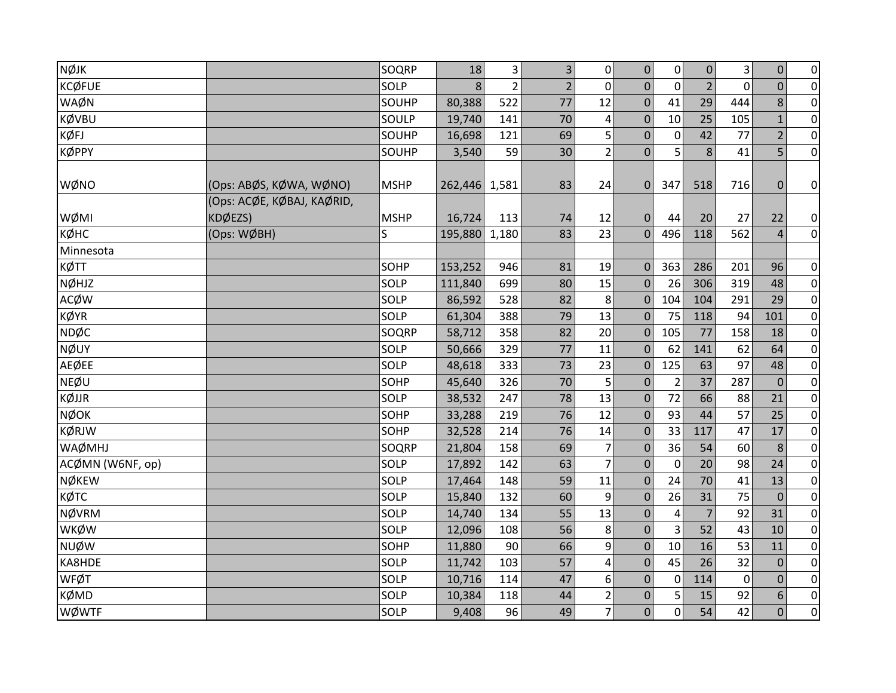| <b>NØJK</b>      |                            | SOQRP       | 18      | 3              | $\overline{\mathbf{3}}$ | 0                       | $\pmb{0}$      | 0              | $\pmb{0}$      | 3        | $\pmb{0}$      | $\overline{0}$ |
|------------------|----------------------------|-------------|---------|----------------|-------------------------|-------------------------|----------------|----------------|----------------|----------|----------------|----------------|
| <b>KCØFUE</b>    |                            | SOLP        | 8       | $\overline{2}$ | $\overline{2}$          | $\mathbf 0$             | $\overline{0}$ | $\mathbf{0}$   | $\overline{2}$ | 0        | $\overline{0}$ | $\overline{0}$ |
| WAØN             |                            | SOUHP       | 80,388  | 522            | 77                      | 12                      | $\mathbf 0$    | 41             | 29             | 444      | 8              | $\overline{0}$ |
| KØVBU            |                            | SOULP       | 19,740  | 141            | 70                      | $\overline{\mathbf{4}}$ | $\mathbf 0$    | 10             | 25             | 105      | $\mathbf{1}$   | $\overline{0}$ |
| KØFJ             |                            | SOUHP       | 16,698  | 121            | 69                      | 5                       | $\mathbf 0$    | $\mathbf 0$    | 42             | 77       | $\overline{2}$ | $\overline{0}$ |
| <b>KØPPY</b>     |                            | SOUHP       | 3,540   | 59             | 30                      | $2\vert$                | $\Omega$       | 5              | 8              | 41       | 5              | $\overline{0}$ |
|                  |                            |             |         |                |                         |                         |                |                |                |          |                |                |
| WØNO             | (Ops: ABØS, KØWA, WØNO)    | <b>MSHP</b> | 262,446 | 1,581          | 83                      | 24                      | $\mathbf 0$    | 347            | 518            | 716      | $\mathbf{0}$   | $\overline{0}$ |
|                  | (Ops: ACØE, KØBAJ, KAØRID, |             |         |                |                         |                         |                |                |                |          |                |                |
| WØMI             | KDØEZS)                    | <b>MSHP</b> | 16,724  | 113            | 74                      | 12                      | $\pmb{0}$      | 44             | 20             | 27       | 22             | $\overline{0}$ |
| кøнс             | (Ops: WØBH)                | S.          | 195,880 | 1,180          | 83                      | 23                      | $\Omega$       | 496            | 118            | 562      | $\overline{4}$ | $\overline{0}$ |
| Minnesota        |                            |             |         |                |                         |                         |                |                |                |          |                |                |
| KØTT             |                            | SOHP        | 153,252 | 946            | 81                      | 19                      | $\Omega$       | 363            | 286            | 201      | 96             | $\overline{0}$ |
| NØHJZ            |                            | SOLP        | 111,840 | 699            | 80                      | 15                      | $\mathbf 0$    | 26             | 306            | 319      | 48             | $\overline{0}$ |
| <b>ACØW</b>      |                            | SOLP        | 86,592  | 528            | 82                      | 8                       | $\mathbf 0$    | 104            | 104            | 291      | 29             | $\overline{0}$ |
| <b>KØYR</b>      |                            | SOLP        | 61,304  | 388            | 79                      | 13                      | $\mathbf 0$    | 75             | 118            | 94       | 101            | $\overline{0}$ |
| <b>NDØC</b>      |                            | SOQRP       | 58,712  | 358            | 82                      | 20                      | $\mathbf 0$    | 105            | 77             | 158      | 18             | $\overline{0}$ |
| <b>NØUY</b>      |                            | SOLP        | 50,666  | 329            | 77                      | 11                      | $\Omega$       | 62             | 141            | 62       | 64             | $\overline{0}$ |
| <b>AEØEE</b>     |                            | SOLP        | 48,618  | 333            | 73                      | 23                      | $\mathbf 0$    | 125            | 63             | 97       | 48             | $\overline{0}$ |
| <b>NEØU</b>      |                            | SOHP        | 45,640  | 326            | 70                      | 5                       | $\Omega$       | $\overline{2}$ | 37             | 287      | $\Omega$       | $\overline{0}$ |
| KØJJR            |                            | SOLP        | 38,532  | 247            | 78                      | 13                      | $\mathbf 0$    | 72             | 66             | 88       | 21             | $\overline{0}$ |
| <b>NØOK</b>      |                            | SOHP        | 33,288  | 219            | 76                      | 12                      | $\mathbf 0$    | 93             | 44             | 57       | 25             | $\overline{0}$ |
| <b>KØRJW</b>     |                            | SOHP        | 32,528  | 214            | 76                      | 14                      | $\mathbf 0$    | 33             | 117            | 47       | 17             | $\overline{0}$ |
| <b>WAØMHJ</b>    |                            | SOQRP       | 21,804  | 158            | 69                      | 7                       | $\mathbf 0$    | 36             | 54             | 60       | 8              | $\overline{0}$ |
| ACØMN (W6NF, op) |                            | <b>SOLP</b> | 17,892  | 142            | 63                      | $\overline{7}$          | $\overline{0}$ | $\mathbf 0$    | 20             | 98       | 24             | $\overline{0}$ |
| <b>NØKEW</b>     |                            | SOLP        | 17,464  | 148            | 59                      | $11\,$                  | $\mathbf 0$    | 24             | 70             | 41       | 13             | $\overline{0}$ |
| КØТС             |                            | SOLP        | 15,840  | 132            | 60                      | 9                       | $\Omega$       | 26             | 31             | 75       | $\Omega$       | $\overline{0}$ |
| <b>NØVRM</b>     |                            | <b>SOLP</b> | 14,740  | 134            | 55                      | 13                      | $\mathbf{0}$   | 4              | $\overline{7}$ | 92       | 31             | $\overline{0}$ |
| <b>WKØW</b>      |                            | SOLP        | 12,096  | 108            | 56                      | 8                       | $\mathbf 0$    | 3              | 52             | 43       | 10             | $\overline{0}$ |
| <b>NUØW</b>      |                            | SOHP        | 11,880  | 90             | 66                      | 9                       | $\mathbf 0$    | 10             | 16             | 53       | 11             | $\overline{0}$ |
| KA8HDE           |                            | SOLP        | 11,742  | 103            | 57                      | $\overline{\mathbf{4}}$ | $\mathbf 0$    | 45             | 26             | 32       | $\mathbf 0$    | $\overline{0}$ |
| <b>WFØT</b>      |                            | SOLP        | 10,716  | 114            | 47                      | 6                       | $\Omega$       | $\Omega$       | 114            | $\Omega$ | $\Omega$       | $\overline{0}$ |
| <b>KØMD</b>      |                            | SOLP        | 10,384  | 118            | 44                      | $\overline{2}$          | $\mathbf 0$    | 5              | 15             | 92       | 6              | $\overline{0}$ |
| <b>WØWTF</b>     |                            | SOLP        | 9,408   | 96             | 49                      | 7                       | 0              | 0              | 54             | 42       | $\overline{0}$ | $\overline{0}$ |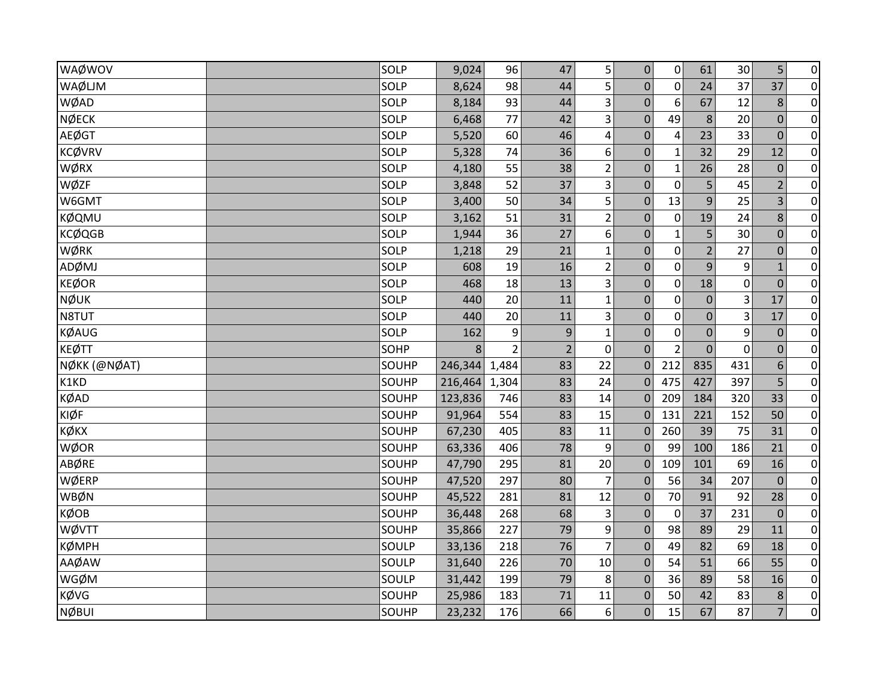| WAØWOV        | <b>SOLP</b>  | 9,024   | 96             | 47             | 5                       | $\pmb{0}$        | $\pmb{0}$      | 61               | 30             | 5              | $\pmb{0}$      |
|---------------|--------------|---------|----------------|----------------|-------------------------|------------------|----------------|------------------|----------------|----------------|----------------|
| WAØLJM        | <b>SOLP</b>  | 8,624   | 98             | 44             | 5                       | $\mathbf 0$      | $\mathbf 0$    | 24               | 37             | 37             | $\overline{0}$ |
| WØAD          | SOLP         | 8,184   | 93             | 44             | 3                       | $\mathbf 0$      | 6              | 67               | 12             | 8              | $\overline{0}$ |
| <b>NØECK</b>  | SOLP         | 6,468   | 77             | 42             | 3                       | $\mathbf 0$      | 49             | 8                | 20             | $\mathbf 0$    | $\overline{0}$ |
| <b>AEØGT</b>  | <b>SOLP</b>  | 5,520   | 60             | 46             | $\overline{\mathbf{4}}$ | $\mathbf{0}$     | $\overline{4}$ | 23               | 33             | $\mathbf{0}$   | $\overline{0}$ |
| <b>KCØVRV</b> | SOLP         | 5,328   | 74             | 36             | 6                       | 0                | 1              | 32               | 29             | 12             | $\pmb{0}$      |
| WØRX          | <b>SOLP</b>  | 4,180   | 55             | 38             | $\overline{2}$          | $\mathbf 0$      | 1              | 26               | 28             | $\mathbf 0$    | $\overline{0}$ |
| WØZF          | <b>SOLP</b>  | 3,848   | 52             | 37             | 3                       | $\mathbf 0$      | $\mathbf 0$    | 5                | 45             | $\overline{2}$ | $\overline{0}$ |
| W6GMT         | <b>SOLP</b>  | 3,400   | 50             | 34             | 5                       | $\mathbf 0$      | 13             | 9                | 25             | 3              | $\pmb{0}$      |
| <b>KØQMU</b>  | SOLP         | 3,162   | 51             | 31             | $\overline{2}$          | $\mathbf 0$      | $\mathbf 0$    | 19               | 24             | 8              | $\overline{0}$ |
| <b>KCØQGB</b> | SOLP         | 1,944   | 36             | 27             | 6                       | $\mathbf{0}$     | 1              | 5                | 30             | $\mathbf 0$    | $\pmb{0}$      |
| WØRK          | <b>SOLP</b>  | 1,218   | 29             | 21             | $\mathbf 1$             | $\mathbf 0$      | $\pmb{0}$      | $\overline{2}$   | 27             | $\mathbf 0$    | $\pmb{0}$      |
| ADØMJ         | <b>SOLP</b>  | 608     | 19             | 16             | $\overline{2}$          | $\pmb{0}$        | $\mathbf 0$    | 9                | 9              | $\mathbf{1}$   | $\overline{0}$ |
| <b>KEØOR</b>  | <b>SOLP</b>  | 468     | 18             | 13             | $\vert$ 3               | $\mathbf 0$      | $\mathbf 0$    | 18               | 0              | $\mathbf 0$    | $\overline{0}$ |
| <b>NØUK</b>   | <b>SOLP</b>  | 440     | 20             | 11             | $\mathbf 1$             | $\mathbf 0$      | $\mathbf 0$    | $\boldsymbol{0}$ | 3              | 17             | $\overline{0}$ |
| N8TUT         | SOLP         | 440     | 20             | 11             | 3                       | $\mathbf 0$      | $\mathbf 0$    | $\boldsymbol{0}$ | 3              | 17             | $\pmb{0}$      |
| <b>KØAUG</b>  | <b>SOLP</b>  | 162     | 9              | $9\,$          | $\mathbf{1}$            | $\boldsymbol{0}$ | $\mathbf 0$    | $\mathbf 0$      | 9              | $\mathbf 0$    | $\overline{0}$ |
| <b>KEØTT</b>  | SOHP         | 8       | $\overline{2}$ | $\overline{2}$ | $\mathbf 0$             | $\overline{0}$   | $\overline{2}$ | $\overline{0}$   | $\overline{0}$ | $\Omega$       | $\overline{0}$ |
| NØKK (@NØAT)  | SOUHP        | 246,344 | 1,484          | 83             | 22                      | $\overline{0}$   | 212            | 835              | 431            | 6              | $\pmb{0}$      |
| K1KD          | SOUHP        | 216,464 | 1,304          | 83             | 24                      | $\Omega$         | 475            | 427              | 397            | 5              | $\overline{0}$ |
| <b>KØAD</b>   | SOUHP        | 123,836 | 746            | 83             | 14                      | $\Omega$         | 209            | 184              | 320            | 33             | $\pmb{0}$      |
| <b>KIØF</b>   | <b>SOUHP</b> | 91,964  | 554            | 83             | 15                      | $\Omega$         | 131            | 221              | 152            | 50             | $\overline{0}$ |
| <b>К</b> ФКХ  | SOUHP        | 67,230  | 405            | 83             | 11                      | $\Omega$         | 260            | 39               | 75             | 31             | $\overline{0}$ |
| WØOR          | SOUHP        | 63,336  | 406            | 78             | 9                       | $\mathbf 0$      | 99             | 100              | 186            | 21             | $\pmb{0}$      |
| <b>ABØRE</b>  | SOUHP        | 47,790  | 295            | 81             | 20                      | $\Omega$         | 109            | 101              | 69             | 16             | $\overline{0}$ |
| WØERP         | SOUHP        | 47,520  | 297            | 80             | $\overline{7}$          | $\mathbf{0}$     | 56             | 34               | 207            | $\mathbf{0}$   | $\pmb{0}$      |
| WBØN          | SOUHP        | 45,522  | 281            | 81             | 12                      | 0                | 70             | 91               | 92             | 28             | $\pmb{0}$      |
| <b>KØOB</b>   | <b>SOUHP</b> | 36,448  | 268            | 68             | 3                       | $\mathbf 0$      | $\mathbf 0$    | 37               | 231            | $\mathbf{0}$   | $\overline{0}$ |
| WØVTT         | SOUHP        | 35,866  | 227            | 79             | 9                       | $\mathbf 0$      | 98             | 89               | 29             | 11             | $\overline{0}$ |
| <b>КØМРН</b>  | SOULP        | 33,136  | 218            | 76             | $\overline{7}$          | $\mathbf 0$      | 49             | 82               | 69             | 18             | $\overline{0}$ |
| AAØAW         | SOULP        | 31,640  | 226            | 70             | $10\,$                  | $\mathbf 0$      | 54             | 51               | 66             | 55             | $\pmb{0}$      |
| WGØM          | <b>SOULP</b> | 31,442  | 199            | 79             | 8                       | $\Omega$         | 36             | 89               | 58             | 16             | $\overline{0}$ |
| <b>KØVG</b>   | <b>SOUHP</b> | 25,986  | 183            | 71             | 11                      | $\mathbf 0$      | 50             | 42               | 83             | 8              | $\overline{0}$ |
| <b>NØBUI</b>  | SOUHP        | 23,232  | 176            | 66             | 6                       | $\boldsymbol{0}$ | 15             | 67               | 87             | $\overline{7}$ | $\pmb{0}$      |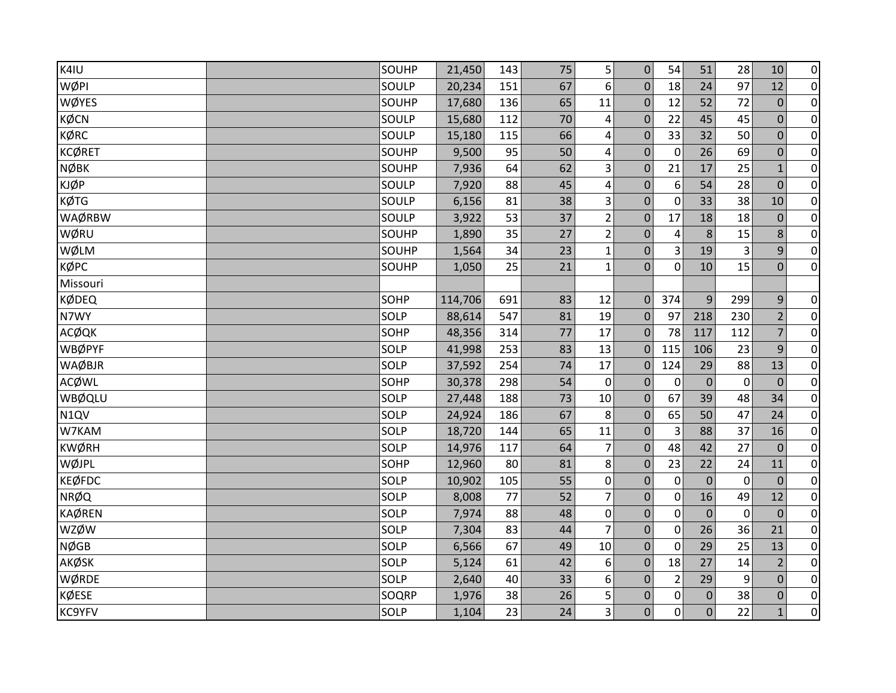| K4IU          | SOUHP | 21,450  | 143 | 75 | 5                | $\mathbf 0$      | 54             | 51               | 28          | 10             | $\pmb{0}$      |
|---------------|-------|---------|-----|----|------------------|------------------|----------------|------------------|-------------|----------------|----------------|
| WØPI          | SOULP | 20,234  | 151 | 67 | 6                | $\mathbf{0}$     | 18             | 24               | 97          | 12             | $\pmb{0}$      |
| <b>WØYES</b>  | SOUHP | 17,680  | 136 | 65 | 11               | $\mathbf 0$      | 12             | 52               | 72          | $\mathbf{0}$   | $\pmb{0}$      |
| <b>KØCN</b>   | SOULP | 15,680  | 112 | 70 | 4                | $\mathbf 0$      | 22             | 45               | 45          | $\overline{0}$ | $\pmb{0}$      |
| <b>KØRC</b>   | SOULP | 15,180  | 115 | 66 | 4                | $\mathbf 0$      | 33             | 32               | 50          | $\mathbf 0$    | $\pmb{0}$      |
| <b>KCØRET</b> | SOUHP | 9,500   | 95  | 50 | 4                | $\mathbf 0$      | $\mathbf 0$    | 26               | 69          | $\mathbf 0$    | 0              |
| <b>NØBK</b>   | SOUHP | 7,936   | 64  | 62 | 3                | $\pmb{0}$        | 21             | 17               | 25          | $\mathbf{1}$   | $\pmb{0}$      |
| <b>KJØP</b>   | SOULP | 7,920   | 88  | 45 | 4                | $\mathbf 0$      | 6              | 54               | 28          | $\overline{0}$ | $\mathbf 0$    |
| <b>KØTG</b>   | SOULP | 6,156   | 81  | 38 | 3                | $\mathbf 0$      | $\mathbf 0$    | 33               | 38          | 10             | $\pmb{0}$      |
| WAØRBW        | SOULP | 3,922   | 53  | 37 | $\overline{2}$   | $\mathbf 0$      | 17             | 18               | 18          | $\mathbf 0$    | $\pmb{0}$      |
| WØRU          | SOUHP | 1,890   | 35  | 27 | $\mathbf 2$      | $\pmb{0}$        | 4              | 8                | 15          | 8              | $\pmb{0}$      |
| WØLM          | SOUHP | 1,564   | 34  | 23 | $\mathbf{1}$     | $\pmb{0}$        | 3              | 19               | 3           | 9              | $\mathbf 0$    |
| КФРС          | SOUHP | 1,050   | 25  | 21 | $\mathbf{1}$     | $\overline{0}$   | $\mathbf{0}$   | 10               | 15          | $\overline{0}$ | $\overline{0}$ |
| Missouri      |       |         |     |    |                  |                  |                |                  |             |                |                |
| <b>KØDEQ</b>  | SOHP  | 114,706 | 691 | 83 | 12               | $\mathbf 0$      | 374            | 9                | 299         | $\overline{9}$ | $\pmb{0}$      |
| N7WY          | SOLP  | 88,614  | 547 | 81 | 19               | $\mathbf 0$      | 97             | 218              | 230         | $\overline{2}$ | $\mathbf 0$    |
| <b>ACØQK</b>  | SOHP  | 48,356  | 314 | 77 | 17               | $\mathbf{0}$     | 78             | 117              | 112         | $\overline{7}$ | $\pmb{0}$      |
| WBØPYF        | SOLP  | 41,998  | 253 | 83 | 13               | $\Omega$         | 115            | 106              | 23          | 9              | $\mathbf 0$    |
| <b>WAØBJR</b> | SOLP  | 37,592  | 254 | 74 | 17               | $\mathbf 0$      | 124            | 29               | 88          | 13             | $\pmb{0}$      |
| <b>ACØWL</b>  | SOHP  | 30,378  | 298 | 54 | 0                | $\Omega$         | 0              | $\Omega$         | 0           | $\overline{0}$ | $\pmb{0}$      |
| WBØQLU        | SOLP  | 27,448  | 188 | 73 | 10               | $\mathbf{0}$     | 67             | 39               | 48          | 34             | 0              |
| N1QV          | SOLP  | 24,924  | 186 | 67 | 8                | $\mathbf 0$      | 65             | 50               | 47          | 24             | $\pmb{0}$      |
| W7KAM         | SOLP  | 18,720  | 144 | 65 | 11               | $\mathbf 0$      | $\overline{3}$ | 88               | 37          | 16             | $\mathbf 0$    |
| <b>KWØRH</b>  | SOLP  | 14,976  | 117 | 64 | 7                | $\pmb{0}$        | 48             | 42               | 27          | $\mathbf 0$    | $\pmb{0}$      |
| WØJPL         | SOHP  | 12,960  | 80  | 81 | 8                | $\mathbf{0}$     | 23             | 22               | 24          | 11             | $\pmb{0}$      |
| <b>KEØFDC</b> | SOLP  | 10,902  | 105 | 55 | $\pmb{0}$        | $\mathbf 0$      | $\mathbf 0$    | $\mathbf 0$      | 0           | $\mathbf{0}$   | $\pmb{0}$      |
| <b>NRØQ</b>   | SOLP  | 8,008   | 77  | 52 | $\overline{7}$   | $\mathbf 0$      | 0              | 16               | 49          | 12             | $\pmb{0}$      |
| <b>KAØREN</b> | SOLP  | 7,974   | 88  | 48 | $\boldsymbol{0}$ | $\mathbf 0$      | $\mathbf 0$    | $\mathbf{0}$     | $\mathbf 0$ | $\mathbf{0}$   | $\mathbf 0$    |
| <b>WZØW</b>   | SOLP  | 7,304   | 83  | 44 | 7                | $\pmb{0}$        | 0              | 26               | 36          | 21             | $\pmb{0}$      |
| <b>NØGB</b>   | SOLP  | 6,566   | 67  | 49 | 10               | $\mathbf 0$      | 0              | 29               | 25          | 13             | $\pmb{0}$      |
| <b>AKØSK</b>  | SOLP  | 5,124   | 61  | 42 | 6                | $\pmb{0}$        | 18             | 27               | 14          | $\overline{2}$ | 0              |
| WØRDE         | SOLP  | 2,640   | 40  | 33 | 6                | $\mathbf{0}$     | $\overline{2}$ | 29               | 9           | $\mathbf{0}$   | $\pmb{0}$      |
| <b>KØESE</b>  | SOQRP | 1,976   | 38  | 26 | 5                | $\boldsymbol{0}$ | 0              | $\boldsymbol{0}$ | 38          | $\overline{0}$ | $\pmb{0}$      |
| <b>KC9YFV</b> | SOLP  | 1,104   | 23  | 24 | 3                | 0                | $\Omega$       | $\Omega$         | 22          | $\mathbf{1}$   | $\pmb{0}$      |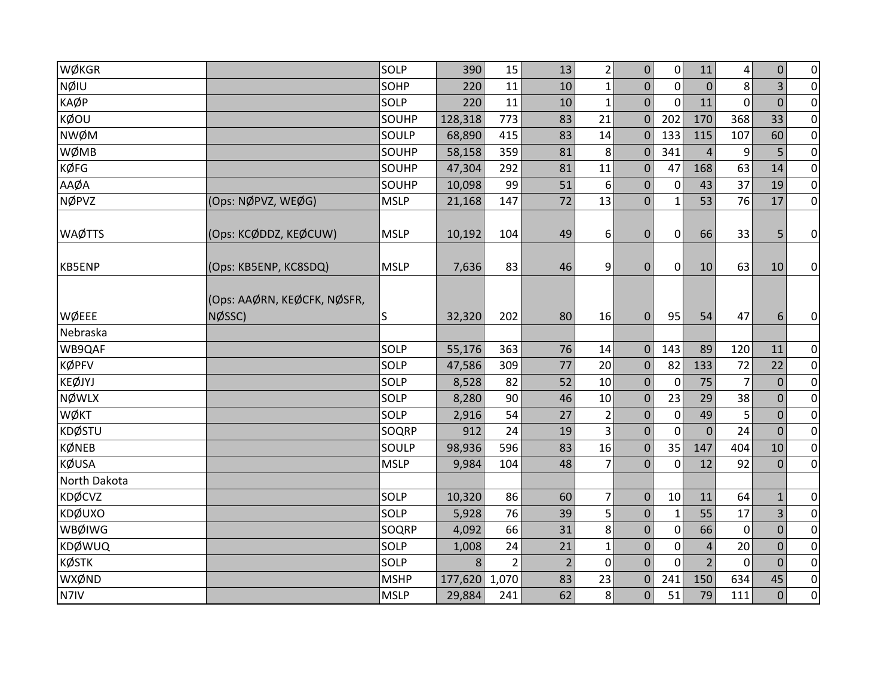| WØKGR             |                                       | <b>SOLP</b>  | 390     | 15    | 13             | 2              | $\pmb{0}$        | $\mathbf 0$      | 11             | 4              | $\boldsymbol{0}$ | $\overline{0}$ |
|-------------------|---------------------------------------|--------------|---------|-------|----------------|----------------|------------------|------------------|----------------|----------------|------------------|----------------|
| NØIU              |                                       | SOHP         | 220     | 11    | 10             | $\mathbf{1}$   | $\mathbf 0$      | $\mathbf 0$      | $\mathbf{0}$   | 8              | 3                | $\overline{0}$ |
| <b>KAØP</b>       |                                       | <b>SOLP</b>  | 220     | 11    | 10             | $\mathbf{1}$   | $\mathbf{0}$     | $\mathbf{0}$     | 11             | $\overline{0}$ | $\mathbf{0}$     | $\overline{0}$ |
| KØOU              |                                       | SOUHP        | 128,318 | 773   | 83             | 21             | $\mathbf 0$      | 202              | 170            | 368            | 33               | $\overline{0}$ |
| <b>NWØM</b>       |                                       | SOULP        | 68,890  | 415   | 83             | 14             | $\Omega$         | 133              | 115            | 107            | 60               | $\overline{0}$ |
| WØMB              |                                       | SOUHP        | 58,158  | 359   | 81             | 8              | $\mathbf 0$      | 341              | $\overline{4}$ | 9              | 5                | $\overline{0}$ |
| <b>KØFG</b>       |                                       | <b>SOUHP</b> | 47,304  | 292   | 81             | 11             | $\mathbf{0}$     | 47               | 168            | 63             | 14               | $\overline{0}$ |
| AAØA              |                                       | SOUHP        | 10,098  | 99    | 51             | 6              | $\mathbf{0}$     | 0                | 43             | 37             | 19               | $\overline{0}$ |
| <b>NØPVZ</b>      | (Ops: NØPVZ, WEØG)                    | <b>MSLP</b>  | 21,168  | 147   | 72             | 13             | $\mathbf 0$      | 1                | 53             | 76             | 17               | $\overline{0}$ |
| <b>WAØTTS</b>     | (Ops: KCØDDZ, KEØCUW)                 | <b>MSLP</b>  | 10,192  | 104   | 49             | 6              | $\pmb{0}$        | $\boldsymbol{0}$ | 66             | 33             | 5                | $\overline{0}$ |
| <b>KB5ENP</b>     | (Ops: KB5ENP, KC8SDQ)                 | <b>MSLP</b>  | 7,636   | 83    | 46             | 9              | $\pmb{0}$        | $\mathbf 0$      | 10             | 63             | 10               | $\overline{0}$ |
| WØEEE<br>Nebraska | (Ops: AAØRN, KEØCFK, NØSFR,<br>NØSSC) | S            | 32,320  | 202   | 80             | 16             | $\mathbf{0}$     | 95               | 54             | 47             | 6                | $\overline{0}$ |
| WB9QAF            |                                       | SOLP         | 55,176  | 363   | 76             | 14             | $\mathbf 0$      | 143              | 89             | 120            | 11               | $\overline{0}$ |
| <b>KØPFV</b>      |                                       | <b>SOLP</b>  | 47,586  | 309   | 77             | 20             | $\boldsymbol{0}$ | 82               | 133            | 72             | 22               | $\overline{0}$ |
| <b>KEØJYJ</b>     |                                       | <b>SOLP</b>  | 8,528   | 82    | 52             | 10             | $\Omega$         | $\mathbf{0}$     | 75             | 7              | $\Omega$         | $\overline{0}$ |
| <b>NØWLX</b>      |                                       | <b>SOLP</b>  | 8,280   | 90    | 46             | $10\,$         | $\mathbf{0}$     | 23               | 29             | 38             | $\mathbf{0}$     | $\overline{0}$ |
| <b>WØKT</b>       |                                       | <b>SOLP</b>  | 2,916   | 54    | 27             | $2\vert$       | $\mathbf 0$      | $\mathbf 0$      | 49             | 5              | $\overline{0}$   | $\overline{0}$ |
| <b>KDØSTU</b>     |                                       | <b>SOQRP</b> | 912     | 24    | 19             | $\overline{3}$ | $\mathbf 0$      | $\mathbf 0$      | $\mathbf{0}$   | 24             | $\mathbf{0}$     | $\overline{0}$ |
| <b>KØNEB</b>      |                                       | SOULP        | 98,936  | 596   | 83             | 16             | $\mathbf 0$      | 35               | 147            | 404            | 10               | $\overline{0}$ |
| <b>KØUSA</b>      |                                       | <b>MSLP</b>  | 9,984   | 104   | 48             | $\overline{7}$ | $\mathbf 0$      | $\mathbf 0$      | 12             | 92             | $\mathbf{0}$     | $\overline{0}$ |
| North Dakota      |                                       |              |         |       |                |                |                  |                  |                |                |                  |                |
| <b>KDØCVZ</b>     |                                       | <b>SOLP</b>  | 10,320  | 86    | 60             | $\overline{7}$ | $\mathbf 0$      | 10               | 11             | 64             | $\mathbf{1}$     | $\overline{0}$ |
| <b>KDØUXO</b>     |                                       | <b>SOLP</b>  | 5,928   | 76    | 39             | 5              | $\mathbf 0$      | $\mathbf{1}$     | 55             | 17             | 3                | $\overline{0}$ |
| WBØIWG            |                                       | <b>SOQRP</b> | 4,092   | 66    | 31             | 8              | $\mathbf 0$      | $\mathbf 0$      | 66             | $\mathbf 0$    | $\overline{0}$   | $\overline{0}$ |
| <b>KDØWUQ</b>     |                                       | <b>SOLP</b>  | 1,008   | 24    | 21             | $\mathbf{1}$   | $\pmb{0}$        | $\mathbf 0$      | $\overline{4}$ | 20             | $\mathbf 0$      | $\overline{0}$ |
| <b>KØSTK</b>      |                                       | SOLP         | 8       | 2     | $\overline{2}$ | $\mathbf 0$    | $\Omega$         | $\mathbf{0}$     | $\overline{2}$ | $\mathbf{0}$   | $\Omega$         | $\overline{0}$ |
| WXØND             |                                       | <b>MSHP</b>  | 177,620 | 1,070 | 83             | 23             | $\pmb{0}$        | 241              | 150            | 634            | 45               | $\overline{0}$ |
| N7IV              |                                       | <b>MSLP</b>  | 29,884  | 241   | 62             | 8              | $\boldsymbol{0}$ | 51               | 79             | 111            | $\mathbf 0$      | $\overline{0}$ |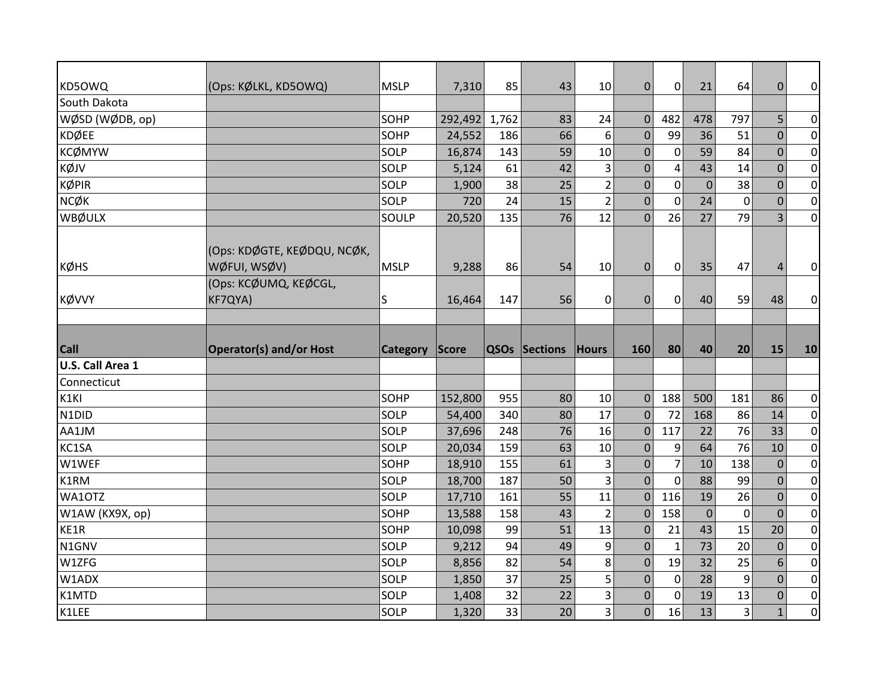| KD50WQ           | (Ops: KØLKL, KD5OWQ)                        | <b>MSLP</b>     | 7,310   | 85    | 43            | 10                               | $\overline{0}$ | $\mathbf{0}$   | 21          | 64             | $\overline{0}$ | $\overline{0}$                                                                                                                                                                                                                                 |
|------------------|---------------------------------------------|-----------------|---------|-------|---------------|----------------------------------|----------------|----------------|-------------|----------------|----------------|------------------------------------------------------------------------------------------------------------------------------------------------------------------------------------------------------------------------------------------------|
| South Dakota     |                                             |                 |         |       |               |                                  |                |                |             |                |                |                                                                                                                                                                                                                                                |
| WØSD (WØDB, op)  |                                             | SOHP            | 292,492 | 1,762 | 83            | 24                               | $\mathbf 0$    | 482            | 478         | 797            | 5              | $\overline{0}$                                                                                                                                                                                                                                 |
| <b>KDØEE</b>     |                                             | SOHP            | 24,552  | 186   | 66            | 6                                | $\mathbf{0}$   | 99             | 36          | 51             | $\overline{0}$ | $\overline{0}$                                                                                                                                                                                                                                 |
| <b>KCØMYW</b>    |                                             | SOLP            | 16,874  | 143   | 59            | 10                               | 0              | 0              | 59          | 84             | $\mathbf 0$    | $\overline{0}$                                                                                                                                                                                                                                 |
| KØJV             |                                             | SOLP            | 5,124   | 61    | 42            | 3                                | $\Omega$       | $\overline{a}$ | 43          | 14             | $\Omega$       | $\overline{0}$                                                                                                                                                                                                                                 |
| <b>KØPIR</b>     |                                             | SOLP            | 1,900   | 38    | 25            | $\overline{2}$                   | $\mathbf 0$    | $\mathbf 0$    | $\mathbf 0$ | 38             | $\overline{0}$ | $\overline{0}$                                                                                                                                                                                                                                 |
| <b>NCØK</b>      |                                             | SOLP            | 720     | 24    | 15            | $\overline{2}$                   | $\overline{0}$ | $\mathbf 0$    | 24          | $\mathbf 0$    | $\mathbf 0$    | $\overline{0}$                                                                                                                                                                                                                                 |
| WBØULX           |                                             | SOULP           | 20,520  | 135   | 76            | 12                               | $\overline{0}$ | 26             | 27          | 79             | $\overline{3}$ | $\overline{0}$                                                                                                                                                                                                                                 |
| <b>KØHS</b>      | (Ops: KDØGTE, KEØDQU, NCØK,<br>WØFUI, WSØV) | <b>MSLP</b>     |         | 86    | 54            | 10                               | $\Omega$       | $\mathbf 0$    | 35          | 47             | $\overline{4}$ | $\overline{0}$                                                                                                                                                                                                                                 |
|                  | (Ops: KCØUMQ, KEØCGL,                       |                 | 9,288   |       |               |                                  |                |                |             |                |                |                                                                                                                                                                                                                                                |
| KØVVY            | KF7QYA)                                     | S               | 16,464  | 147   | 56            | $\mathbf{0}$                     | $\overline{0}$ | $\overline{0}$ | 40          | 59             | 48             | $\overline{0}$                                                                                                                                                                                                                                 |
|                  |                                             |                 |         |       |               |                                  |                |                |             |                |                |                                                                                                                                                                                                                                                |
|                  |                                             |                 |         |       |               |                                  |                |                |             |                |                |                                                                                                                                                                                                                                                |
|                  |                                             |                 |         |       |               |                                  |                |                |             |                |                |                                                                                                                                                                                                                                                |
| <b>Call</b>      | <b>Operator(s) and/or Host</b>              | <b>Category</b> | Score   |       | QSOs Sections | Hours                            | 160            | 80             | 40          | 20             | 15             | 10                                                                                                                                                                                                                                             |
| U.S. Call Area 1 |                                             |                 |         |       |               |                                  |                |                |             |                |                |                                                                                                                                                                                                                                                |
| Connecticut      |                                             |                 |         |       |               |                                  |                |                |             |                |                |                                                                                                                                                                                                                                                |
| K1KI             |                                             | SOHP            | 152,800 | 955   | 80            | 10                               | $\Omega$       | 188            | 500         | 181            | 86             |                                                                                                                                                                                                                                                |
| N1DID            |                                             | SOLP            | 54,400  | 340   | 80            | 17                               | $\mathbf{0}$   | 72             | 168         | 86             | 14             |                                                                                                                                                                                                                                                |
| AA1JM            |                                             | SOLP            | 37,696  | 248   | 76            | 16                               | $\Omega$       | 117            | 22          | 76             | 33             |                                                                                                                                                                                                                                                |
| KC1SA            |                                             | SOLP            | 20,034  | 159   | 63            | 10                               | $\mathbf{0}$   | 9              | 64          | 76             | 10             |                                                                                                                                                                                                                                                |
| W1WEF            |                                             | SOHP            | 18,910  | 155   | 61            | 3                                | $\mathbf 0$    | $\overline{7}$ | 10          | 138            | $\mathbf 0$    |                                                                                                                                                                                                                                                |
| K1RM             |                                             | SOLP            | 18,700  | 187   | 50            | $\overline{3}$                   | $\overline{0}$ | $\Omega$       | 88          | 99             | $\overline{0}$ |                                                                                                                                                                                                                                                |
| WA10TZ           |                                             | SOLP            | 17,710  | 161   | 55            | 11                               | $\overline{0}$ | 116            | 19          | 26             | $\overline{0}$ |                                                                                                                                                                                                                                                |
| W1AW (KX9X, op)  |                                             | SOHP            | 13,588  | 158   | 43            | $\overline{2}$                   | $\Omega$       | 158            | $\mathbf 0$ | $\overline{0}$ | $\Omega$       |                                                                                                                                                                                                                                                |
| KE1R             |                                             | SOHP            | 10,098  | 99    | 51            | 13                               | $\Omega$       | 21             | 43          | 15             | 20             |                                                                                                                                                                                                                                                |
| N1GNV            |                                             | SOLP            | 9,212   | 94    | 49            | 9                                | $\mathbf{0}$   | $\mathbf{1}$   | 73          | 20             | $\mathbf{0}$   |                                                                                                                                                                                                                                                |
| W1ZFG            |                                             | SOLP            | 8,856   | 82    | 54            | 8                                | $\Omega$       | 19             | 32          | 25             | 6              |                                                                                                                                                                                                                                                |
| W1ADX            |                                             | SOLP            | 1,850   | 37    | 25            | 5                                | 0              | $\mathbf 0$    | 28          | 9              | $\overline{0}$ |                                                                                                                                                                                                                                                |
| K1MTD            |                                             | SOLP            | 1,408   | 32    | 22            | $\overline{3}$<br>$\overline{3}$ | $\mathbf 0$    | $\mathbf 0$    | 19          | 13             | $\mathbf{0}$   | $\overline{0}$<br>$\overline{0}$<br>$\overline{0}$<br>$\overline{0}$<br>$\overline{0}$<br>$\overline{0}$<br>$\pmb{0}$<br>$\overline{0}$<br>$\overline{0}$<br>$\overline{0}$<br>$\overline{0}$<br>$\pmb{0}$<br>$\overline{0}$<br>$\overline{0}$ |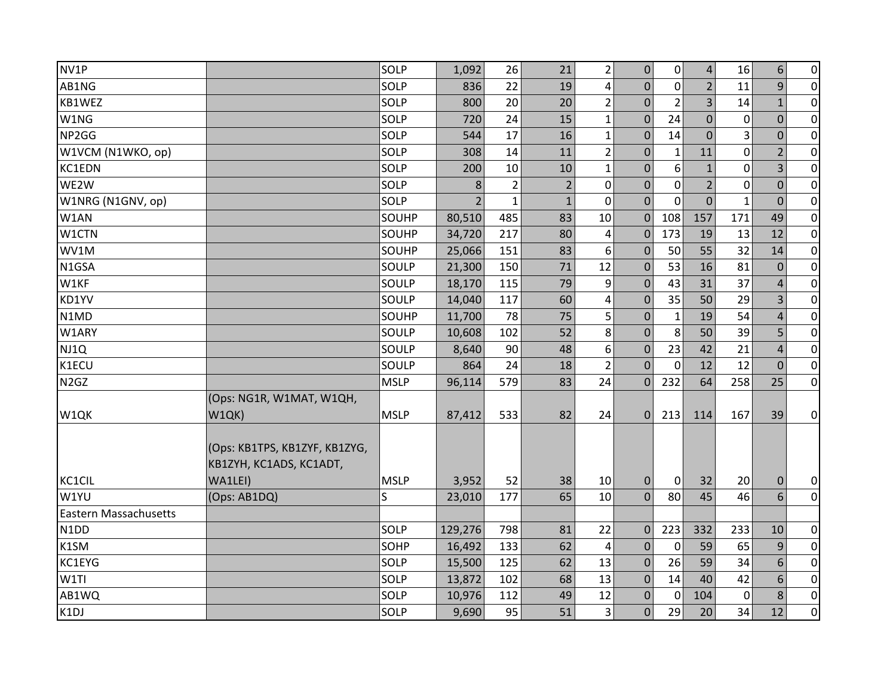| NV1P                          |                                                          | SOLP        | 1,092                    | 26             | 21             | $\overline{2}$          | 0              | $\Omega$       | $\overline{4}$ | 16             | 6              | $\overline{0}$ |
|-------------------------------|----------------------------------------------------------|-------------|--------------------------|----------------|----------------|-------------------------|----------------|----------------|----------------|----------------|----------------|----------------|
| AB1NG                         |                                                          | SOLP        | 836                      | 22             | 19             | $\overline{\mathbf{4}}$ | $\Omega$       | $\mathbf 0$    | $\overline{2}$ | 11             | 9              | $\overline{0}$ |
| KB1WEZ                        |                                                          | SOLP        | 800                      | 20             | 20             | $\overline{2}$          | $\overline{0}$ | $\overline{2}$ | $\overline{3}$ | 14             | $\mathbf{1}$   | $\overline{0}$ |
| W1NG                          |                                                          | SOLP        | 720                      | 24             | 15             | $\mathbf{1}$            | $\overline{0}$ | 24             | $\overline{0}$ | $\mathbf 0$    | $\overline{0}$ | $\overline{0}$ |
| NP2GG                         |                                                          | SOLP        | 544                      | 17             | 16             | $\mathbf{1}$            | $\mathbf{0}$   | 14             | $\overline{0}$ | 3              | $\mathbf 0$    | $\overline{0}$ |
| W1VCM (N1WKO, op)             |                                                          | SOLP        | 308                      | 14             | 11             | $\overline{2}$          | $\mathbf{0}$   | $\mathbf{1}$   | 11             | $\mathbf 0$    | 2              | $\pmb{0}$      |
| KC1EDN                        |                                                          | SOLP        | 200                      | 10             | 10             | $\mathbf{1}$            | $\overline{0}$ | 6              | $\mathbf{1}$   | $\overline{0}$ | 3              | $\overline{0}$ |
| WE2W                          |                                                          | SOLP        | 8                        | $\overline{2}$ | $\overline{2}$ | $\mathbf 0$             | 0              | $\mathbf 0$    | $\overline{2}$ | $\overline{0}$ | $\overline{0}$ | $\overline{0}$ |
| W1NRG (N1GNV, op)             |                                                          | SOLP        | $\overline{\phantom{a}}$ | $\mathbf{1}$   | $\mathbf{1}$   | $\mathbf 0$             | $\overline{0}$ | $\Omega$       | $\overline{0}$ | $\mathbf{1}$   | $\mathbf{0}$   | $\overline{0}$ |
| W1AN                          |                                                          | SOUHP       | 80,510                   | 485            | 83             | 10                      | $\mathbf{0}$   | 108            | 157            | 171            | 49             | $\overline{0}$ |
| W1CTN                         |                                                          | SOUHP       | 34,720                   | 217            | 80             | 4                       | $\mathbf 0$    | 173            | 19             | 13             | 12             | $\overline{0}$ |
| WV1M                          |                                                          | SOUHP       | 25,066                   | 151            | 83             | 6                       | $\Omega$       | 50             | 55             | 32             | 14             | $\overline{0}$ |
| N1GSA                         |                                                          | SOULP       | 21,300                   | 150            | 71             | 12                      | $\mathbf{0}$   | 53             | 16             | 81             | $\mathbf 0$    | $\overline{0}$ |
| W1KF                          |                                                          | SOULP       | 18,170                   | 115            | 79             | 9                       | $\mathbf{0}$   | 43             | 31             | 37             | $\overline{4}$ | $\overline{0}$ |
| KD1YV                         |                                                          | SOULP       | 14,040                   | 117            | 60             | $\overline{\mathbf{4}}$ | $\mathbf 0$    | 35             | 50             | 29             | $\overline{3}$ | $\overline{0}$ |
| N1MD                          |                                                          | SOUHP       | 11,700                   | 78             | 75             | 5                       | $\Omega$       | $\mathbf{1}$   | 19             | 54             | 4              | $\overline{0}$ |
| W1ARY                         |                                                          | SOULP       | 10,608                   | 102            | 52             | 8                       | $\overline{0}$ | 8              | 50             | 39             | 5              | $\overline{0}$ |
| NJ1Q                          |                                                          | SOULP       | 8,640                    | 90             | 48             | $\boldsymbol{6}$        | $\mathbf{0}$   | 23             | 42             | 21             | $\overline{4}$ | $\overline{0}$ |
| K1ECU                         |                                                          | SOULP       | 864                      | 24             | 18             | $\overline{2}$          | $\mathbf{0}$   | $\mathbf 0$    | 12             | 12             | $\mathbf{0}$   | $\overline{0}$ |
| N <sub>2</sub> G <sub>Z</sub> |                                                          | <b>MSLP</b> | 96,114                   | 579            | 83             | 24                      | $\overline{0}$ | 232            | 64             | 258            | 25             | $\overline{0}$ |
|                               | (Ops: NG1R, W1MAT, W1QH,                                 |             |                          |                |                |                         |                |                |                |                |                |                |
| W1QK                          | W1QK)                                                    | <b>MSLP</b> | 87,412                   | 533            | 82             | 24                      | $\Omega$       | 213            | 114            | 167            | 39             | $\overline{0}$ |
|                               | (Ops: KB1TPS, KB1ZYF, KB1ZYG,<br>KB1ZYH, KC1ADS, KC1ADT, |             |                          |                |                |                         |                |                |                |                |                |                |
| KC1CIL                        | WA1LEI)                                                  | <b>MSLP</b> | 3,952                    | 52             | 38             | 10                      | $\Omega$       | $\overline{0}$ | 32             | 20             | $\mathbf 0$    | $\overline{0}$ |
| W1YU                          | (Ops: AB1DQ)                                             | S           | 23,010                   | 177            | 65             | 10                      | $\Omega$       | 80             | 45             | 46             | 6              | $\overline{0}$ |
| <b>Eastern Massachusetts</b>  |                                                          |             |                          |                |                |                         |                |                |                |                |                |                |
| N <sub>1</sub> D <sub>D</sub> |                                                          | SOLP        | 129,276                  | 798            | 81             | 22                      | $\mathbf{0}$   | 223            | 332            | 233            | 10             | $\overline{0}$ |
| K1SM                          |                                                          | SOHP        | 16,492                   | 133            | 62             | 4                       | $\Omega$       | $\mathbf 0$    | 59             | 65             | 9              | $\overline{0}$ |
| KC1EYG                        |                                                          | SOLP        | 15,500                   | 125            | 62             | 13                      | $\mathbf{0}$   | 26             | 59             | 34             | 6              | $\overline{0}$ |
| W1TI                          |                                                          | SOLP        | 13,872                   | 102            | 68             | 13                      | 0              | 14             | 40             | 42             | 6              | $\pmb{0}$      |
| AB1WQ                         |                                                          | SOLP        | 10,976                   | 112            | 49             | 12                      | 0              | 0              | 104            | $\mathbf 0$    | 8              | $\overline{0}$ |
| K1DJ                          |                                                          | SOLP        | 9,690                    | 95             | 51             | $\overline{3}$          | $\overline{0}$ | 29             | 20             | 34             | 12             | $\overline{0}$ |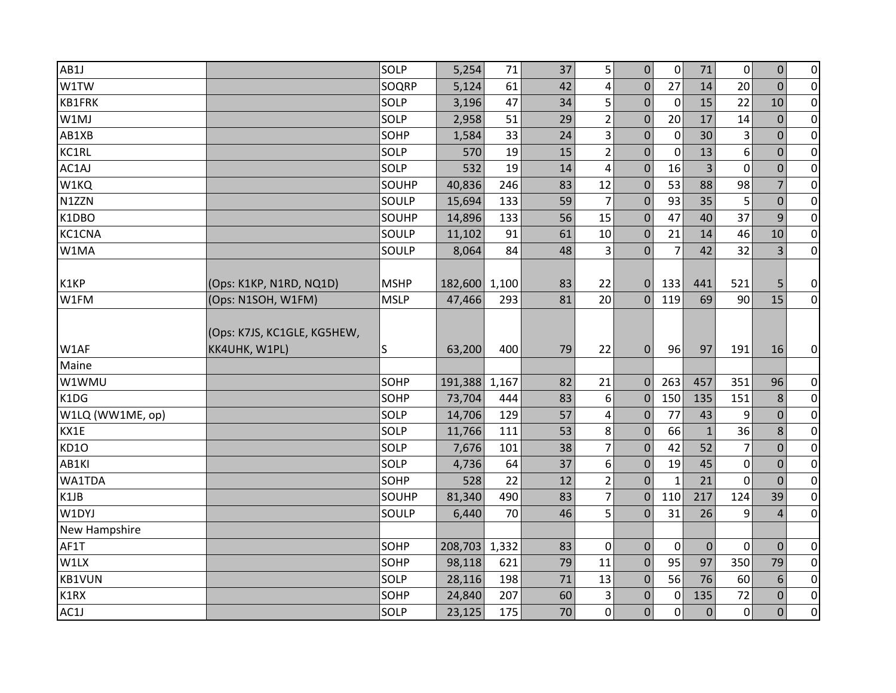| AB1J             |                             | SOLP        | 5,254   | 71    | 37 | $\mathsf{5}$    | $\boldsymbol{0}$ | $\mathbf 0$    | $71\,$         | $\mathbf 0$    | $\boldsymbol{0}$ | $\overline{0}$ |
|------------------|-----------------------------|-------------|---------|-------|----|-----------------|------------------|----------------|----------------|----------------|------------------|----------------|
| W1TW             |                             | SOQRP       | 5,124   | 61    | 42 | $\vert 4 \vert$ | $\mathbf 0$      | 27             | 14             | 20             | $\overline{0}$   | $\overline{0}$ |
| KB1FRK           |                             | SOLP        | 3,196   | 47    | 34 | 5               | $\mathbf 0$      | $\mathbf 0$    | 15             | 22             | 10               | $\overline{0}$ |
| W1MJ             |                             | SOLP        | 2,958   | 51    | 29 | 2               | $\overline{0}$   | 20             | 17             | 14             | $\overline{0}$   | $\overline{0}$ |
| AB1XB            |                             | SOHP        | 1,584   | 33    | 24 | $\vert$ 3       | 0                | $\mathbf 0$    | 30             | 3              | $\mathbf 0$      | $\overline{0}$ |
| KC1RL            |                             | SOLP        | 570     | 19    | 15 | $\overline{2}$  | $\mathbf 0$      | $\mathbf 0$    | 13             | 6              | $\overline{0}$   | $\overline{0}$ |
| AC1AJ            |                             | SOLP        | 532     | 19    | 14 | $\overline{4}$  | 0                | 16             | $\overline{3}$ | $\mathbf 0$    | $\mathbf 0$      | $\overline{0}$ |
| W1KQ             |                             | SOUHP       | 40,836  | 246   | 83 | 12              | $\mathbf 0$      | 53             | 88             | 98             | $\overline{7}$   | $\overline{0}$ |
| N1ZZN            |                             | SOULP       | 15,694  | 133   | 59 | $\overline{7}$  | $\mathbf 0$      | 93             | 35             | 5              | $\mathbf 0$      | $\overline{0}$ |
| K1DBO            |                             | SOUHP       | 14,896  | 133   | 56 | 15              | $\Omega$         | 47             | 40             | 37             | 9                | $\overline{0}$ |
| KC1CNA           |                             | SOULP       | 11,102  | 91    | 61 | 10              | $\mathbf 0$      | 21             | 14             | 46             | 10               | $\overline{0}$ |
| W1MA             |                             | SOULP       | 8,064   | 84    | 48 | $\vert$ 3       | $\Omega$         | $\overline{7}$ | 42             | 32             | $\overline{3}$   | $\overline{0}$ |
|                  |                             |             |         |       |    |                 |                  |                |                |                |                  |                |
| K1KP             | (Ops: K1KP, N1RD, NQ1D)     | <b>MSHP</b> | 182,600 | 1,100 | 83 | 22              | $\mathbf{0}$     | 133            | 441            | 521            | 5                | $\overline{0}$ |
| W1FM             | (Ops: N1SOH, W1FM)          | <b>MSLP</b> | 47,466  | 293   | 81 | 20              | $\mathbf 0$      | 119            | 69             | 90             | 15               | $\overline{0}$ |
|                  | (Ops: K7JS, KC1GLE, KG5HEW, |             |         |       |    |                 |                  |                |                |                |                  |                |
| W1AF             | KK4UHK, W1PL)               | S           | 63,200  | 400   | 79 | 22              | $\mathbf 0$      | 96             | 97             | 191            | 16               | $\overline{0}$ |
| Maine            |                             |             |         |       |    |                 |                  |                |                |                |                  |                |
| W1WMU            |                             | SOHP        | 191,388 | 1,167 | 82 | 21              | $\mathbf{0}$     | 263            | 457            | 351            | 96               | $\overline{0}$ |
| K1DG             |                             | SOHP        | 73,704  | 444   | 83 | 6               | $\Omega$         | 150            | 135            | 151            | 8                | $\overline{0}$ |
| W1LQ (WW1ME, op) |                             | SOLP        | 14,706  | 129   | 57 | $\overline{4}$  | $\mathbf{0}$     | 77             | 43             | 9              | $\overline{0}$   | $\overline{0}$ |
| KX1E             |                             | SOLP        | 11,766  | 111   | 53 | 8               | $\mathbf 0$      | 66             | $\mathbf{1}$   | 36             | 8                | $\overline{0}$ |
| <b>KD10</b>      |                             | SOLP        | 7,676   | 101   | 38 | 7               | $\overline{0}$   | 42             | 52             | $\overline{7}$ | $\overline{0}$   | $\overline{0}$ |
| AB1KI            |                             | SOLP        | 4,736   | 64    | 37 | 6               | $\pmb{0}$        | 19             | 45             | 0              | $\mathbf{0}$     | $\overline{0}$ |
| WA1TDA           |                             | SOHP        | 528     | 22    | 12 | $\overline{2}$  | $\mathbf{0}$     | $\mathbf{1}$   | 21             | $\overline{0}$ | $\overline{0}$   | $\overline{0}$ |
| K1JB             |                             | SOUHP       | 81,340  | 490   | 83 | $\overline{7}$  | $\mathbf{0}$     | 110            | 217            | 124            | 39               | $\overline{0}$ |
| W1DYJ            |                             | SOULP       | 6,440   | 70    | 46 | 5               | $\Omega$         | 31             | 26             | 9              | $\overline{4}$   | $\overline{0}$ |
| New Hampshire    |                             |             |         |       |    |                 |                  |                |                |                |                  |                |
| AF1T             |                             | SOHP        | 208,703 | 1,332 | 83 | 0               | $\mathbf 0$      | $\mathbf{0}$   | $\mathbf{0}$   | $\mathbf 0$    | $\mathbf{0}$     | $\overline{0}$ |
| W1LX             |                             | SOHP        | 98,118  | 621   | 79 | 11              | $\mathbf{0}$     | 95             | 97             | 350            | 79               | $\overline{0}$ |
| <b>KB1VUN</b>    |                             | SOLP        | 28,116  | 198   | 71 | 13              | $\Omega$         | 56             | 76             | 60             | 6                | $\overline{0}$ |
| K1RX             |                             | SOHP        | 24,840  | 207   | 60 | $\vert$ 3       | $\mathbf{0}$     | $\mathbf 0$    | 135            | 72             | $\mathbf 0$      | $\overline{0}$ |
| AC1J             |                             | SOLP        | 23,125  | 175   | 70 | 0               | 0                | $\mathbf 0$    | $\overline{0}$ | $\pmb{0}$      | $\overline{0}$   | $\overline{0}$ |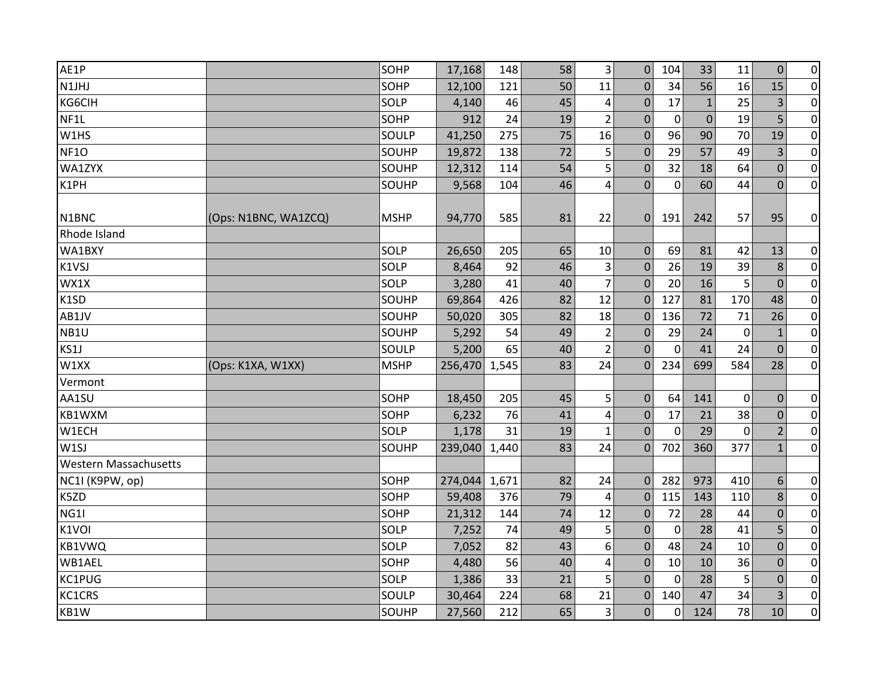| AE1P                         |                      | SOHP        | 17,168  | 148   | 58 | $\overline{3}$          | $\mathbf{0}$     | 104          | 33          | 11             | $\mathbf{0}$   | $\overline{0}$ |
|------------------------------|----------------------|-------------|---------|-------|----|-------------------------|------------------|--------------|-------------|----------------|----------------|----------------|
| N1JHJ                        |                      | SOHP        | 12,100  | 121   | 50 | 11                      | $\mathbf{0}$     | 34           | 56          | 16             | 15             | $\overline{0}$ |
| KG6CIH                       |                      | SOLP        | 4,140   | 46    | 45 | 4                       | $\mathbf{0}$     | 17           | $1\,$       | 25             | 3              | $\overline{0}$ |
| NF1L                         |                      | SOHP        | 912     | 24    | 19 | $\overline{2}$          | $\Omega$         | $\mathbf 0$  | $\mathbf 0$ | 19             | 5              | $\overline{0}$ |
| W1HS                         |                      | SOULP       | 41,250  | 275   | 75 | 16                      | $\mathbf{0}$     | 96           | 90          | 70             | 19             | $\overline{0}$ |
| <b>NF10</b>                  |                      | SOUHP       | 19,872  | 138   | 72 | 5                       | $\Omega$         | 29           | 57          | 49             | 3              | $\overline{0}$ |
| WA1ZYX                       |                      | SOUHP       | 12,312  | 114   | 54 | 5                       | $\mathbf{0}$     | 32           | 18          | 64             | $\mathbf 0$    | $\overline{0}$ |
| K1PH                         |                      | SOUHP       | 9,568   | 104   | 46 | $\overline{\mathbf{4}}$ | $\mathbf{0}$     | $\mathbf 0$  | 60          | 44             | $\Omega$       | $\overline{0}$ |
| N <sub>1</sub> BNC           | (Ops: N1BNC, WA1ZCQ) | <b>MSHP</b> | 94,770  | 585   | 81 | 22                      | $\mathbf{0}$     | 191          | 242         | 57             | 95             | $\overline{0}$ |
| Rhode Island                 |                      |             |         |       |    |                         |                  |              |             |                |                |                |
| WA1BXY                       |                      | SOLP        | 26,650  | 205   | 65 | 10                      | $\mathbf{0}$     | 69           | 81          | 42             | 13             | $\overline{0}$ |
| K1VSJ                        |                      | SOLP        | 8,464   | 92    | 46 | 3                       | $\Omega$         | 26           | 19          | 39             | 8              | $\overline{0}$ |
| WX1X                         |                      | SOLP        | 3,280   | 41    | 40 | $\overline{7}$          | $\mathbf 0$      | 20           | 16          | 5              | $\overline{0}$ | $\overline{0}$ |
| K1SD                         |                      | SOUHP       | 69,864  | 426   | 82 | 12                      | $\mathbf 0$      | 127          | 81          | 170            | 48             | $\overline{0}$ |
| AB1JV                        |                      | SOUHP       | 50,020  | 305   | 82 | 18                      | $\Omega$         | 136          | 72          | 71             | 26             | $\overline{0}$ |
| NB1U                         |                      | SOUHP       | 5,292   | 54    | 49 | $\mathbf 2$             | $\mathbf{0}$     | 29           | 24          | $\mathbf 0$    | $\mathbf{1}$   | $\overline{0}$ |
| KS1J                         |                      | SOULP       | 5,200   | 65    | 40 | $\overline{2}$          | $\Omega$         | $\mathbf 0$  | 41          | 24             | $\Omega$       | $\overline{0}$ |
| W1XX                         | (Ops: K1XA, W1XX)    | <b>MSHP</b> | 256,470 | 1,545 | 83 | 24                      | $\Omega$         | 234          | 699         | 584            | 28             | $\overline{0}$ |
| Vermont                      |                      |             |         |       |    |                         |                  |              |             |                |                |                |
| AA1SU                        |                      | SOHP        | 18,450  | 205   | 45 | 5                       | $\mathbf{0}$     | 64           | 141         | 0              | $\mathbf 0$    | $\pmb{0}$      |
| KB1WXM                       |                      | SOHP        | 6,232   | 76    | 41 | 4                       | $\boldsymbol{0}$ | 17           | 21          | 38             | $\mathbf 0$    | $\overline{0}$ |
| W1ECH                        |                      | SOLP        | 1,178   | 31    | 19 | $\mathbf{1}$            | $\mathbf{0}$     | $\mathbf 0$  | 29          | $\overline{0}$ | $\overline{2}$ | $\overline{0}$ |
| W1SJ                         |                      | SOUHP       | 239,040 | 1,440 | 83 | 24                      | $\mathbf{0}$     | 702          | 360         | 377            | $\mathbf{1}$   | $\overline{0}$ |
| <b>Western Massachusetts</b> |                      |             |         |       |    |                         |                  |              |             |                |                |                |
| NC1I (K9PW, op)              |                      | SOHP        | 274,044 | 1,671 | 82 | 24                      | $\Omega$         | 282          | 973         | 410            | 6              | $\pmb{0}$      |
| K5ZD                         |                      | SOHP        | 59,408  | 376   | 79 | 4                       | $\Omega$         | 115          | 143         | 110            | 8              | $\overline{0}$ |
| NG1I                         |                      | SOHP        | 21,312  | 144   | 74 | 12                      | $\mathbf{0}$     | 72           | 28          | 44             | $\mathbf 0$    | $\overline{0}$ |
| K1VOI                        |                      | SOLP        | 7,252   | 74    | 49 | 5                       | $\Omega$         | 0            | 28          | 41             | 5              | $\overline{0}$ |
| KB1VWQ                       |                      | SOLP        | 7,052   | 82    | 43 | 6                       | $\Omega$         | 48           | 24          | 10             | $\overline{0}$ | $\overline{0}$ |
| WB1AEL                       |                      | SOHP        | 4,480   | 56    | 40 | 4                       | $\mathbf{0}$     | 10           | 10          | 36             | $\mathbf 0$    | $\pmb{0}$      |
| KC1PUG                       |                      | SOLP        | 1,386   | 33    | 21 | 5                       | $\Omega$         | $\mathbf{0}$ | 28          | 5              | $\Omega$       | $\overline{0}$ |
| KC1CRS                       |                      | SOULP       | 30,464  | 224   | 68 | 21                      | $\mathbf{0}$     | 140          | 47          | 34             | 3              | $\overline{0}$ |
| KB1W                         |                      | SOUHP       | 27,560  | 212   | 65 | 3                       | $\Omega$         | 0            | 124         | 78             | 10             | $\overline{0}$ |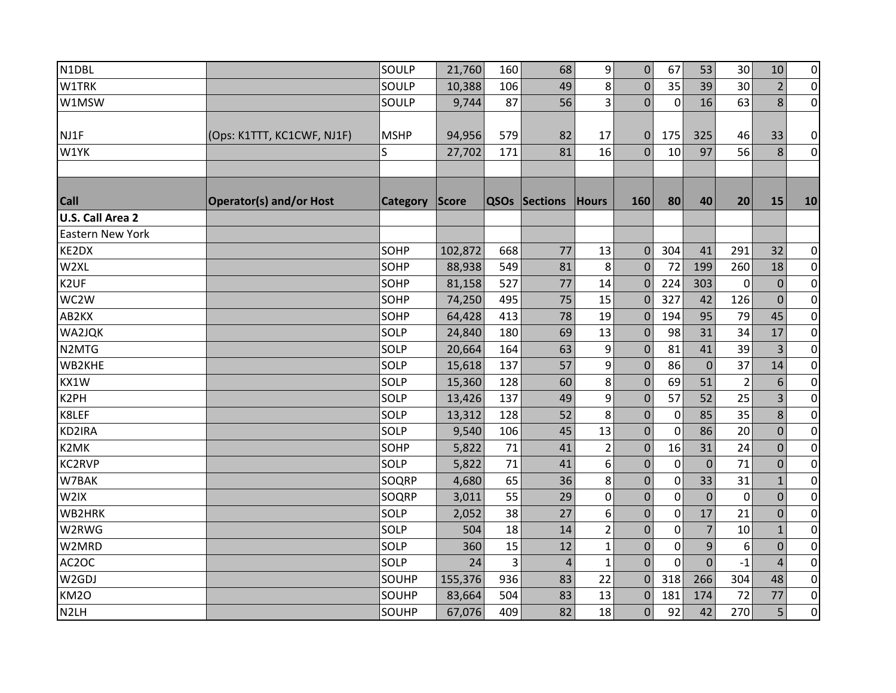| N1DBL                   |                                | SOULP       | 21,760  | 160 | 68             | $\overline{9}$ | $\pmb{0}$    | 67           | 53             | 30             | 10             | $\overline{0}$ |
|-------------------------|--------------------------------|-------------|---------|-----|----------------|----------------|--------------|--------------|----------------|----------------|----------------|----------------|
| <b>W1TRK</b>            |                                | SOULP       | 10,388  | 106 | 49             | 8              | $\mathbf 0$  | 35           | 39             | 30             | $\overline{2}$ | $\overline{0}$ |
| W1MSW                   |                                | SOULP       | 9,744   | 87  | 56             | $\overline{3}$ | $\mathbf{0}$ | $\mathbf 0$  | 16             | 63             | 8              | $\overline{0}$ |
|                         |                                |             |         |     |                |                |              |              |                |                |                |                |
| NJ1F                    | (Ops: K1TTT, KC1CWF, NJ1F)     | <b>MSHP</b> | 94,956  | 579 | 82             | 17             | $\mathbf{0}$ | 175          | 325            | 46             | 33             | $\overline{0}$ |
| W1YK                    |                                | S           | 27,702  | 171 | 81             | 16             | $\Omega$     | 10           | 97             | 56             | 8              | $\overline{0}$ |
|                         |                                |             |         |     |                |                |              |              |                |                |                |                |
| <b>Call</b>             | <b>Operator(s) and/or Host</b> | Category    | Score   |     | QSOs Sections  | <b>Hours</b>   | 160          | 80           | 40             | 20             | 15             | 10             |
| U.S. Call Area 2        |                                |             |         |     |                |                |              |              |                |                |                |                |
| <b>Eastern New York</b> |                                |             |         |     |                |                |              |              |                |                |                |                |
| KE2DX                   |                                | SOHP        | 102,872 | 668 | 77             | 13             | $\mathbf{0}$ | 304          | 41             | 291            | 32             | $\overline{0}$ |
| W2XL                    |                                | SOHP        | 88,938  | 549 | 81             | 8              | $\mathbf 0$  | 72           | 199            | 260            | 18             | $\overline{0}$ |
| K <sub>2</sub> UF       |                                | SOHP        | 81,158  | 527 | 77             | 14             | $\mathbf{0}$ | 224          | 303            | 0              | $\mathbf{0}$   | $\overline{0}$ |
| WC2W                    |                                | SOHP        | 74,250  | 495 | 75             | 15             | $\Omega$     | 327          | 42             | 126            | $\overline{0}$ | $\overline{0}$ |
| AB2KX                   |                                | SOHP        | 64,428  | 413 | 78             | 19             | $\Omega$     | 194          | 95             | 79             | 45             | $\overline{0}$ |
| WA2JQK                  |                                | SOLP        | 24,840  | 180 | 69             | 13             | $\Omega$     | 98           | 31             | 34             | 17             | $\overline{0}$ |
| N2MTG                   |                                | SOLP        | 20,664  | 164 | 63             | 9              | $\mathbf{0}$ | 81           | 41             | 39             | 3              | $\overline{0}$ |
| WB2KHE                  |                                | SOLP        | 15,618  | 137 | 57             | 9              | $\Omega$     | 86           | $\overline{0}$ | 37             | 14             | $\overline{0}$ |
| KX1W                    |                                | SOLP        | 15,360  | 128 | 60             | $\bf 8$        | $\mathbf{0}$ | 69           | 51             | $\overline{2}$ | 6              | $\overline{0}$ |
| K2PH                    |                                | SOLP        | 13,426  | 137 | 49             | 9              | $\mathbf 0$  | 57           | 52             | 25             | 3              | $\pmb{0}$      |
| K8LEF                   |                                | SOLP        | 13,312  | 128 | 52             | 8              | $\mathbf 0$  | $\mathbf 0$  | 85             | 35             | 8              | $\overline{0}$ |
| KD2IRA                  |                                | SOLP        | 9,540   | 106 | 45             | 13             | $\mathbf 0$  | $\mathbf 0$  | 86             | 20             | $\mathbf 0$    | $\overline{0}$ |
| K2MK                    |                                | SOHP        | 5,822   | 71  | 41             | $\overline{2}$ | $\mathbf 0$  | 16           | 31             | 24             | $\mathbf 0$    | $\overline{0}$ |
| <b>KC2RVP</b>           |                                | SOLP        | 5,822   | 71  | 41             | 6              | $\mathbf{0}$ | 0            | $\mathbf 0$    | 71             | $\mathbf 0$    | $\overline{0}$ |
| W7BAK                   |                                | SOQRP       | 4,680   | 65  | 36             | 8              | 0            | $\mathbf 0$  | 33             | 31             | $\mathbf{1}$   | $\overline{0}$ |
| W2IX                    |                                | SOQRP       | 3,011   | 55  | 29             | $\pmb{0}$      | 0            | $\mathbf 0$  | $\mathbf 0$    | $\mathbf 0$    | $\mathbf 0$    | $\overline{0}$ |
| WB2HRK                  |                                | SOLP        | 2,052   | 38  | 27             | 6              | 0            | $\mathbf{0}$ | 17             | 21             | $\Omega$       | $\overline{0}$ |
| W2RWG                   |                                | SOLP        | 504     | 18  | 14             | $\overline{2}$ | $\mathbf 0$  | $\mathbf 0$  | $\overline{7}$ | 10             | $\mathbf{1}$   | $\overline{0}$ |
| W2MRD                   |                                | SOLP        | 360     | 15  | 12             | $\mathbf{1}$   | $\Omega$     | $\mathbf{0}$ | 9              | 6              | $\Omega$       | $\overline{0}$ |
| AC2OC                   |                                | SOLP        | 24      | 3   | $\overline{4}$ | $\mathbf{1}$   | $\Omega$     | $\mathbf 0$  | $\mathbf 0$    | $-1$           | $\overline{4}$ | $\pmb{0}$      |
| W2GDJ                   |                                | SOUHP       | 155,376 | 936 | 83             | 22             | $\mathbf{0}$ | 318          | 266            | 304            | 48             | $\overline{0}$ |
| KM2O                    |                                | SOUHP       | 83,664  | 504 | 83             | 13             | $\mathbf{0}$ | 181          | 174            | 72             | 77             | $\overline{0}$ |
| N <sub>2LH</sub>        |                                | SOUHP       | 67,076  | 409 | 82             | 18             | $\mathbf 0$  | 92           | 42             | 270            | 5              | $\overline{0}$ |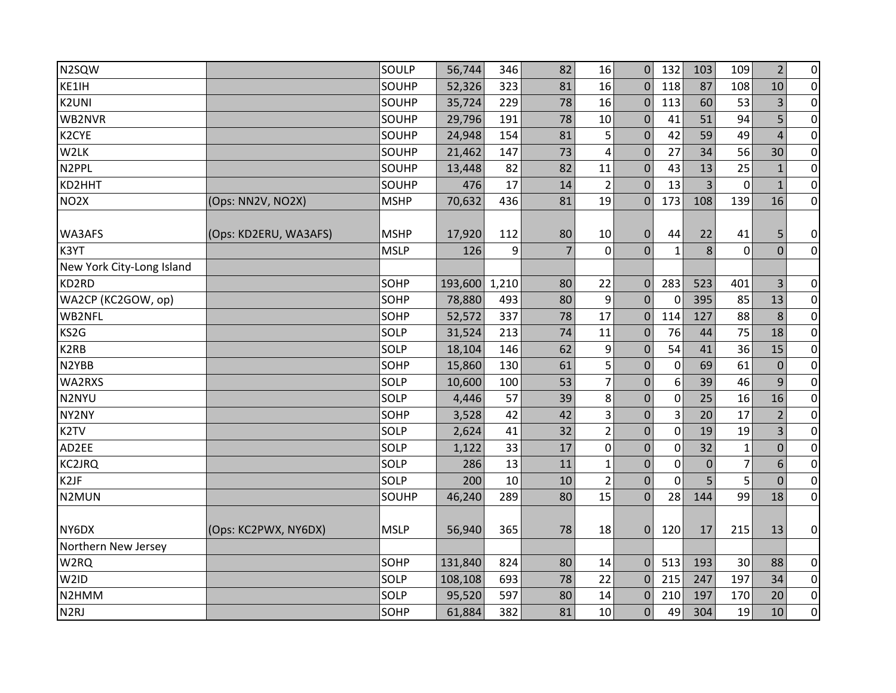| N2SQW                     |                       | SOULP       | 56,744        | 346 | 82             | 16               | $\Omega$       | 132          | 103            | 109            | $\overline{2}$ | $\pmb{0}$      |
|---------------------------|-----------------------|-------------|---------------|-----|----------------|------------------|----------------|--------------|----------------|----------------|----------------|----------------|
| KE1IH                     |                       | SOUHP       | 52,326        | 323 | 81             | 16               | $\mathbf{0}$   | 118          | 87             | 108            | 10             | $\overline{0}$ |
| <b>K2UNI</b>              |                       | SOUHP       | 35,724        | 229 | 78             | 16               | $\mathbf 0$    | 113          | 60             | 53             | 3              | $\overline{0}$ |
| WB2NVR                    |                       | SOUHP       | 29,796        | 191 | 78             | 10               | $\mathbf 0$    | 41           | 51             | 94             | 5              | $\overline{0}$ |
| K2CYE                     |                       | SOUHP       | 24,948        | 154 | 81             | 5                | $\mathbf 0$    | 42           | 59             | 49             | $\overline{4}$ | $\overline{0}$ |
| W2LK                      |                       | SOUHP       | 21,462        | 147 | 73             | 4                | $\mathbf 0$    | 27           | 34             | 56             | 30             | $\pmb{0}$      |
| N <sub>2PPL</sub>         |                       | SOUHP       | 13,448        | 82  | 82             | 11               | $\Omega$       | 43           | 13             | 25             | $\mathbf 1$    | $\overline{0}$ |
| KD2HHT                    |                       | SOUHP       | 476           | 17  | 14             | $\overline{2}$   | $\overline{0}$ | 13           | $\overline{3}$ | $\overline{0}$ | $\mathbf{1}$   | $\overline{0}$ |
| NO <sub>2</sub> X         | (Ops: NN2V, NO2X)     | <b>MSHP</b> | 70,632        | 436 | 81             | 19               | $\mathbf 0$    | 173          | 108            | 139            | 16             | $\overline{0}$ |
| WA3AFS                    | (Ops: KD2ERU, WA3AFS) | <b>MSHP</b> | 17,920        | 112 | 80             | 10               | $\mathbf 0$    | 44           | 22             | 41             | 5              | $\pmb{0}$      |
| K3YT                      |                       | <b>MSLP</b> | 126           | 9   | $\overline{7}$ | $\mathbf 0$      | $\Omega$       | $\mathbf{1}$ | 8              | $\Omega$       | $\Omega$       | $\overline{0}$ |
| New York City-Long Island |                       |             |               |     |                |                  |                |              |                |                |                |                |
| KD2RD                     |                       | SOHP        | 193,600 1,210 |     | 80             | 22               | $\mathbf 0$    | 283          | 523            | 401            | 3              | $\overline{0}$ |
| WA2CP (KC2GOW, op)        |                       | SOHP        | 78,880        | 493 | 80             | $\boldsymbol{9}$ | $\mathbf{0}$   | $\mathbf 0$  | 395            | 85             | 13             | $\overline{0}$ |
| WB2NFL                    |                       | SOHP        | 52,572        | 337 | 78             | 17               | $\Omega$       | 114          | 127            | 88             | 8              | $\overline{0}$ |
| KS2G                      |                       | SOLP        | 31,524        | 213 | 74             | 11               | $\mathbf 0$    | 76           | 44             | 75             | 18             | $\overline{0}$ |
| K <sub>2</sub> RB         |                       | SOLP        | 18,104        | 146 | 62             | 9                | $\Omega$       | 54           | 41             | 36             | 15             | $\overline{0}$ |
| N2YBB                     |                       | SOHP        | 15,860        | 130 | 61             | 5                | $\mathbf 0$    | $\mathbf 0$  | 69             | 61             | $\mathbf 0$    | $\pmb{0}$      |
| WA2RXS                    |                       | SOLP        | 10,600        | 100 | 53             | $\overline{7}$   | $\pmb{0}$      | 6            | 39             | 46             | 9              | $\overline{0}$ |
| N2NYU                     |                       | SOLP        | 4,446         | 57  | 39             | 8                | $\mathbf 0$    | $\mathbf 0$  | 25             | 16             | 16             | $\pmb{0}$      |
| NY2NY                     |                       | SOHP        | 3,528         | 42  | 42             | 3                | $\overline{0}$ | 3            | 20             | 17             | $\overline{2}$ | $\pmb{0}$      |
| K <sub>2</sub> TV         |                       | SOLP        | 2,624         | 41  | 32             | $\overline{2}$   | $\mathbf 0$    | $\mathbf 0$  | 19             | 19             | 3              | $\overline{0}$ |
| AD2EE                     |                       | SOLP        | 1,122         | 33  | 17             | $\mathbf 0$      | $\mathbf 0$    | $\mathbf 0$  | 32             | 1              | $\mathbf 0$    | $\overline{0}$ |
| <b>KC2JRQ</b>             |                       | SOLP        | 286           | 13  | 11             | $\mathbf{1}$     | $\mathbf 0$    | $\mathbf 0$  | $\mathbf 0$    | 7              | 6              | $\overline{0}$ |
| K <sub>2</sub> JF         |                       | SOLP        | 200           | 10  | 10             | $\overline{2}$   | $\overline{0}$ | $\mathbf{0}$ | 5              | 5              | $\overline{0}$ | $\overline{0}$ |
| N2MUN                     |                       | SOUHP       | 46,240        | 289 | 80             | 15               | $\mathbf 0$    | 28           | 144            | 99             | 18             | $\overline{0}$ |
| NY6DX                     | (Ops: KC2PWX, NY6DX)  | <b>MSLP</b> | 56,940        | 365 | 78             | 18               | $\mathbf 0$    | 120          | 17             | 215            | 13             | $\overline{0}$ |
| Northern New Jersey       |                       |             |               |     |                |                  |                |              |                |                |                |                |
| W <sub>2</sub> RQ         |                       | SOHP        | 131,840       | 824 | 80             | 14               | $\Omega$       | 513          | 193            | 30             | 88             | $\overline{0}$ |
| W <sub>2</sub> ID         |                       | SOLP        | 108,108       | 693 | 78             | 22               | $\Omega$       | 215          | 247            | 197            | 34             | $\pmb{0}$      |
| N2HMM                     |                       | SOLP        | 95,520        | 597 | 80             | 14               | $\mathbf 0$    | 210          | 197            | 170            | 20             | $\overline{0}$ |
| N <sub>2</sub> RJ         |                       | SOHP        | 61,884        | 382 | 81             | 10               | $\overline{0}$ | 49           | 304            | 19             | 10             | $\overline{0}$ |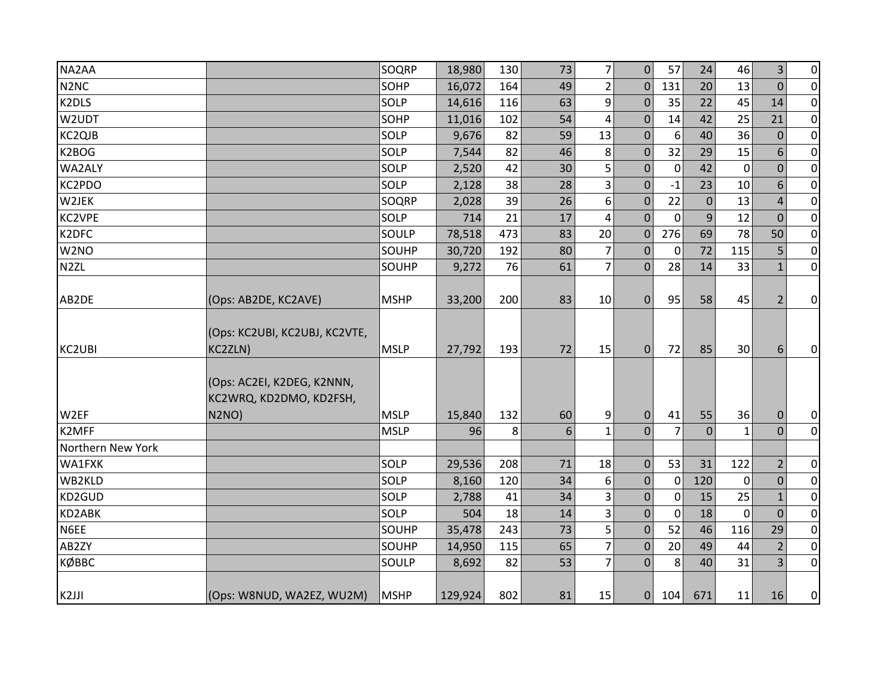| NA2AA                         |                                                                | SOQRP       | 18,980  | 130 | 73 | $\overline{7}$          | $\mathbf{0}$   | 57             | 24             | 46           | $\overline{3}$ | $\overline{0}$ |
|-------------------------------|----------------------------------------------------------------|-------------|---------|-----|----|-------------------------|----------------|----------------|----------------|--------------|----------------|----------------|
| N <sub>2</sub> N <sub>C</sub> |                                                                | SOHP        | 16,072  | 164 | 49 | $\overline{2}$          | $\mathbf{0}$   | 131            | 20             | 13           | $\Omega$       | $\overline{0}$ |
| K2DLS                         |                                                                | SOLP        | 14,616  | 116 | 63 | 9                       | $\mathbf 0$    | 35             | 22             | 45           | 14             | $\overline{0}$ |
| W2UDT                         |                                                                | SOHP        | 11,016  | 102 | 54 | 4                       | $\mathbf{0}$   | 14             | 42             | 25           | 21             | $\overline{0}$ |
| KC2QJB                        |                                                                | SOLP        | 9,676   | 82  | 59 | 13                      | $\mathbf 0$    | 6              | 40             | 36           | $\mathbf 0$    | $\overline{0}$ |
| K2BOG                         |                                                                | SOLP        | 7,544   | 82  | 46 | 8                       | $\mathbf 0$    | 32             | 29             | 15           | 6              | $\overline{0}$ |
| WA2ALY                        |                                                                | SOLP        | 2,520   | 42  | 30 | 5                       | $\mathbf 0$    | $\mathbf 0$    | 42             | $\mathbf 0$  | $\mathbf 0$    | $\overline{0}$ |
| KC2PDO                        |                                                                | SOLP        | 2,128   | 38  | 28 | 3                       | $\mathbf{0}$   | $-1$           | 23             | 10           | 6              | $\overline{0}$ |
| W2JEK                         |                                                                | SOQRP       | 2,028   | 39  | 26 | $\boldsymbol{6}$        | $\pmb{0}$      | 22             | $\overline{0}$ | 13           | $\overline{4}$ | $\overline{0}$ |
| <b>KC2VPE</b>                 |                                                                | SOLP        | 714     | 21  | 17 | $\overline{\mathbf{r}}$ | $\Omega$       | $\mathbf 0$    | 9              | 12           | $\Omega$       | $\overline{0}$ |
| K2DFC                         |                                                                | SOULP       | 78,518  | 473 | 83 | 20                      | $\overline{0}$ | 276            | 69             | 78           | 50             | $\overline{0}$ |
| W <sub>2</sub> NO             |                                                                | SOUHP       | 30,720  | 192 | 80 | $\overline{7}$          | $\mathbf 0$    | 0              | 72             | 115          | 5              | $\overline{0}$ |
| N <sub>2</sub> ZL             |                                                                | SOUHP       | 9,272   | 76  | 61 | $\overline{7}$          | $\Omega$       | 28             | 14             | 33           | $\mathbf{1}$   | $\overline{0}$ |
|                               |                                                                |             |         |     |    |                         |                |                |                |              |                |                |
| AB2DE                         | (Ops: AB2DE, KC2AVE)                                           | <b>MSHP</b> | 33,200  | 200 | 83 | 10                      | $\mathbf{0}$   | 95             | 58             | 45           | $\overline{2}$ | $\overline{0}$ |
| KC2UBI                        | (Ops: KC2UBI, KC2UBJ, KC2VTE,<br>KC2ZLN)                       | <b>MSLP</b> | 27,792  | 193 | 72 | 15                      | 0              | 72             | 85             | 30           | 6              | $\overline{0}$ |
| W2EF                          | (Ops: AC2EI, K2DEG, K2NNN,<br>KC2WRQ, KD2DMO, KD2FSH,<br>N2NO) | <b>MSLP</b> | 15,840  | 132 | 60 | 9                       | $\mathbf 0$    | 41             | 55             | 36           | $\mathbf{0}$   | $\overline{0}$ |
| K2MFF                         |                                                                | <b>MSLP</b> | 96      | 8   | 6  | $\mathbf{1}$            | $\Omega$       | $\overline{7}$ | $\overline{0}$ | $\mathbf{1}$ | $\Omega$       | $\overline{0}$ |
| Northern New York             |                                                                |             |         |     |    |                         |                |                |                |              |                |                |
| WA1FXK                        |                                                                | SOLP        | 29,536  | 208 | 71 | 18                      | $\mathbf 0$    | 53             | 31             | 122          | 2              | $\overline{0}$ |
| WB2KLD                        |                                                                | SOLP        | 8,160   | 120 | 34 | 6                       | $\mathbf 0$    | $\mathbf 0$    | 120            | $\mathbf 0$  | $\mathbf 0$    | $\overline{0}$ |
| KD2GUD                        |                                                                | SOLP        | 2,788   | 41  | 34 | 3                       | $\mathbf 0$    | 0              | 15             | 25           | $\mathbf{1}$   | $\overline{0}$ |
| KD2ABK                        |                                                                | SOLP        | 504     | 18  | 14 | 3                       | $\mathbf 0$    | $\mathbf 0$    | 18             | $\Omega$     | $\Omega$       | $\overline{0}$ |
| N6EE                          |                                                                | SOUHP       | 35,478  | 243 | 73 | 5                       | $\Omega$       | 52             | 46             | 116          | 29             | $\overline{0}$ |
| AB2ZY                         |                                                                | SOUHP       | 14,950  | 115 | 65 | $\overline{7}$          | $\Omega$       | 20             | 49             | 44           | $\overline{2}$ | $\overline{0}$ |
| КØВВС                         |                                                                | SOULP       | 8,692   | 82  | 53 | 7                       | $\Omega$       | 8              | 40             | 31           | 3              | $\overline{0}$ |
|                               |                                                                |             |         |     |    |                         |                |                |                |              |                |                |
| K <sub>2JJI</sub>             | (Ops: W8NUD, WA2EZ, WU2M)                                      | <b>MSHP</b> | 129,924 | 802 | 81 | 15                      | $\overline{0}$ | 104            | 671            | 11           | 16             | $\overline{0}$ |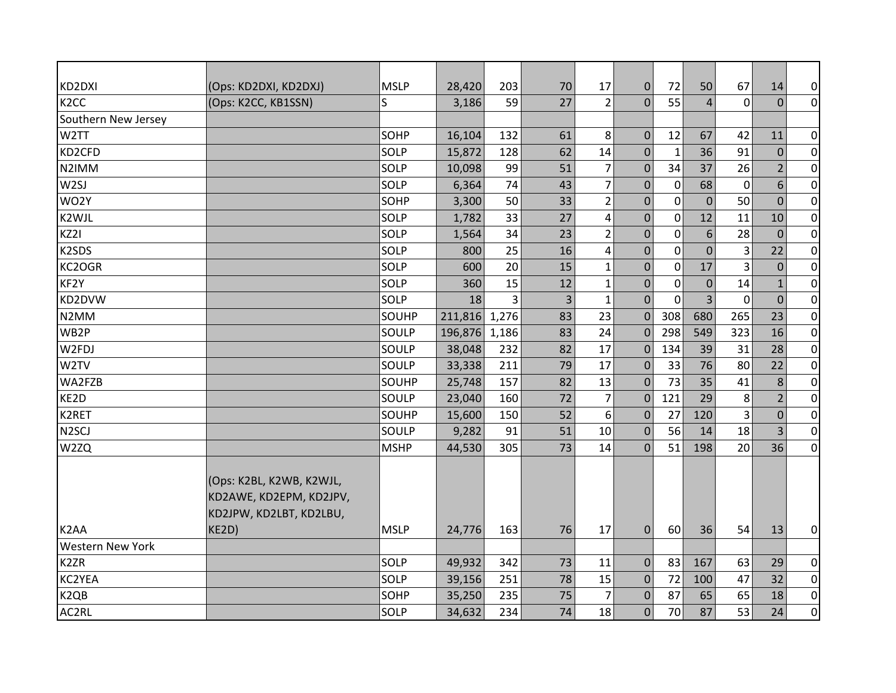| KD2DXI                  | (Ops: KD2DXI, KD2DXJ)                                                          | <b>MSLP</b> | 28,420  | 203   | 70 | 17             | $\overline{0}$ | 72             | 50             | 67             | 14             | $\pmb{0}$        |
|-------------------------|--------------------------------------------------------------------------------|-------------|---------|-------|----|----------------|----------------|----------------|----------------|----------------|----------------|------------------|
| K <sub>2</sub> CC       | (Ops: K2CC, KB1SSN)                                                            | S           | 3,186   | 59    | 27 | $\overline{2}$ | $\Omega$       | 55             | 4              | $\overline{0}$ | $\Omega$       | $\overline{0}$   |
| Southern New Jersey     |                                                                                |             |         |       |    |                |                |                |                |                |                |                  |
| W <sub>2</sub> TT       |                                                                                | SOHP        | 16,104  | 132   | 61 | 8              | $\overline{0}$ | 12             | 67             | 42             | 11             | $\pmb{0}$        |
| KD2CFD                  |                                                                                | SOLP        | 15,872  | 128   | 62 | 14             | $\mathbf{0}$   | $\mathbf{1}$   | 36             | 91             | $\mathbf{0}$   | $\mathbf 0$      |
| N2IMM                   |                                                                                | SOLP        | 10,098  | 99    | 51 | $\overline{7}$ | $\mathbf{0}$   | 34             | 37             | 26             | $\overline{2}$ | $\mathbf 0$      |
| W <sub>2SJ</sub>        |                                                                                | SOLP        | 6,364   | 74    | 43 | $\overline{7}$ | $\pmb{0}$      | $\mathbf 0$    | 68             | $\mathbf 0$    | 6              | $\mathbf 0$      |
| WO2Y                    |                                                                                | SOHP        | 3,300   | 50    | 33 | $\overline{2}$ | $\pmb{0}$      | $\mathbf 0$    | $\mathbf{0}$   | 50             | $\overline{0}$ | $\pmb{0}$        |
| K2WJL                   |                                                                                | SOLP        | 1,782   | 33    | 27 | $\overline{4}$ | $\mathbf 0$    | $\mathbf 0$    | 12             | 11             | 10             | $\pmb{0}$        |
| KZ2I                    |                                                                                | SOLP        | 1,564   | 34    | 23 | $\overline{2}$ | $\mathbf{0}$   | $\mathbf 0$    | 6              | 28             | $\mathbf{0}$   | $\mathbf 0$      |
| K2SDS                   |                                                                                | SOLP        | 800     | 25    | 16 | $\overline{4}$ | $\overline{0}$ | $\overline{0}$ | $\Omega$       | 3              | 22             | $\boldsymbol{0}$ |
| KC2OGR                  |                                                                                | SOLP        | 600     | 20    | 15 | $\mathbf 1$    | $\mathbf{0}$   | $\mathbf 0$    | 17             | 3              | $\overline{0}$ | $\pmb{0}$        |
| KF2Y                    |                                                                                | SOLP        | 360     | 15    | 12 | $\mathbf{1}$   | $\pmb{0}$      | $\mathbf 0$    | $\mathbf{0}$   | 14             | $\mathbf{1}$   | $\pmb{0}$        |
| KD2DVW                  |                                                                                | SOLP        | 18      | 3     | 3  | $\mathbf{1}$   | $\overline{0}$ | $\Omega$       | $\overline{3}$ | $\mathbf 0$    | $\overline{0}$ | $\pmb{0}$        |
| N <sub>2</sub> MM       |                                                                                | SOUHP       | 211,816 | 1,276 | 83 | 23             | $\mathbf{0}$   | 308            | 680            | 265            | 23             | $\mathbf 0$      |
| WB2P                    |                                                                                | SOULP       | 196,876 | 1,186 | 83 | 24             | $\mathbf 0$    | 298            | 549            | 323            | 16             | $\pmb{0}$        |
| W2FDJ                   |                                                                                | SOULP       | 38,048  | 232   | 82 | 17             | $\mathbf 0$    | 134            | 39             | 31             | 28             | $\mathbf 0$      |
| W <sub>2</sub> TV       |                                                                                | SOULP       | 33,338  | 211   | 79 | 17             | $\mathbf{0}$   | 33             | 76             | 80             | 22             | $\pmb{0}$        |
| WA2FZB                  |                                                                                | SOUHP       | 25,748  | 157   | 82 | 13             | $\overline{0}$ | 73             | 35             | 41             | 8              | $\pmb{0}$        |
| KE2D                    |                                                                                | SOULP       | 23,040  | 160   | 72 | 7              | $\mathbf{0}$   | 121            | 29             | 8              | $\overline{2}$ | $\mathbf 0$      |
| K2RET                   |                                                                                | SOUHP       | 15,600  | 150   | 52 | 6              | $\mathbf{0}$   | 27             | 120            | 3              | $\mathbf 0$    | $\pmb{0}$        |
| N <sub>2</sub> SCJ      |                                                                                | SOULP       | 9,282   | 91    | 51 | 10             | $\overline{0}$ | 56             | 14             | 18             | $\overline{3}$ | $\mathbf 0$      |
| W2ZQ                    |                                                                                | <b>MSHP</b> | 44,530  | 305   | 73 | 14             | $\mathbf{0}$   | 51             | 198            | 20             | 36             | $\overline{0}$   |
|                         | (Ops: K2BL, K2WB, K2WJL,<br>KD2AWE, KD2EPM, KD2JPV,<br>KD2JPW, KD2LBT, KD2LBU, |             |         |       |    |                |                |                |                |                |                |                  |
| K <sub>2</sub> AA       | KE2D)                                                                          | <b>MSLP</b> | 24,776  | 163   | 76 | 17             | $\Omega$       | 60             | 36             | 54             | 13             | $\overline{0}$   |
| <b>Western New York</b> |                                                                                |             |         |       |    |                |                |                |                |                |                |                  |
| K <sub>2</sub> ZR       |                                                                                | SOLP        | 49,932  | 342   | 73 | 11             | $\overline{0}$ | 83             | 167            | 63             | 29             | $\overline{0}$   |
| KC2YEA                  |                                                                                | SOLP        | 39,156  | 251   | 78 | 15             | $\mathbf{0}$   | 72             | 100            | 47             | 32             | $\pmb{0}$        |
| K <sub>2QB</sub>        |                                                                                | SOHP        | 35,250  | 235   | 75 | $\overline{7}$ | $\mathbf{0}$   | 87             | 65             | 65             | 18             | $\mathbf 0$      |
| AC2RL                   |                                                                                | SOLP        | 34,632  | 234   | 74 | 18             | $\overline{0}$ | 70             | 87             | 53             | 24             | $\mathbf 0$      |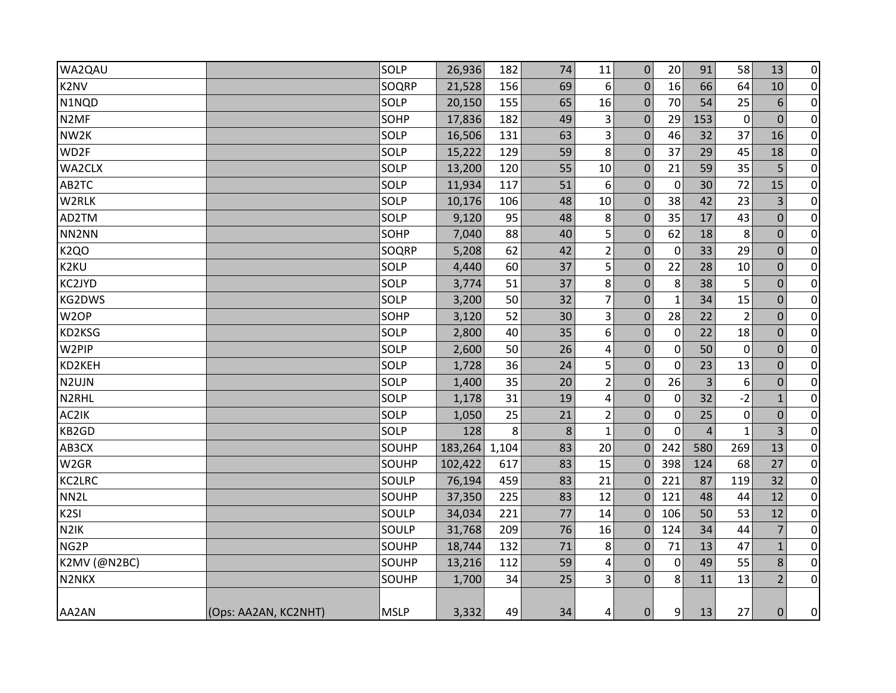| WA2QAU              |                      | SOLP        | 26,936  | 182   | 74 | 11             | 0                | 20          | 91             | 58             | 13             | $\overline{0}$   |
|---------------------|----------------------|-------------|---------|-------|----|----------------|------------------|-------------|----------------|----------------|----------------|------------------|
| K <sub>2</sub> NV   |                      | SOQRP       | 21,528  | 156   | 69 | 6              | 0                | 16          | 66             | 64             | 10             | $\overline{0}$   |
| N1NQD               |                      | SOLP        | 20,150  | 155   | 65 | 16             | $\mathbf{0}$     | 70          | 54             | 25             | 6              | $\overline{0}$   |
| N <sub>2</sub> MF   |                      | SOHP        | 17,836  | 182   | 49 | 3              | 0                | 29          | 153            | $\mathbf 0$    | $\overline{0}$ | $\pmb{0}$        |
| NW2K                |                      | SOLP        | 16,506  | 131   | 63 | 3              | $\mathbf 0$      | 46          | 32             | 37             | 16             | $\overline{0}$   |
| WD2F                |                      | SOLP        | 15,222  | 129   | 59 | 8              | $\mathbf{0}$     | 37          | 29             | 45             | 18             | $\pmb{0}$        |
| WA2CLX              |                      | SOLP        | 13,200  | 120   | 55 | 10             | 0                | 21          | 59             | 35             | 5              | $\overline{0}$   |
| AB2TC               |                      | SOLP        | 11,934  | 117   | 51 | 6              | $\mathbf{0}$     | $\mathbf 0$ | 30             | 72             | 15             | $\overline{0}$   |
| W2RLK               |                      | SOLP        | 10,176  | 106   | 48 | 10             | 0                | 38          | 42             | 23             | 3              | $\pmb{0}$        |
| AD2TM               |                      | SOLP        | 9,120   | 95    | 48 | 8              | 0                | 35          | 17             | 43             | $\mathbf 0$    | $\overline{0}$   |
| NN2NN               |                      | SOHP        | 7,040   | 88    | 40 | 5              | $\mathbf{0}$     | 62          | 18             | 8              | $\mathbf{0}$   | $\pmb{0}$        |
| <b>K2QO</b>         |                      | SOQRP       | 5,208   | 62    | 42 | $\overline{2}$ | 0                | $\mathbf 0$ | 33             | 29             | $\mathbf 0$    | $\pmb{0}$        |
| K2KU                |                      | SOLP        | 4,440   | 60    | 37 | 5              | $\mathbf{0}$     | 22          | 28             | 10             | $\mathbf 0$    | $\overline{0}$   |
| KC2JYD              |                      | SOLP        | 3,774   | 51    | 37 | 8              | 0                | 8           | 38             | 5              | $\mathbf 0$    | $\pmb{0}$        |
| KG2DWS              |                      | SOLP        | 3,200   | 50    | 32 | $\overline{7}$ | 0                | $\mathbf 1$ | 34             | 15             | $\mathbf 0$    | $\overline{0}$   |
| W <sub>2</sub> OP   |                      | SOHP        | 3,120   | 52    | 30 | 3              | $\mathbf{0}$     | 28          | 22             | $\overline{2}$ | $\mathbf{0}$   | $\boldsymbol{0}$ |
| KD2KSG              |                      | SOLP        | 2,800   | 40    | 35 | 6              | 0                | $\mathbf 0$ | 22             | 18             | $\mathbf 0$    | $\overline{0}$   |
| W2PIP               |                      | SOLP        | 2,600   | 50    | 26 | $\pmb{4}$      | $\mathbf{0}$     | $\mathbf 0$ | 50             | $\Omega$       | $\Omega$       | $\overline{0}$   |
| KD2KEH              |                      | SOLP        | 1,728   | 36    | 24 | 5              | $\mathbf 0$      | $\mathbf 0$ | 23             | 13             | $\mathbf 0$    | $\pmb{0}$        |
| N2UJN               |                      | <b>SOLP</b> | 1,400   | 35    | 20 | $\overline{2}$ | $\mathbf{0}$     | 26          | 3              | 6              | $\Omega$       | $\overline{0}$   |
| N2RHL               |                      | SOLP        | 1,178   | 31    | 19 | 4              | 0                | 0           | 32             | $-2$           | 1              | $\pmb{0}$        |
| AC2IK               |                      | SOLP        | 1,050   | 25    | 21 | $\overline{2}$ | $\boldsymbol{0}$ | 0           | 25             | $\mathbf 0$    | $\Omega$       | $\overline{0}$   |
| KB2GD               |                      | SOLP        | 128     | 8     | 8  | $\mathbf 1$    | $\overline{0}$   | $\mathbf 0$ | $\overline{4}$ | $\mathbf{1}$   | 3              | $\overline{0}$   |
| AB3CX               |                      | SOUHP       | 183,264 | 1,104 | 83 | 20             | $\Omega$         | 242         | 580            | 269            | 13             | $\overline{0}$   |
| W <sub>2GR</sub>    |                      | SOUHP       | 102,422 | 617   | 83 | 15             | $\Omega$         | 398         | 124            | 68             | 27             | $\overline{0}$   |
| KC2LRC              |                      | SOULP       | 76,194  | 459   | 83 | 21             | $\Omega$         | 221         | 87             | 119            | 32             | $\pmb{0}$        |
| NN <sub>2</sub> L   |                      | SOUHP       | 37,350  | 225   | 83 | 12             | $\overline{0}$   | 121         | 48             | 44             | 12             | $\overline{0}$   |
| K <sub>2SI</sub>    |                      | SOULP       | 34,034  | 221   | 77 | 14             | $\mathbf 0$      | 106         | 50             | 53             | 12             | $\overline{0}$   |
| N <sub>2</sub> IK   |                      | SOULP       | 31,768  | 209   | 76 | 16             | 0                | 124         | 34             | 44             | 7              | $\overline{0}$   |
| NG <sub>2</sub> P   |                      | SOUHP       | 18,744  | 132   | 71 | 8              | 0                | 71          | 13             | 47             | $\mathbf{1}$   | $\overline{0}$   |
| <b>K2MV (@N2BC)</b> |                      | SOUHP       | 13,216  | 112   | 59 | 4              | 0                | 0           | 49             | 55             | 8              | $\pmb{0}$        |
| N2NKX               |                      | SOUHP       | 1,700   | 34    | 25 | $\vert$ 3      | 0                | 8           | 11             | 13             | $\overline{2}$ | $\overline{0}$   |
| AA2AN               | (Ops: AA2AN, KC2NHT) | <b>MSLP</b> | 3,332   | 49    | 34 | 4              | 0                | 9           | 13             | 27             | $\mathbf{0}$   | $\overline{0}$   |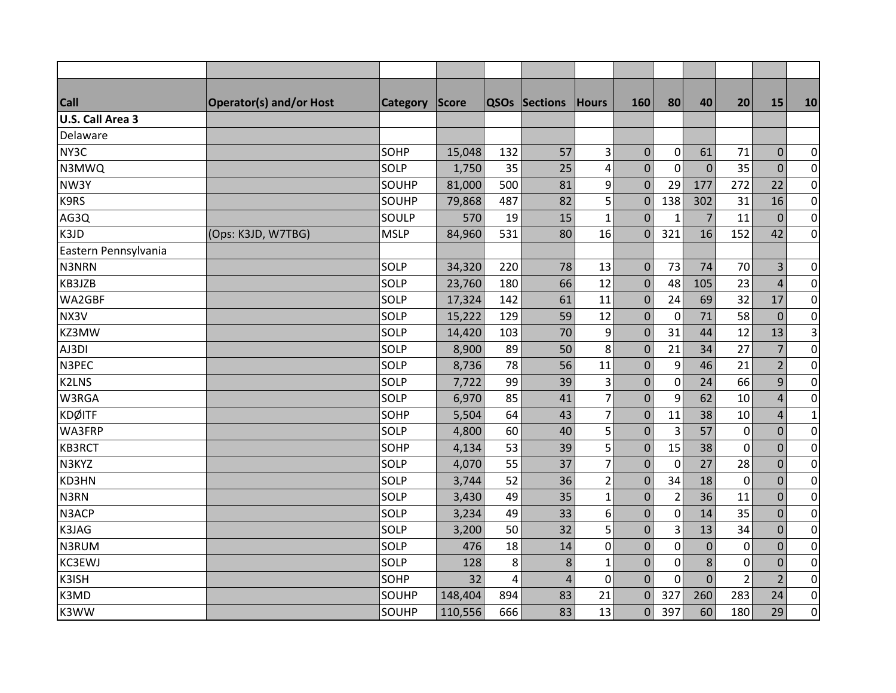| <b>Call</b>          | <b>Operator(s) and/or Host</b> | <b>Category</b> | <b>Score</b> |     | <b>QSOs Sections</b> | Hours          | 160              | 80             | 40             | 20             | 15             | 10             |
|----------------------|--------------------------------|-----------------|--------------|-----|----------------------|----------------|------------------|----------------|----------------|----------------|----------------|----------------|
| U.S. Call Area 3     |                                |                 |              |     |                      |                |                  |                |                |                |                |                |
| Delaware             |                                |                 |              |     |                      |                |                  |                |                |                |                |                |
| NY3C                 |                                | SOHP            | 15,048       | 132 | 57                   | 3              | $\mathbf{0}$     | $\mathbf 0$    | 61             | 71             | $\mathbf 0$    | 0              |
| N3MWQ                |                                | SOLP            | 1,750        | 35  | 25                   | 4              | $\mathbf 0$      | $\mathbf 0$    | $\mathbf{0}$   | 35             | $\mathbf 0$    | $\overline{0}$ |
| NW3Y                 |                                | SOUHP           | 81,000       | 500 | 81                   | 9              | $\mathbf{0}$     | 29             | 177            | 272            | 22             | $\overline{0}$ |
| K9RS                 |                                | SOUHP           | 79,868       | 487 | 82                   | 5              | $\boldsymbol{0}$ | 138            | 302            | 31             | 16             | $\overline{0}$ |
| AG3Q                 |                                | SOULP           | 570          | 19  | 15                   | 1              | $\overline{0}$   | $\mathbf{1}$   | $\overline{7}$ | 11             | $\overline{0}$ | $\overline{0}$ |
| K3JD                 | (Ops: K3JD, W7TBG)             | <b>MSLP</b>     | 84,960       | 531 | 80                   | 16             | $\Omega$         | 321            | 16             | 152            | 42             | $\overline{0}$ |
| Eastern Pennsylvania |                                |                 |              |     |                      |                |                  |                |                |                |                |                |
| N3NRN                |                                | SOLP            | 34,320       | 220 | 78                   | 13             | $\mathbf{0}$     | 73             | 74             | 70             | $\overline{3}$ | $\overline{0}$ |
| KB3JZB               |                                | SOLP            | 23,760       | 180 | 66                   | 12             | $\boldsymbol{0}$ | 48             | 105            | 23             | $\overline{4}$ | $\overline{0}$ |
| WA2GBF               |                                | <b>SOLP</b>     | 17,324       | 142 | 61                   | 11             | $\mathbf{0}$     | 24             | 69             | 32             | 17             | $\overline{0}$ |
| NX3V                 |                                | SOLP            | 15,222       | 129 | 59                   | 12             | $\mathbf 0$      | $\mathbf 0$    | 71             | 58             | $\mathbf 0$    | $\overline{0}$ |
| KZ3MW                |                                | SOLP            | 14,420       | 103 | 70                   | 9              | $\overline{0}$   | 31             | 44             | 12             | 13             | $\vert$ 3      |
| AJ3DI                |                                | SOLP            | 8,900        | 89  | 50                   | 8              | $\boldsymbol{0}$ | 21             | 34             | 27             | $\overline{7}$ | $\overline{0}$ |
| N3PEC                |                                | SOLP            | 8,736        | 78  | 56                   | 11             | $\mathbf 0$      | 9              | 46             | 21             | $\overline{2}$ | $\overline{0}$ |
| <b>K2LNS</b>         |                                | <b>SOLP</b>     | 7,722        | 99  | 39                   | 3              | $\mathbf{0}$     | $\pmb{0}$      | 24             | 66             | $\overline{9}$ | $\overline{0}$ |
| W3RGA                |                                | SOLP            | 6,970        | 85  | 41                   | $\overline{7}$ | $\overline{0}$   | 9              | 62             | 10             | $\overline{4}$ | $\overline{0}$ |
| <b>KDØITF</b>        |                                | SOHP            | 5,504        | 64  | 43                   | $\overline{7}$ | $\mathbf 0$      | 11             | 38             | 10             | $\overline{4}$ | $\mathbf{1}$   |
| WA3FRP               |                                | <b>SOLP</b>     | 4,800        | 60  | 40                   | 5              | $\boldsymbol{0}$ | $\overline{3}$ | 57             | $\mathbf 0$    | $\pmb{0}$      | $\overline{0}$ |
| <b>KB3RCT</b>        |                                | SOHP            | 4,134        | 53  | 39                   | 5              | $\mathbf 0$      | 15             | 38             | $\mathbf 0$    | $\mathbf 0$    | $\overline{0}$ |
| N3KYZ                |                                | SOLP            | 4,070        | 55  | 37                   | 7              | $\mathbf 0$      | $\mathbf 0$    | 27             | 28             | $\mathbf 0$    | $\overline{0}$ |
| KD3HN                |                                | SOLP            | 3,744        | 52  | 36                   | $\overline{2}$ | $\mathbf{0}$     | 34             | 18             | $\mathbf 0$    | $\mathbf 0$    | $\overline{0}$ |
| N3RN                 |                                | SOLP            | 3,430        | 49  | 35                   | $\mathbf{1}$   | $\pmb{0}$        | $\overline{2}$ | 36             | 11             | $\mathbf 0$    | $\overline{0}$ |
| N3ACP                |                                | SOLP            | 3,234        | 49  | 33                   | 6              | $\mathbf{0}$     | $\mathbf 0$    | 14             | 35             | $\mathbf 0$    | $\overline{0}$ |
| K3JAG                |                                | SOLP            | 3,200        | 50  | 32                   | 5              | $\pmb{0}$        | 3              | 13             | 34             | $\mathbf 0$    | $\overline{0}$ |
| N3RUM                |                                | <b>SOLP</b>     | 476          | 18  | 14                   | 0              | $\overline{0}$   | $\mathbf 0$    | $\mathbf{0}$   | $\mathbf 0$    | $\mathbf{0}$   | $\overline{0}$ |
| <b>KC3EWJ</b>        |                                | SOLP            | 128          | 8   | 8                    | $\mathbf{1}$   | $\mathbf{0}$     | $\mathbf 0$    | $\,8\,$        | $\mathbf 0$    | $\mathbf 0$    | $\overline{0}$ |
| K3ISH                |                                | SOHP            | 32           | 4   | $\overline{4}$       | 0              | $\overline{0}$   | $\Omega$       | $\overline{0}$ | $\overline{2}$ | $\overline{2}$ | $\overline{0}$ |
| K3MD                 |                                | SOUHP           | 148,404      | 894 | 83                   | 21             | $\Omega$         | 327            | 260            | 283            | 24             | $\overline{0}$ |
| K3WW                 |                                | SOUHP           | 110,556      | 666 | 83                   | 13             | $\Omega$         | 397            | 60             | 180            | 29             | $\overline{0}$ |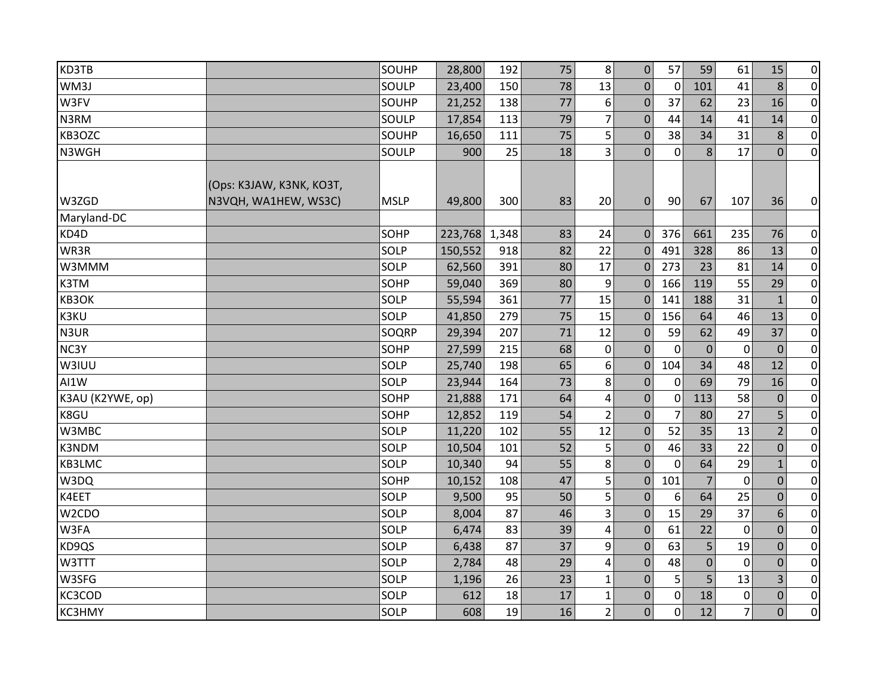| KD3TB              |                          | <b>SOUHP</b> | 28,800  | 192   | 75 | 8              | $\overline{0}$   | 57             | 59             | 61             | 15             | $\overline{0}$ |
|--------------------|--------------------------|--------------|---------|-------|----|----------------|------------------|----------------|----------------|----------------|----------------|----------------|
| WM3J               |                          | <b>SOULP</b> | 23,400  | 150   | 78 | 13             | $\mathbf 0$      | $\mathbf{0}$   | 101            | 41             | 8              | $\overline{0}$ |
| W3FV               |                          | <b>SOUHP</b> | 21,252  | 138   | 77 | 6              | $\overline{0}$   | 37             | 62             | 23             | 16             | $\overline{0}$ |
| N3RM               |                          | SOULP        | 17,854  | 113   | 79 | $\overline{7}$ | $\mathbf 0$      | 44             | 14             | 41             | 14             | $\overline{0}$ |
| KB3OZC             |                          | SOUHP        | 16,650  | 111   | 75 | 5              | $\overline{0}$   | 38             | 34             | 31             | 8              | $\overline{0}$ |
| N3WGH              |                          | SOULP        | 900     | 25    | 18 | 3              | $\overline{0}$   | 0              | 8              | 17             | $\overline{0}$ | $\overline{0}$ |
|                    |                          |              |         |       |    |                |                  |                |                |                |                |                |
|                    | (Ops: K3JAW, K3NK, KO3T, |              |         |       |    |                |                  |                |                |                |                |                |
| W3ZGD              | N3VQH, WA1HEW, WS3C)     | <b>MSLP</b>  | 49,800  | 300   | 83 | 20             | 0                | 90             | 67             | 107            | 36             | $\overline{0}$ |
| Maryland-DC        |                          |              |         |       |    |                |                  |                |                |                |                |                |
| KD4D               |                          | SOHP         | 223,768 | 1,348 | 83 | 24             | $\mathbf 0$      | 376            | 661            | 235            | 76             | $\overline{0}$ |
| WR3R               |                          | <b>SOLP</b>  | 150,552 | 918   | 82 | 22             | $\Omega$         | 491            | 328            | 86             | 13             | $\overline{0}$ |
| W3MMM              |                          | <b>SOLP</b>  | 62,560  | 391   | 80 | 17             | $\mathbf 0$      | 273            | 23             | 81             | 14             | $\overline{0}$ |
| K3TM               |                          | SOHP         | 59,040  | 369   | 80 | 9              | $\Omega$         | 166            | 119            | 55             | 29             | $\overline{0}$ |
| KB3OK              |                          | <b>SOLP</b>  | 55,594  | 361   | 77 | 15             | $\mathbf 0$      | 141            | 188            | 31             | $\mathbf{1}$   | $\overline{0}$ |
| <b>K3KU</b>        |                          | <b>SOLP</b>  | 41,850  | 279   | 75 | 15             | $\mathbf 0$      | 156            | 64             | 46             | 13             | $\overline{0}$ |
| N3UR               |                          | <b>SOQRP</b> | 29,394  | 207   | 71 | 12             | $\mathbf 0$      | 59             | 62             | 49             | 37             | $\overline{0}$ |
| NC3Y               |                          | SOHP         | 27,599  | 215   | 68 | $\pmb{0}$      | $\overline{0}$   | $\mathbf{0}$   | $\mathbf 0$    | $\mathbf{0}$   | $\mathbf{0}$   | $\overline{0}$ |
| W3IUU              |                          | <b>SOLP</b>  | 25,740  | 198   | 65 | 6              | $\overline{0}$   | 104            | 34             | 48             | 12             | $\overline{0}$ |
| AI1W               |                          | <b>SOLP</b>  | 23,944  | 164   | 73 | 8              | $\Omega$         | $\mathbf{0}$   | 69             | 79             | 16             | $\overline{0}$ |
| K3AU (K2YWE, op)   |                          | SOHP         | 21,888  | 171   | 64 | $\overline{a}$ | $\mathbf 0$      | 0              | 113            | 58             | $\mathbf{0}$   | $\overline{0}$ |
| K8GU               |                          | <b>SOHP</b>  | 12,852  | 119   | 54 | $\overline{2}$ | $\overline{0}$   | $\overline{7}$ | 80             | 27             | 5              | $\overline{0}$ |
| W3MBC              |                          | <b>SOLP</b>  | 11,220  | 102   | 55 | 12             | $\overline{0}$   | 52             | 35             | 13             | $\overline{2}$ | $\overline{0}$ |
| K3NDM              |                          | <b>SOLP</b>  | 10,504  | 101   | 52 | 5              | $\overline{0}$   | 46             | 33             | 22             | $\overline{0}$ | $\overline{0}$ |
| KB3LMC             |                          | <b>SOLP</b>  | 10,340  | 94    | 55 | 8              | $\mathbf 0$      | 0              | 64             | 29             | $\mathbf{1}$   | $\overline{0}$ |
| W3DQ               |                          | SOHP         | 10,152  | 108   | 47 | 5              | $\mathbf 0$      | 101            | $\overline{7}$ | $\Omega$       | $\overline{0}$ | $\overline{0}$ |
| K4EET              |                          | <b>SOLP</b>  | 9,500   | 95    | 50 | 5              | $\mathbf{0}$     | 6              | 64             | 25             | $\overline{0}$ | $\overline{0}$ |
| W <sub>2</sub> CDO |                          | <b>SOLP</b>  | 8,004   | 87    | 46 | 3              | $\mathbf 0$      | 15             | 29             | 37             | 6              | $\overline{0}$ |
| W3FA               |                          | <b>SOLP</b>  | 6,474   | 83    | 39 | 4              | $\boldsymbol{0}$ | 61             | 22             | $\mathbf{0}$   | $\overline{0}$ | $\overline{0}$ |
| KD9QS              |                          | <b>SOLP</b>  | 6,438   | 87    | 37 | 9              | $\mathbf 0$      | 63             | 5              | 19             | 0              | $\overline{0}$ |
| W3TTT              |                          | <b>SOLP</b>  | 2,784   | 48    | 29 | 4              | $\overline{0}$   | 48             | $\overline{0}$ | $\Omega$       | $\Omega$       | $\overline{0}$ |
| W3SFG              |                          | <b>SOLP</b>  | 1,196   | 26    | 23 | $\mathbf{1}$   | $\overline{0}$   | 5              | 5              | 13             | 3              | $\overline{0}$ |
| KC3COD             |                          | <b>SOLP</b>  | 612     | 18    | 17 | $\mathbf 1$    | $\overline{0}$   | $\mathbf 0$    | 18             | $\mathbf 0$    | $\overline{0}$ | $\overline{0}$ |
| <b>KC3HMY</b>      |                          | <b>SOLP</b>  | 608     | 19    | 16 | $\overline{2}$ | $\overline{0}$   | $\mathbf 0$    | 12             | $\overline{7}$ | $\overline{0}$ | $\overline{0}$ |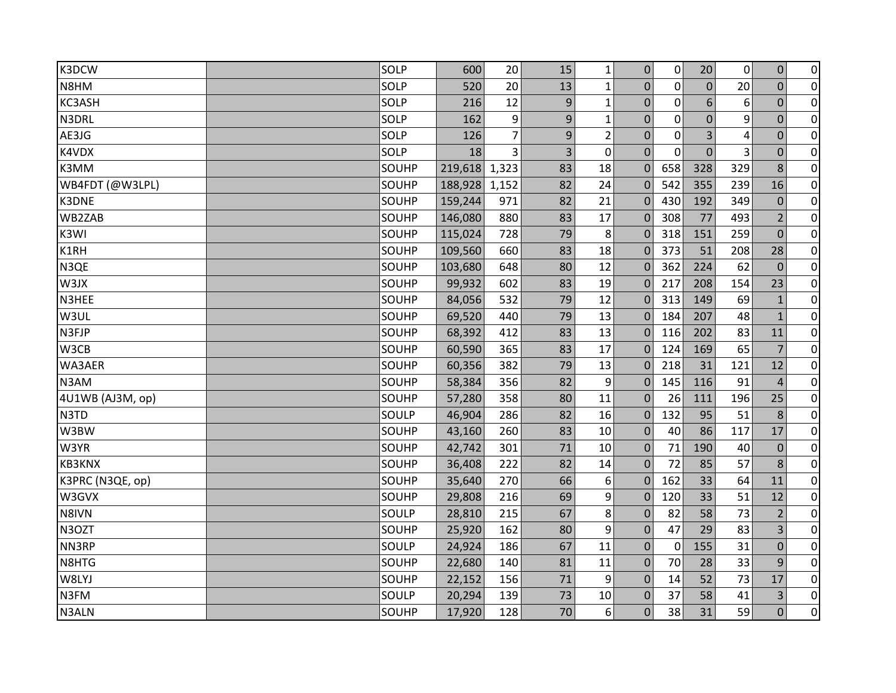| K3DCW            | SOLP  | 600     | 20             | 15 | $\mathbf{1}$   | $\mathbf 0$    | $\mathbf 0$  | 20             | $\mathbf 0$ | $\boldsymbol{0}$ | $\overline{0}$ |
|------------------|-------|---------|----------------|----|----------------|----------------|--------------|----------------|-------------|------------------|----------------|
| N8HM             | SOLP  | 520     | 20             | 13 | $\mathbf{1}$   | $\overline{0}$ | $\mathbf 0$  | $\overline{0}$ | 20          | $\overline{0}$   | $\overline{0}$ |
| KC3ASH           | SOLP  | 216     | 12             | 9  | $\mathbf{1}$   | $\mathbf 0$    | $\mathbf 0$  | 6              | 6           | $\mathbf 0$      | $\overline{0}$ |
| N3DRL            | SOLP  | 162     | 9              | 9  | $\mathbf{1}$   | $\mathbf 0$    | $\mathbf 0$  | $\overline{0}$ | 9           | $\mathbf 0$      | $\overline{0}$ |
| AE3JG            | SOLP  | 126     | $\overline{7}$ | 9  | $\overline{2}$ | $\mathbf 0$    | $\mathbf 0$  | 3              | 4           | $\overline{0}$   | $\overline{0}$ |
| K4VDX            | SOLP  | 18      | 3              | 3  | $\mathbf 0$    | $\Omega$       | $\mathbf{0}$ | $\mathbf 0$    | 3           | $\mathbf 0$      | $\pmb{0}$      |
| K3MM             | SOUHP | 219,618 | 1,323          | 83 | 18             | $\Omega$       | 658          | 328            | 329         | 8                | $\overline{0}$ |
| WB4FDT (@W3LPL)  | SOUHP | 188,928 | 1,152          | 82 | 24             | $\Omega$       | 542          | 355            | 239         | 16               | $\overline{0}$ |
| K3DNE            | SOUHP | 159,244 | 971            | 82 | 21             | $\Omega$       | 430          | 192            | 349         | $\mathbf 0$      | $\overline{0}$ |
| WB2ZAB           | SOUHP | 146,080 | 880            | 83 | 17             | $\Omega$       | 308          | 77             | 493         | $\overline{2}$   | $\overline{0}$ |
| K3WI             | SOUHP | 115,024 | 728            | 79 | 8              | $\Omega$       | 318          | 151            | 259         | $\Omega$         | $\pmb{0}$      |
| K1RH             | SOUHP | 109,560 | 660            | 83 | 18             | $\Omega$       | 373          | 51             | 208         | 28               | $\pmb{0}$      |
| N3QE             | SOUHP | 103,680 | 648            | 80 | 12             | $\Omega$       | 362          | 224            | 62          | $\mathbf{0}$     | $\overline{0}$ |
| W3JX             | SOUHP | 99,932  | 602            | 83 | 19             | $\Omega$       | 217          | 208            | 154         | 23               | $\overline{0}$ |
| N3HEE            | SOUHP | 84,056  | 532            | 79 | 12             | $\Omega$       | 313          | 149            | 69          | $\mathbf{1}$     | $\overline{0}$ |
| W3UL             | SOUHP | 69,520  | 440            | 79 | 13             | $\Omega$       | 184          | 207            | 48          | $\mathbf{1}$     | $\pmb{0}$      |
| N3FJP            | SOUHP | 68,392  | 412            | 83 | 13             | $\Omega$       | 116          | 202            | 83          | 11               | $\pmb{0}$      |
| W3CB             | SOUHP | 60,590  | 365            | 83 | 17             | $\Omega$       | 124          | 169            | 65          | $\overline{7}$   | $\overline{0}$ |
| WA3AER           | SOUHP | 60,356  | 382            | 79 | 13             | $\Omega$       | 218          | 31             | 121         | 12               | $\overline{0}$ |
| N3AM             | SOUHP | 58,384  | 356            | 82 | 9              | $\mathbf 0$    | 145          | 116            | 91          | $\overline{4}$   | $\overline{0}$ |
| 4U1WB (AJ3M, op) | SOUHP | 57,280  | 358            | 80 | 11             | $\Omega$       | 26           | 111            | 196         | 25               | $\overline{0}$ |
| N3TD             | SOULP | 46,904  | 286            | 82 | 16             | $\overline{0}$ | 132          | 95             | 51          | 8                | $\overline{0}$ |
| W3BW             | SOUHP | 43,160  | 260            | 83 | 10             | $\Omega$       | 40           | 86             | 117         | 17               | $\overline{0}$ |
| W3YR             | SOUHP | 42,742  | 301            | 71 | 10             | $\mathbf{0}$   | 71           | 190            | 40          | $\mathbf 0$      | $\overline{0}$ |
| KB3KNX           | SOUHP | 36,408  | 222            | 82 | 14             | $\mathbf{0}$   | 72           | 85             | 57          | 8                | $\overline{0}$ |
| K3PRC (N3QE, op) | SOUHP | 35,640  | 270            | 66 | 6              | $\Omega$       | 162          | 33             | 64          | 11               | $\overline{0}$ |
| W3GVX            | SOUHP | 29,808  | 216            | 69 | 9              | $\Omega$       | 120          | 33             | 51          | 12               | $\pmb{0}$      |
| N8IVN            | SOULP | 28,810  | 215            | 67 | 8              | $\mathbf{0}$   | 82           | 58             | 73          | $\overline{2}$   | $\overline{0}$ |
| N3OZT            | SOUHP | 25,920  | 162            | 80 | 9              | $\mathbf{0}$   | 47           | 29             | 83          | $\overline{3}$   | $\overline{0}$ |
| NN3RP            | SOULP | 24,924  | 186            | 67 | 11             | $\mathbf 0$    | $\mathbf 0$  | 155            | 31          | $\mathbf 0$      | $\pmb{0}$      |
| N8HTG            | SOUHP | 22,680  | 140            | 81 | 11             | $\Omega$       | 70           | 28             | 33          | 9                | $\overline{0}$ |
| W8LYJ            | SOUHP | 22,152  | 156            | 71 | 9              | $\Omega$       | 14           | 52             | 73          | 17               | $\pmb{0}$      |
| N3FM             | SOULP | 20,294  | 139            | 73 | 10             | 0              | 37           | 58             | 41          | 3                | $\overline{0}$ |
| N3ALN            | SOUHP | 17,920  | 128            | 70 | 6              | $\overline{0}$ | 38           | 31             | 59          | $\overline{0}$   | $\overline{0}$ |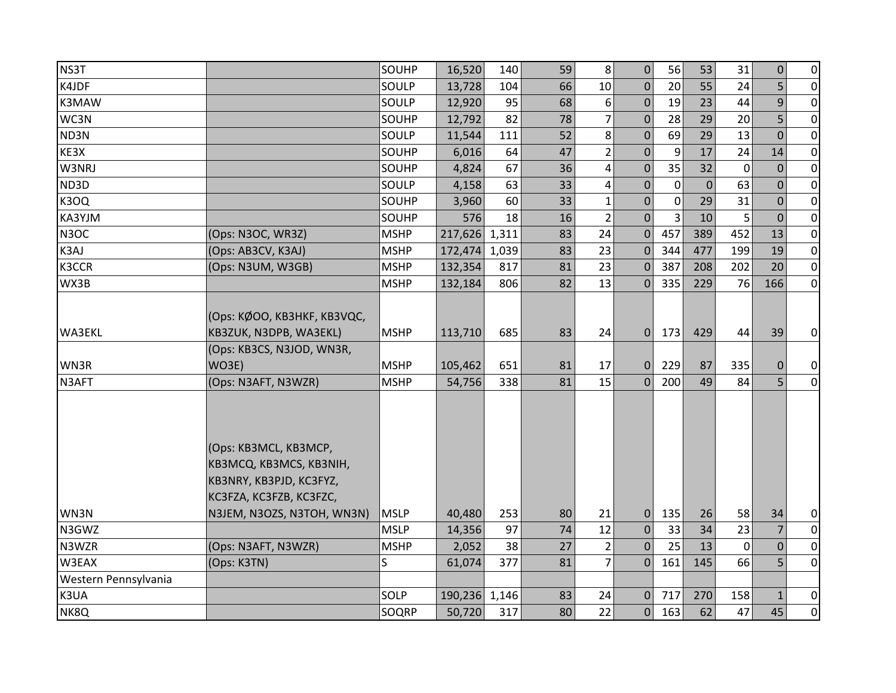| NS3T                 |                                                                                                        | SOUHP       | 16,520  | 140   | 59 | 8                       | $\mathbf 0$    | 56          | 53             | 31          | $\boldsymbol{0}$ | $\overline{0}$ |
|----------------------|--------------------------------------------------------------------------------------------------------|-------------|---------|-------|----|-------------------------|----------------|-------------|----------------|-------------|------------------|----------------|
| K4JDF                |                                                                                                        | SOULP       | 13,728  | 104   | 66 | 10                      | $\overline{0}$ | 20          | 55             | 24          | 5                | $\overline{0}$ |
| K3MAW                |                                                                                                        | SOULP       | 12,920  | 95    | 68 | 6                       | $\mathbf{0}$   | 19          | 23             | 44          | 9                | $\overline{0}$ |
| WC3N                 |                                                                                                        | SOUHP       | 12,792  | 82    | 78 | $\overline{7}$          | $\mathbf{0}$   | 28          | 29             | 20          | 5                | $\overline{0}$ |
| ND3N                 |                                                                                                        | SOULP       | 11,544  | 111   | 52 | 8                       | $\mathbf{0}$   | 69          | 29             | 13          | $\overline{0}$   | $\overline{0}$ |
| KE3X                 |                                                                                                        | SOUHP       | 6,016   | 64    | 47 | $\overline{2}$          | 0              | 9           | 17             | 24          | 14               | $\overline{0}$ |
| W3NRJ                |                                                                                                        | SOUHP       | 4,824   | 67    | 36 | $\overline{\mathbf{r}}$ | 0              | 35          | 32             | $\mathbf 0$ | $\mathbf{0}$     | $\overline{0}$ |
| ND3D                 |                                                                                                        | SOULP       | 4,158   | 63    | 33 | $\overline{\mathbf{r}}$ | $\mathbf 0$    | $\mathbf 0$ | $\overline{0}$ | 63          | $\overline{0}$   | $\overline{0}$ |
| <b>K3OQ</b>          |                                                                                                        | SOUHP       | 3,960   | 60    | 33 | $\mathbf{1}$            | $\overline{0}$ | $\mathbf 0$ | 29             | 31          | $\overline{0}$   | $\overline{0}$ |
| KA3YJM               |                                                                                                        | SOUHP       | 576     | 18    | 16 | $\overline{2}$          | $\Omega$       | 3           | 10             | 5           | $\Omega$         | $\overline{0}$ |
| N <sub>3</sub> OC    | (Ops: N3OC, WR3Z)                                                                                      | <b>MSHP</b> | 217,626 | 1,311 | 83 | 24                      | $\Omega$       | 457         | 389            | 452         | 13               | $\overline{0}$ |
| K3AJ                 | (Ops: AB3CV, K3AJ)                                                                                     | <b>MSHP</b> | 172,474 | 1,039 | 83 | 23                      | $\Omega$       | 344         | 477            | 199         | 19               | $\overline{0}$ |
| K3CCR                | (Ops: N3UM, W3GB)                                                                                      | <b>MSHP</b> | 132,354 | 817   | 81 | 23                      | $\Omega$       | 387         | 208            | 202         | 20               | $\overline{0}$ |
| WX3B                 |                                                                                                        | <b>MSHP</b> | 132,184 | 806   | 82 | 13                      | 0              | 335         | 229            | 76          | 166              | $\overline{0}$ |
| WA3EKL               | (Ops: KØOO, KB3HKF, KB3VQC,<br>KB3ZUK, N3DPB, WA3EKL)<br>(Ops: KB3CS, N3JOD, WN3R,                     | <b>MSHP</b> | 113,710 | 685   | 83 | 24                      | $\Omega$       | 173         | 429            | 44          | 39               | $\overline{0}$ |
| WN3R                 | WO3E)                                                                                                  | <b>MSHP</b> | 105,462 | 651   | 81 | 17                      | $\Omega$       | 229         | 87             | 335         | $\Omega$         | $\overline{0}$ |
| N3AFT                | (Ops: N3AFT, N3WZR)                                                                                    | <b>MSHP</b> | 54,756  | 338   | 81 | 15                      | $\overline{0}$ | 200         | 49             | 84          | 5 <sup>1</sup>   | $\overline{0}$ |
|                      | (Ops: KB3MCL, KB3MCP,<br>KB3MCQ, KB3MCS, KB3NIH,<br>KB3NRY, KB3PJD, KC3FYZ,<br>KC3FZA, KC3FZB, KC3FZC, |             |         |       |    |                         |                |             |                |             |                  |                |
| WN3N                 | N3JEM, N3OZS, N3TOH, WN3N)                                                                             | <b>MSLP</b> | 40,480  | 253   | 80 | 21                      | $\overline{0}$ | 135         | 26             | 58          | 34               | $\overline{0}$ |
| N3GWZ                |                                                                                                        | <b>MSLP</b> | 14,356  | 97    | 74 | 12                      | $\mathbf{0}$   | 33          | 34             | 23          | $\overline{7}$   | $\overline{0}$ |
| N3WZR                | (Ops: N3AFT, N3WZR)                                                                                    | <b>MSHP</b> | 2,052   | 38    | 27 | $\overline{2}$          | 0              | 25          | 13             | $\Omega$    | $\mathbf 0$      | $\overline{0}$ |
| W3EAX                | (Ops: K3TN)                                                                                            | S.          | 61,074  | 377   | 81 | $\overline{7}$          | $\Omega$       | 161         | 145            | 66          | 5                | $\overline{0}$ |
| Western Pennsylvania |                                                                                                        |             |         |       |    |                         |                |             |                |             |                  |                |
| K3UA                 |                                                                                                        | SOLP        | 190,236 | 1,146 | 83 | 24                      | $\mathbf{0}$   | 717         | 270            | 158         | $\mathbf{1}$     | $\overline{0}$ |
| NK8Q                 |                                                                                                        | SOQRP       | 50,720  | 317   | 80 | 22                      | $\mathbf{0}$   | 163         | 62             | 47          | 45               | $\overline{0}$ |
|                      |                                                                                                        |             |         |       |    |                         |                |             |                |             |                  |                |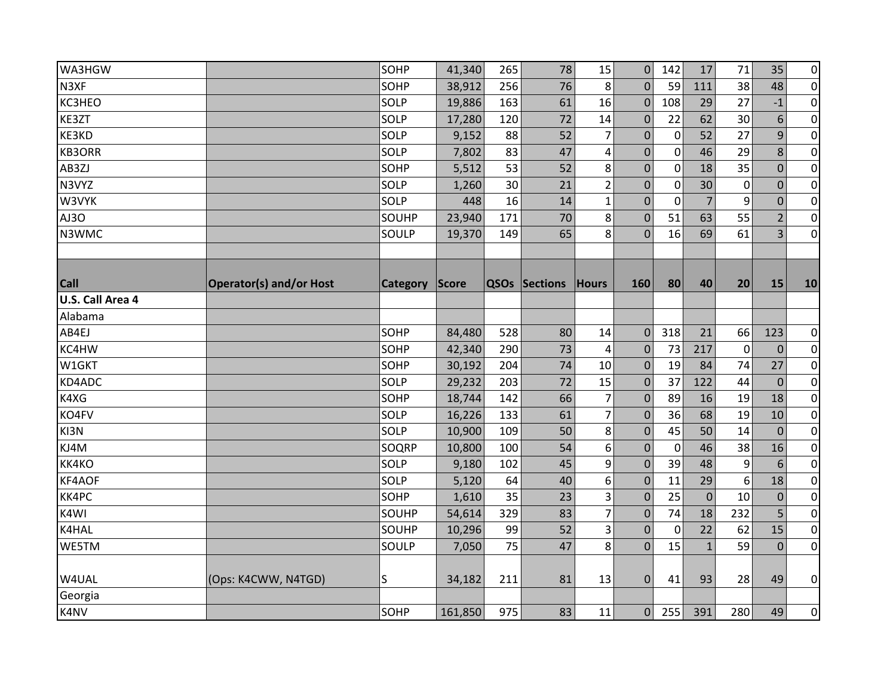| WA3HGW           |                                | SOHP     | 41,340  | 265 | 78            | 15             | $\mathbf{0}$   | 142          | 17             | 71          | 35             | $\overline{0}$ |
|------------------|--------------------------------|----------|---------|-----|---------------|----------------|----------------|--------------|----------------|-------------|----------------|----------------|
| N3XF             |                                | SOHP     | 38,912  | 256 | 76            | 8              | $\overline{0}$ | 59           | 111            | 38          | 48             | $\overline{0}$ |
| KC3HEO           |                                | SOLP     | 19,886  | 163 | 61            | 16             | $\mathbf 0$    | 108          | 29             | 27          | $-1$           | $\overline{0}$ |
| KE3ZT            |                                | SOLP     | 17,280  | 120 | 72            | 14             | $\mathbf{0}$   | 22           | 62             | 30          | 6              | $\overline{0}$ |
| KE3KD            |                                | SOLP     | 9,152   | 88  | 52            | $\overline{7}$ | 0              | $\mathbf 0$  | 52             | 27          | 9              | $\overline{0}$ |
| <b>KB3ORR</b>    |                                | SOLP     | 7,802   | 83  | 47            | 4              | $\overline{0}$ | $\mathbf{0}$ | 46             | 29          | 8              | $\pmb{0}$      |
| AB3ZJ            |                                | SOHP     | 5,512   | 53  | 52            | 8              | $\mathbf 0$    | $\mathbf 0$  | 18             | 35          | $\mathbf 0$    | $\overline{0}$ |
| N3VYZ            |                                | SOLP     | 1,260   | 30  | 21            | $\overline{2}$ | $\pmb{0}$      | $\mathbf 0$  | 30             | $\mathbf 0$ | $\mathbf 0$    | $\overline{0}$ |
| W3VYK            |                                | SOLP     | 448     | 16  | 14            | $\mathbf{1}$   | $\overline{0}$ | $\mathbf 0$  | $\overline{7}$ | 9           | $\mathbf 0$    | $\pmb{0}$      |
| AJ3O             |                                | SOUHP    | 23,940  | 171 | 70            | 8              | $\mathbf{0}$   | 51           | 63             | 55          | $\overline{2}$ | $\overline{0}$ |
| N3WMC            |                                | SOULP    | 19,370  | 149 | 65            | 8              | $\Omega$       | 16           | 69             | 61          | 3              | $\overline{0}$ |
| <b>Call</b>      | <b>Operator(s) and/or Host</b> | Category | Score   |     | QSOs Sections | <b>Hours</b>   | 160            | 80           | 40             | 20          | 15             | 10             |
| U.S. Call Area 4 |                                |          |         |     |               |                |                |              |                |             |                |                |
| Alabama          |                                |          |         |     |               |                |                |              |                |             |                |                |
| AB4EJ            |                                | SOHP     | 84,480  | 528 | 80            | 14             | $\mathbf{0}$   | 318          | 21             | 66          | 123            | $\overline{0}$ |
| KC4HW            |                                | SOHP     | 42,340  | 290 | 73            | 4              | $\Omega$       | 73           | 217            | $\Omega$    | $\overline{0}$ | $\overline{0}$ |
| W1GKT            |                                | SOHP     | 30,192  | 204 | 74            | 10             | $\mathbf{0}$   | 19           | 84             | 74          | 27             | $\overline{0}$ |
| KD4ADC           |                                | SOLP     | 29,232  | 203 | 72            | 15             | $\Omega$       | 37           | 122            | 44          | $\theta$       | $\overline{0}$ |
| K4XG             |                                | SOHP     | 18,744  | 142 | 66            | $\overline{7}$ | $\mathbf{0}$   | 89           | 16             | 19          | 18             | $\overline{0}$ |
| KO4FV            |                                | SOLP     | 16,226  | 133 | 61            | $\overline{7}$ | $\mathbf 0$    | 36           | 68             | 19          | 10             | $\overline{0}$ |
| KI3N             |                                | SOLP     | 10,900  | 109 | 50            | 8              | $\mathbf 0$    | 45           | 50             | 14          | $\overline{0}$ | $\overline{0}$ |
| KJ4M             |                                | SOQRP    | 10,800  | 100 | 54            | 6              | $\mathbf 0$    | 0            | 46             | 38          | 16             | $\overline{0}$ |
| KK4KO            |                                | SOLP     | 9,180   | 102 | 45            | 9              | $\mathbf 0$    | 39           | 48             | 9           | 6              | $\overline{0}$ |
| KF4AOF           |                                | SOLP     | 5,120   | 64  | 40            | 6              | $\mathbf{0}$   | 11           | 29             | 6           | 18             | $\overline{0}$ |
| KK4PC            |                                | SOHP     | 1,610   | 35  | 23            | 3              | $\Omega$       | 25           | $\overline{0}$ | 10          | $\overline{0}$ | $\overline{0}$ |
| K4WI             |                                | SOUHP    | 54,614  | 329 | 83            | $\overline{7}$ | $\mathbf{0}$   | 74           | 18             | 232         | 5              | $\overline{0}$ |
| K4HAL            |                                | SOUHP    | 10,296  | 99  | 52            | 3              | $\mathbf{0}$   | 0            | 22             | 62          | 15             | $\overline{0}$ |
| WE5TM            |                                | SOULP    | 7,050   | 75  | 47            | 8              | $\overline{0}$ | 15           | $\mathbf{1}$   | 59          | $\mathbf{0}$   | $\overline{0}$ |
| W4UAL            | (Ops: K4CWW, N4TGD)            | S        | 34,182  | 211 | 81            | 13             | $\mathbf{0}$   | 41           | 93             | 28          | 49             | $\overline{0}$ |
| Georgia          |                                |          |         |     |               |                |                |              |                |             |                |                |
| K4NV             |                                | SOHP     | 161,850 | 975 | 83            | 11             | $\overline{0}$ | 255          | 391            | 280         | 49             | $\overline{0}$ |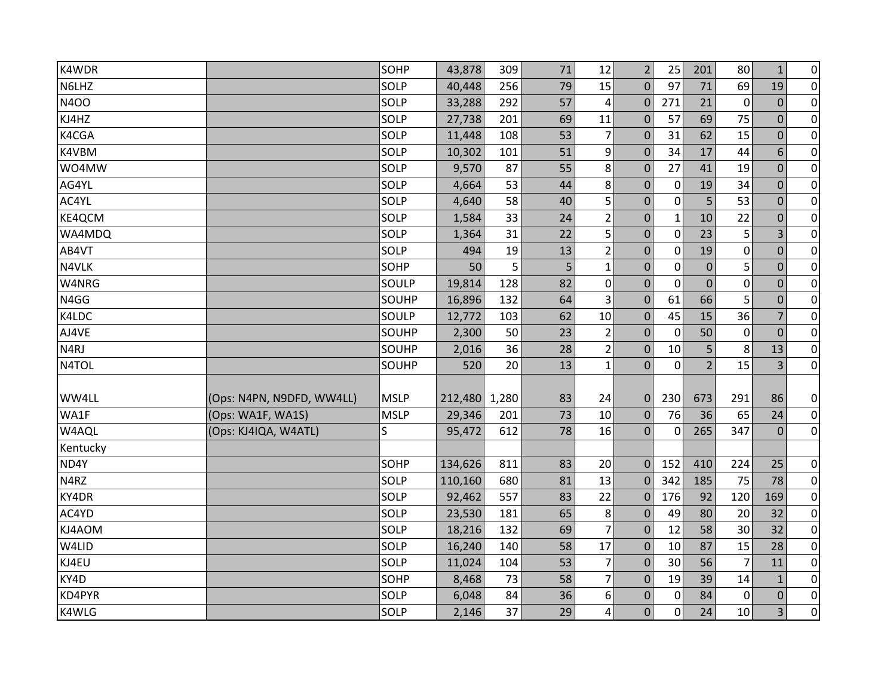| K4WDR             |                           | SOHP        | 43,878  | 309   | 71 | 12               | $\overline{2}$   | 25           | 201              | 80             | $\mathbf{1}$   | $\overline{0}$ |
|-------------------|---------------------------|-------------|---------|-------|----|------------------|------------------|--------------|------------------|----------------|----------------|----------------|
| N6LHZ             |                           | SOLP        | 40,448  | 256   | 79 | 15               | $\overline{0}$   | 97           | 71               | 69             | 19             | $\overline{0}$ |
| <b>N4OO</b>       |                           | SOLP        | 33,288  | 292   | 57 | 4                | $\mathbf 0$      | 271          | 21               | $\mathbf 0$    | $\mathbf 0$    | $\overline{0}$ |
| KJ4HZ             |                           | SOLP        | 27,738  | 201   | 69 | 11               | $\mathbf{0}$     | 57           | 69               | 75             | $\mathbf 0$    | $\overline{0}$ |
| K4CGA             |                           | SOLP        | 11,448  | 108   | 53 | $\overline{7}$   | $\mathbf{0}$     | 31           | 62               | 15             | $\mathbf 0$    | $\overline{0}$ |
| K4VBM             |                           | SOLP        | 10,302  | 101   | 51 | $\boldsymbol{9}$ | $\Omega$         | 34           | 17               | 44             | 6              | $\pmb{0}$      |
| WO4MW             |                           | SOLP        | 9,570   | 87    | 55 | 8                | $\mathbf{0}$     | 27           | 41               | 19             | $\mathbf 0$    | $\overline{0}$ |
| AG4YL             |                           | SOLP        | 4,664   | 53    | 44 | 8                | $\boldsymbol{0}$ | $\mathbf 0$  | 19               | 34             | $\mathbf 0$    | $\overline{0}$ |
| AC4YL             |                           | SOLP        | 4,640   | 58    | 40 | 5                | $\overline{0}$   | $\mathbf 0$  | 5                | 53             | $\mathbf 0$    | $\pmb{0}$      |
| KE4QCM            |                           | SOLP        | 1,584   | 33    | 24 | $\overline{2}$   | 0                | $\mathbf{1}$ | 10               | 22             | $\mathbf 0$    | $\overline{0}$ |
| WA4MDQ            |                           | SOLP        | 1,364   | 31    | 22 | 5                | 0                | $\mathbf 0$  | 23               | 5              | 3              | $\pmb{0}$      |
| AB4VT             |                           | SOLP        | 494     | 19    | 13 | $\overline{2}$   | $\mathbf 0$      | $\mathbf 0$  | 19               | $\mathbf 0$    | $\mathbf 0$    | $\pmb{0}$      |
| N4VLK             |                           | SOHP        | 50      | 5     | 5  | $\mathbf{1}$     | $\pmb{0}$        | $\mathbf 0$  | $\boldsymbol{0}$ | 5              | $\overline{0}$ | $\overline{0}$ |
| W4NRG             |                           | SOULP       | 19,814  | 128   | 82 | $\pmb{0}$        | $\overline{0}$   | $\mathbf 0$  | $\mathbf 0$      | $\mathbf 0$    | $\overline{0}$ | $\overline{0}$ |
| N4GG              |                           | SOUHP       | 16,896  | 132   | 64 | 3                | $\mathbf 0$      | 61           | 66               | 5              | $\mathbf 0$    | $\overline{0}$ |
| K4LDC             |                           | SOULP       | 12,772  | 103   | 62 | 10               | $\mathbf{0}$     | 45           | 15               | 36             | 7              | $\pmb{0}$      |
| AJ4VE             |                           | SOUHP       | 2,300   | 50    | 23 | $\overline{2}$   | $\mathbf{0}$     | 0            | 50               | $\mathbf 0$    | $\mathbf 0$    | $\overline{0}$ |
| N <sub>4</sub> RJ |                           | SOUHP       | 2,016   | 36    | 28 | $\overline{2}$   | $\mathbf{0}$     | $10\,$       | 5                | 8              | 13             | $\overline{0}$ |
| N4TOL             |                           | SOUHP       | 520     | 20    | 13 | $\mathbf{1}$     | $\mathbf 0$      | 0            | $\overline{2}$   | 15             | 3              | $\overline{0}$ |
|                   |                           |             |         |       |    |                  |                  |              |                  |                |                |                |
| WW4LL             | (Ops: N4PN, N9DFD, WW4LL) | <b>MSLP</b> | 212,480 | 1,280 | 83 | 24               | $\Omega$         | 230          | 673              | 291            | 86             | $\overline{0}$ |
| WA1F              | (Ops: WA1F, WA1S)         | <b>MSLP</b> | 29,346  | 201   | 73 | 10               | $\boldsymbol{0}$ | 76           | 36               | 65             | 24             | $\overline{0}$ |
| W4AQL             | (Ops: KJ4IQA, W4ATL)      | S.          | 95,472  | 612   | 78 | 16               | $\mathbf 0$      | $\mathbf 0$  | 265              | 347            | $\mathbf{0}$   | $\overline{0}$ |
| Kentucky          |                           |             |         |       |    |                  |                  |              |                  |                |                |                |
| ND4Y              |                           | SOHP        | 134,626 | 811   | 83 | 20               | $\Omega$         | 152          | 410              | 224            | 25             | $\overline{0}$ |
| N4RZ              |                           | SOLP        | 110,160 | 680   | 81 | 13               | $\mathbf 0$      | 342          | 185              | 75             | 78             | $\overline{0}$ |
| KY4DR             |                           | SOLP        | 92,462  | 557   | 83 | 22               | $\Omega$         | 176          | 92               | 120            | 169            | $\overline{0}$ |
| AC4YD             |                           | SOLP        | 23,530  | 181   | 65 | 8                | $\mathbf{0}$     | 49           | 80               | 20             | 32             | $\overline{0}$ |
| KJ4AOM            |                           | SOLP        | 18,216  | 132   | 69 | $\overline{7}$   | $\mathbf{0}$     | 12           | 58               | 30             | 32             | $\overline{0}$ |
| W4LID             |                           | SOLP        | 16,240  | 140   | 58 | 17               | $\mathbf 0$      | 10           | 87               | 15             | 28             | $\overline{0}$ |
| KJ4EU             |                           | SOLP        | 11,024  | 104   | 53 | $\overline{7}$   | $\mathbf{0}$     | 30           | 56               | $\overline{7}$ | 11             | $\pmb{0}$      |
| KY4D              |                           | SOHP        | 8,468   | 73    | 58 | $\overline{7}$   | $\mathbf{0}$     | 19           | 39               | 14             | $\mathbf{1}$   | $\pmb{0}$      |
| KD4PYR            |                           | SOLP        | 6,048   | 84    | 36 | 6                | 0                | 0            | 84               | $\overline{0}$ | $\mathbf 0$    | $\overline{0}$ |
| K4WLG             |                           | SOLP        | 2,146   | 37    | 29 | 4                | $\Omega$         | 0            | 24               | 10             | 3              | $\overline{0}$ |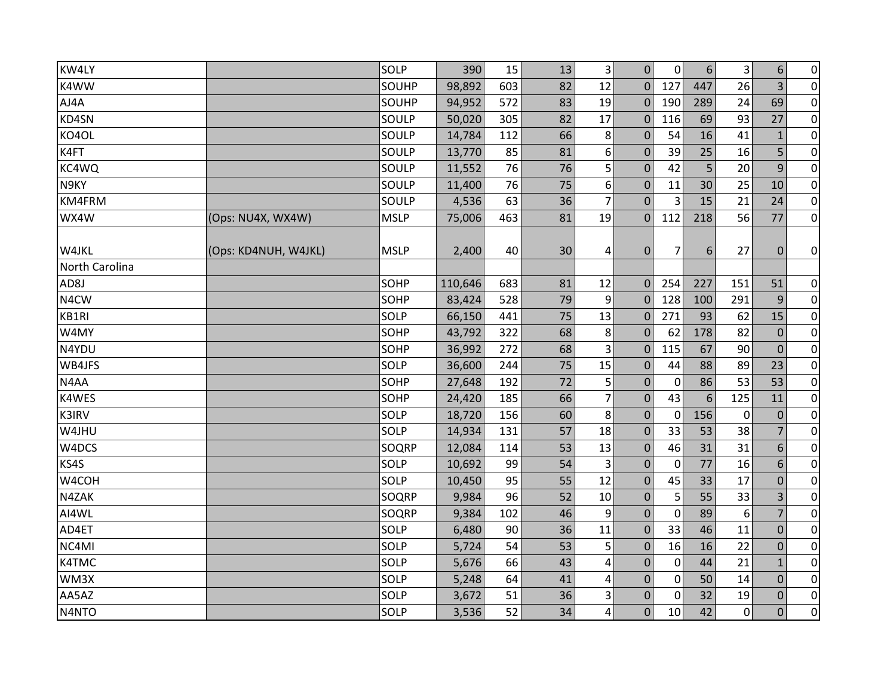| KW4LY                   |                      | SOLP        | 390     | 15  | 13 | $\overline{3}$ | $\mathbf 0$      | 0              | $6\,$ | 3           | 6              | $\overline{0}$ |
|-------------------------|----------------------|-------------|---------|-----|----|----------------|------------------|----------------|-------|-------------|----------------|----------------|
| K4WW                    |                      | SOUHP       | 98,892  | 603 | 82 | 12             | $\Omega$         | 127            | 447   | 26          | 3              | $\overline{0}$ |
| AJ4A                    |                      | SOUHP       | 94,952  | 572 | 83 | 19             | $\Omega$         | 190            | 289   | 24          | 69             | $\overline{0}$ |
| KD4SN                   |                      | SOULP       | 50,020  | 305 | 82 | 17             | $\mathbf 0$      | 116            | 69    | 93          | 27             | $\overline{0}$ |
| KO4OL                   |                      | SOULP       | 14,784  | 112 | 66 | 8              | $\mathbf{0}$     | 54             | 16    | 41          | $\mathbf{1}$   | $\overline{0}$ |
| K4FT                    |                      | SOULP       | 13,770  | 85  | 81 | 6              | $\Omega$         | 39             | 25    | 16          | 5              | $\pmb{0}$      |
| KC4WQ                   |                      | SOULP       | 11,552  | 76  | 76 | 5              | $\mathbf{0}$     | 42             | 5     | 20          | 9              | $\overline{0}$ |
| N9KY                    |                      | SOULP       | 11,400  | 76  | 75 | 6              | $\mathbf{0}$     | 11             | 30    | 25          | 10             | $\overline{0}$ |
| KM4FRM                  |                      | SOULP       | 4,536   | 63  | 36 | $\overline{7}$ | $\mathbf{0}$     | 3              | 15    | 21          | 24             | $\overline{0}$ |
| WX4W                    | (Ops: NU4X, WX4W)    | <b>MSLP</b> | 75,006  | 463 | 81 | 19             | $\Omega$         | 112            | 218   | 56          | 77             | $\overline{0}$ |
| W4JKL<br>North Carolina | (Ops: KD4NUH, W4JKL) | <b>MSLP</b> | 2,400   | 40  | 30 | 4              | $\mathbf{0}$     | $\overline{7}$ | 6     | 27          | $\mathbf 0$    | $\overline{0}$ |
| AD8J                    |                      | SOHP        | 110,646 | 683 | 81 | 12             | $\mathbf 0$      | 254            | 227   | 151         | 51             | $\overline{0}$ |
| N4CW                    |                      | SOHP        | 83,424  | 528 | 79 | 9              | $\mathbf 0$      | 128            | 100   | 291         | 9              | $\overline{0}$ |
| KB1RI                   |                      | SOLP        | 66,150  | 441 | 75 | 13             | $\mathbf 0$      | 271            | 93    | 62          | 15             | $\overline{0}$ |
| W4MY                    |                      | SOHP        | 43,792  | 322 | 68 | 8              | $\mathbf{0}$     | 62             | 178   | 82          | $\mathbf 0$    | $\overline{0}$ |
| N4YDU                   |                      | SOHP        | 36,992  | 272 | 68 | $\overline{3}$ | $\Omega$         | 115            | 67    | 90          | $\Omega$       | $\overline{0}$ |
| WB4JFS                  |                      | SOLP        | 36,600  | 244 | 75 | 15             | $\mathbf 0$      | 44             | 88    | 89          | 23             | $\overline{0}$ |
| N4AA                    |                      | SOHP        | 27,648  | 192 | 72 | 5              | $\Omega$         | 0              | 86    | 53          | 53             | $\overline{0}$ |
| K4WES                   |                      | SOHP        | 24,420  | 185 | 66 | $\overline{7}$ | $\mathbf{0}$     | 43             | 6     | 125         | 11             | $\pmb{0}$      |
| K3IRV                   |                      | SOLP        | 18,720  | 156 | 60 | 8              | $\mathbf{0}$     | 0              | 156   | $\mathbf 0$ | $\mathbf{0}$   | $\overline{0}$ |
| W4JHU                   |                      | SOLP        | 14,934  | 131 | 57 | 18             | $\mathbf 0$      | 33             | 53    | 38          | $\overline{7}$ | $\overline{0}$ |
| W4DCS                   |                      | SOQRP       | 12,084  | 114 | 53 | 13             | $\pmb{0}$        | 46             | 31    | 31          | 6              | $\pmb{0}$      |
| KS4S                    |                      | SOLP        | 10,692  | 99  | 54 | 3              | $\Omega$         | $\mathbf{0}$   | 77    | 16          | 6              | $\overline{0}$ |
| W4COH                   |                      | SOLP        | 10,450  | 95  | 55 | 12             | $\mathbf{0}$     | 45             | 33    | 17          | $\mathbf 0$    | $\pmb{0}$      |
| N4ZAK                   |                      | SOQRP       | 9,984   | 96  | 52 | 10             | $\Omega$         | 5              | 55    | 33          | 3              | $\pmb{0}$      |
| AI4WL                   |                      | SOQRP       | 9,384   | 102 | 46 | 9              | $\mathbf 0$      | $\mathbf 0$    | 89    | 6           | 7              | $\overline{0}$ |
| AD4ET                   |                      | SOLP        | 6,480   | 90  | 36 | 11             | $\boldsymbol{0}$ | 33             | 46    | 11          | $\mathbf{0}$   | $\overline{0}$ |
| NC4MI                   |                      | SOLP        | 5,724   | 54  | 53 | 5              | $\mathbf 0$      | 16             | 16    | 22          | $\mathbf 0$    | $\overline{0}$ |
| K4TMC                   |                      | SOLP        | 5,676   | 66  | 43 | 4              | $\mathbf 0$      | $\mathbf 0$    | 44    | 21          | $\mathbf{1}$   | $\pmb{0}$      |
| WM3X                    |                      | SOLP        | 5,248   | 64  | 41 | $\overline{4}$ | $\Omega$         | $\mathbf{0}$   | 50    | 14          | $\Omega$       | $\overline{0}$ |
| AA5AZ                   |                      | SOLP        | 3,672   | 51  | 36 | 3              | 0                | 0              | 32    | 19          | $\mathbf 0$    | $\overline{0}$ |
| N4NTO                   |                      | SOLP        | 3,536   | 52  | 34 | 4              | 0                | 10             | 42    | $\mathbf 0$ | $\Omega$       | $\overline{0}$ |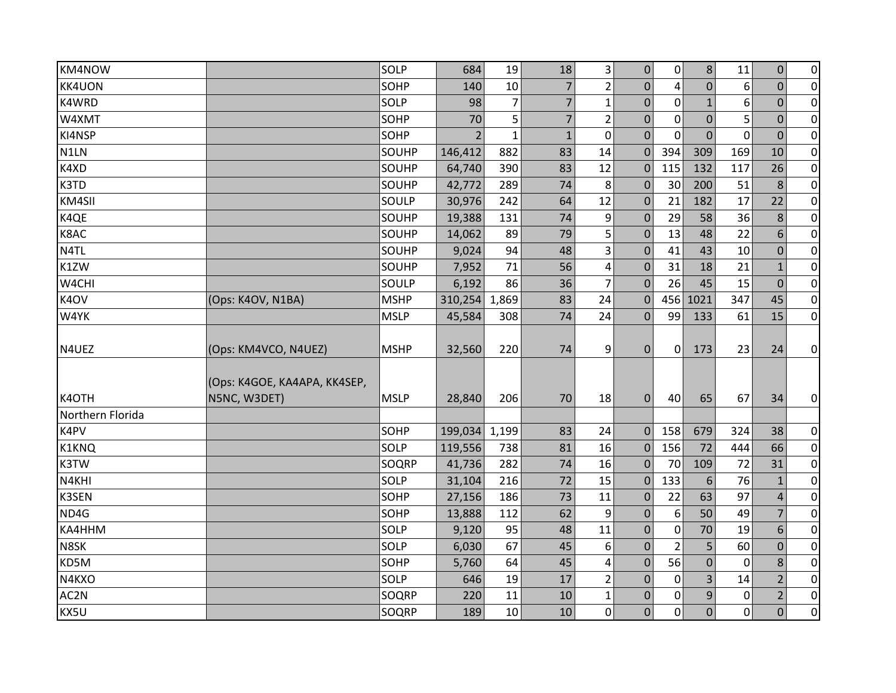| KM4NOW           |                                              | SOLP        | 684            | 19             | 18             | 3                       | $\mathbf 0$      | $\mathbf 0$    | 8              | 11          | $\boldsymbol{0}$ | $\overline{0}$ |
|------------------|----------------------------------------------|-------------|----------------|----------------|----------------|-------------------------|------------------|----------------|----------------|-------------|------------------|----------------|
| <b>KK4UON</b>    |                                              | SOHP        | 140            | 10             | $\overline{7}$ | $\overline{2}$          | $\Omega$         | 4              | $\overline{0}$ | 6           | $\Omega$         | $\overline{0}$ |
| K4WRD            |                                              | SOLP        | 98             | $\overline{7}$ | $\overline{7}$ | $\mathbf{1}$            | $\mathbf{0}$     | $\mathbf 0$    | $\mathbf{1}$   | 6           | $\mathbf 0$      | $\overline{0}$ |
| W4XMT            |                                              | SOHP        | 70             | 5              | $\overline{7}$ | $\overline{2}$          | $\mathbf 0$      | $\mathbf 0$    | $\overline{0}$ | 5           | $\overline{0}$   | $\pmb{0}$      |
| KI4NSP           |                                              | SOHP        | $\overline{2}$ | $\mathbf{1}$   | $\mathbf{1}$   | $\mathbf 0$             | $\mathbf{0}$     | $\mathbf 0$    | $\overline{0}$ | $\mathbf 0$ | $\mathbf{0}$     | $\overline{0}$ |
| N1LN             |                                              | SOUHP       | 146,412        | 882            | 83             | 14                      | $\Omega$         | 394            | 309            | 169         | 10               | $\pmb{0}$      |
| K4XD             |                                              | SOUHP       | 64,740         | 390            | 83             | 12                      | $\mathbf 0$      | 115            | 132            | 117         | 26               | $\overline{0}$ |
| K3TD             |                                              | SOUHP       | 42,772         | 289            | 74             | 8                       | $\Omega$         | 30             | 200            | 51          | 8                | $\overline{0}$ |
| KM4SII           |                                              | SOULP       | 30,976         | 242            | 64             | 12                      | $\mathbf 0$      | 21             | 182            | 17          | 22               | $\overline{0}$ |
| K4QE             |                                              | SOUHP       | 19,388         | 131            | 74             | 9                       | $\mathbf{0}$     | 29             | 58             | 36          | 8                | $\overline{0}$ |
| K8AC             |                                              | SOUHP       | 14,062         | 89             | 79             | 5                       | $\mathbf 0$      | 13             | 48             | 22          | 6                | $\pmb{0}$      |
| N4TL             |                                              | SOUHP       | 9,024          | 94             | 48             | 3                       | $\mathbf{0}$     | 41             | 43             | 10          | $\mathbf 0$      | $\pmb{0}$      |
| K1ZW             |                                              | SOUHP       | 7,952          | 71             | 56             | $\overline{\mathbf{4}}$ | $\mathbf{0}$     | 31             | 18             | 21          | $\mathbf{1}$     | $\overline{0}$ |
| W4CHI            |                                              | SOULP       | 6,192          | 86             | 36             | $\overline{7}$          | $\Omega$         | 26             | 45             | 15          | $\overline{0}$   | $\overline{0}$ |
| K4OV             | (Ops: K4OV, N1BA)                            | <b>MSHP</b> | 310,254        | 1,869          | 83             | 24                      | $\Omega$         | 456            | 1021           | 347         | 45               | $\overline{0}$ |
| W4YK             |                                              | <b>MSLP</b> | 45,584         | 308            | 74             | 24                      | $\mathbf{0}$     | 99             | 133            | 61          | 15               | $\overline{0}$ |
| N4UEZ            | (Ops: KM4VCO, N4UEZ)                         | <b>MSHP</b> | 32,560         | 220            | 74             | 9                       | $\mathbf 0$      | $\mathbf 0$    | 173            | 23          | 24               | $\overline{0}$ |
| K4OTH            | (Ops: K4GOE, KA4APA, KK4SEP,<br>N5NC, W3DET) | <b>MSLP</b> | 28,840         | 206            | 70             | 18                      | $\mathbf{0}$     | 40             | 65             | 67          | 34               | $\overline{0}$ |
| Northern Florida |                                              |             |                |                |                |                         |                  |                |                |             |                  |                |
| K4PV             |                                              | SOHP        | 199,034        | 1,199          | 83             | 24                      | $\Omega$         | 158            | 679            | 324         | 38               | $\overline{0}$ |
| K1KNQ            |                                              | SOLP        | 119,556        | 738            | 81             | 16                      | $\mathbf 0$      | 156            | 72             | 444         | 66               | $\overline{0}$ |
| K3TW             |                                              | SOQRP       | 41,736         | 282            | 74             | 16                      | $\mathbf 0$      | 70             | 109            | 72          | 31               | $\overline{0}$ |
| N4KHI            |                                              | SOLP        | 31,104         | 216            | 72             | 15                      | $\Omega$         | 133            | 6              | 76          | $\mathbf{1}$     | $\overline{0}$ |
| <b>K3SEN</b>     |                                              | SOHP        | 27,156         | 186            | 73             | 11                      | $\Omega$         | 22             | 63             | 97          | $\overline{4}$   | $\pmb{0}$      |
| ND4G             |                                              | SOHP        | 13,888         | 112            | 62             | 9                       | $\mathbf{0}$     | 6              | 50             | 49          | 7                | $\overline{0}$ |
| KA4HHM           |                                              | SOLP        | 9,120          | 95             | 48             | 11                      | $\boldsymbol{0}$ | $\mathbf 0$    | 70             | 19          | 6                | $\pmb{0}$      |
| N8SK             |                                              | SOLP        | 6,030          | 67             | 45             | 6                       | $\mathbf{0}$     | $\overline{2}$ | 5              | 60          | $\mathbf 0$      | $\overline{0}$ |
| KD5M             |                                              | SOHP        | 5,760          | 64             | 45             | 4                       | $\mathbf{0}$     | 56             | $\overline{0}$ | 0           | 8                | $\overline{0}$ |
| N4KXO            |                                              | SOLP        | 646            | 19             | 17             | $\overline{2}$          | $\Omega$         | $\mathbf{0}$   | $\overline{3}$ | 14          | $\overline{2}$   | $\pmb{0}$      |
| AC2N             |                                              | SOQRP       | 220            | 11             | 10             | $\mathbf 1$             | 0                | 0              | 9              | $\mathbf 0$ | $\overline{2}$   | $\overline{0}$ |
| KX5U             |                                              | SOQRP       | 189            | 10             | 10             | $\mathbf 0$             | $\Omega$         | $\mathbf 0$    | $\overline{0}$ | $\mathbf 0$ | $\overline{0}$   | $\overline{0}$ |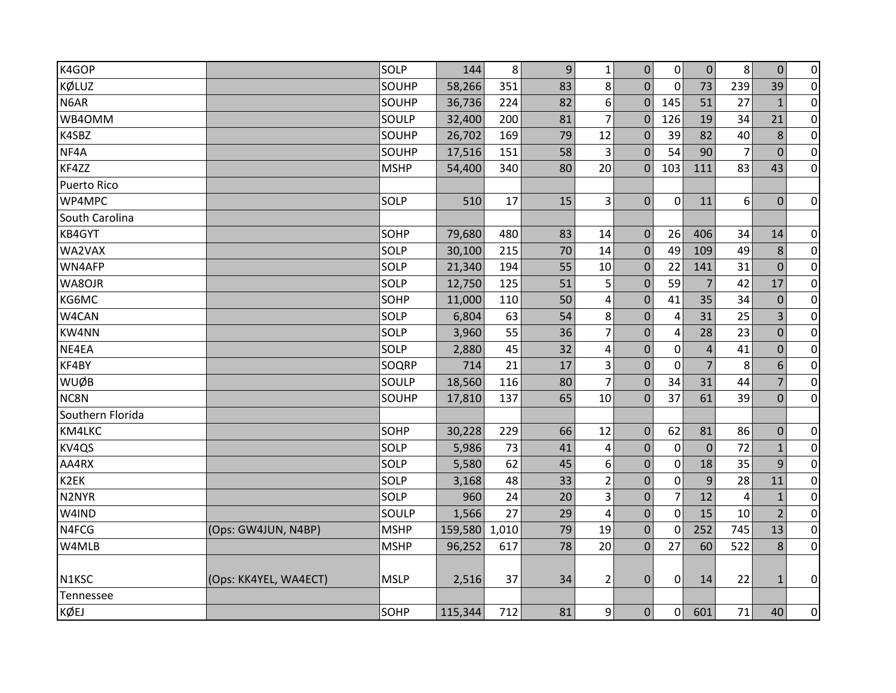| K4GOP              |                       | SOLP        | 144     | 8     | $\overline{9}$ | $\mathbf{1}$            | $\mathbf 0$      | $\overline{0}$ | $\overline{0}$   | 8              | $\mathbf{0}$   | $\overline{0}$ |
|--------------------|-----------------------|-------------|---------|-------|----------------|-------------------------|------------------|----------------|------------------|----------------|----------------|----------------|
| KØLUZ              |                       | SOUHP       | 58,266  | 351   | 83             | 8                       | $\Omega$         | $\mathbf 0$    | 73               | 239            | 39             | $\overline{0}$ |
| N6AR               |                       | SOUHP       | 36,736  | 224   | 82             | 6                       | $\mathbf{0}$     | 145            | 51               | 27             | $\mathbf{1}$   | $\overline{0}$ |
| WB4OMM             |                       | SOULP       | 32,400  | 200   | 81             | $\overline{7}$          | $\mathbf{0}$     | 126            | 19               | 34             | 21             | $\overline{0}$ |
| K4SBZ              |                       | SOUHP       | 26,702  | 169   | 79             | 12                      | $\mathbf{0}$     | 39             | 82               | 40             | 8              | $\overline{0}$ |
| NF4A               |                       | SOUHP       | 17,516  | 151   | 58             | 3                       | $\Omega$         | 54             | 90               | $\overline{7}$ | $\Omega$       | $\overline{0}$ |
| KF4ZZ              |                       | <b>MSHP</b> | 54,400  | 340   | 80             | 20                      | $\Omega$         | 103            | 111              | 83             | 43             | $\overline{0}$ |
| <b>Puerto Rico</b> |                       |             |         |       |                |                         |                  |                |                  |                |                |                |
| WP4MPC             |                       | SOLP        | 510     | 17    | 15             | $\overline{3}$          | $\overline{0}$   | $\mathbf 0$    | 11               | 6              | $\overline{0}$ | $\overline{0}$ |
| South Carolina     |                       |             |         |       |                |                         |                  |                |                  |                |                |                |
| KB4GYT             |                       | SOHP        | 79,680  | 480   | 83             | 14                      | $\mathbf{0}$     | 26             | 406              | 34             | 14             | $\pmb{0}$      |
| WA2VAX             |                       | SOLP        | 30,100  | 215   | 70             | 14                      | $\Omega$         | 49             | 109              | 49             | 8              | $\overline{0}$ |
| WN4AFP             |                       | SOLP        | 21,340  | 194   | 55             | 10                      | $\mathbf{0}$     | 22             | 141              | 31             | $\Omega$       | $\overline{0}$ |
| WA8OJR             |                       | SOLP        | 12,750  | 125   | 51             | 5                       | $\mathbf 0$      | 59             | $\overline{7}$   | 42             | 17             | $\overline{0}$ |
| KG6MC              |                       | SOHP        | 11,000  | 110   | 50             | 4                       | $\Omega$         | 41             | 35               | 34             | $\Omega$       | $\overline{0}$ |
| W4CAN              |                       | SOLP        | 6,804   | 63    | 54             | 8                       | 0                | 4              | 31               | 25             | 3              | $\overline{0}$ |
| KW4NN              |                       | SOLP        | 3,960   | 55    | 36             | $\overline{7}$          | 0                | 4              | 28               | 23             | $\mathbf 0$    | $\overline{0}$ |
| NE4EA              |                       | SOLP        | 2,880   | 45    | 32             | 4                       | $\mathbf{0}$     | $\mathbf 0$    | $\overline{4}$   | 41             | $\Omega$       | $\overline{0}$ |
| KF4BY              |                       | SOQRP       | 714     | 21    | 17             | 3                       | $\mathbf 0$      | $\mathbf 0$    | $\overline{7}$   | 8              | 6              | $\overline{0}$ |
| WUØB               |                       | SOULP       | 18,560  | 116   | 80             | $\overline{7}$          | $\mathbf{0}$     | 34             | 31               | 44             | 7              | $\overline{0}$ |
| NC8N               |                       | SOUHP       | 17,810  | 137   | 65             | 10                      | $\mathbf{0}$     | 37             | 61               | 39             | $\Omega$       | $\overline{0}$ |
| Southern Florida   |                       |             |         |       |                |                         |                  |                |                  |                |                |                |
| KM4LKC             |                       | SOHP        | 30,228  | 229   | 66             | 12                      | $\mathbf 0$      | 62             | 81               | 86             | $\mathbf 0$    | $\overline{0}$ |
| KV4QS              |                       | SOLP        | 5,986   | 73    | 41             | 4                       | $\boldsymbol{0}$ | $\mathbf 0$    | $\boldsymbol{0}$ | 72             | $\mathbf{1}$   | $\overline{0}$ |
| AA4RX              |                       | SOLP        | 5,580   | 62    | 45             | 6                       | $\mathbf 0$      | $\mathbf 0$    | 18               | 35             | 9              | $\overline{0}$ |
| K2EK               |                       | SOLP        | 3,168   | 48    | 33             | $\overline{2}$          | $\mathbf{0}$     | $\mathbf 0$    | 9                | 28             | 11             | $\overline{0}$ |
| N2NYR              |                       | SOLP        | 960     | 24    | 20             | 3                       | 0                | $\overline{7}$ | 12               | 4              | $\mathbf{1}$   | $\pmb{0}$      |
| W4IND              |                       | SOULP       | 1,566   | 27    | 29             | $\overline{\mathbf{4}}$ | $\mathbf{0}$     | $\mathbf 0$    | 15               | 10             | $\overline{2}$ | $\overline{0}$ |
| N4FCG              | (Ops: GW4JUN, N4BP)   | <b>MSHP</b> | 159,580 | 1,010 | 79             | 19                      | $\mathbf 0$      | 0              | 252              | 745            | 13             | $\overline{0}$ |
| W4MLB              |                       | <b>MSHP</b> | 96,252  | 617   | 78             | 20                      | $\overline{0}$   | 27             | 60               | 522            | 8              | $\overline{0}$ |
|                    |                       |             |         |       |                |                         |                  |                |                  |                |                |                |
| N1KSC              | (Ops: KK4YEL, WA4ECT) | <b>MSLP</b> | 2,516   | 37    | 34             | $\overline{2}$          | $\mathbf{0}$     | $\mathbf 0$    | 14               | 22             | $\mathbf{1}$   | $\overline{0}$ |
| Tennessee          |                       |             |         |       |                |                         |                  |                |                  |                |                |                |
| KØEJ               |                       | SOHP        | 115,344 | 712   | 81             | $\overline{9}$          | $\Omega$         | $\Omega$       | 601              | 71             | 40             | $\overline{0}$ |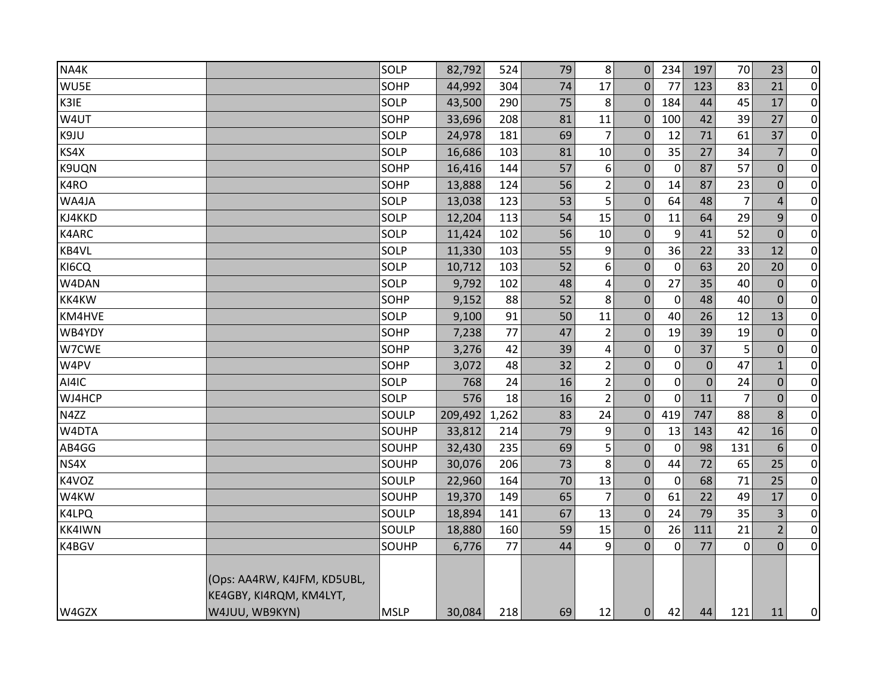| NA4K          |                                                        | SOLP        | 82,792  | 524   | 79 | 8              | $\Omega$         | 234              | 197          | 70             | 23             | $\overline{0}$ |
|---------------|--------------------------------------------------------|-------------|---------|-------|----|----------------|------------------|------------------|--------------|----------------|----------------|----------------|
| WU5E          |                                                        | SOHP        | 44,992  | 304   | 74 | 17             | $\mathbf{0}$     | 77               | 123          | 83             | 21             | $\overline{0}$ |
| K3IE          |                                                        | SOLP        | 43,500  | 290   | 75 | 8              | $\mathbf{0}$     | 184              | 44           | 45             | 17             | $\overline{0}$ |
| W4UT          |                                                        | SOHP        | 33,696  | 208   | 81 | 11             | $\mathbf{0}$     | 100              | 42           | 39             | 27             | $\overline{0}$ |
| K9JU          |                                                        | SOLP        | 24,978  | 181   | 69 | 7              | $\mathbf 0$      | 12               | 71           | 61             | 37             | $\overline{0}$ |
| KS4X          |                                                        | SOLP        | 16,686  | 103   | 81 | 10             | $\mathbf{0}$     | 35               | 27           | 34             | $\overline{7}$ | $\overline{0}$ |
| K9UQN         |                                                        | SOHP        | 16,416  | 144   | 57 | 6              | $\boldsymbol{0}$ | $\boldsymbol{0}$ | 87           | 57             | $\pmb{0}$      | $\overline{0}$ |
| K4RO          |                                                        | SOHP        | 13,888  | 124   | 56 | $\overline{2}$ | $\mathbf 0$      | 14               | 87           | 23             | $\mathbf 0$    | $\overline{0}$ |
| WA4JA         |                                                        | SOLP        | 13,038  | 123   | 53 | 5              | $\boldsymbol{0}$ | 64               | 48           | $\overline{7}$ | $\overline{4}$ | $\overline{0}$ |
| KJ4KKD        |                                                        | SOLP        | 12,204  | 113   | 54 | 15             | $\mathbf{0}$     | 11               | 64           | 29             | 9              | $\overline{0}$ |
| K4ARC         |                                                        | SOLP        | 11,424  | 102   | 56 | 10             | $\mathbf{0}$     | 9                | 41           | 52             | $\mathbf{0}$   | $\overline{0}$ |
| KB4VL         |                                                        | SOLP        | 11,330  | 103   | 55 | 9              | $\boldsymbol{0}$ | 36               | 22           | 33             | 12             | $\overline{0}$ |
| KI6CQ         |                                                        | SOLP        | 10,712  | 103   | 52 | 6              | $\mathbf{0}$     | $\mathbf 0$      | 63           | 20             | 20             | $\overline{0}$ |
| W4DAN         |                                                        | SOLP        | 9,792   | 102   | 48 | 4              | $\boldsymbol{0}$ | 27               | 35           | 40             | $\mathbf 0$    | $\overline{0}$ |
| <b>KK4KW</b>  |                                                        | SOHP        | 9,152   | 88    | 52 | 8              | $\mathbf{0}$     | $\mathbf 0$      | 48           | 40             | $\mathbf 0$    | $\overline{0}$ |
| KM4HVE        |                                                        | SOLP        | 9,100   | 91    | 50 | 11             | $\boldsymbol{0}$ | 40               | 26           | 12             | 13             | $\overline{0}$ |
| WB4YDY        |                                                        | SOHP        | 7,238   | 77    | 47 | $\overline{2}$ | $\mathbf{0}$     | 19               | 39           | 19             | $\mathbf{0}$   | $\overline{0}$ |
| W7CWE         |                                                        | SOHP        | 3,276   | 42    | 39 | 4              | $\boldsymbol{0}$ | $\mathbf 0$      | 37           | 5              | $\mathbf{0}$   | $\overline{0}$ |
| W4PV          |                                                        | SOHP        | 3,072   | 48    | 32 | $\overline{2}$ | $\mathbf 0$      | $\mathbf 0$      | $\mathbf{0}$ | 47             | $\mathbf{1}$   | $\overline{0}$ |
| AI4IC         |                                                        | SOLP        | 768     | 24    | 16 | $\overline{2}$ | $\mathbf 0$      | $\mathbf 0$      | $\mathbf 0$  | 24             | $\pmb{0}$      | $\overline{0}$ |
| WJ4HCP        |                                                        | SOLP        | 576     | 18    | 16 | $\overline{2}$ | $\boldsymbol{0}$ | $\Omega$         | 11           | $\overline{7}$ | $\pmb{0}$      | $\overline{0}$ |
| N4ZZ          |                                                        | SOULP       | 209,492 | 1,262 | 83 | 24             | $\mathbf 0$      | 419              | 747          | 88             | 8              | $\overline{0}$ |
| W4DTA         |                                                        | SOUHP       | 33,812  | 214   | 79 | 9              | $\boldsymbol{0}$ | 13               | 143          | 42             | 16             | $\overline{0}$ |
| AB4GG         |                                                        | SOUHP       | 32,430  | 235   | 69 | 5              | $\mathbf 0$      | $\mathbf 0$      | 98           | 131            | 6              | $\overline{0}$ |
| NS4X          |                                                        | SOUHP       | 30,076  | 206   | 73 | 8              | $\mathbf{0}$     | 44               | 72           | 65             | 25             | $\overline{0}$ |
| K4VOZ         |                                                        | SOULP       | 22,960  | 164   | 70 | 13             | $\mathbf{0}$     | 0                | 68           | 71             | 25             | $\overline{0}$ |
| W4KW          |                                                        | SOUHP       | 19,370  | 149   | 65 | $\overline{7}$ | $\boldsymbol{0}$ | 61               | 22           | 49             | 17             | $\overline{0}$ |
| K4LPQ         |                                                        | SOULP       | 18,894  | 141   | 67 | 13             | $\mathbf{0}$     | 24               | 79           | 35             | 3              | $\overline{0}$ |
| <b>KK4IWN</b> |                                                        | SOULP       | 18,880  | 160   | 59 | 15             | $\boldsymbol{0}$ | 26               | 111          | 21             | $\overline{2}$ | $\overline{0}$ |
| K4BGV         |                                                        | SOUHP       | 6,776   | 77    | 44 | 9              | $\overline{0}$   | 0                | 77           | $\mathbf 0$    | $\mathbf{0}$   | $\overline{0}$ |
|               | (Ops: AA4RW, K4JFM, KD5UBL,<br>KE4GBY, KI4RQM, KM4LYT, |             |         |       |    |                |                  |                  |              |                |                |                |
| W4GZX         | W4JUU, WB9KYN)                                         | <b>MSLP</b> | 30,084  | 218   | 69 | 12             | 0                | 42               | 44           | 121            | 11             | $\overline{0}$ |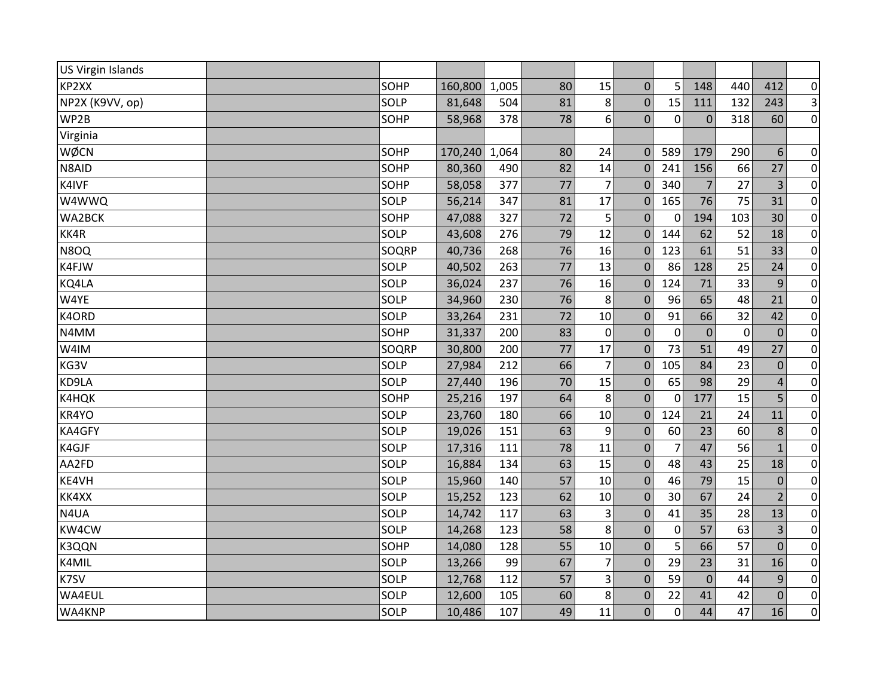| <b>US Virgin Islands</b> |       |         |       |    |                |                  |                |                |             |                |                |
|--------------------------|-------|---------|-------|----|----------------|------------------|----------------|----------------|-------------|----------------|----------------|
| KP2XX                    | SOHP  | 160,800 | 1,005 | 80 | 15             | $\mathbf{0}$     | 5              | 148            | 440         | 412            | $\overline{0}$ |
| NP2X (K9VV, op)          | SOLP  | 81,648  | 504   | 81 | 8              | $\boldsymbol{0}$ | 15             | 111            | 132         | 243            | $\overline{3}$ |
| WP2B                     | SOHP  | 58,968  | 378   | 78 | 6              | $\overline{0}$   | $\mathbf 0$    | $\mathbf 0$    | 318         | 60             | $\overline{0}$ |
| Virginia                 |       |         |       |    |                |                  |                |                |             |                |                |
| WØCN                     | SOHP  | 170,240 | 1,064 | 80 | 24             | $\Omega$         | 589            | 179            | 290         | 6              | $\pmb{0}$      |
| N8AID                    | SOHP  | 80,360  | 490   | 82 | 14             | $\mathbf{0}$     | 241            | 156            | 66          | 27             | $\overline{0}$ |
| K4IVF                    | SOHP  | 58,058  | 377   | 77 | $\overline{7}$ | $\mathbf 0$      | 340            | $\overline{7}$ | 27          | 3              | $\overline{0}$ |
| W4WWQ                    | SOLP  | 56,214  | 347   | 81 | 17             | $\mathbf 0$      | 165            | 76             | 75          | 31             | $\overline{0}$ |
| WA2BCK                   | SOHP  | 47,088  | 327   | 72 | 5              | $\mathbf 0$      | 0              | 194            | 103         | 30             | $\overline{0}$ |
| KK4R                     | SOLP  | 43,608  | 276   | 79 | 12             | $\Omega$         | 144            | 62             | 52          | 18             | $\pmb{0}$      |
| N8OQ                     | SOQRP | 40,736  | 268   | 76 | 16             | $\mathbf 0$      | 123            | 61             | 51          | 33             | $\overline{0}$ |
| K4FJW                    | SOLP  | 40,502  | 263   | 77 | 13             | $\Omega$         | 86             | 128            | 25          | 24             | $\overline{0}$ |
| KQ4LA                    | SOLP  | 36,024  | 237   | 76 | 16             | $\mathbf 0$      | 124            | 71             | 33          | 9              | $\overline{0}$ |
| W4YE                     | SOLP  | 34,960  | 230   | 76 | 8              | $\mathbf 0$      | 96             | 65             | 48          | 21             | $\overline{0}$ |
| K4ORD                    | SOLP  | 33,264  | 231   | 72 | 10             | $\mathbf 0$      | 91             | 66             | 32          | 42             | $\pmb{0}$      |
| N4MM                     | SOHP  | 31,337  | 200   | 83 | $\mathbf 0$    | $\boldsymbol{0}$ | $\mathbf 0$    | $\mathbf{0}$   | $\mathbf 0$ | $\mathbf{0}$   | $\overline{0}$ |
| W4IM                     | SOQRP | 30,800  | 200   | 77 | 17             | $\mathbf{0}$     | 73             | 51             | 49          | 27             | $\overline{0}$ |
| KG3V                     | SOLP  | 27,984  | 212   | 66 | $\overline{7}$ | $\mathbf 0$      | 105            | 84             | 23          | $\mathbf{0}$   | $\pmb{0}$      |
| KD9LA                    | SOLP  | 27,440  | 196   | 70 | 15             | $\mathbf 0$      | 65             | 98             | 29          | $\overline{4}$ | $\overline{0}$ |
| K4HQK                    | SOHP  | 25,216  | 197   | 64 | 8              | $\mathbf{0}$     | $\mathbf 0$    | 177            | 15          | 5              | $\pmb{0}$      |
| KR4YO                    | SOLP  | 23,760  | 180   | 66 | 10             | $\boldsymbol{0}$ | 124            | 21             | 24          | 11             | $\overline{0}$ |
| KA4GFY                   | SOLP  | 19,026  | 151   | 63 | 9              | $\mathbf{0}$     | 60             | 23             | 60          | 8              | $\overline{0}$ |
| K4GJF                    | SOLP  | 17,316  | 111   | 78 | 11             | $\mathbf 0$      | $\overline{7}$ | 47             | 56          | $\mathbf{1}$   | $\pmb{0}$      |
| AA2FD                    | SOLP  | 16,884  | 134   | 63 | 15             | $\mathbf{0}$     | 48             | 43             | 25          | 18             | $\overline{0}$ |
| KE4VH                    | SOLP  | 15,960  | 140   | 57 | 10             | $\boldsymbol{0}$ | 46             | 79             | 15          | $\mathbf 0$    | $\pmb{0}$      |
| KK4XX                    | SOLP  | 15,252  | 123   | 62 | 10             | $\boldsymbol{0}$ | 30             | 67             | 24          | $\overline{2}$ | $\pmb{0}$      |
| N4UA                     | SOLP  | 14,742  | 117   | 63 | 3              | $\mathbf 0$      | 41             | 35             | 28          | 13             | $\overline{0}$ |
| KW4CW                    | SOLP  | 14,268  | 123   | 58 | 8              | $\pmb{0}$        | 0              | 57             | 63          | 3              | $\overline{0}$ |
| K3QQN                    | SOHP  | 14,080  | 128   | 55 | 10             | $\overline{0}$   | 5              | 66             | 57          | $\overline{0}$ | $\overline{0}$ |
| K4MIL                    | SOLP  | 13,266  | 99    | 67 | $\overline{7}$ | $\mathbf 0$      | 29             | 23             | 31          | 16             | $\pmb{0}$      |
| K7SV                     | SOLP  | 12,768  | 112   | 57 | 3              | $\mathbf 0$      | 59             | $\overline{0}$ | 44          | $\overline{9}$ | $\overline{0}$ |
| WA4EUL                   | SOLP  | 12,600  | 105   | 60 | 8              | $\mathbf 0$      | 22             | 41             | 42          | $\mathbf 0$    | $\overline{0}$ |
| WA4KNP                   | SOLP  | 10,486  | 107   | 49 | 11             | 0                | 0              | 44             | 47          | 16             | $\overline{0}$ |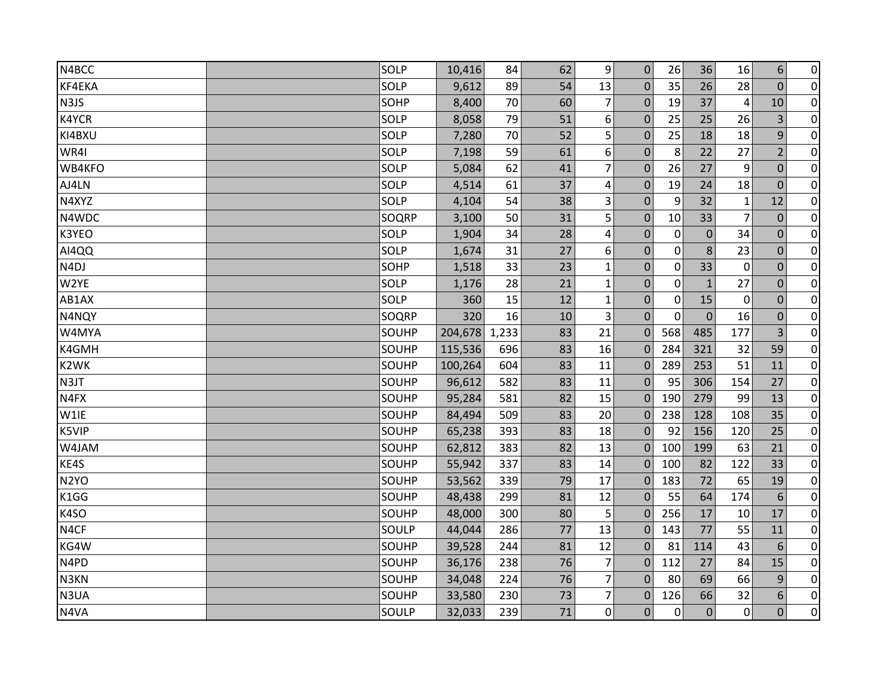| N4BCC             | SOLP  | 10,416  | 84    | 62 | $\overline{9}$ | $\mathbf 0$    | 26          | 36           | 16             | 6              | $\pmb{0}$      |
|-------------------|-------|---------|-------|----|----------------|----------------|-------------|--------------|----------------|----------------|----------------|
| KF4EKA            | SOLP  | 9,612   | 89    | 54 | 13             | 0              | 35          | 26           | 28             | $\overline{0}$ | $\overline{0}$ |
| N3JS              | SOHP  | 8,400   | 70    | 60 | $\overline{7}$ | $\mathbf{0}$   | 19          | 37           | 4              | 10             | $\overline{0}$ |
| K4YCR             | SOLP  | 8,058   | 79    | 51 | 6              | $\mathbf{0}$   | 25          | 25           | 26             | 3              | $\pmb{0}$      |
| KI4BXU            | SOLP  | 7,280   | 70    | 52 | 5              | $\mathbf{0}$   | 25          | 18           | 18             | 9              | $\overline{0}$ |
| WR4I              | SOLP  | 7,198   | 59    | 61 | 6              | $\Omega$       | 8           | 22           | 27             | $\overline{2}$ | $\pmb{0}$      |
| WB4KFO            | SOLP  | 5,084   | 62    | 41 | $\overline{7}$ | $\mathbf{0}$   | 26          | 27           | 9              | $\mathbf 0$    | $\overline{0}$ |
| AJ4LN             | SOLP  | 4,514   | 61    | 37 | 4              | $\mathbf{0}$   | 19          | 24           | 18             | $\mathbf 0$    | $\overline{0}$ |
| N4XYZ             | SOLP  | 4,104   | 54    | 38 | 3              | $\overline{0}$ | 9           | 32           | $\mathbf{1}$   | 12             | $\pmb{0}$      |
| N4WDC             | SOQRP | 3,100   | 50    | 31 | 5              | $\mathbf{0}$   | 10          | 33           | $\overline{7}$ | $\mathbf 0$    | $\overline{0}$ |
| K3YEO             | SOLP  | 1,904   | 34    | 28 | 4              | 0              | $\mathbf 0$ | $\mathbf 0$  | 34             | $\Omega$       | $\pmb{0}$      |
| AI4QQ             | SOLP  | 1,674   | 31    | 27 | 6              | 0              | $\mathbf 0$ | 8            | 23             | $\mathbf 0$    | $\pmb{0}$      |
| N <sub>4</sub> DJ | SOHP  | 1,518   | 33    | 23 | $\mathbf{1}$   | $\Omega$       | $\mathbf 0$ | 33           | $\overline{0}$ | $\Omega$       | $\overline{0}$ |
| W2YE              | SOLP  | 1,176   | 28    | 21 | $\mathbf{1}$   | $\mathbf 0$    | $\mathbf 0$ | $\mathbf{1}$ | 27             | $\mathbf 0$    | $\pmb{0}$      |
| AB1AX             | SOLP  | 360     | 15    | 12 | $\mathbf{1}$   | $\mathbf{0}$   | 0           | 15           | $\mathbf 0$    | $\mathbf 0$    | $\overline{0}$ |
| N4NQY             | SOQRP | 320     | 16    | 10 | 3              | $\Omega$       | $\mathbf 0$ | $\mathbf 0$  | 16             | $\mathbf 0$    | $\pmb{0}$      |
| W4MYA             | SOUHP | 204,678 | 1,233 | 83 | 21             | $\Omega$       | 568         | 485          | 177            | 3              | $\pmb{0}$      |
| K4GMH             | SOUHP | 115,536 | 696   | 83 | 16             | $\Omega$       | 284         | 321          | 32             | 59             | $\overline{0}$ |
| K2WK              | SOUHP | 100,264 | 604   | 83 | 11             | $\overline{0}$ | 289         | 253          | 51             | 11             | $\overline{0}$ |
| N3JT              | SOUHP | 96,612  | 582   | 83 | 11             | $\Omega$       | 95          | 306          | 154            | 27             | $\overline{0}$ |
| N4FX              | SOUHP | 95,284  | 581   | 82 | 15             | $\Omega$       | 190         | 279          | 99             | 13             | $\pmb{0}$      |
| W1IE              | SOUHP | 84,494  | 509   | 83 | 20             | $\mathbf 0$    | 238         | 128          | 108            | 35             | $\overline{0}$ |
| K5VIP             | SOUHP | 65,238  | 393   | 83 | 18             | $\Omega$       | 92          | 156          | 120            | 25             | $\overline{0}$ |
| W4JAM             | SOUHP | 62,812  | 383   | 82 | 13             | $\mathbf 0$    | 100         | 199          | 63             | 21             | $\overline{0}$ |
| KE4S              | SOUHP | 55,942  | 337   | 83 | 14             | $\theta$       | 100         | 82           | 122            | 33             | $\overline{0}$ |
| N <sub>2</sub> YO | SOUHP | 53,562  | 339   | 79 | 17             | $\mathbf 0$    | 183         | 72           | 65             | 19             | $\pmb{0}$      |
| K1GG              | SOUHP | 48,438  | 299   | 81 | 12             | $\Omega$       | 55          | 64           | 174            | 6              | $\pmb{0}$      |
| K4SO              | SOUHP | 48,000  | 300   | 80 | 5              | $\Omega$       | 256         | 17           | 10             | 17             | $\overline{0}$ |
| N4CF              | SOULP | 44,044  | 286   | 77 | 13             | $\mathbf 0$    | 143         | 77           | 55             | 11             | $\overline{0}$ |
| KG4W              | SOUHP | 39,528  | 244   | 81 | 12             | $\Omega$       | 81          | 114          | 43             | 6              | $\overline{0}$ |
| N4PD              | SOUHP | 36,176  | 238   | 76 | $\overline{7}$ | $\Omega$       | 112         | 27           | 84             | 15             | $\pmb{0}$      |
| N3KN              | SOUHP | 34,048  | 224   | 76 | $\overline{7}$ | $\Omega$       | 80          | 69           | 66             | 9              | $\pmb{0}$      |
| N3UA              | SOUHP | 33,580  | 230   | 73 | $\overline{7}$ | $\mathbf 0$    | 126         | 66           | 32             | 6              | $\overline{0}$ |
| N4VA              | SOULP | 32,033  | 239   | 71 | $\mathbf{0}$   | $\Omega$       | $\Omega$    | $\Omega$     | $\mathbf 0$    | $\Omega$       | $\overline{0}$ |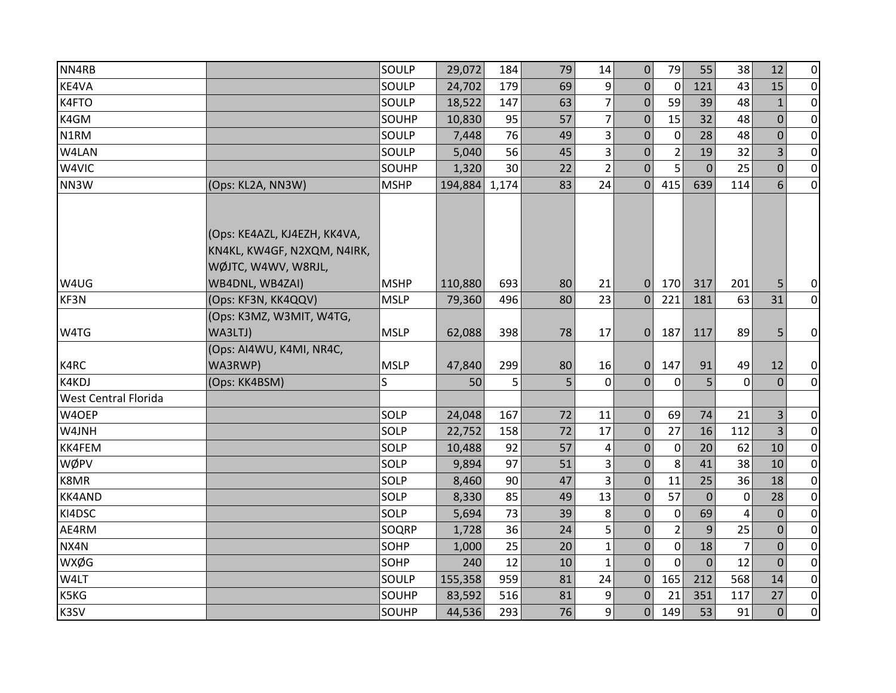| NN4RB                |                                                                                    | SOULP       | 29,072  | 184   | 79 | 14             | 0              | 79             | 55             | 38             | 12             | $\overline{0}$ |
|----------------------|------------------------------------------------------------------------------------|-------------|---------|-------|----|----------------|----------------|----------------|----------------|----------------|----------------|----------------|
| KE4VA                |                                                                                    | SOULP       | 24,702  | 179   | 69 | 9              | $\Omega$       | $\mathbf 0$    | 121            | 43             | 15             | $\overline{0}$ |
| K4FTO                |                                                                                    | SOULP       | 18,522  | 147   | 63 | $\overline{7}$ | $\mathbf 0$    | 59             | 39             | 48             | $\mathbf{1}$   | $\overline{0}$ |
| K4GM                 |                                                                                    | SOUHP       | 10,830  | 95    | 57 | $\overline{7}$ | $\mathbf 0$    | 15             | 32             | 48             | $\overline{0}$ | $\overline{0}$ |
| N1RM                 |                                                                                    | SOULP       | 7,448   | 76    | 49 | 3              | $\mathbf{0}$   | 0              | 28             | 48             | $\mathbf 0$    | $\overline{0}$ |
| W4LAN                |                                                                                    | SOULP       | 5,040   | 56    | 45 | 3              | $\mathbf 0$    | $\overline{2}$ | 19             | 32             | 3              | $\overline{0}$ |
| W4VIC                |                                                                                    | SOUHP       | 1,320   | 30    | 22 | $\overline{2}$ | $\overline{0}$ | 5              | $\mathbf{0}$   | 25             | $\overline{0}$ | $\overline{0}$ |
| NN3W                 | (Ops: KL2A, NN3W)                                                                  | <b>MSHP</b> | 194,884 | 1,174 | 83 | 24             | $\overline{0}$ | 415            | 639            | 114            | 6              | $\overline{0}$ |
|                      | (Ops: KE4AZL, KJ4EZH, KK4VA,<br>KN4KL, KW4GF, N2XQM, N4IRK,<br>WØJTC, W4WV, W8RJL, |             |         |       |    |                |                |                |                |                |                |                |
| W4UG                 | WB4DNL, WB4ZAI)                                                                    | <b>MSHP</b> | 110,880 | 693   | 80 | 21             | $\mathbf{0}$   | 170            | 317            | 201            | 5              | $\overline{0}$ |
| KF3N                 | (Ops: KF3N, KK4QQV)                                                                | <b>MSLP</b> | 79,360  | 496   | 80 | 23             | $\mathbf{0}$   | 221            | 181            | 63             | 31             | $\overline{0}$ |
|                      | (Ops: K3MZ, W3MIT, W4TG,                                                           |             |         |       |    |                |                |                |                |                |                |                |
| W4TG                 | WA3LTJ)                                                                            | <b>MSLP</b> | 62,088  | 398   | 78 | 17             | $\Omega$       | 187            | 117            | 89             | 5              | $\overline{0}$ |
|                      | (Ops: AI4WU, K4MI, NR4C,                                                           |             |         |       |    |                |                |                |                |                |                |                |
| K4RC                 | WA3RWP)                                                                            | <b>MSLP</b> | 47,840  | 299   | 80 | 16             | 0              | 147            | 91             | 49             | 12             | $\overline{0}$ |
| K4KDJ                | (Ops: KK4BSM)                                                                      | S.          | 50      | 5     | 5  | $\mathbf 0$    | $\overline{0}$ | $\mathbf 0$    | 5              | $\mathbf 0$    | $\mathbf{0}$   | $\overline{0}$ |
| West Central Florida |                                                                                    |             |         |       |    |                |                |                |                |                |                |                |
| W4OEP                |                                                                                    | SOLP        | 24,048  | 167   | 72 | 11             | $\mathbf 0$    | 69             | 74             | 21             | 3              | $\overline{0}$ |
| W4JNH                |                                                                                    | SOLP        | 22,752  | 158   | 72 | 17             | $\mathbf 0$    | 27             | 16             | 112            | $\overline{3}$ | $\overline{0}$ |
| KK4FEM               |                                                                                    | SOLP        | 10,488  | 92    | 57 | 4              | 0              | $\mathbf 0$    | 20             | 62             | 10             | $\overline{0}$ |
| WØPV                 |                                                                                    | SOLP        | 9,894   | 97    | 51 | 3              | $\mathbf 0$    | 8              | 41             | 38             | 10             | $\overline{0}$ |
| K8MR                 |                                                                                    | SOLP        | 8,460   | 90    | 47 | $\overline{3}$ | $\mathbf{0}$   | 11             | 25             | 36             | 18             | $\overline{0}$ |
| KK4AND               |                                                                                    | SOLP        | 8,330   | 85    | 49 | 13             | 0              | 57             | $\mathbf{0}$   | $\mathbf 0$    | 28             | $\overline{0}$ |
| KI4DSC               |                                                                                    | SOLP        | 5,694   | 73    | 39 | 8              | $\Omega$       | $\mathbf 0$    | 69             | 4              | $\mathbf{0}$   | $\overline{0}$ |
| AE4RM                |                                                                                    | SOQRP       | 1,728   | 36    | 24 | 5              | 0              | $\overline{2}$ | 9              | 25             | $\mathbf{0}$   | $\overline{0}$ |
| NX4N                 |                                                                                    | SOHP        | 1,000   | 25    | 20 | $\mathbf{1}$   | $\mathbf{0}$   | $\overline{0}$ | 18             | $\overline{7}$ | $\overline{0}$ | $\overline{0}$ |
| <b>WXØG</b>          |                                                                                    | SOHP        | 240     | 12    | 10 | $\mathbf{1}$   | $\Omega$       | $\mathbf 0$    | $\overline{0}$ | 12             | $\Omega$       | $\overline{0}$ |
| W4LT                 |                                                                                    | SOULP       | 155,358 | 959   | 81 | 24             | $\Omega$       | 165            | 212            | 568            | 14             | $\overline{0}$ |
| K5KG                 |                                                                                    | SOUHP       | 83,592  | 516   | 81 | 9              | $\mathbf{0}$   | 21             | 351            | 117            | 27             | $\overline{0}$ |
| K3SV                 |                                                                                    | SOUHP       | 44,536  | 293   | 76 | $\overline{9}$ | 0              | 149            | 53             | 91             | $\overline{0}$ | $\overline{0}$ |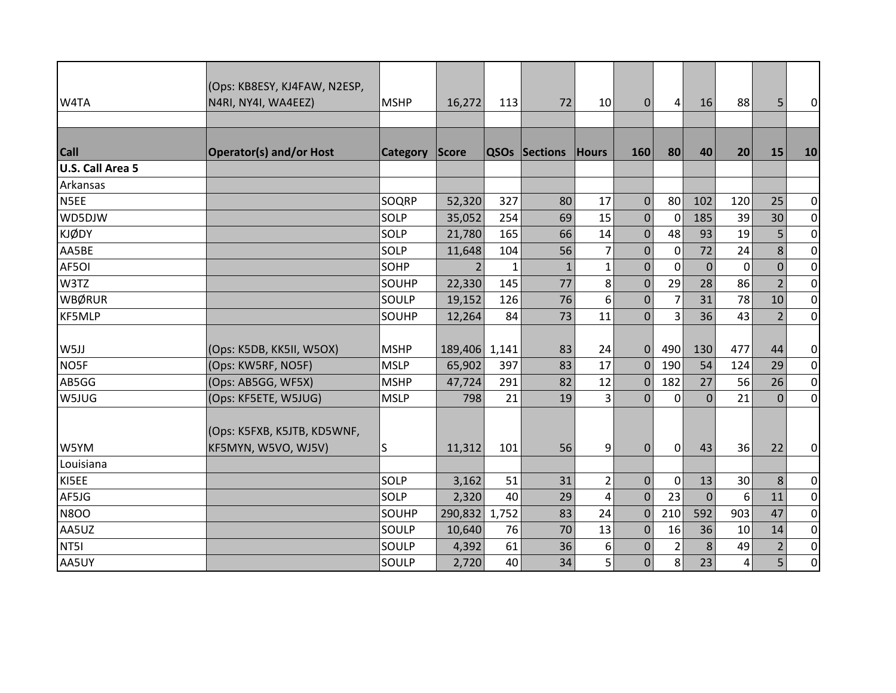|                         | (Ops: KB8ESY, KJ4FAW, N2ESP,                       |                 |              |       |               |                |                |                |              |          |                |                  |
|-------------------------|----------------------------------------------------|-----------------|--------------|-------|---------------|----------------|----------------|----------------|--------------|----------|----------------|------------------|
| W4TA                    | N4RI, NY4I, WA4EEZ)                                | <b>MSHP</b>     | 16,272       | 113   | 72            | 10             | $\Omega$       | 4              | 16           | 88       | 5              | $\overline{0}$   |
|                         |                                                    |                 |              |       |               |                |                |                |              |          |                |                  |
| <b>Call</b>             | <b>Operator(s) and/or Host</b>                     | <b>Category</b> | <b>Score</b> |       | QSOs Sections | <b>Hours</b>   | 160            | 80             | 40           | 20       | 15             | 10               |
| <b>U.S. Call Area 5</b> |                                                    |                 |              |       |               |                |                |                |              |          |                |                  |
| Arkansas                |                                                    |                 |              |       |               |                |                |                |              |          |                |                  |
| N5EE                    |                                                    | SOQRP           | 52,320       | 327   | 80            | 17             | $\Omega$       | 80             | 102          | 120      | 25             | $\overline{0}$   |
| WD5DJW                  |                                                    | SOLP            | 35,052       | 254   | 69            | 15             | $\mathbf 0$    | 0              | 185          | 39       | 30             | $\overline{0}$   |
| <b>KJØDY</b>            |                                                    | SOLP            | 21,780       | 165   | 66            | 14             | $\mathbf{0}$   | 48             | 93           | 19       | 5              | $\overline{0}$   |
| AA5BE                   |                                                    | SOLP            | 11,648       | 104   | 56            | $\overline{7}$ | $\bf 0$        | $\pmb{0}$      | 72           | 24       | 8              | $\overline{0}$   |
| AF5OI                   |                                                    | SOHP            | 2            | 1     | $\mathbf{1}$  | $\mathbf{1}$   | $\mathbf{0}$   | 0              | $\mathbf{0}$ | $\Omega$ | $\mathbf{0}$   | $\overline{0}$   |
| W3TZ                    |                                                    | SOUHP           | 22,330       | 145   | 77            | 8              | $\mathbf 0$    | 29             | 28           | 86       | $\overline{2}$ | $\overline{0}$   |
| WBØRUR                  |                                                    | SOULP           | 19,152       | 126   | 76            | 6              | $\mathbf{0}$   | 7              | 31           | 78       | 10             | $\overline{0}$   |
| <b>KF5MLP</b>           |                                                    | SOUHP           | 12,264       | 84    | 73            | 11             | $\overline{0}$ | 3              | 36           | 43       | $\overline{2}$ | $\boldsymbol{0}$ |
|                         |                                                    |                 |              |       |               |                |                |                |              |          |                |                  |
| W5JJ                    | (Ops: K5DB, KK5II, W5OX)                           | <b>MSHP</b>     | 189,406      | 1,141 | 83            | 24             | $\overline{0}$ | 490            | 130          | 477      | 44             | $\overline{0}$   |
| NO5F                    | (Ops: KW5RF, NO5F)                                 | <b>MSLP</b>     | 65,902       | 397   | 83            | 17             | $\mathbf{0}$   | 190            | 54           | 124      | 29             | $\overline{0}$   |
| AB5GG                   | (Ops: AB5GG, WF5X)                                 | <b>MSHP</b>     | 47,724       | 291   | 82            | 12             | $\Omega$       | 182            | 27           | 56       | 26             | $\overline{O}$   |
| W5JUG                   | (Ops: KF5ETE, W5JUG)                               | <b>MSLP</b>     | 798          | 21    | 19            | 3              | $\overline{0}$ | $\mathbf 0$    | $\mathbf{0}$ | 21       | $\mathbf{0}$   | $\boldsymbol{0}$ |
| W5YM                    | (Ops: K5FXB, K5JTB, KD5WNF,<br>KF5MYN, W5VO, WJ5V) | S               | 11,312       | 101   | 56            | 9              | $\mathbf{0}$   | $\mathbf 0$    | 43           | 36       | 22             | $\overline{0}$   |
| Louisiana               |                                                    |                 |              |       |               |                |                |                |              |          |                |                  |
| KI5EE                   |                                                    | SOLP            | 3,162        | 51    | 31            | $\overline{2}$ | $\mathbf{0}$   | $\mathbf 0$    | 13           | 30       | 8              | $\overline{0}$   |
| AF5JG                   |                                                    | SOLP            | 2,320        | 40    | 29            | $\overline{4}$ | $\overline{0}$ | 23             | $\mathbf{0}$ | 6        | 11             | $\overline{O}$   |
| <b>N8OO</b>             |                                                    | SOUHP           | 290,832      | 1,752 | 83            | 24             | $\mathbf 0$    | 210            | 592          | 903      | 47             | $\overline{0}$   |
| AA5UZ                   |                                                    | SOULP           | 10,640       | 76    | 70            | 13             | $\mathbf{0}$   | 16             | 36           | 10       | 14             | $\overline{0}$   |
| NT51                    |                                                    | SOULP           | 4,392        | 61    | 36            | 6              | $\mathbf 0$    | $\overline{2}$ | 8            | 49       | $\overline{2}$ | $\overline{0}$   |
| AA5UY                   |                                                    | SOULP           | 2,720        | 40    | 34            | 5              | $\mathbf 0$    | 8              | 23           | 4        | 5              | $\overline{0}$   |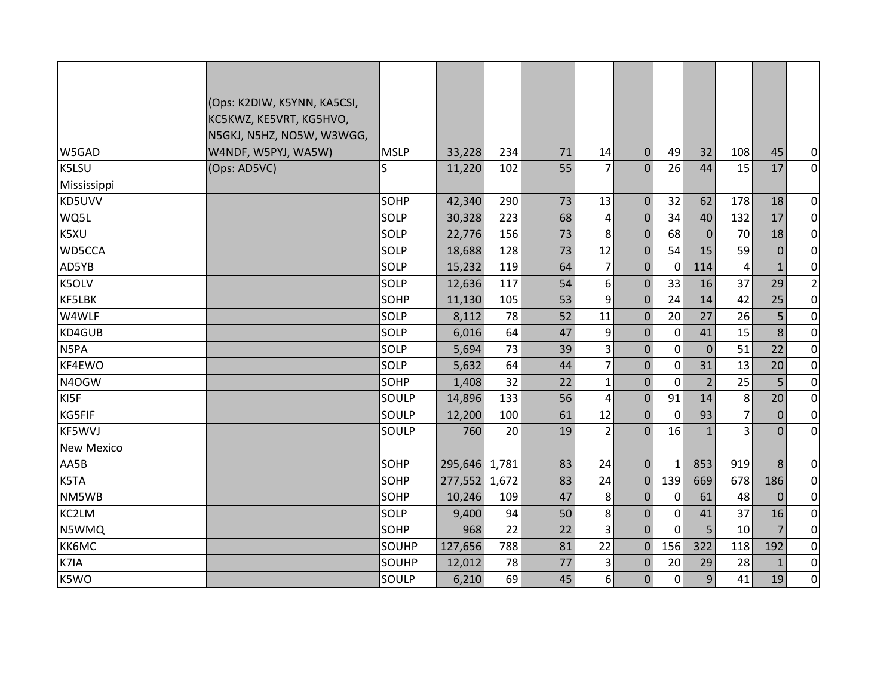|                   | (Ops: K2DIW, K5YNN, KA5CSI, |             |               |       |    |                |                |              |                |                |                |                  |
|-------------------|-----------------------------|-------------|---------------|-------|----|----------------|----------------|--------------|----------------|----------------|----------------|------------------|
|                   | KC5KWZ, KE5VRT, KG5HVO,     |             |               |       |    |                |                |              |                |                |                |                  |
|                   | N5GKJ, N5HZ, NO5W, W3WGG,   |             |               |       |    |                |                |              |                |                |                |                  |
| W5GAD             | W4NDF, W5PYJ, WA5W)         | <b>MSLP</b> | 33,228        | 234   | 71 | 14             | $\Omega$       | 49           | 32             | 108            | 45             | $\overline{0}$   |
| K5LSU             | (Ops: AD5VC)                | S.          | 11,220        | 102   | 55 | 7              | $\Omega$       | 26           | 44             | 15             | 17             | $\overline{0}$   |
| Mississippi       |                             |             |               |       |    |                |                |              |                |                |                |                  |
| KD5UVV            |                             | SOHP        | 42,340        | 290   | 73 | 13             | $\overline{0}$ | 32           | 62             | 178            | 18             | $\overline{0}$   |
| WQ5L              |                             | SOLP        | 30,328        | 223   | 68 | 4              | $\Omega$       | 34           | 40             | 132            | 17             | $\overline{0}$   |
| K5XU              |                             | SOLP        | 22,776        | 156   | 73 | 8              | $\mathbf{0}$   | 68           | $\mathbf{0}$   | 70             | 18             | $\overline{0}$   |
| WD5CCA            |                             | SOLP        | 18,688        | 128   | 73 | 12             | $\overline{0}$ | 54           | 15             | 59             | $\Omega$       | $\boldsymbol{0}$ |
| AD5YB             |                             | SOLP        | 15,232        | 119   | 64 | $\overline{7}$ | $\overline{0}$ | $\mathbf 0$  | 114            | 4              | $\mathbf{1}$   | $\pmb{0}$        |
| K5OLV             |                             | SOLP        | 12,636        | 117   | 54 | 6              | $\mathbf 0$    | 33           | 16             | 37             | 29             | $\mathbf{2}$     |
| <b>KF5LBK</b>     |                             | SOHP        | 11,130        | 105   | 53 | 9              | $\mathbf 0$    | 24           | 14             | 42             | 25             | $\overline{0}$   |
| W4WLF             |                             | SOLP        | 8,112         | 78    | 52 | 11             | $\mathbf{0}$   | 20           | 27             | 26             | 5 <sub>l</sub> | $\pmb{0}$        |
| KD4GUB            |                             | SOLP        | 6,016         | 64    | 47 | 9              | $\mathbf 0$    | $\mathbf 0$  | 41             | 15             | 8 <sup>1</sup> | $\pmb{0}$        |
| N5PA              |                             | SOLP        | 5,694         | 73    | 39 | 3              | $\mathbf 0$    | $\mathbf 0$  | $\mathbf{0}$   | 51             | 22             | $\pmb{0}$        |
| KF4EWO            |                             | SOLP        | 5,632         | 64    | 44 | $\overline{7}$ | $\mathbf 0$    | $\mathbf{0}$ | 31             | 13             | 20             | $\mathbf 0$      |
| N4OGW             |                             | SOHP        | 1,408         | 32    | 22 | $\mathbf{1}$   | $\mathbf 0$    | $\mathbf 0$  | $\overline{2}$ | 25             | 5 <sub>5</sub> | $\pmb{0}$        |
| KI5F              |                             | SOULP       | 14,896        | 133   | 56 | $\overline{4}$ | $\mathbf 0$    | 91           | 14             | 8              | 20             | $\pmb{0}$        |
| <b>KG5FIF</b>     |                             | SOULP       | 12,200        | 100   | 61 | 12             | $\overline{0}$ | $\mathbf 0$  | 93             | $\overline{7}$ | $\overline{0}$ | $\pmb{0}$        |
| <b>KF5WVJ</b>     |                             | SOULP       | 760           | 20    | 19 | $\overline{2}$ | $\Omega$       | 16           | $\mathbf{1}$   | 3              | $\Omega$       | $\pmb{0}$        |
| <b>New Mexico</b> |                             |             |               |       |    |                |                |              |                |                |                |                  |
| AA5B              |                             | <b>SOHP</b> | 295,646       | 1,781 | 83 | 24             | $\overline{0}$ | $\mathbf{1}$ | 853            | 919            | 8              | $\overline{0}$   |
| K5TA              |                             | SOHP        | 277,552 1,672 |       | 83 | 24             | $\overline{0}$ | 139          | 669            | 678            | 186            | $\overline{0}$   |
| NM5WB             |                             | SOHP        | 10,246        | 109   | 47 | 8              | $\mathbf 0$    | 0            | 61             | 48             | $\overline{0}$ | $\overline{0}$   |
| KC2LM             |                             | SOLP        | 9,400         | 94    | 50 | 8              | $\overline{0}$ | $\mathbf 0$  | 41             | 37             | 16             | $\overline{0}$   |
| N5WMQ             |                             | SOHP        | 968           | 22    | 22 | 3              | $\overline{0}$ | $\Omega$     | 5              | 10             | $\overline{7}$ | $\pmb{0}$        |
| <b>КК6МС</b>      |                             | SOUHP       | 127,656       | 788   | 81 | 22             | $\mathbf{0}$   | 156          | 322            | 118            | 192            | $\pmb{0}$        |
| K7IA              |                             | SOUHP       | 12,012        | 78    | 77 | 3              | $\mathbf 0$    | 20           | 29             | 28             | $\mathbf{1}$   | $\pmb{0}$        |
| K5WO              |                             | SOULP       | 6,210         | 69    | 45 | 6              | $\overline{0}$ | 0            | 9              | 41             | 19             | $\overline{0}$   |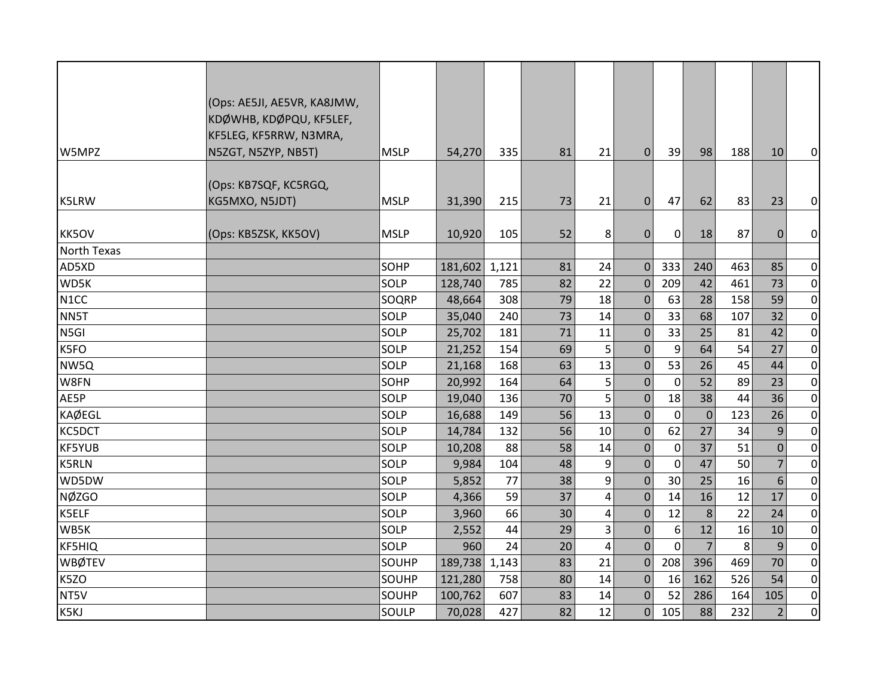|                   | (Ops: AE5JI, AE5VR, KA8JMW, |             |         |       |    |    |                |             |                |     |                |                |
|-------------------|-----------------------------|-------------|---------|-------|----|----|----------------|-------------|----------------|-----|----------------|----------------|
|                   | KDØWHB, KDØPQU, KF5LEF,     |             |         |       |    |    |                |             |                |     |                |                |
|                   | KF5LEG, KF5RRW, N3MRA,      |             |         |       |    |    |                |             |                |     |                |                |
| W5MPZ             | N5ZGT, N5ZYP, NB5T)         | <b>MSLP</b> | 54,270  | 335   | 81 | 21 | $\overline{0}$ | 39          | 98             | 188 | 10             | $\overline{0}$ |
|                   |                             |             |         |       |    |    |                |             |                |     |                |                |
|                   | (Ops: KB7SQF, KC5RGQ,       |             |         |       |    |    |                |             |                |     |                |                |
| <b>K5LRW</b>      | KG5MXO, N5JDT)              | <b>MSLP</b> | 31,390  | 215   | 73 | 21 | $\Omega$       | 47          | 62             | 83  | 23             | $\overline{0}$ |
|                   |                             |             |         |       |    |    |                |             |                |     |                |                |
| KK5OV             | (Ops: KB5ZSK, KK5OV)        | <b>MSLP</b> | 10,920  | 105   | 52 | 8  | $\mathbf 0$    | 0           | 18             | 87  | $\mathbf 0$    | $\overline{0}$ |
| North Texas       |                             |             |         |       |    |    |                |             |                |     |                |                |
| AD5XD             |                             | <b>SOHP</b> | 181,602 | 1,121 | 81 | 24 | $\mathbf{0}$   | 333         | 240            | 463 | 85             | $\overline{0}$ |
| WD5K              |                             | SOLP        | 128,740 | 785   | 82 | 22 | $\mathbf{0}$   | 209         | 42             | 461 | 73             | $\overline{0}$ |
| N <sub>1</sub> CC |                             | SOQRP       | 48,664  | 308   | 79 | 18 | $\mathbf{0}$   | 63          | 28             | 158 | 59             | $\overline{0}$ |
| NN5T              |                             | SOLP        | 35,040  | 240   | 73 | 14 | $\mathbf{0}$   | 33          | 68             | 107 | 32             | $\overline{0}$ |
| N5GI              |                             | SOLP        | 25,702  | 181   | 71 | 11 | $\mathbf{0}$   | 33          | 25             | 81  | 42             | $\overline{0}$ |
| K5FO              |                             | SOLP        | 21,252  | 154   | 69 | 5  | $\mathbf{0}$   | 9           | 64             | 54  | 27             | $\overline{0}$ |
| NW5Q              |                             | SOLP        | 21,168  | 168   | 63 | 13 | $\mathbf{0}$   | 53          | 26             | 45  | 44             | $\overline{0}$ |
| W8FN              |                             | SOHP        | 20,992  | 164   | 64 | 5  | $\mathbf{0}$   | 0           | 52             | 89  | 23             | $\overline{0}$ |
| AE5P              |                             | SOLP        | 19,040  | 136   | 70 | 5  | $\mathbf{0}$   | 18          | 38             | 44  | 36             | $\overline{0}$ |
| <b>KAØEGL</b>     |                             | SOLP        | 16,688  | 149   | 56 | 13 | $\mathbf{0}$   | $\mathbf 0$ | $\overline{0}$ | 123 | 26             | $\overline{0}$ |
| KC5DCT            |                             | SOLP        | 14,784  | 132   | 56 | 10 | $\mathbf{0}$   | 62          | 27             | 34  | 9              | $\overline{0}$ |
| <b>KF5YUB</b>     |                             | SOLP        | 10,208  | 88    | 58 | 14 | $\mathbf{0}$   | 0           | 37             | 51  | $\mathbf{0}$   | $\overline{0}$ |
| <b>K5RLN</b>      |                             | SOLP        | 9,984   | 104   | 48 | 9  | $\mathbf{0}$   | $\mathbf 0$ | 47             | 50  | $\overline{7}$ | $\overline{0}$ |
| WD5DW             |                             | SOLP        | 5,852   | 77    | 38 | 9  | $\mathbf{0}$   | 30          | 25             | 16  | 6              | $\overline{0}$ |
| <b>NØZGO</b>      |                             | SOLP        | 4,366   | 59    | 37 | 4  | $\mathbf{0}$   | 14          | 16             | 12  | 17             | $\overline{0}$ |
| K5ELF             |                             | SOLP        | 3,960   | 66    | 30 | 4  | $\mathbf 0$    | 12          | 8              | 22  | 24             | $\overline{0}$ |
| WB5K              |                             | SOLP        | 2,552   | 44    | 29 | 3  | $\mathbf{0}$   | 6           | 12             | 16  | 10             | $\overline{0}$ |
| <b>KF5HIQ</b>     |                             | SOLP        | 960     | 24    | 20 | 4  | $\mathbf{0}$   | $\mathbf 0$ | $\overline{7}$ | 8   | 9              | $\overline{0}$ |
| <b>WBØTEV</b>     |                             | SOUHP       | 189,738 | 1,143 | 83 | 21 | $\mathbf{0}$   | 208         | 396            | 469 | 70             | $\overline{0}$ |
| K5ZO              |                             | SOUHP       | 121,280 | 758   | 80 | 14 | $\mathbf{0}$   | 16          | 162            | 526 | 54             | $\overline{0}$ |
| NT5V              |                             | SOUHP       | 100,762 | 607   | 83 | 14 | $\mathbf{0}$   | 52          | 286            | 164 | 105            | $\overline{0}$ |
| K5KJ              |                             | SOULP       | 70,028  | 427   | 82 | 12 | $\overline{0}$ | 105         | 88             | 232 | $\overline{2}$ | $\overline{0}$ |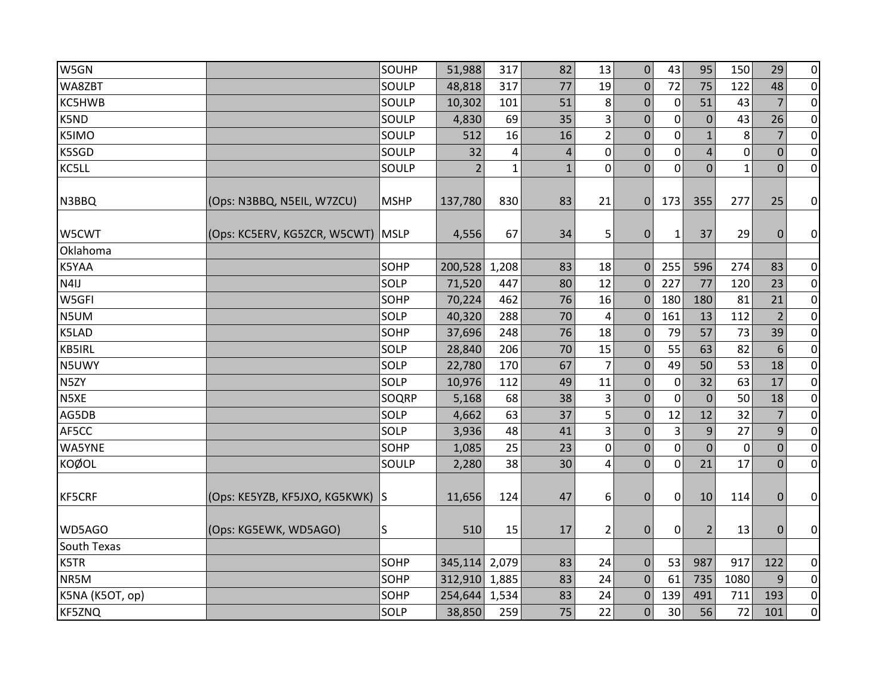| W5GN            |                                   | SOUHP       | 51,988         | 317          | 82           | 13                      | $\mathbf 0$      | 43             | 95               | 150         | 29             | $\overline{0}$ |
|-----------------|-----------------------------------|-------------|----------------|--------------|--------------|-------------------------|------------------|----------------|------------------|-------------|----------------|----------------|
| WA8ZBT          |                                   | SOULP       | 48,818         | 317          | 77           | 19                      | 0                | 72             | 75               | 122         | 48             | $\overline{0}$ |
| KC5HWB          |                                   | SOULP       | 10,302         | 101          | 51           | 8                       | $\mathbf 0$      | $\mathbf 0$    | 51               | 43          | 7              | $\overline{0}$ |
| K5ND            |                                   | SOULP       | 4,830          | 69           | 35           | 3                       | 0                | 0              | $\boldsymbol{0}$ | 43          | 26             | $\overline{0}$ |
| K5IMO           |                                   | SOULP       | 512            | 16           | 16           | $\overline{2}$          | 0                | $\mathbf 0$    | $\mathbf{1}$     | 8           | 7              | $\overline{0}$ |
| K5SGD           |                                   | SOULP       | 32             | 4            | 4            | $\pmb{0}$               | 0                | 0              | 4                | $\mathbf 0$ | $\mathbf 0$    | $\overline{0}$ |
| KC5LL           |                                   | SOULP       | $\overline{2}$ | $\mathbf{1}$ | $\mathbf{1}$ | $\mathbf 0$             | $\Omega$         | $\Omega$       | $\overline{0}$   | 1           | $\Omega$       | $\overline{0}$ |
| N3BBQ           | (Ops: N3BBQ, N5EIL, W7ZCU)        | <b>MSHP</b> | 137,780        | 830          | 83           | 21                      | $\mathbf{0}$     | 173            | 355              | 277         | 25             | $\overline{0}$ |
| W5CWT           | (Ops: KC5ERV, KG5ZCR, W5CWT) MSLP |             | 4,556          | 67           | 34           | 5                       | $\mathbf{0}$     | $\mathbf{1}$   | 37               | 29          | $\mathbf 0$    | $\overline{0}$ |
| Oklahoma        |                                   |             |                |              |              |                         |                  |                |                  |             |                |                |
| K5YAA           |                                   | SOHP        | 200,528        | 1,208        | 83           | 18                      | $\mathbf{0}$     | 255            | 596              | 274         | 83             | $\overline{0}$ |
| N4IJ            |                                   | SOLP        | 71,520         | 447          | 80           | 12                      | $\mathbf 0$      | 227            | 77               | 120         | 23             | $\overline{0}$ |
| W5GFI           |                                   | SOHP        | 70,224         | 462          | 76           | 16                      | $\mathbf{0}$     | 180            | 180              | 81          | 21             | $\overline{0}$ |
| N5UM            |                                   | SOLP        | 40,320         | 288          | 70           | 4                       | $\mathbf 0$      | 161            | 13               | 112         | $\overline{2}$ | $\overline{0}$ |
| K5LAD           |                                   | SOHP        | 37,696         | 248          | 76           | 18                      | $\mathbf{0}$     | 79             | 57               | 73          | 39             | $\overline{0}$ |
| <b>KB5IRL</b>   |                                   | SOLP        | 28,840         | 206          | 70           | 15                      | $\Omega$         | 55             | 63               | 82          | 6              | $\overline{0}$ |
| N5UWY           |                                   | SOLP        | 22,780         | 170          | 67           | $\overline{7}$          | $\mathbf{0}$     | 49             | 50               | 53          | 18             | $\overline{0}$ |
| N5ZY            |                                   | SOLP        | 10,976         | 112          | 49           | 11                      | $\boldsymbol{0}$ | 0              | 32               | 63          | 17             | $\overline{0}$ |
| N5XE            |                                   | SOQRP       | 5,168          | 68           | 38           | 3                       | $\Omega$         | $\mathbf 0$    | $\mathbf 0$      | 50          | 18             | $\overline{0}$ |
| AG5DB           |                                   | SOLP        | 4,662          | 63           | 37           | 5                       | 0                | 12             | 12               | 32          | 7              | $\overline{0}$ |
| AF5CC           |                                   | SOLP        | 3,936          | 48           | 41           | $\overline{3}$          | $\mathbf{0}$     | $\overline{3}$ | 9                | 27          | 9              | $\overline{0}$ |
| <b>WA5YNE</b>   |                                   | SOHP        | 1,085          | 25           | 23           | $\mathbf 0$             | 0                | $\mathbf 0$    | $\mathbf 0$      | 0           | $\mathbf 0$    | $\overline{0}$ |
| <b>KOØOL</b>    |                                   | SOULP       | 2,280          | 38           | 30           | $\overline{\mathbf{4}}$ | $\mathbf 0$      | $\mathbf 0$    | 21               | 17          | $\mathbf{0}$   | $\overline{0}$ |
| <b>KF5CRF</b>   | (Ops: KE5YZB, KF5JXO, KG5KWK) S   |             | 11,656         | 124          | 47           | 6                       | $\mathbf{0}$     | $\mathbf 0$    | 10               | 114         | $\mathbf{0}$   | $\overline{0}$ |
| WD5AGO          | (Ops: KG5EWK, WD5AGO)             | S           | 510            | 15           | 17           | $\overline{2}$          | 0                | $\mathbf 0$    | $\overline{2}$   | 13          | $\Omega$       | $\overline{0}$ |
| South Texas     |                                   |             |                |              |              |                         |                  |                |                  |             |                |                |
| K5TR            |                                   | SOHP        | 345,114        | 2,079        | 83           | 24                      | $\mathbf 0$      | 53             | 987              | 917         | 122            | $\overline{0}$ |
| NR5M            |                                   | SOHP        | 312,910        | 1,885        | 83           | 24                      | $\Omega$         | 61             | 735              | 1080        | 9              | $\overline{0}$ |
| K5NA (K5OT, op) |                                   | SOHP        | 254,644        | 1,534        | 83           | 24                      | $\mathbf{0}$     | 139            | 491              | 711         | 193            | $\overline{0}$ |
| <b>KF5ZNQ</b>   |                                   | SOLP        | 38,850         | 259          | 75           | 22                      | $\mathbf{0}$     | 30             | 56               | 72          | 101            | $\overline{0}$ |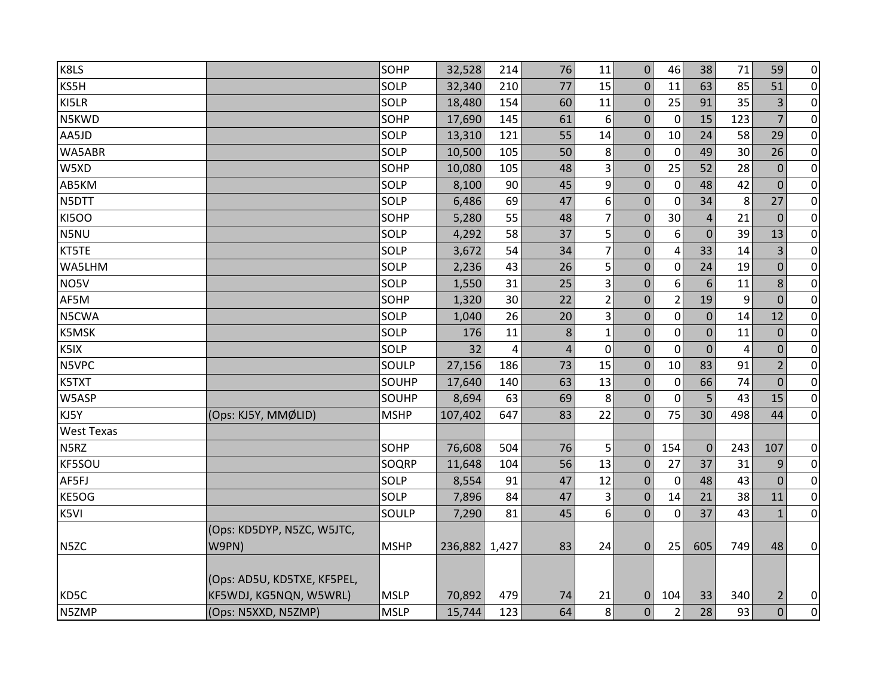| K8LS              |                             | SOHP        | 32,528  | 214   | 76             | 11             | $\mathbf{0}$     | 46             | 38             | 71             | 59             | $\overline{0}$ |
|-------------------|-----------------------------|-------------|---------|-------|----------------|----------------|------------------|----------------|----------------|----------------|----------------|----------------|
| KS5H              |                             | SOLP        | 32,340  | 210   | 77             | 15             | $\Omega$         | 11             | 63             | 85             | 51             | $\overline{0}$ |
| KI5LR             |                             | SOLP        | 18,480  | 154   | 60             | 11             | $\mathbf{0}$     | 25             | 91             | 35             | 3              | $\overline{0}$ |
| N5KWD             |                             | SOHP        | 17,690  | 145   | 61             | 6              | $\mathbf{0}$     | 0              | 15             | 123            | $\overline{7}$ | $\overline{0}$ |
| AA5JD             |                             | SOLP        | 13,310  | 121   | 55             | 14             | $\mathbf 0$      | 10             | 24             | 58             | 29             | $\overline{0}$ |
| WA5ABR            |                             | SOLP        | 10,500  | 105   | 50             | 8              | $\mathbf{0}$     | $\mathbf 0$    | 49             | 30             | 26             | $\overline{0}$ |
| W5XD              |                             | SOHP        | 10,080  | 105   | 48             | 3              | $\Omega$         | 25             | 52             | 28             | $\overline{0}$ | $\overline{0}$ |
| AB5KM             |                             | SOLP        | 8,100   | 90    | 45             | 9              | $\mathbf{0}$     | $\mathbf 0$    | 48             | 42             | $\Omega$       | $\overline{0}$ |
| N5DTT             |                             | SOLP        | 6,486   | 69    | 47             | 6              | $\mathbf 0$      | $\mathbf{0}$   | 34             | 8              | 27             | $\overline{0}$ |
| <b>KI5OO</b>      |                             | SOHP        | 5,280   | 55    | 48             | $\overline{7}$ | $\mathbf{0}$     | 30             | $\overline{4}$ | 21             | $\mathbf{0}$   | $\overline{0}$ |
| N5NU              |                             | SOLP        | 4,292   | 58    | 37             | 5              | 0                | 6              | $\mathbf 0$    | 39             | 13             | $\pmb{0}$      |
| KT5TE             |                             | SOLP        | 3,672   | 54    | 34             | $\overline{7}$ | $\Omega$         | $\overline{4}$ | 33             | 14             | 3              | $\overline{0}$ |
| WA5LHM            |                             | SOLP        | 2,236   | 43    | 26             | 5              | $\mathbf{0}$     | $\mathbf 0$    | 24             | 19             | $\mathbf 0$    | $\overline{0}$ |
| NO5V              |                             | SOLP        | 1,550   | 31    | 25             | 3              | 0                | 6              | 6              | 11             | 8              | $\overline{0}$ |
| AF5M              |                             | SOHP        | 1,320   | 30    | 22             | $\overline{2}$ | 0                | $\overline{2}$ | 19             | 9              | $\overline{0}$ | $\overline{0}$ |
| N5CWA             |                             | SOLP        | 1,040   | 26    | 20             | 3              | $\mathbf{0}$     | 0              | $\mathbf 0$    | 14             | 12             | $\overline{0}$ |
| <b>K5MSK</b>      |                             | SOLP        | 176     | 11    | 8              | $\mathbf{1}$   | $\mathbf{0}$     | $\mathbf 0$    | $\mathbf 0$    | 11             | $\mathbf 0$    | $\overline{0}$ |
| K5IX              |                             | SOLP        | 32      | 4     | $\overline{4}$ | $\mathbf 0$    | $\mathbf{0}$     | $\mathbf 0$    | $\mathbf 0$    | $\overline{4}$ | $\Omega$       | $\overline{0}$ |
| N5VPC             |                             | SOULP       | 27,156  | 186   | 73             | 15             | 0                | 10             | 83             | 91             | $\overline{2}$ | $\overline{0}$ |
| K5TXT             |                             | SOUHP       | 17,640  | 140   | 63             | 13             | 0                | 0              | 66             | 74             | $\mathbf{0}$   | $\overline{0}$ |
| W5ASP             |                             | SOUHP       | 8,694   | 63    | 69             | 8              | $\mathbf{0}$     | 0              | 5              | 43             | 15             | $\overline{0}$ |
| KJ5Y              | (Ops: KJ5Y, MMØLID)         | <b>MSHP</b> | 107,402 | 647   | 83             | 22             | $\mathbf 0$      | 75             | 30             | 498            | 44             | $\overline{0}$ |
| <b>West Texas</b> |                             |             |         |       |                |                |                  |                |                |                |                |                |
| N5RZ              |                             | SOHP        | 76,608  | 504   | 76             | 5              | $\mathbf 0$      | 154            | $\mathbf{0}$   | 243            | 107            | $\overline{0}$ |
| KF5SOU            |                             | SOQRP       | 11,648  | 104   | 56             | 13             | $\mathbf{0}$     | 27             | 37             | 31             | 9              | $\overline{0}$ |
| AF5FJ             |                             | SOLP        | 8,554   | 91    | 47             | 12             | $\mathbf{0}$     | 0              | 48             | 43             | $\Omega$       | $\overline{0}$ |
| KE5OG             |                             | SOLP        | 7,896   | 84    | 47             | 3              | $\boldsymbol{0}$ | 14             | 21             | 38             | 11             | $\overline{0}$ |
| K5VI              |                             | SOULP       | 7,290   | 81    | 45             | 6              | $\Omega$         | $\mathbf 0$    | 37             | 43             | $\mathbf{1}$   | $\overline{0}$ |
|                   | (Ops: KD5DYP, N5ZC, W5JTC,  |             |         |       |                |                |                  |                |                |                |                |                |
| N <sub>5</sub> ZC | W9PN)                       | <b>MSHP</b> | 236,882 | 1,427 | 83             | 24             | $\mathbf 0$      | 25             | 605            | 749            | 48             | $\overline{0}$ |
|                   |                             |             |         |       |                |                |                  |                |                |                |                |                |
|                   | (Ops: AD5U, KD5TXE, KF5PEL, |             |         |       |                |                |                  |                |                |                |                |                |
| KD5C              | KF5WDJ, KG5NQN, W5WRL)      | <b>MSLP</b> | 70,892  | 479   | 74             | 21             | 0                | 104            | 33             | 340            | 2              | $\overline{0}$ |
| N5ZMP             | (Ops: N5XXD, N5ZMP)         | <b>MSLP</b> | 15,744  | 123   | 64             | 8              | $\overline{0}$   | $\overline{2}$ | 28             | 93             | $\mathbf 0$    | $\overline{0}$ |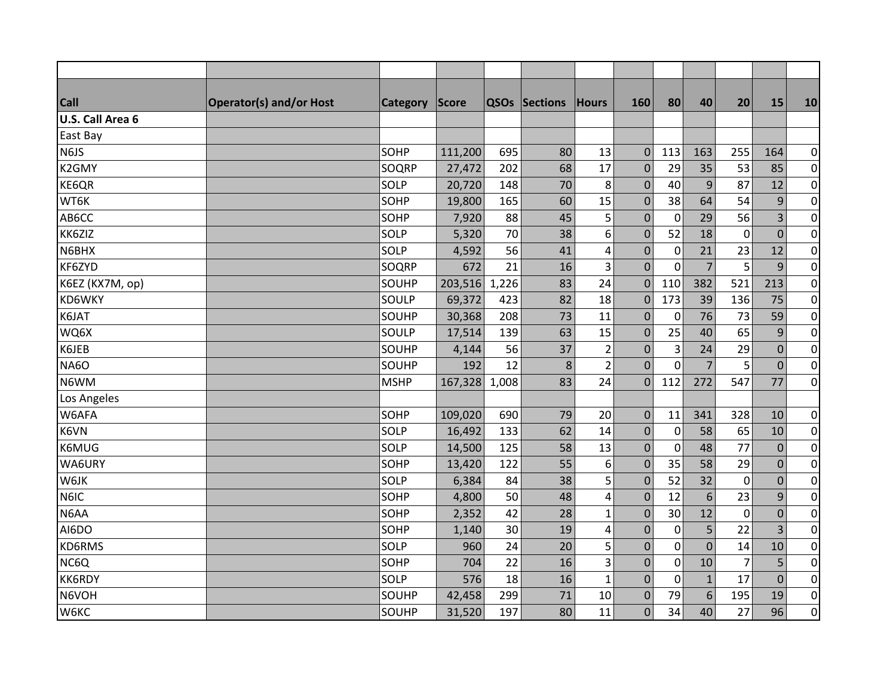| <b>Call</b>             | <b>Operator(s) and/or Host</b> | <b>Category</b> | <b>Score</b> |       | <b>QSOs Sections</b> | Hours          | 160              | 80               | 40             | 20             | 15             | 10               |
|-------------------------|--------------------------------|-----------------|--------------|-------|----------------------|----------------|------------------|------------------|----------------|----------------|----------------|------------------|
| <b>U.S. Call Area 6</b> |                                |                 |              |       |                      |                |                  |                  |                |                |                |                  |
| East Bay                |                                |                 |              |       |                      |                |                  |                  |                |                |                |                  |
| N6JS                    |                                | SOHP            | 111,200      | 695   | 80                   | 13             | $\mathbf 0$      | 113              | 163            | 255            | 164            | $\overline{0}$   |
| K2GMY                   |                                | SOQRP           | 27,472       | 202   | 68                   | 17             | $\mathbf 0$      | 29               | 35             | 53             | 85             | $\overline{0}$   |
| KE6QR                   |                                | SOLP            | 20,720       | 148   | 70                   | 8              | $\mathbf{0}$     | 40               | 9              | 87             | 12             | $\overline{0}$   |
| WT6K                    |                                | SOHP            | 19,800       | 165   | 60                   | 15             | $\pmb{0}$        | 38               | 64             | 54             | $\overline{9}$ | $\overline{0}$   |
| AB6CC                   |                                | SOHP            | 7,920        | 88    | 45                   | 5              | $\mathbf 0$      | $\pmb{0}$        | 29             | 56             | 3              | $\overline{0}$   |
| KK6ZIZ                  |                                | SOLP            | 5,320        | 70    | 38                   | 6              | $\mathbf 0$      | 52               | 18             | $\mathbf 0$    | $\mathbf 0$    | $\overline{0}$   |
| N6BHX                   |                                | SOLP            | 4,592        | 56    | 41                   | 4              | $\mathbf 0$      | $\mathbf 0$      | 21             | 23             | 12             | $\overline{0}$   |
| KF6ZYD                  |                                | SOQRP           | 672          | 21    | 16                   | 3              | $\mathbf{0}$     | $\mathbf 0$      | $\overline{7}$ | 5              | 9              | $\overline{0}$   |
| K6EZ (KX7M, op)         |                                | SOUHP           | 203,516      | 1,226 | 83                   | 24             | $\mathbf{0}$     | 110              | 382            | 521            | 213            | $\overline{0}$   |
| <b>KD6WKY</b>           |                                | SOULP           | 69,372       | 423   | 82                   | 18             | $\boldsymbol{0}$ | 173              | 39             | 136            | 75             | $\overline{0}$   |
| K6JAT                   |                                | SOUHP           | 30,368       | 208   | 73                   | 11             | $\mathbf 0$      | $\mathbf 0$      | 76             | 73             | 59             | $\overline{0}$   |
| WQ6X                    |                                | SOULP           | 17,514       | 139   | 63                   | 15             | $\mathbf 0$      | 25               | 40             | 65             | 9              | $\overline{0}$   |
| K6JEB                   |                                | SOUHP           | 4,144        | 56    | 37                   | $\overline{2}$ | $\mathbf{0}$     | 3                | 24             | 29             | $\mathbf 0$    | $\overline{0}$   |
| <b>NA6O</b>             |                                | SOUHP           | 192          | 12    | 8                    | $\overline{2}$ | $\mathbf 0$      | $\mathbf 0$      | $\overline{7}$ | 5              | $\mathbf 0$    | $\overline{0}$   |
| N6WM                    |                                | <b>MSHP</b>     | 167,328      | 1,008 | 83                   | 24             | $\overline{0}$   | 112              | 272            | 547            | 77             | $\overline{0}$   |
| Los Angeles             |                                |                 |              |       |                      |                |                  |                  |                |                |                |                  |
| W6AFA                   |                                | SOHP            | 109,020      | 690   | 79                   | 20             | $\overline{0}$   | 11               | 341            | 328            | 10             | $\overline{0}$   |
| K6VN                    |                                | SOLP            | 16,492       | 133   | 62                   | 14             | $\mathbf{0}$     | $\mathbf 0$      | 58             | 65             | 10             | $\overline{0}$   |
| K6MUG                   |                                | SOLP            | 14,500       | 125   | 58                   | 13             | $\mathbf 0$      | 0                | 48             | 77             | $\mathbf 0$    | $\overline{0}$   |
| WA6URY                  |                                | SOHP            | 13,420       | 122   | 55                   | 6              | $\mathbf 0$      | 35               | 58             | 29             | $\mathbf 0$    | $\overline{0}$   |
| W6JK                    |                                | SOLP            | 6,384        | 84    | 38                   | 5              | $\mathbf 0$      | 52               | 32             | $\mathbf 0$    | $\mathbf 0$    | $\overline{0}$   |
| N6IC                    |                                | SOHP            | 4,800        | 50    | 48                   | 4              | $\mathbf 0$      | 12               | 6              | 23             | 9              | $\boldsymbol{0}$ |
| N6AA                    |                                | SOHP            | 2,352        | 42    | 28                   | $\mathbf{1}$   | $\mathbf 0$      | 30               | 12             | $\Omega$       | $\mathbf 0$    | $\overline{0}$   |
| AI6DO                   |                                | SOHP            | 1,140        | 30    | 19                   | 4              | $\mathbf 0$      | $\boldsymbol{0}$ | 5              | 22             | $\overline{3}$ | $\overline{0}$   |
| KD6RMS                  |                                | SOLP            | 960          | 24    | 20                   | 5              | $\pmb{0}$        | $\boldsymbol{0}$ | $\overline{0}$ | 14             | 10             | $\overline{0}$   |
| NC6Q                    |                                | SOHP            | 704          | 22    | 16                   | 3              | $\mathbf 0$      | $\mathbf 0$      | 10             | $\overline{7}$ | 5              | $\overline{0}$   |
| <b>KK6RDY</b>           |                                | SOLP            | 576          | 18    | 16                   | $\mathbf{1}$   | $\mathbf 0$      | $\mathbf 0$      | $\mathbf{1}$   | 17             | $\mathbf{0}$   | $\overline{0}$   |
| N6VOH                   |                                | SOUHP           | 42,458       | 299   | 71                   | 10             | $\mathbf 0$      | 79               | 6              | 195            | 19             | $\overline{0}$   |
| <b>W6KC</b>             |                                | SOUHP           | 31,520       | 197   | 80                   | 11             | $\mathbf{0}$     | 34               | 40             | 27             | 96             | $\overline{0}$   |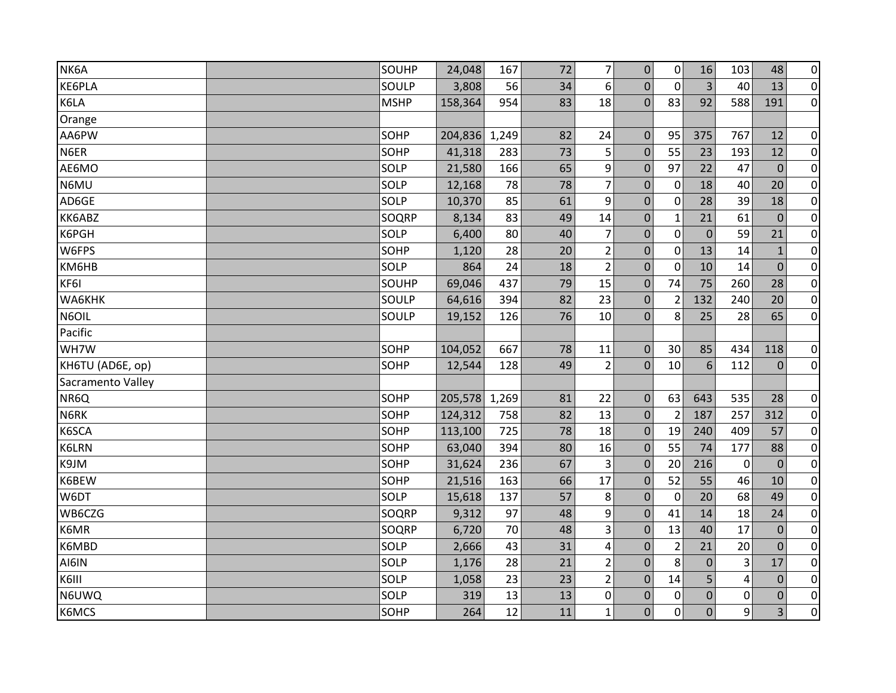| NK6A              | SOUHP       | 24,048  | 167   | 72 | $\overline{7}$          | $\mathbf 0$    | 0              | 16             | 103 | 48             | $\pmb{0}$        |
|-------------------|-------------|---------|-------|----|-------------------------|----------------|----------------|----------------|-----|----------------|------------------|
| KE6PLA            | SOULP       | 3,808   | 56    | 34 | 6                       | $\mathbf 0$    | $\mathbf{0}$   | $\overline{3}$ | 40  | 13             | $\mathbf 0$      |
| K6LA              | <b>MSHP</b> | 158,364 | 954   | 83 | 18                      | $\mathbf{0}$   | 83             | 92             | 588 | 191            | $\overline{0}$   |
| Orange            |             |         |       |    |                         |                |                |                |     |                |                  |
| AA6PW             | SOHP        | 204,836 | 1,249 | 82 | 24                      | $\pmb{0}$      | 95             | 375            | 767 | 12             | $\pmb{0}$        |
| N6ER              | SOHP        | 41,318  | 283   | 73 | 5                       | $\mathbf 0$    | 55             | 23             | 193 | 12             | $\pmb{0}$        |
| AE6MO             | SOLP        | 21,580  | 166   | 65 | 9                       | $\mathbf 0$    | 97             | 22             | 47  | $\overline{0}$ | $\mathbf 0$      |
| N6MU              | SOLP        | 12,168  | 78    | 78 | $\overline{7}$          | $\mathbf 0$    | $\mathbf 0$    | 18             | 40  | 20             | $\pmb{0}$        |
| AD6GE             | SOLP        | 10,370  | 85    | 61 | 9                       | $\overline{0}$ | 0              | 28             | 39  | 18             | $\pmb{0}$        |
| KK6ABZ            | SOQRP       | 8,134   | 83    | 49 | 14                      | $\mathbf 0$    | $\mathbf{1}$   | 21             | 61  | $\overline{0}$ | $\pmb{0}$        |
| K6PGH             | SOLP        | 6,400   | 80    | 40 | $\overline{7}$          | $\pmb{0}$      | $\mathbf 0$    | $\mathbf 0$    | 59  | 21             | $\boldsymbol{0}$ |
| W6FPS             | SOHP        | 1,120   | 28    | 20 | $\overline{2}$          | $\pmb{0}$      | $\mathbf 0$    | 13             | 14  | $\mathbf{1}$   | $\boldsymbol{0}$ |
| KM6HB             | SOLP        | 864     | 24    | 18 | $\overline{2}$          | $\mathbf 0$    | $\mathbf 0$    | 10             | 14  | $\overline{0}$ | $\pmb{0}$        |
| KF6I              | SOUHP       | 69,046  | 437   | 79 | 15 <sub>1</sub>         | $\mathbf 0$    | 74             | 75             | 260 | 28             | $\pmb{0}$        |
| WA6KHK            | SOULP       | 64,616  | 394   | 82 | 23                      | $\mathbf 0$    | $\overline{2}$ | 132            | 240 | 20             | $\pmb{0}$        |
| N6OIL             | SOULP       | 19,152  | 126   | 76 | 10                      | $\mathbf 0$    | 8              | 25             | 28  | 65             | $\pmb{0}$        |
| Pacific           |             |         |       |    |                         |                |                |                |     |                |                  |
| WH7W              | SOHP        | 104,052 | 667   | 78 | 11                      | $\mathbf 0$    | 30             | 85             | 434 | 118            | $\overline{0}$   |
| KH6TU (AD6E, op)  | SOHP        | 12,544  | 128   | 49 | $\overline{2}$          | $\mathbf{0}$   | 10             | 6              | 112 | $\overline{0}$ | $\overline{0}$   |
| Sacramento Valley |             |         |       |    |                         |                |                |                |     |                |                  |
| NR6Q              | SOHP        | 205,578 | 1,269 | 81 | 22                      | $\mathbf 0$    | 63             | 643            | 535 | 28             | $\pmb{0}$        |
| N6RK              | SOHP        | 124,312 | 758   | 82 | 13                      | $\mathbf 0$    | $\overline{2}$ | 187            | 257 | 312            | $\pmb{0}$        |
| K6SCA             | SOHP        | 113,100 | 725   | 78 | 18                      | $\pmb{0}$      | 19             | 240            | 409 | 57             | $\overline{0}$   |
| K6LRN             | SOHP        | 63,040  | 394   | 80 | 16                      | $\pmb{0}$      | 55             | 74             | 177 | 88             | $\pmb{0}$        |
| K9JM              | SOHP        | 31,624  | 236   | 67 | 3                       | $\pmb{0}$      | 20             | 216            | 0   | $\overline{0}$ | $\pmb{0}$        |
| K6BEW             | SOHP        | 21,516  | 163   | 66 | 17                      | $\mathbf 0$    | 52             | 55             | 46  | 10             | $\boldsymbol{0}$ |
| W6DT              | SOLP        | 15,618  | 137   | 57 | 8                       | $\mathbf 0$    | 0              | 20             | 68  | 49             | $\pmb{0}$        |
| WB6CZG            | SOQRP       | 9,312   | 97    | 48 | 9                       | $\pmb{0}$      | 41             | 14             | 18  | 24             | $\pmb{0}$        |
| K6MR              | SOQRP       | 6,720   | 70    | 48 | 3                       | $\mathbf 0$    | 13             | 40             | 17  | $\overline{0}$ | $\pmb{0}$        |
| K6MBD             | SOLP        | 2,666   | 43    | 31 | $\overline{\mathbf{4}}$ | $\mathbf 0$    | $\overline{2}$ | 21             | 20  | $\overline{0}$ | $\pmb{0}$        |
| AI6IN             | SOLP        | 1,176   | 28    | 21 | $\overline{2}$          | $\mathbf{0}$   | 8              | $\pmb{0}$      | 3   | 17             | $\mathbf 0$      |
| K6III             | SOLP        | 1,058   | 23    | 23 | $\overline{2}$          | $\mathbf 0$    | 14             | 5              | 4   | $\mathbf{0}$   | $\mathbf 0$      |
| N6UWQ             | SOLP        | 319     | 13    | 13 | $\pmb{0}$               | $\mathbf 0$    | 0              | $\pmb{0}$      | 0   | $\overline{0}$ | $\mathbf 0$      |
| K6MCS             | SOHP        | 264     | 12    | 11 | $\mathbf{1}$            | $\overline{0}$ | 0              | $\overline{0}$ | 9   | $\overline{3}$ | $\mathbf 0$      |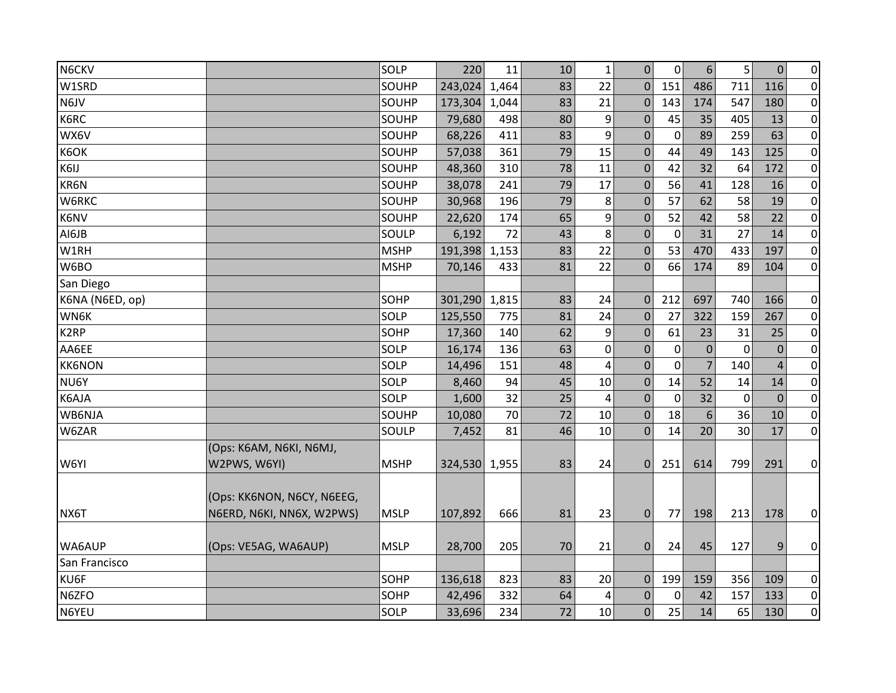| N6CKV             |                                                         | SOLP        | 220           | 11    | 10 | $\mathbf{1}$            | $\mathbf 0$      | 0           | $6 \overline{6}$ | 5              | $\mathbf{0}$   | $\overline{0}$ |
|-------------------|---------------------------------------------------------|-------------|---------------|-------|----|-------------------------|------------------|-------------|------------------|----------------|----------------|----------------|
| W1SRD             |                                                         | SOUHP       | 243,024       | 1,464 | 83 | 22                      | $\Omega$         | 151         | 486              | 711            | 116            | $\overline{0}$ |
| N6JV              |                                                         | SOUHP       | 173,304       | 1,044 | 83 | 21                      | $\mathbf 0$      | 143         | 174              | 547            | 180            | $\overline{0}$ |
| K6RC              |                                                         | SOUHP       | 79,680        | 498   | 80 | 9                       | $\mathbf 0$      | 45          | 35               | 405            | 13             | $\overline{0}$ |
| WX6V              |                                                         | SOUHP       | 68,226        | 411   | 83 | 9                       | $\Omega$         | 0           | 89               | 259            | 63             | $\overline{0}$ |
| K6OK              |                                                         | SOUHP       | 57,038        | 361   | 79 | 15                      | $\mathbf{0}$     | 44          | 49               | 143            | 125            | $\overline{0}$ |
| K6IJ              |                                                         | SOUHP       | 48,360        | 310   | 78 | 11                      | $\Omega$         | 42          | 32               | 64             | 172            | $\overline{0}$ |
| KR6N              |                                                         | SOUHP       | 38,078        | 241   | 79 | 17                      | $\mathbf{0}$     | 56          | 41               | 128            | 16             | $\overline{0}$ |
| W6RKC             |                                                         | SOUHP       | 30,968        | 196   | 79 | 8                       | $\mathbf{0}$     | 57          | 62               | 58             | 19             | $\overline{0}$ |
| K6NV              |                                                         | SOUHP       | 22,620        | 174   | 65 | 9                       | $\mathbf{0}$     | 52          | 42               | 58             | 22             | $\overline{0}$ |
| AI6JB             |                                                         | SOULP       | 6,192         | 72    | 43 | 8                       | $\mathbf{0}$     | 0           | 31               | 27             | 14             | $\overline{0}$ |
| W1RH              |                                                         | <b>MSHP</b> | 191,398       | 1,153 | 83 | 22                      | $\Omega$         | 53          | 470              | 433            | 197            | $\overline{0}$ |
| W6BO              |                                                         | <b>MSHP</b> | 70,146        | 433   | 81 | 22                      | $\mathbf{0}$     | 66          | 174              | 89             | 104            | $\overline{0}$ |
| San Diego         |                                                         |             |               |       |    |                         |                  |             |                  |                |                |                |
| K6NA (N6ED, op)   |                                                         | SOHP        | 301,290       | 1,815 | 83 | 24                      | $\mathbf{0}$     | 212         | 697              | 740            | 166            | $\overline{0}$ |
| WN6K              |                                                         | SOLP        | 125,550       | 775   | 81 | 24                      | $\mathbf{0}$     | 27          | 322              | 159            | 267            | $\overline{0}$ |
| K <sub>2</sub> RP |                                                         | SOHP        | 17,360        | 140   | 62 | 9                       | 0                | 61          | 23               | 31             | 25             | $\overline{0}$ |
| AA6EE             |                                                         | SOLP        | 16,174        | 136   | 63 | $\mathbf 0$             | $\mathbf{0}$     | $\mathbf 0$ | $\overline{0}$   | $\overline{0}$ | $\Omega$       | $\overline{0}$ |
| <b>KK6NON</b>     |                                                         | SOLP        | 14,496        | 151   | 48 | $\overline{\mathbf{4}}$ | $\mathbf{0}$     | $\mathbf 0$ | $\overline{7}$   | 140            | $\overline{4}$ | $\overline{0}$ |
| NU6Y              |                                                         | SOLP        | 8,460         | 94    | 45 | 10                      | $\boldsymbol{0}$ | 14          | 52               | 14             | 14             | $\overline{0}$ |
| K6AJA             |                                                         | SOLP        | 1,600         | 32    | 25 | 4                       | $\Omega$         | $\mathbf 0$ | 32               | $\mathbf 0$    | $\Omega$       | $\overline{0}$ |
| WB6NJA            |                                                         | SOUHP       | 10,080        | 70    | 72 | 10                      | 0                | 18          | 6                | 36             | 10             | $\overline{0}$ |
| W6ZAR             |                                                         | SOULP       | 7,452         | 81    | 46 | 10                      | $\Omega$         | 14          | 20               | 30             | 17             | $\overline{0}$ |
| W6YI              | (Ops: K6AM, N6KI, N6MJ,<br>W2PWS, W6YI)                 | <b>MSHP</b> | 324,530 1,955 |       | 83 | 24                      | $\mathbf 0$      | 251         | 614              | 799            | 291            | $\overline{0}$ |
| NX6T              | (Ops: KK6NON, N6CY, N6EEG,<br>N6ERD, N6KI, NN6X, W2PWS) | <b>MSLP</b> | 107,892       | 666   | 81 | 23                      | $\mathbf{0}$     | 77          | 198              | 213            | 178            | $\overline{0}$ |
| WA6AUP            | (Ops: VE5AG, WA6AUP)                                    | <b>MSLP</b> | 28,700        | 205   | 70 | 21                      | 0                | 24          | 45               | 127            | 9              | $\overline{0}$ |
| San Francisco     |                                                         |             |               |       |    |                         |                  |             |                  |                |                |                |
| KU6F              |                                                         | SOHP        | 136,618       | 823   | 83 | 20                      | $\mathbf 0$      | 199         | 159              | 356            | 109            | $\overline{0}$ |
| N6ZFO             |                                                         | SOHP        | 42,496        | 332   | 64 | 4                       | $\mathbf{0}$     | $\mathbf 0$ | 42               | 157            | 133            | $\overline{0}$ |
| N6YEU             |                                                         | SOLP        | 33,696        | 234   | 72 | 10                      | $\overline{0}$   | 25          | 14               | 65             | 130            | $\overline{0}$ |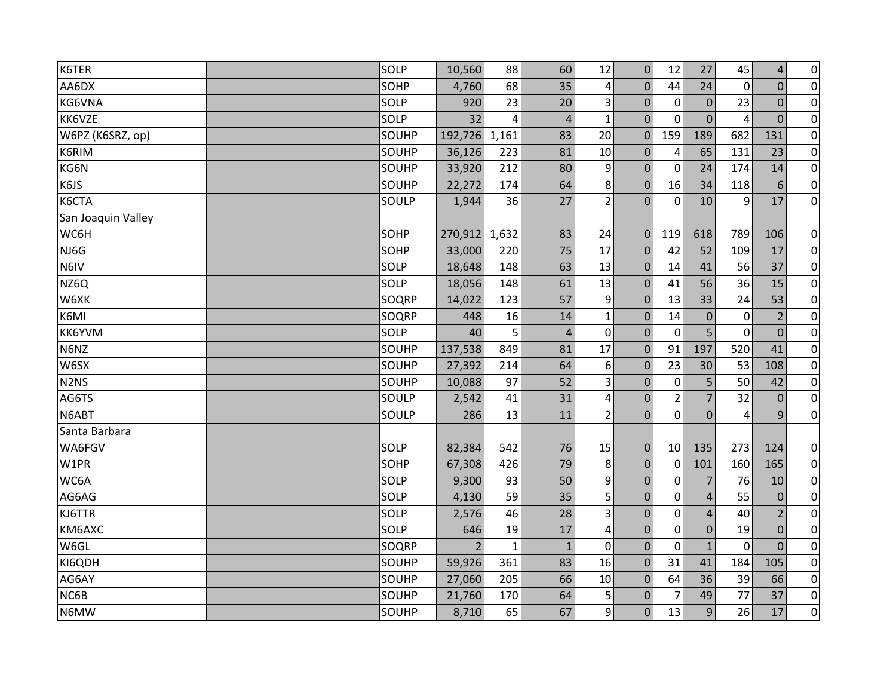| K6TER                         | SOLP  | 10,560         | 88           | 60             | 12               | $\mathbf{0}$     | 12             | 27               | 45             | $\overline{4}$ | $\overline{0}$ |
|-------------------------------|-------|----------------|--------------|----------------|------------------|------------------|----------------|------------------|----------------|----------------|----------------|
| AA6DX                         | SOHP  | 4,760          | 68           | 35             | 4                | 0                | 44             | 24               | $\overline{0}$ | $\overline{0}$ | $\pmb{0}$      |
| KG6VNA                        | SOLP  | 920            | 23           | 20             | 3                | $\Omega$         | $\mathbf{0}$   | $\mathbf{0}$     | 23             | $\Omega$       | $\overline{0}$ |
| KK6VZE                        | SOLP  | 32             | 4            | $\overline{4}$ | $\mathbf{1}$     | $\overline{0}$   | $\Omega$       | $\overline{0}$   | 4              | $\overline{0}$ | $\overline{0}$ |
| W6PZ (K6SRZ, op)              | SOUHP | 192,726        | 1,161        | 83             | 20               | $\mathbf 0$      | 159            | 189              | 682            | 131            | $\overline{0}$ |
| K6RIM                         | SOUHP | 36,126         | 223          | 81             | 10               | $\mathbf 0$      | $\overline{4}$ | 65               | 131            | 23             | $\overline{0}$ |
| KG6N                          | SOUHP | 33,920         | 212          | 80             | 9                | $\mathbf 0$      | 0              | 24               | 174            | 14             | $\overline{0}$ |
| K6JS                          | SOUHP | 22,272         | 174          | 64             | 8                | $\mathbf 0$      | 16             | 34               | 118            | 6              | $\overline{0}$ |
| K6CTA                         | SOULP | 1,944          | 36           | 27             | $\overline{2}$   | $\mathbf 0$      | $\mathbf 0$    | 10               | 9              | 17             | $\overline{0}$ |
| San Joaquin Valley            |       |                |              |                |                  |                  |                |                  |                |                |                |
| WC6H                          | SOHP  | 270,912        | 1,632        | 83             | 24               | $\mathbf 0$      | 119            | 618              | 789            | 106            | $\pmb{0}$      |
| NJ6G                          | SOHP  | 33,000         | 220          | 75             | 17               | $\Omega$         | 42             | 52               | 109            | 17             | $\pmb{0}$      |
| N6IV                          | SOLP  | 18,648         | 148          | 63             | 13               | $\mathbf 0$      | 14             | 41               | 56             | 37             | $\overline{0}$ |
| NZ6Q                          | SOLP  | 18,056         | 148          | 61             | 13               | $\boldsymbol{0}$ | 41             | 56               | 36             | 15             | $\overline{0}$ |
| W6XK                          | SOQRP | 14,022         | 123          | 57             | 9                | $\mathbf 0$      | 13             | 33               | 24             | 53             | $\overline{0}$ |
| K6MI                          | SOQRP | 448            | 16           | 14             | $\mathbf 1$      | $\mathbf 0$      | 14             | $\boldsymbol{0}$ | $\mathbf 0$    | $\overline{2}$ | $\overline{0}$ |
| KK6YVM                        | SOLP  | 40             | 5            | $\overline{4}$ | $\mathbf 0$      | $\mathbf 0$      | $\mathbf{0}$   | 5                | $\overline{0}$ | $\overline{0}$ | $\pmb{0}$      |
| N6NZ                          | SOUHP | 137,538        | 849          | 81             | 17               | $\mathbf 0$      | 91             | 197              | 520            | 41             | $\overline{0}$ |
| W6SX                          | SOUHP | 27,392         | 214          | 64             | 6                | $\mathbf 0$      | 23             | 30               | 53             | 108            | $\overline{0}$ |
| N <sub>2</sub> N <sub>S</sub> | SOUHP | 10,088         | 97           | 52             | 3                | $\mathbf 0$      | $\mathbf 0$    | 5                | 50             | 42             | $\overline{0}$ |
| AG6TS                         | SOULP | 2,542          | 41           | 31             | $\overline{4}$   | $\mathbf{0}$     | $\overline{2}$ | $\overline{7}$   | 32             | $\overline{0}$ | $\overline{0}$ |
| N6ABT                         | SOULP | 286            | 13           | 11             | $\overline{2}$   | $\overline{0}$   | $\mathbf 0$    | $\overline{0}$   | 4              | 9              | $\overline{0}$ |
| Santa Barbara                 |       |                |              |                |                  |                  |                |                  |                |                |                |
| WA6FGV                        | SOLP  | 82,384         | 542          | 76             | 15               | $\mathbf 0$      | 10             | 135              | 273            | 124            | $\overline{0}$ |
| W1PR                          | SOHP  | 67,308         | 426          | 79             | 8                | $\mathbf 0$      | 0              | 101              | 160            | 165            | $\overline{0}$ |
| WC6A                          | SOLP  | 9,300          | 93           | 50             | 9                | $\mathbf 0$      | $\mathbf 0$    | $\overline{7}$   | 76             | 10             | $\overline{0}$ |
| AG6AG                         | SOLP  | 4,130          | 59           | 35             | 5                | $\mathbf 0$      | 0              | $\overline{4}$   | 55             | $\mathbf 0$    | $\pmb{0}$      |
| KJ6TTR                        | SOLP  | 2,576          | 46           | 28             | $\overline{3}$   | $\mathbf 0$      | $\mathbf 0$    | $\overline{4}$   | 40             | $\overline{2}$ | $\overline{0}$ |
| KM6AXC                        | SOLP  | 646            | 19           | 17             | 4                | $\pmb{0}$        | $\mathbf 0$    | $\mathbf 0$      | 19             | $\mathbf{0}$   | $\overline{0}$ |
| W6GL                          | SOQRP | $\overline{2}$ | $\mathbf{1}$ | $\mathbf{1}$   | $\mathbf 0$      | $\mathbf 0$      | $\mathbf 0$    | $\mathbf{1}$     | $\mathbf 0$    | $\overline{0}$ | $\overline{0}$ |
| KI6QDH                        | SOUHP | 59,926         | 361          | 83             | 16               | $\mathbf 0$      | 31             | 41               | 184            | 105            | $\overline{0}$ |
| AG6AY                         | SOUHP | 27,060         | 205          | 66             | 10               | $\mathbf 0$      | 64             | 36               | 39             | 66             | $\overline{0}$ |
| NC6B                          | SOUHP | 21,760         | 170          | 64             | 5                | $\mathbf 0$      | 7              | 49               | 77             | 37             | $\overline{0}$ |
| N6MW                          | SOUHP | 8,710          | 65           | 67             | $\boldsymbol{9}$ | $\overline{0}$   | 13             | 9                | 26             | 17             | $\overline{0}$ |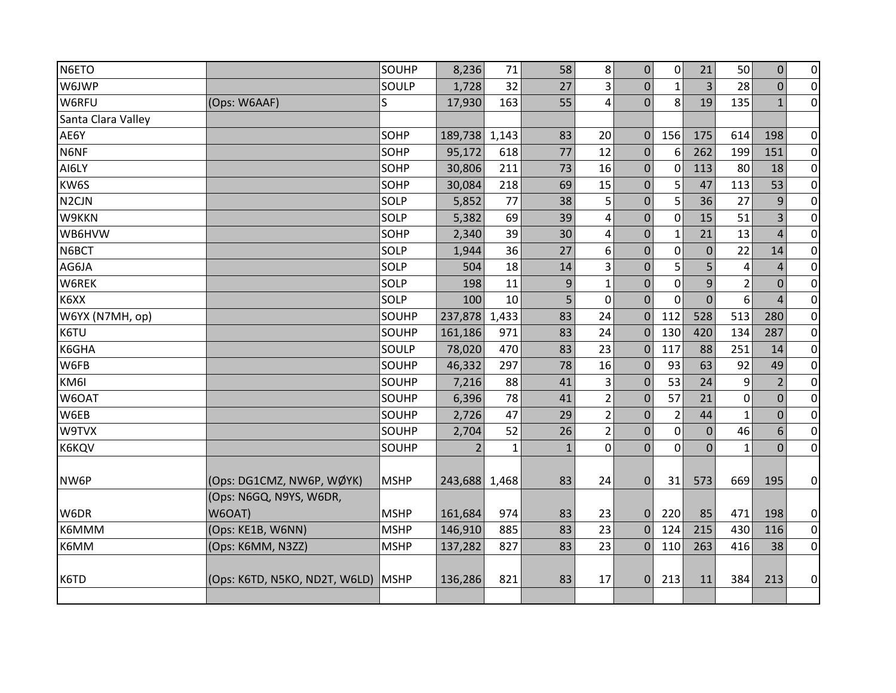| N6ETO              |                                    | SOUHP       | 8,236          | 71    | 58           | 8              | $\mathbf 0$    | 0              | 21             | 50             | $\overline{0}$ | $\pmb{0}$        |
|--------------------|------------------------------------|-------------|----------------|-------|--------------|----------------|----------------|----------------|----------------|----------------|----------------|------------------|
| W6JWP              |                                    | SOULP       | 1,728          | 32    | 27           | 3              | $\mathbf{0}$   | $\mathbf{1}$   | 3              | 28             | $\Omega$       | $\overline{0}$   |
| W6RFU              | (Ops: W6AAF)                       | S           | 17,930         | 163   | 55           | 4              | $\mathbf 0$    | 8              | 19             | 135            | $\mathbf{1}$   | $\overline{0}$   |
| Santa Clara Valley |                                    |             |                |       |              |                |                |                |                |                |                |                  |
| AE6Y               |                                    | SOHP        | 189,738        | 1,143 | 83           | 20             | $\mathbf{0}$   | 156            | 175            | 614            | 198            | $\pmb{0}$        |
| N6NF               |                                    | SOHP        | 95,172         | 618   | 77           | 12             | $\mathbf{0}$   | 6              | 262            | 199            | 151            | $\overline{0}$   |
| AI6LY              |                                    | SOHP        | 30,806         | 211   | 73           | 16             | $\mathbf 0$    | 0              | 113            | 80             | 18             | $\pmb{0}$        |
| KW6S               |                                    | SOHP        | 30,084         | 218   | 69           | 15             | $\mathbf{0}$   | 5              | 47             | 113            | 53             | $\pmb{0}$        |
| N <sub>2</sub> CJN |                                    | SOLP        | 5,852          | 77    | 38           | 5              | $\pmb{0}$      | 5              | 36             | 27             | 9              | $\mathbf 0$      |
| W9KKN              |                                    | SOLP        | 5,382          | 69    | 39           | $\overline{4}$ | $\mathbf 0$    | $\mathbf 0$    | 15             | 51             | 3              | $\pmb{0}$        |
| WB6HVW             |                                    | SOHP        | 2,340          | 39    | 30           | 4              | $\mathbf 0$    | $\mathbf{1}$   | 21             | 13             | $\overline{4}$ | $\overline{0}$   |
| N6BCT              |                                    | SOLP        | 1,944          | 36    | 27           | 6              | $\mathbf{0}$   | $\mathbf 0$    | $\mathbf 0$    | 22             | 14             | $\pmb{0}$        |
| AG6JA              |                                    | SOLP        | 504            | 18    | 14           | 3              | $\mathbf 0$    | 5              | 5              | $\overline{4}$ | $\overline{4}$ | $\mathbf 0$      |
| W6REK              |                                    | SOLP        | 198            | 11    | 9            | $\mathbf{1}$   | $\mathbf{0}$   | 0              | 9              | $\overline{2}$ | $\Omega$       | $\pmb{0}$        |
| K6XX               |                                    | SOLP        | 100            | 10    | 5            | $\overline{0}$ | $\mathbf{0}$   | $\Omega$       | $\overline{0}$ | 6              | $\overline{A}$ | $\boldsymbol{0}$ |
| W6YX (N7MH, op)    |                                    | SOUHP       | 237,878        | 1,433 | 83           | 24             | $\mathbf{0}$   | 112            | 528            | 513            | 280            | $\pmb{0}$        |
| K6TU               |                                    | SOUHP       | 161,186        | 971   | 83           | 24             | $\Omega$       | 130            | 420            | 134            | 287            | $\overline{0}$   |
| K6GHA              |                                    | SOULP       | 78,020         | 470   | 83           | 23             | $\overline{0}$ | 117            | 88             | 251            | 14             | $\pmb{0}$        |
| W6FB               |                                    | SOUHP       | 46,332         | 297   | 78           | 16             | $\mathbf{0}$   | 93             | 63             | 92             | 49             | $\pmb{0}$        |
| KM6I               |                                    | SOUHP       | 7,216          | 88    | 41           | 3              | $\mathbf{0}$   | 53             | 24             | 9              | $\overline{2}$ | $\pmb{0}$        |
| W6OAT              |                                    | SOUHP       | 6,396          | 78    | 41           | $\overline{2}$ | $\mathbf{0}$   | 57             | 21             | 0              | $\Omega$       | $\pmb{0}$        |
| W6EB               |                                    | SOUHP       | 2,726          | 47    | 29           | $\overline{2}$ | $\mathbf{0}$   | $\overline{2}$ | 44             | $\mathbf{1}$   | $\overline{0}$ | $\pmb{0}$        |
| W9TVX              |                                    | SOUHP       | 2,704          | 52    | 26           | $\overline{2}$ | $\mathbf{0}$   | $\mathbf 0$    | $\mathbf 0$    | 46             | 6              | $\mathbf 0$      |
| K6KQV              |                                    | SOUHP       | $\overline{2}$ | 1     | $\mathbf{1}$ | $\mathbf 0$    | $\mathbf 0$    | $\mathbf 0$    | $\mathbf 0$    | $\mathbf{1}$   | $\overline{0}$ | $\overline{0}$   |
|                    |                                    |             |                |       |              |                |                |                |                |                |                |                  |
| NW6P               | (Ops: DG1CMZ, NW6P, WØYK)          | <b>MSHP</b> | 243,688        | 1,468 | 83           | 24             | $\mathbf{0}$   | 31             | 573            | 669            | 195            | $\overline{0}$   |
|                    | (Ops: N6GQ, N9YS, W6DR,            |             |                |       |              |                |                |                |                |                |                |                  |
| W6DR               | W6OAT)                             | <b>MSHP</b> | 161,684        | 974   | 83           | 23             | $\overline{0}$ | 220            | 85             | 471            | 198            | $\overline{0}$   |
| K6MMM              | (Ops: KE1B, W6NN)                  | <b>MSHP</b> | 146,910        | 885   | 83           | 23             | $\mathbf{0}$   | 124            | 215            | 430            | 116            | $\overline{0}$   |
| K6MM               | (Ops: K6MM, N3ZZ)                  | <b>MSHP</b> | 137,282        | 827   | 83           | 23             | $\Omega$       | 110            | 263            | 416            | 38             | $\overline{0}$   |
|                    |                                    |             |                |       |              |                |                |                |                |                |                |                  |
| K6TD               | (Ops: K6TD, N5KO, ND2T, W6LD) MSHP |             | 136,286        | 821   | 83           | 17             | $\overline{0}$ | 213            | 11             | 384            | 213            | $\overline{0}$   |
|                    |                                    |             |                |       |              |                |                |                |                |                |                |                  |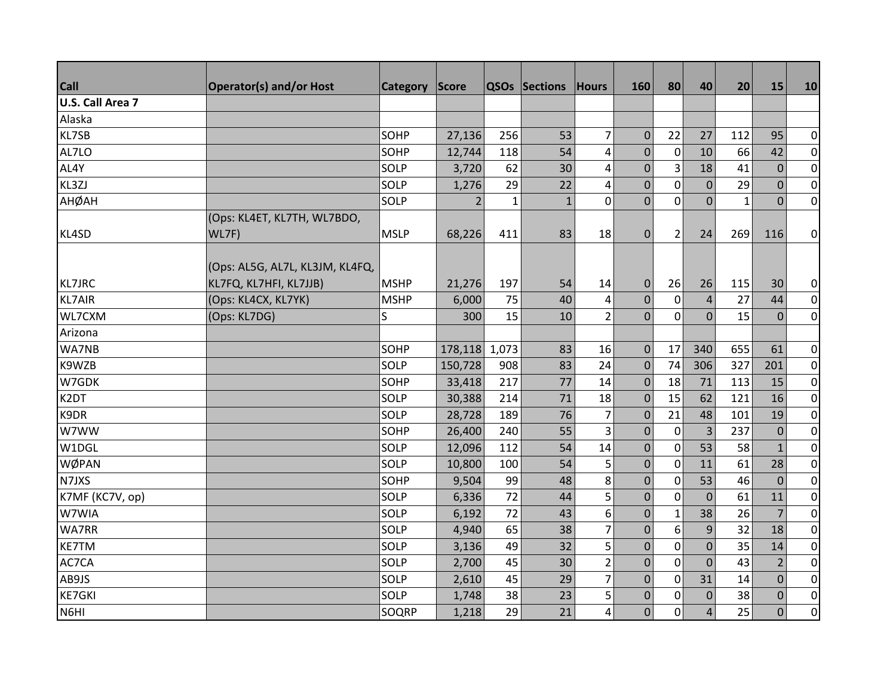| <b>Call</b>             | <b>Operator(s) and/or Host</b>  | Category    | <b>Score</b>   |       | QSOs Sections | <b>Hours</b>   | 160            | 80               | 40             | 20           | 15             | 10             |
|-------------------------|---------------------------------|-------------|----------------|-------|---------------|----------------|----------------|------------------|----------------|--------------|----------------|----------------|
| <b>U.S. Call Area 7</b> |                                 |             |                |       |               |                |                |                  |                |              |                |                |
| Alaska                  |                                 |             |                |       |               |                |                |                  |                |              |                |                |
| KL7SB                   |                                 | SOHP        | 27,136         | 256   | 53            | $\overline{7}$ | $\mathbf{0}$   | 22               | 27             | 112          | 95             | $\overline{0}$ |
| AL7LO                   |                                 | SOHP        | 12,744         | 118   | 54            | $\pmb{4}$      | $\mathbf 0$    | $\mathbf 0$      | 10             | 66           | 42             | $\overline{0}$ |
| AL4Y                    |                                 | SOLP        | 3,720          | 62    | 30            | 4              | $\mathbf{0}$   | 3                | 18             | 41           | $\mathbf{0}$   | $\overline{0}$ |
| KL3ZJ                   |                                 | SOLP        | 1,276          | 29    | 22            | $\overline{4}$ | $\mathbf 0$    | $\mathbf 0$      | $\overline{0}$ | 29           | $\mathbf{0}$   | $\overline{0}$ |
| АНФАН                   |                                 | SOLP        | $\overline{2}$ | 1     | $\mathbf{1}$  | $\overline{0}$ | $\overline{0}$ | $\mathbf 0$      | $\overline{0}$ | $\mathbf{1}$ | $\overline{0}$ | $\overline{0}$ |
|                         | (Ops: KL4ET, KL7TH, WL7BDO,     |             |                |       |               |                |                |                  |                |              |                |                |
| KL4SD                   | WL7F)                           | <b>MSLP</b> | 68,226         | 411   | 83            | 18             | $\mathbf{0}$   | $\overline{2}$   | 24             | 269          | 116            | $\overline{0}$ |
|                         |                                 |             |                |       |               |                |                |                  |                |              |                |                |
|                         | (Ops: AL5G, AL7L, KL3JM, KL4FQ, |             |                |       |               |                |                |                  |                |              |                |                |
| <b>KL7JRC</b>           | KL7FQ, KL7HFI, KL7JJB)          | <b>MSHP</b> | 21,276         | 197   | 54            | 14             | $\mathbf 0$    | 26               | 26             | 115          | 30             | $\overline{0}$ |
| <b>KL7AIR</b>           | (Ops: KL4CX, KL7YK)             | <b>MSHP</b> | 6,000          | 75    | 40            | 4              | $\mathbf{0}$   | $\overline{0}$   | $\overline{4}$ | 27           | 44             | $\overline{0}$ |
| WL7CXM                  | (Ops: KL7DG)                    | S           | 300            | 15    | 10            | $\overline{2}$ | $\mathbf{0}$   | $\mathbf 0$      | $\Omega$       | 15           | $\mathbf{0}$   | $\overline{0}$ |
| Arizona                 |                                 |             |                |       |               |                |                |                  |                |              |                |                |
| WA7NB                   |                                 | SOHP        | 178,118        | 1,073 | 83            | 16             | $\mathbf{0}$   | 17               | 340            | 655          | 61             | $\overline{0}$ |
| K9WZB                   |                                 | SOLP        | 150,728        | 908   | 83            | 24             | $\mathbf 0$    | 74               | 306            | 327          | 201            | $\overline{0}$ |
| W7GDK                   |                                 | SOHP        | 33,418         | 217   | 77            | 14             | $\mathbf{0}$   | 18               | 71             | 113          | 15             | $\overline{0}$ |
| K <sub>2</sub> DT       |                                 | SOLP        | 30,388         | 214   | 71            | 18             | $\Omega$       | 15               | 62             | 121          | 16             | $\overline{0}$ |
| K9DR                    |                                 | SOLP        | 28,728         | 189   | 76            | 7              | $\mathbf{0}$   | 21               | 48             | 101          | 19             | $\overline{0}$ |
| W7WW                    |                                 | SOHP        | 26,400         | 240   | 55            | 3              | $\mathbf 0$    | $\mathbf 0$      | $\overline{3}$ | 237          | $\overline{0}$ | $\overline{0}$ |
| W1DGL                   |                                 | SOLP        | 12,096         | 112   | 54            | 14             | $\mathbf 0$    | $\mathbf 0$      | 53             | 58           | $\mathbf{1}$   | $\overline{0}$ |
| WØPAN                   |                                 | SOLP        | 10,800         | 100   | 54            | 5              | $\mathbf{0}$   | $\mathbf 0$      | 11             | 61           | 28             | $\overline{0}$ |
| N7JXS                   |                                 | SOHP        | 9,504          | 99    | 48            | 8              | $\mathbf 0$    | $\mathbf 0$      | 53             | 46           | $\overline{0}$ | $\overline{0}$ |
| K7MF (KC7V, op)         |                                 | SOLP        | 6,336          | 72    | 44            | 5              | $\mathbf{0}$   | $\mathbf 0$      | $\mathbf 0$    | 61           | 11             | $\overline{0}$ |
| W7WIA                   |                                 | SOLP        | 6,192          | 72    | 43            | 6              | $\mathbf{0}$   | $\mathbf{1}$     | 38             | 26           | $\overline{7}$ | $\overline{0}$ |
| <b>WA7RR</b>            |                                 | SOLP        | 4,940          | 65    | 38            | $\overline{7}$ | $\pmb{0}$      | $\boldsymbol{6}$ | 9              | 32           | 18             | $\overline{0}$ |
| <b>KE7TM</b>            |                                 | SOLP        | 3,136          | 49    | 32            | 5              | $\overline{0}$ | $\mathbf 0$      | $\overline{0}$ | 35           | 14             | $\overline{0}$ |
| AC7CA                   |                                 | SOLP        | 2,700          | 45    | 30            | $\overline{2}$ | $\mathbf{0}$   | $\mathbf 0$      | $\mathbf 0$    | 43           | $\overline{2}$ | $\overline{0}$ |
| AB9JS                   |                                 | SOLP        | 2,610          | 45    | 29            | $\overline{7}$ | $\overline{0}$ | $\mathbf 0$      | 31             | 14           | $\Omega$       | $\overline{0}$ |
| <b>KE7GKI</b>           |                                 | SOLP        | 1,748          | 38    | 23            | 5              | $\mathbf{0}$   | $\mathbf 0$      | $\mathbf 0$    | 38           | $\mathbf{0}$   | $\overline{0}$ |
| N6HI                    |                                 | SOQRP       | 1,218          | 29    | 21            | 4              | $\overline{0}$ | $\mathbf 0$      | $\overline{a}$ | 25           | $\mathbf{0}$   | $\overline{0}$ |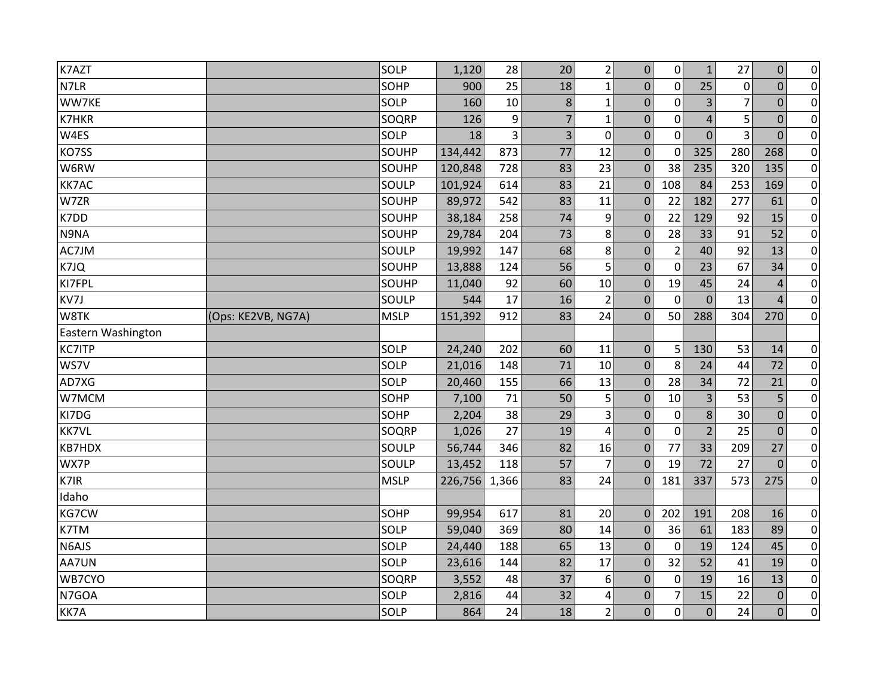| K7AZT              |                    | SOLP        | 1,120   | 28    | 20 <sup>°</sup> | $\overline{2}$   | 0                | $\mathbf 0$    | $\mathbf{1}$   | 27          | $\boldsymbol{0}$ | $\overline{0}$ |
|--------------------|--------------------|-------------|---------|-------|-----------------|------------------|------------------|----------------|----------------|-------------|------------------|----------------|
| N7LR               |                    | SOHP        | 900     | 25    | 18              | $\mathbf{1}$     | $\Omega$         | $\mathbf 0$    | 25             | $\mathbf 0$ | $\overline{0}$   | $\overline{0}$ |
| WW7KE              |                    | SOLP        | 160     | 10    | 8               | $\mathbf{1}$     | 0                | $\mathbf 0$    | 3              | 7           | $\Omega$         | $\overline{0}$ |
| K7HKR              |                    | SOQRP       | 126     | 9     | $\overline{7}$  | $\mathbf{1}$     | $\mathbf 0$      | $\mathbf 0$    | $\overline{4}$ | 5           | $\overline{0}$   | $\overline{0}$ |
| W4ES               |                    | SOLP        | 18      | 3     | 3               | $\mathbf 0$      | 0                | $\mathbf 0$    | $\overline{0}$ | 3           | $\overline{0}$   | $\overline{0}$ |
| KO7SS              |                    | SOUHP       | 134,442 | 873   | 77              | 12               | $\mathbf{0}$     | $\mathbf 0$    | 325            | 280         | 268              | $\overline{0}$ |
| W6RW               |                    | SOUHP       | 120,848 | 728   | 83              | 23               | $\mathbf{0}$     | 38             | 235            | 320         | 135              | $\overline{0}$ |
| <b>KK7AC</b>       |                    | SOULP       | 101,924 | 614   | 83              | 21               | $\Omega$         | 108            | 84             | 253         | 169              | $\overline{0}$ |
| W7ZR               |                    | SOUHP       | 89,972  | 542   | 83              | 11               | $\overline{0}$   | 22             | 182            | 277         | 61               | $\overline{0}$ |
| K7DD               |                    | SOUHP       | 38,184  | 258   | 74              | 9                | $\mathbf{0}$     | 22             | 129            | 92          | 15               | $\overline{0}$ |
| N9NA               |                    | SOUHP       | 29,784  | 204   | 73              | 8                | $\mathbf 0$      | 28             | 33             | 91          | 52               | $\pmb{0}$      |
| AC7JM              |                    | SOULP       | 19,992  | 147   | 68              | 8                | $\mathbf{0}$     | $\overline{2}$ | 40             | 92          | 13               | $\pmb{0}$      |
| K7JQ               |                    | SOUHP       | 13,888  | 124   | 56              | 5                | $\mathbf 0$      | $\mathbf 0$    | 23             | 67          | 34               | $\overline{0}$ |
| KI7FPL             |                    | SOUHP       | 11,040  | 92    | 60              | 10               | $\overline{0}$   | 19             | 45             | 24          | $\overline{4}$   | $\overline{0}$ |
| KV7J               |                    | SOULP       | 544     | 17    | 16              | $\overline{2}$   | $\mathbf{0}$     | $\mathbf 0$    | $\overline{0}$ | 13          | $\overline{4}$   | $\overline{0}$ |
| W8TK               | (Ops: KE2VB, NG7A) | <b>MSLP</b> | 151,392 | 912   | 83              | 24               | $\Omega$         | 50             | 288            | 304         | 270              | $\overline{0}$ |
| Eastern Washington |                    |             |         |       |                 |                  |                  |                |                |             |                  |                |
| <b>KC7ITP</b>      |                    | SOLP        | 24,240  | 202   | 60              | 11               | $\mathbf{0}$     | 5              | 130            | 53          | 14               | $\overline{0}$ |
| WS7V               |                    | SOLP        | 21,016  | 148   | 71              | 10               | $\overline{0}$   | 8              | 24             | 44          | 72               | $\overline{0}$ |
| AD7XG              |                    | SOLP        | 20,460  | 155   | 66              | 13               | $\mathbf 0$      | 28             | 34             | 72          | 21               | $\overline{0}$ |
| W7MCM              |                    | SOHP        | 7,100   | 71    | 50              | 5                | $\mathbf{0}$     | 10             | 3              | 53          | 5                | $\overline{0}$ |
| KI7DG              |                    | SOHP        | 2,204   | 38    | 29              | 3                | 0                | 0              | 8              | 30          | $\mathbf 0$      | $\pmb{0}$      |
| <b>KK7VL</b>       |                    | SOQRP       | 1,026   | 27    | 19              | 4                | $\mathbf{0}$     | $\mathbf 0$    | $\overline{2}$ | 25          | $\Omega$         | $\overline{0}$ |
| <b>KB7HDX</b>      |                    | SOULP       | 56,744  | 346   | 82              | 16               | $\mathbf{0}$     | 77             | 33             | 209         | 27               | $\overline{0}$ |
| WX7P               |                    | SOULP       | 13,452  | 118   | 57              | $\overline{7}$   | $\mathbf{0}$     | 19             | 72             | 27          | $\overline{0}$   | $\overline{0}$ |
| K7IR               |                    | <b>MSLP</b> | 226,756 | 1,366 | 83              | 24               | $\Omega$         | 181            | 337            | 573         | 275              | $\overline{0}$ |
| Idaho              |                    |             |         |       |                 |                  |                  |                |                |             |                  |                |
| KG7CW              |                    | SOHP        | 99,954  | 617   | 81              | 20               | $\mathbf{0}$     | 202            | 191            | 208         | 16               | $\overline{0}$ |
| K7TM               |                    | SOLP        | 59,040  | 369   | 80              | 14               | $\Omega$         | 36             | 61             | 183         | 89               | $\overline{0}$ |
| N6AJS              |                    | SOLP        | 24,440  | 188   | 65              | 13               | 0                | $\mathbf 0$    | 19             | 124         | 45               | $\overline{0}$ |
| AA7UN              |                    | SOLP        | 23,616  | 144   | 82              | 17               | $\mathbf{0}$     | 32             | 52             | 41          | 19               | $\overline{0}$ |
| WB7CYO             |                    | SOQRP       | 3,552   | 48    | 37              | $\boldsymbol{6}$ | 0                | 0              | 19             | 16          | 13               | $\pmb{0}$      |
| N7GOA              |                    | SOLP        | 2,816   | 44    | 32              | 4                | $\boldsymbol{0}$ | 7              | 15             | 22          | $\mathbf{0}$     | $\overline{0}$ |
| KK7A               |                    | SOLP        | 864     | 24    | 18              | $\overline{2}$   | $\overline{0}$   | $\mathbf 0$    | $\overline{0}$ | 24          | $\overline{0}$   | $\overline{0}$ |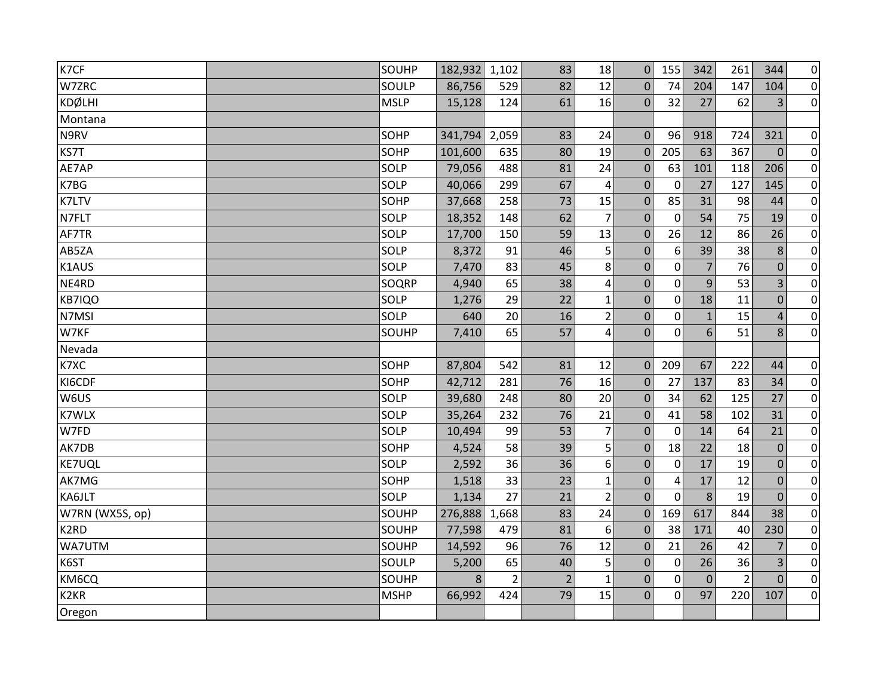| K7CF              | SOUHP       | 182,932 1,102 |       | 83             | 18             | $\Omega$       | 155            | 342            | 261            | 344            | $\overline{0}$ |
|-------------------|-------------|---------------|-------|----------------|----------------|----------------|----------------|----------------|----------------|----------------|----------------|
| W7ZRC             | SOULP       | 86,756        | 529   | 82             | 12             | $\Omega$       | 74             | 204            | 147            | 104            | $\overline{0}$ |
| <b>KDØLHI</b>     | <b>MSLP</b> | 15,128        | 124   | 61             | 16             | $\Omega$       | 32             | 27             | 62             | 3              | $\overline{0}$ |
| Montana           |             |               |       |                |                |                |                |                |                |                |                |
| N9RV              | SOHP        | 341,794       | 2,059 | 83             | 24             | $\mathbf{0}$   | 96             | 918            | 724            | 321            | $\overline{0}$ |
| KS7T              | SOHP        | 101,600       | 635   | 80             | 19             | $\Omega$       | 205            | 63             | 367            | $\theta$       | $\overline{0}$ |
| AE7AP             | SOLP        | 79,056        | 488   | 81             | 24             | $\mathbf 0$    | 63             | 101            | 118            | 206            | $\overline{0}$ |
| K7BG              | SOLP        | 40,066        | 299   | 67             | 4              | $\overline{0}$ | $\mathbf 0$    | 27             | 127            | 145            | $\overline{0}$ |
| <b>K7LTV</b>      | SOHP        | 37,668        | 258   | 73             | 15             | $\mathbf 0$    | 85             | 31             | 98             | 44             | $\overline{0}$ |
| N7FLT             | SOLP        | 18,352        | 148   | 62             | $\overline{7}$ | $\mathbf 0$    | $\mathbf 0$    | 54             | 75             | 19             | $\overline{0}$ |
| AF7TR             | SOLP        | 17,700        | 150   | 59             | 13             | $\mathbf 0$    | 26             | 12             | 86             | 26             | $\overline{0}$ |
| AB5ZA             | SOLP        | 8,372         | 91    | 46             | 5              | $\Omega$       | 6              | 39             | 38             | 8              | $\pmb{0}$      |
| K1AUS             | SOLP        | 7,470         | 83    | 45             | 8              | $\mathbf 0$    | $\mathbf 0$    | $\overline{7}$ | 76             | $\mathbf{0}$   | $\overline{0}$ |
| NE4RD             | SOQRP       | 4,940         | 65    | 38             | 4              | $\pmb{0}$      | $\mathbf 0$    | 9              | 53             | 3              | $\overline{0}$ |
| KB7IQO            | SOLP        | 1,276         | 29    | 22             | $\mathbf{1}$   | $\mathbf 0$    | $\mathbf 0$    | 18             | 11             | $\mathbf 0$    | $\overline{0}$ |
| N7MSI             | SOLP        | 640           | 20    | 16             | $\overline{2}$ | $\mathbf 0$    | 0              | $\mathbf{1}$   | 15             | $\overline{4}$ | $\overline{0}$ |
| W7KF              | SOUHP       | 7,410         | 65    | 57             | $\overline{4}$ | $\overline{0}$ | $\mathbf{0}$   | 6              | 51             | 8              | $\overline{0}$ |
| Nevada            |             |               |       |                |                |                |                |                |                |                |                |
| K7XC              | SOHP        | 87,804        | 542   | 81             | 12             | $\mathbf{0}$   | 209            | 67             | 222            | 44             | $\overline{0}$ |
| KI6CDF            | SOHP        | 42,712        | 281   | 76             | 16             | $\mathbf 0$    | 27             | 137            | 83             | 34             | $\overline{0}$ |
| W6US              | SOLP        | 39,680        | 248   | 80             | 20             | $\mathbf{0}$   | 34             | 62             | 125            | 27             | $\overline{0}$ |
| <b>K7WLX</b>      | SOLP        | 35,264        | 232   | 76             | 21             | $\mathbf 0$    | 41             | 58             | 102            | 31             | $\overline{0}$ |
| W7FD              | SOLP        | 10,494        | 99    | 53             | $\overline{7}$ | $\Omega$       | $\mathbf{0}$   | 14             | 64             | 21             | $\overline{0}$ |
| AK7DB             | SOHP        | 4,524         | 58    | 39             | 5              | $\mathbf{0}$   | 18             | 22             | 18             | $\mathbf 0$    | $\overline{0}$ |
| <b>KE7UQL</b>     | SOLP        | 2,592         | 36    | 36             | 6              | $\mathbf 0$    | 0              | 17             | 19             | $\mathbf 0$    | $\overline{0}$ |
| AK7MG             | SOHP        | 1,518         | 33    | 23             | $\mathbf 1$    | $\mathbf 0$    | $\overline{4}$ | 17             | 12             | $\mathbf 0$    | $\overline{0}$ |
| KA6JLT            | SOLP        | 1,134         | 27    | 21             | $\overline{2}$ | $\mathbf 0$    | $\Omega$       | 8              | 19             | $\Omega$       | $\pmb{0}$      |
| W7RN (WX5S, op)   | SOUHP       | 276,888       | 1,668 | 83             | 24             | $\Omega$       | 169            | 617            | 844            | 38             | $\overline{0}$ |
| K <sub>2</sub> RD | SOUHP       | 77,598        | 479   | 81             | 6              | $\mathbf 0$    | 38             | 171            | 40             | 230            | $\overline{0}$ |
| WA7UTM            | SOUHP       | 14,592        | 96    | 76             | 12             | $\mathbf 0$    | 21             | 26             | 42             | $\overline{7}$ | $\overline{0}$ |
| K6ST              | SOULP       | 5,200         | 65    | 40             | 5              | $\mathbf 0$    | 0              | 26             | 36             | 3              | $\overline{0}$ |
| KM6CQ             | SOUHP       | 8             | 2     | $\overline{2}$ | $\mathbf{1}$   | 0              | $\mathbf{0}$   | $\Omega$       | $\overline{2}$ | $\Omega$       | $\overline{0}$ |
| K <sub>2</sub> KR | <b>MSHP</b> | 66,992        | 424   | 79             | 15             | $\mathbf 0$    | 0              | 97             | 220            | 107            | $\overline{0}$ |
| Oregon            |             |               |       |                |                |                |                |                |                |                |                |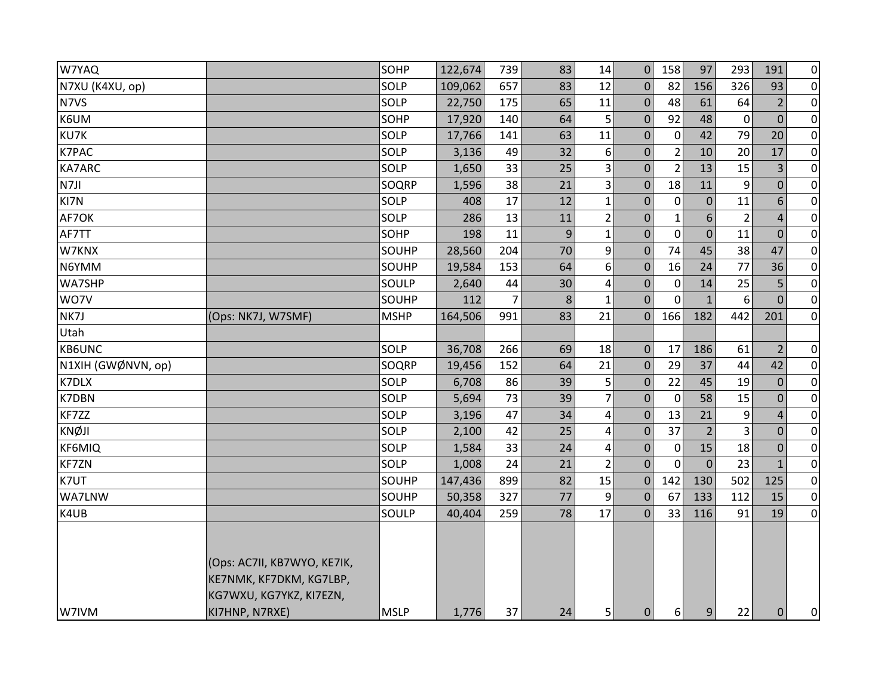| W7YAQ              |                                                                                                     | SOHP        | 122,674 | 739 | 83 | 14             | $\overline{0}$   | 158            | 97               | 293            | 191            | $\overline{0}$ |
|--------------------|-----------------------------------------------------------------------------------------------------|-------------|---------|-----|----|----------------|------------------|----------------|------------------|----------------|----------------|----------------|
| N7XU (K4XU, op)    |                                                                                                     | SOLP        | 109,062 | 657 | 83 | 12             | $\mathbf{0}$     | 82             | 156              | 326            | 93             | $\overline{0}$ |
| N7VS               |                                                                                                     | SOLP        | 22,750  | 175 | 65 | 11             | $\boldsymbol{0}$ | 48             | 61               | 64             | $\overline{2}$ | $\overline{0}$ |
| K6UM               |                                                                                                     | SOHP        | 17,920  | 140 | 64 | 5              | $\mathbf 0$      | 92             | 48               | 0              | $\mathbf{0}$   | $\overline{0}$ |
| KU7K               |                                                                                                     | SOLP        | 17,766  | 141 | 63 | 11             | $\mathbf{0}$     | $\pmb{0}$      | 42               | 79             | 20             | $\overline{0}$ |
| K7PAC              |                                                                                                     | SOLP        | 3,136   | 49  | 32 | 6              | $\pmb{0}$        | $\overline{2}$ | 10               | 20             | 17             | $\overline{0}$ |
| <b>KA7ARC</b>      |                                                                                                     | SOLP        | 1,650   | 33  | 25 | $\mathsf 3$    | $\mathbf 0$      | $\overline{2}$ | 13               | 15             | $\overline{3}$ | $\overline{0}$ |
| N7JI               |                                                                                                     | SOQRP       | 1,596   | 38  | 21 | 3              | $\mathbf 0$      | 18             | 11               | 9              | $\mathbf{0}$   | $\overline{0}$ |
| KI7N               |                                                                                                     | SOLP        | 408     | 17  | 12 | $\mathbf{1}$   | $\boldsymbol{0}$ | 0              | $\boldsymbol{0}$ | 11             | $6\,$          | $\overline{0}$ |
| AF7OK              |                                                                                                     | SOLP        | 286     | 13  | 11 | $\overline{2}$ | $\mathbf{0}$     | $\mathbf{1}$   | 6                | $\overline{2}$ | $\overline{4}$ | $\overline{0}$ |
| AF7TT              |                                                                                                     | SOHP        | 198     | 11  | 9  | 1              | $\pmb{0}$        | 0              | $\mathbf 0$      | 11             | $\mathbf 0$    | $\overline{0}$ |
| W7KNX              |                                                                                                     | SOUHP       | 28,560  | 204 | 70 | 9              | $\mathbf{0}$     | 74             | 45               | 38             | 47             | $\overline{0}$ |
| N6YMM              |                                                                                                     | SOUHP       | 19,584  | 153 | 64 | 6              | $\mathbf 0$      | 16             | 24               | 77             | 36             | $\overline{0}$ |
| WA7SHP             |                                                                                                     | SOULP       | 2,640   | 44  | 30 | 4              | $\mathbf{0}$     | $\mathbf 0$    | 14               | 25             | 5              | $\overline{0}$ |
| WO7V               |                                                                                                     | SOUHP       | 112     | 7   | 8  | $\mathbf{1}$   | $\mathbf{0}$     | $\mathbf 0$    | $\mathbf{1}$     | 6              | $\mathbf 0$    | $\overline{0}$ |
| NK7J               | (Ops: NK7J, W7SMF)                                                                                  | <b>MSHP</b> | 164,506 | 991 | 83 | 21             | $\mathbf 0$      | 166            | 182              | 442            | 201            | $\overline{0}$ |
| Utah               |                                                                                                     |             |         |     |    |                |                  |                |                  |                |                |                |
| <b>KB6UNC</b>      |                                                                                                     | SOLP        | 36,708  | 266 | 69 | 18             | $\mathbf 0$      | 17             | 186              | 61             | $\overline{2}$ | $\overline{0}$ |
| N1XIH (GWØNVN, op) |                                                                                                     | SOQRP       | 19,456  | 152 | 64 | 21             | $\Omega$         | 29             | 37               | 44             | 42             | $\overline{0}$ |
| <b>K7DLX</b>       |                                                                                                     | SOLP        | 6,708   | 86  | 39 | 5              | $\mathbf{0}$     | 22             | 45               | 19             | $\mathbf{0}$   | $\overline{0}$ |
| <b>K7DBN</b>       |                                                                                                     | SOLP        | 5,694   | 73  | 39 | $\overline{7}$ | $\pmb{0}$        | $\mathbf 0$    | 58               | 15             | $\mathbf 0$    | $\overline{0}$ |
| KF7ZZ              |                                                                                                     | SOLP        | 3,196   | 47  | 34 | $\overline{4}$ | $\mathbf{0}$     | 13             | 21               | 9              | $\overline{4}$ | $\overline{0}$ |
| <b>KNØJI</b>       |                                                                                                     | SOLP        | 2,100   | 42  | 25 | 4              | $\mathbf 0$      | 37             | $\overline{2}$   | 3              | $\mathbf{0}$   | $\overline{0}$ |
| KF6MIQ             |                                                                                                     | SOLP        | 1,584   | 33  | 24 | 4              | $\mathbf 0$      | $\pmb{0}$      | 15               | 18             | $\mathbf{0}$   | $\overline{0}$ |
| <b>KF7ZN</b>       |                                                                                                     | SOLP        | 1,008   | 24  | 21 | $\overline{2}$ | $\mathbf{0}$     | $\mathbf 0$    | $\mathbf 0$      | 23             | $\mathbf{1}$   | $\overline{0}$ |
| K7UT               |                                                                                                     | SOUHP       | 147,436 | 899 | 82 | 15             | $\mathbf 0$      | 142            | 130              | 502            | 125            | $\overline{0}$ |
| WA7LNW             |                                                                                                     | SOUHP       | 50,358  | 327 | 77 | 9              | $\mathbf{0}$     | 67             | 133              | 112            | 15             | $\overline{0}$ |
| K4UB               |                                                                                                     | SOULP       | 40,404  | 259 | 78 | 17             | $\Omega$         | 33             | 116              | 91             | 19             | $\overline{O}$ |
| W7IVM              | (Ops: AC7II, KB7WYO, KE7IK,<br>KE7NMK, KF7DKM, KG7LBP,<br>KG7WXU, KG7YKZ, KI7EZN,<br>KI7HNP, N7RXE) | <b>MSLP</b> | 1,776   | 37  | 24 | 5              | $\Omega$         | 6              | 9                | 22             | $\mathbf 0$    | 0              |
|                    |                                                                                                     |             |         |     |    |                |                  |                |                  |                |                |                |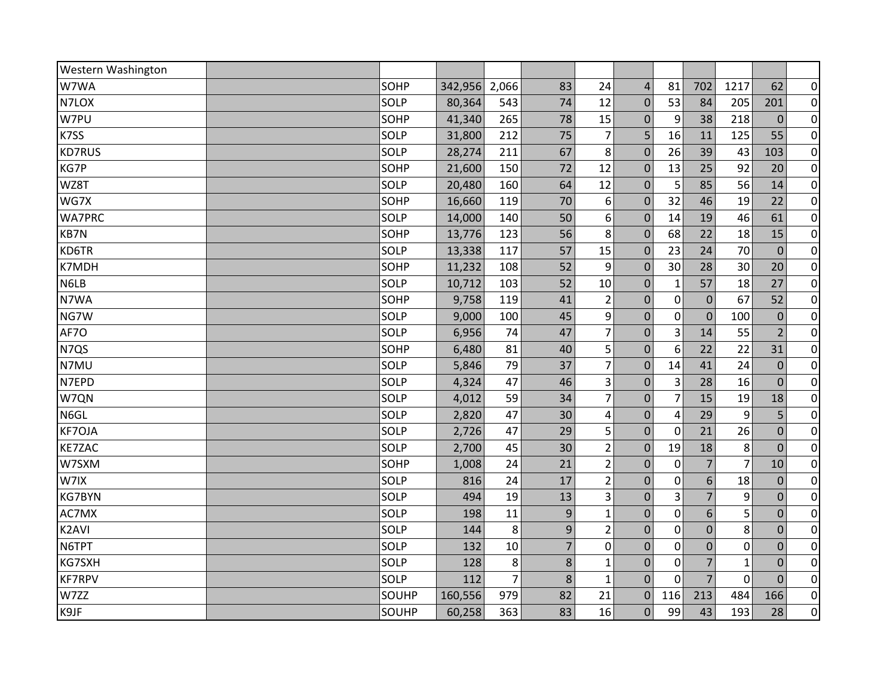| Western Washington |       |         |                |                |                  |                |                |                |                |                |                  |
|--------------------|-------|---------|----------------|----------------|------------------|----------------|----------------|----------------|----------------|----------------|------------------|
| W7WA               | SOHP  | 342,956 | 2,066          | 83             | 24               | $\overline{4}$ | 81             | 702            | 1217           | 62             | $\overline{0}$   |
| N7LOX              | SOLP  | 80,364  | 543            | 74             | 12               | $\mathbf 0$    | 53             | 84             | 205            | 201            | $\overline{0}$   |
| W7PU               | SOHP  | 41,340  | 265            | 78             | 15               | $\mathbf 0$    | 9              | 38             | 218            | $\overline{0}$ | $\overline{0}$   |
| K7SS               | SOLP  | 31,800  | 212            | 75             | $\overline{7}$   | 5              | 16             | 11             | 125            | 55             | $\overline{0}$   |
| <b>KD7RUS</b>      | SOLP  | 28,274  | 211            | 67             | 8                | $\Omega$       | 26             | 39             | 43             | 103            | $\pmb{0}$        |
| KG7P               | SOHP  | 21,600  | 150            | 72             | 12               | $\mathbf{0}$   | 13             | 25             | 92             | 20             | $\overline{0}$   |
| WZ8T               | SOLP  | 20,480  | 160            | 64             | 12               | $\mathbf 0$    | 5              | 85             | 56             | 14             | $\overline{0}$   |
| WG7X               | SOHP  | 16,660  | 119            | 70             | 6                | $\mathbf 0$    | 32             | 46             | 19             | 22             | $\boldsymbol{0}$ |
| <b>WA7PRC</b>      | SOLP  | 14,000  | 140            | 50             | $\boldsymbol{6}$ | $\mathbf 0$    | 14             | 19             | 46             | 61             | $\overline{0}$   |
| KB7N               | SOHP  | 13,776  | 123            | 56             | 8                | $\Omega$       | 68             | 22             | 18             | 15             | $\pmb{0}$        |
| KD6TR              | SOLP  | 13,338  | 117            | 57             | 15               | $\mathbf 0$    | 23             | 24             | 70             | $\mathbf{0}$   | $\pmb{0}$        |
| K7MDH              | SOHP  | 11,232  | 108            | 52             | 9                | $\Omega$       | 30             | 28             | 30             | 20             | $\overline{0}$   |
| N6LB               | SOLP  | 10,712  | 103            | 52             | 10               | $\mathbf 0$    | $\mathbf{1}$   | 57             | 18             | 27             | $\overline{0}$   |
| N7WA               | SOHP  | 9,758   | 119            | 41             | $\overline{2}$   | $\mathbf 0$    | $\mathbf 0$    | $\mathbf 0$    | 67             | 52             | $\overline{0}$   |
| NG7W               | SOLP  | 9,000   | 100            | 45             | 9                | $\mathbf 0$    | $\mathbf 0$    | $\mathbf 0$    | 100            | $\mathbf{0}$   | $\pmb{0}$        |
| AF7O               | SOLP  | 6,956   | 74             | 47             | $\overline{7}$   | $\mathbf 0$    | 3              | 14             | 55             | $\overline{2}$ | $\overline{0}$   |
| N7QS               | SOHP  | 6,480   | 81             | 40             | 5                | $\mathbf 0$    | 6              | 22             | 22             | 31             | $\overline{0}$   |
| N7MU               | SOLP  | 5,846   | 79             | 37             | $\overline{7}$   | $\mathbf 0$    | 14             | 41             | 24             | $\mathbf{0}$   | $\pmb{0}$        |
| N7EPD              | SOLP  | 4,324   | 47             | 46             | 3                | $\Omega$       | 3              | 28             | 16             | $\Omega$       | $\overline{0}$   |
| W7QN               | SOLP  | 4,012   | 59             | 34             | $\overline{7}$   | $\mathbf 0$    | $\overline{7}$ | 15             | 19             | 18             | $\pmb{0}$        |
| N6GL               | SOLP  | 2,820   | 47             | 30             | 4                | $\pmb{0}$      | 4              | 29             | 9              | 5              | $\overline{0}$   |
| <b>KF7OJA</b>      | SOLP  | 2,726   | 47             | 29             | 5                | $\mathbf 0$    | $\mathbf 0$    | 21             | 26             | $\overline{0}$ | $\overline{0}$   |
| <b>KE7ZAC</b>      | SOLP  | 2,700   | 45             | 30             | $\overline{2}$   | $\mathbf 0$    | 19             | 18             | 8              | $\overline{0}$ | $\pmb{0}$        |
| W7SXM              | SOHP  | 1,008   | 24             | 21             | $\overline{2}$   | $\Omega$       | 0              | $\overline{7}$ | $\overline{7}$ | 10             | $\overline{0}$   |
| W7IX               | SOLP  | 816     | 24             | 17             | $\overline{2}$   | $\mathbf 0$    | $\mathbf 0$    | 6              | 18             | $\mathbf 0$    | $\pmb{0}$        |
| <b>KG7BYN</b>      | SOLP  | 494     | 19             | 13             | 3                | $\overline{0}$ | $\overline{3}$ | $\overline{7}$ | 9              | $\Omega$       | $\pmb{0}$        |
| AC7MX              | SOLP  | 198     | 11             | 9              | $\mathbf{1}$     | $\mathbf 0$    | $\mathbf 0$    | 6              | 5              | $\mathbf 0$    | $\overline{0}$   |
| K2AVI              | SOLP  | 144     | 8              | 9              | $\overline{2}$   | $\mathbf 0$    | 0              | $\overline{0}$ | 8              | $\mathbf 0$    | $\pmb{0}$        |
| N6TPT              | SOLP  | 132     | 10             | $\overline{7}$ | $\mathbf 0$      | $\overline{0}$ | $\mathbf 0$    | $\overline{0}$ | $\mathbf 0$    | $\overline{0}$ | $\overline{0}$   |
| KG7SXH             | SOLP  | 128     | 8              | 8              | $\mathbf 1$      | $\mathbf 0$    | $\mathbf 0$    | $\overline{7}$ | $\mathbf{1}$   | $\mathbf{0}$   | $\boldsymbol{0}$ |
| <b>KF7RPV</b>      | SOLP  | 112     | $\overline{7}$ | 8              | $\mathbf{1}$     | $\overline{0}$ | $\Omega$       | $\overline{7}$ | $\overline{0}$ | $\Omega$       | $\pmb{0}$        |
| W7ZZ               | SOUHP | 160,556 | 979            | 82             | 21               | $\mathbf 0$    | 116            | 213            | 484            | 166            | $\overline{0}$   |
| K9JF               | SOUHP | 60,258  | 363            | 83             | 16               | 0              | 99             | 43             | 193            | 28             | $\overline{0}$   |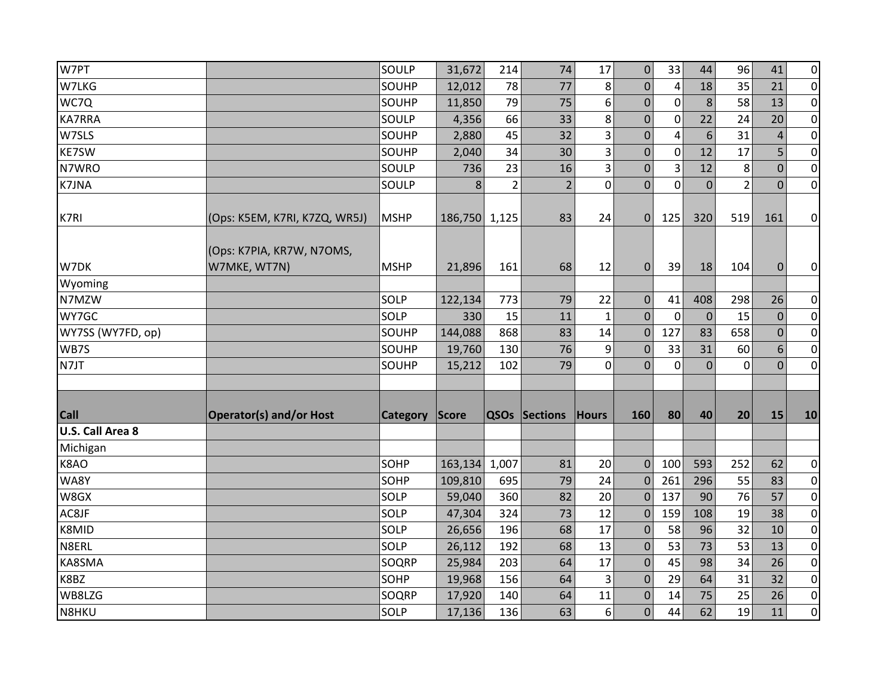| W7PT                    |                                           | SOULP       | 31,672        | 214            | 74                   | 17             | $\mathbf 0$      | 33             | 44             | 96             | 41             | $\overline{0}$ |
|-------------------------|-------------------------------------------|-------------|---------------|----------------|----------------------|----------------|------------------|----------------|----------------|----------------|----------------|----------------|
| W7LKG                   |                                           | SOUHP       | 12,012        | 78             | 77                   | 8              | $\Omega$         | $\overline{4}$ | 18             | 35             | 21             | $\overline{0}$ |
| WC7Q                    |                                           | SOUHP       | 11,850        | 79             | 75                   | 6              | $\mathbf{0}$     | $\mathbf 0$    | 8              | 58             | 13             | $\overline{0}$ |
| <b>KA7RRA</b>           |                                           | SOULP       | 4,356         | 66             | 33                   | 8              | $\mathbf 0$      | $\mathbf 0$    | 22             | 24             | 20             | $\overline{0}$ |
| W7SLS                   |                                           | SOUHP       | 2,880         | 45             | 32                   | $\overline{3}$ | $\mathbf 0$      | $\overline{4}$ | 6              | 31             | $\overline{4}$ | $\overline{0}$ |
| <b>KE7SW</b>            |                                           | SOUHP       | 2,040         | 34             | 30                   | 3              | 0                | $\mathbf 0$    | 12             | 17             | 5              | $\overline{0}$ |
| N7WRO                   |                                           | SOULP       | 736           | 23             | 16                   | 3              | $\boldsymbol{0}$ | 3              | 12             | 8              | $\Omega$       | $\overline{0}$ |
| <b>K7JNA</b>            |                                           | SOULP       | 8             | $\overline{2}$ | $\overline{2}$       | $\overline{0}$ | $\overline{0}$   | $\mathbf 0$    | $\overline{0}$ | $\overline{2}$ | $\overline{0}$ | $\overline{0}$ |
| K7RI                    | (Ops: K5EM, K7RI, K7ZQ, WR5J)             | <b>MSHP</b> | 186,750 1,125 |                | 83                   | 24             | $\mathbf{0}$     | 125            | 320            | 519            | 161            | $\overline{0}$ |
| W7DK                    | (Ops: K7PIA, KR7W, N7OMS,<br>W7MKE, WT7N) | <b>MSHP</b> | 21,896        | 161            | 68                   | 12             | $\Omega$         | 39             | 18             | 104            | $\mathbf{0}$   | $\overline{0}$ |
| Wyoming                 |                                           |             |               |                |                      |                |                  |                |                |                |                |                |
| N7MZW                   |                                           | SOLP        | 122,134       | 773            | 79                   | 22             | $\mathbf 0$      | 41             | 408            | 298            | 26             | $\overline{0}$ |
| WY7GC                   |                                           | SOLP        | 330           | 15             | 11                   | $\mathbf 1$    | $\mathbf{0}$     | $\mathbf 0$    | $\mathbf 0$    | 15             | $\mathbf 0$    | $\overline{0}$ |
| WY7SS (WY7FD, op)       |                                           | SOUHP       | 144,088       | 868            | 83                   | 14             | $\mathbf{0}$     | 127            | 83             | 658            | $\mathbf 0$    | $\overline{0}$ |
| WB7S                    |                                           | SOUHP       | 19,760        | 130            | 76                   | 9              | $\Omega$         | 33             | 31             | 60             | 6              | $\overline{0}$ |
| N7JT                    |                                           | SOUHP       | 15,212        | 102            | 79                   | $\mathbf 0$    | $\Omega$         | $\mathbf 0$    | $\overline{0}$ | $\mathbf 0$    | $\Omega$       | $\overline{0}$ |
|                         |                                           |             |               |                |                      |                |                  |                |                |                |                |                |
| <b>Call</b>             | <b>Operator(s) and/or Host</b>            | Category    | Score         |                | <b>QSOs Sections</b> | Hours          | 160              | 80             | 40             | 20             | 15             | 10             |
| <b>U.S. Call Area 8</b> |                                           |             |               |                |                      |                |                  |                |                |                |                |                |
| Michigan                |                                           |             |               |                |                      |                |                  |                |                |                |                |                |
| K8AO                    |                                           | SOHP        | 163,134       | 1,007          | 81                   | 20             | $\mathbf 0$      | 100            | 593            | 252            | 62             | $\overline{0}$ |
| WA8Y                    |                                           | SOHP        | 109,810       | 695            | 79                   | 24             | $\Omega$         | 261            | 296            | 55             | 83             | $\overline{0}$ |
| W8GX                    |                                           | SOLP        | 59,040        | 360            | 82                   | 20             | $\Omega$         | 137            | 90             | 76             | 57             | $\overline{0}$ |
| AC8JF                   |                                           | SOLP        | 47,304        | 324            | 73                   | 12             | $\mathbf{0}$     | 159            | 108            | 19             | 38             | $\overline{0}$ |
| K8MID                   |                                           | SOLP        | 26,656        | 196            | 68                   | 17             | $\mathbf{0}$     | 58             | 96             | 32             | 10             | $\overline{0}$ |
| N8ERL                   |                                           | SOLP        | 26,112        | 192            | 68                   | 13             | $\mathbf{0}$     | 53             | 73             | 53             | 13             | $\overline{0}$ |
| KA8SMA                  |                                           | SOQRP       | 25,984        | 203            | 64                   | 17             | $\Omega$         | 45             | 98             | 34             | 26             | $\overline{0}$ |
| K8BZ                    |                                           | SOHP        | 19,968        | 156            | 64                   | 3              | $\mathbf{0}$     | 29             | 64             | 31             | 32             | $\overline{0}$ |
| WB8LZG                  |                                           | SOQRP       | 17,920        | 140            | 64                   | $11\,$         | 0                | 14             | 75             | 25             | 26             | $\overline{0}$ |
| N8HKU                   |                                           | SOLP        | 17,136        | 136            | 63                   | 6              | $\overline{0}$   | 44             | 62             | 19             | 11             | $\overline{0}$ |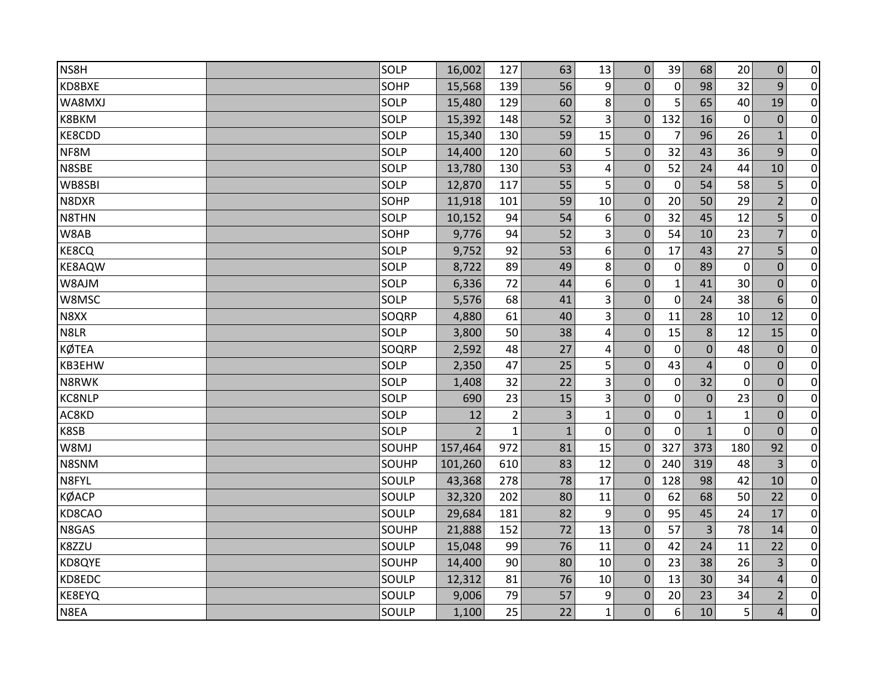| NS8H          | SOLP  | 16,002         | 127            | 63           | 13                      | $\mathbf 0$  | 39           | 68             | 20             | $\pmb{0}$      | $\pmb{0}$      |
|---------------|-------|----------------|----------------|--------------|-------------------------|--------------|--------------|----------------|----------------|----------------|----------------|
| KD8BXE        | SOHP  | 15,568         | 139            | 56           | 9                       | $\Omega$     | $\mathbf 0$  | 98             | 32             | 9              | $\overline{0}$ |
| WA8MXJ        | SOLP  | 15,480         | 129            | 60           | 8                       | $\Omega$     | 5            | 65             | 40             | 19             | $\overline{0}$ |
| K8BKM         | SOLP  | 15,392         | 148            | 52           | 3                       | $\mathbf{0}$ | 132          | 16             | $\mathbf 0$    | $\mathbf 0$    | $\pmb{0}$      |
| KE8CDD        | SOLP  | 15,340         | 130            | 59           | 15                      | $\mathbf{0}$ | 7            | 96             | 26             | $\mathbf{1}$   | $\overline{0}$ |
| NF8M          | SOLP  | 14,400         | 120            | 60           | 5                       | $\Omega$     | 32           | 43             | 36             | 9              | $\pmb{0}$      |
| N8SBE         | SOLP  | 13,780         | 130            | 53           | $\overline{\mathbf{r}}$ | $\mathbf{0}$ | 52           | 24             | 44             | 10             | $\overline{0}$ |
| WB8SBI        | SOLP  | 12,870         | 117            | 55           | 5                       | $\mathbf{0}$ | 0            | 54             | 58             | 5              | $\overline{0}$ |
| N8DXR         | SOHP  | 11,918         | 101            | 59           | 10                      | $\mathbf 0$  | 20           | 50             | 29             | $\overline{2}$ | $\pmb{0}$      |
| N8THN         | SOLP  | 10,152         | 94             | 54           | 6                       | $\mathbf{0}$ | 32           | 45             | 12             | 5              | $\overline{0}$ |
| W8AB          | SOHP  | 9,776          | 94             | 52           | 3                       | $\Omega$     | 54           | 10             | 23             | 7              | $\pmb{0}$      |
| KE8CQ         | SOLP  | 9,752          | 92             | 53           | 6                       | $\mathbf 0$  | 17           | 43             | 27             | 5              | $\pmb{0}$      |
| <b>KE8AQW</b> | SOLP  | 8,722          | 89             | 49           | 8                       | $\Omega$     | $\mathbf 0$  | 89             | $\overline{0}$ | $\Omega$       | $\overline{0}$ |
| W8AJM         | SOLP  | 6,336          | 72             | 44           | 6                       | $\mathbf 0$  | $\mathbf{1}$ | 41             | 30             | $\mathbf 0$    | $\pmb{0}$      |
| W8MSC         | SOLP  | 5,576          | 68             | 41           | 3                       | $\mathbf{0}$ | $\mathbf 0$  | 24             | 38             | 6              | $\overline{0}$ |
| N8XX          | SOQRP | 4,880          | 61             | 40           | 3                       | $\Omega$     | 11           | 28             | 10             | 12             | $\pmb{0}$      |
| N8LR          | SOLP  | 3,800          | 50             | 38           | 4                       | $\mathbf 0$  | 15           | 8              | 12             | 15             | $\overline{0}$ |
| <b>KØTEA</b>  | SOQRP | 2,592          | 48             | 27           | 4                       | $\Omega$     | $\mathbf 0$  | $\overline{0}$ | 48             | $\mathbf{0}$   | $\overline{0}$ |
| KB3EHW        | SOLP  | 2,350          | 47             | 25           | 5                       | 0            | 43           | $\overline{4}$ | 0              | $\mathbf 0$    | $\pmb{0}$      |
| N8RWK         | SOLP  | 1,408          | 32             | 22           | 3                       | $\Omega$     | $\mathbf{0}$ | 32             | $\overline{0}$ | $\Omega$       | $\overline{0}$ |
| <b>KC8NLP</b> | SOLP  | 690            | 23             | 15           | 3                       | 0            | 0            | $\mathbf 0$    | 23             | $\mathbf 0$    | $\pmb{0}$      |
| AC8KD         | SOLP  | 12             | $\overline{2}$ | 3            | $\mathbf{1}$            | 0            | 0            | $\mathbf{1}$   | $\mathbf{1}$   | $\mathbf 0$    | $\overline{0}$ |
| K8SB          | SOLP  | $\overline{2}$ | $\mathbf{1}$   | $\mathbf{1}$ | $\overline{0}$          | $\mathbf{0}$ | $\Omega$     | $\mathbf{1}$   | $\overline{0}$ | $\overline{0}$ | $\overline{0}$ |
| W8MJ          | SOUHP | 157,464        | 972            | 81           | 15                      | $\mathbf 0$  | 327          | 373            | 180            | 92             | $\pmb{0}$      |
| N8SNM         | SOUHP | 101,260        | 610            | 83           | 12                      | $\theta$     | 240          | 319            | 48             | 3              | $\overline{0}$ |
| N8FYL         | SOULP | 43,368         | 278            | 78           | 17                      | $\mathbf 0$  | 128          | 98             | 42             | 10             | $\pmb{0}$      |
| <b>KØACP</b>  | SOULP | 32,320         | 202            | 80           | 11                      | $\Omega$     | 62           | 68             | 50             | 22             | $\pmb{0}$      |
| KD8CAO        | SOULP | 29,684         | 181            | 82           | 9                       | $\mathbf{0}$ | 95           | 45             | 24             | 17             | $\overline{0}$ |
| N8GAS         | SOUHP | 21,888         | 152            | 72           | 13                      | $\mathbf{0}$ | 57           | $\overline{3}$ | 78             | 14             | $\overline{0}$ |
| K8ZZU         | SOULP | 15,048         | 99             | 76           | 11                      | $\mathbf 0$  | 42           | 24             | 11             | 22             | $\overline{0}$ |
| KD8QYE        | SOUHP | 14,400         | 90             | 80           | 10                      | $\mathbf{0}$ | 23           | 38             | 26             | 3              | $\pmb{0}$      |
| KD8EDC        | SOULP | 12,312         | 81             | 76           | 10                      | $\Omega$     | 13           | 30             | 34             | $\overline{4}$ | $\pmb{0}$      |
| KE8EYQ        | SOULP | 9,006          | 79             | 57           | 9                       | 0            | 20           | 23             | 34             | $\overline{2}$ | $\overline{0}$ |
| N8EA          | SOULP | 1,100          | 25             | 22           | $\mathbf{1}$            | $\Omega$     | 6            | 10             | 5              | 4              | $\overline{0}$ |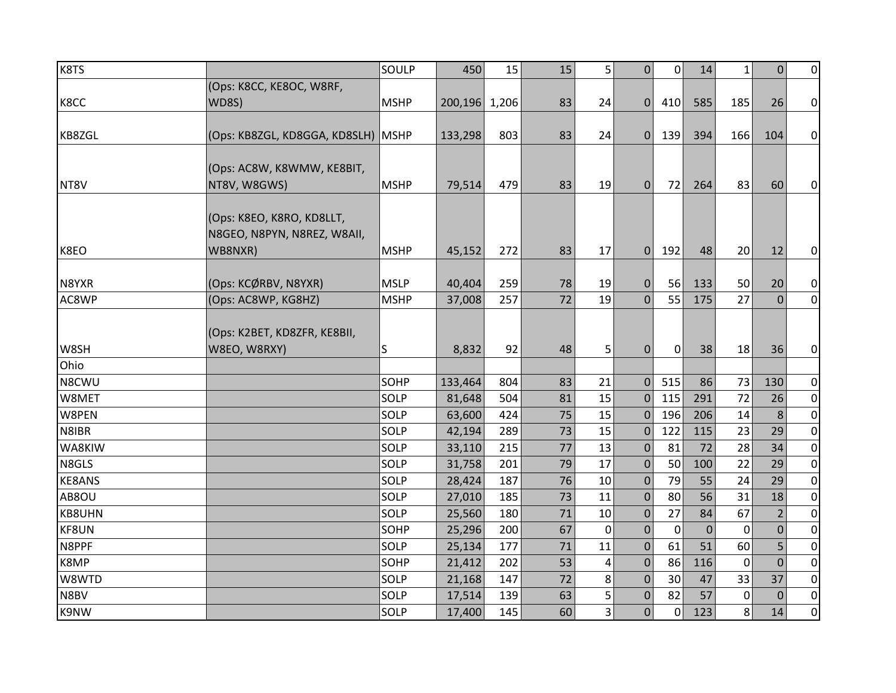| K8TS          |                                      | SOULP       | 450     | 15    | 15 | 5              | $\Omega$       | $\Omega$    | 14           | 1           | $\mathbf{0}$ | $\overline{0}$ |
|---------------|--------------------------------------|-------------|---------|-------|----|----------------|----------------|-------------|--------------|-------------|--------------|----------------|
|               | (Ops: K8CC, KE8OC, W8RF,             |             |         |       |    |                |                |             |              |             |              |                |
| K8CC          | <b>WD8S)</b>                         | <b>MSHP</b> | 200,196 | 1,206 | 83 | 24             | $\Omega$       | 410         | 585          | 185         | 26           | $\overline{0}$ |
|               |                                      |             |         |       |    |                |                |             |              |             |              |                |
| KB8ZGL        | (Ops: KB8ZGL, KD8GGA, KD8SLH)   MSHP |             | 133,298 | 803   | 83 | 24             | $\overline{0}$ | 139         | 394          | 166         | 104          | $\overline{0}$ |
|               |                                      |             |         |       |    |                |                |             |              |             |              |                |
|               | (Ops: AC8W, K8WMW, KE8BIT,           |             |         |       |    |                |                |             |              |             |              |                |
| NT8V          | NT8V, W8GWS)                         | <b>MSHP</b> | 79,514  | 479   | 83 | 19             | $\Omega$       | 72          | 264          | 83          | 60           | $\overline{0}$ |
|               |                                      |             |         |       |    |                |                |             |              |             |              |                |
|               | (Ops: K8EO, K8RO, KD8LLT,            |             |         |       |    |                |                |             |              |             |              |                |
|               | N8GEO, N8PYN, N8REZ, W8AII,          |             |         |       |    |                |                |             |              |             |              |                |
| K8EO          | WB8NXR)                              | <b>MSHP</b> | 45,152  | 272   | 83 | 17             | $\Omega$       | 192         | 48           | 20          | 12           | $\overline{0}$ |
| N8YXR         | (Ops: KCØRBV, N8YXR)                 | <b>MSLP</b> | 40,404  | 259   | 78 | 19             | 0              | 56          | 133          | 50          | 20           | $\overline{0}$ |
| AC8WP         | (Ops: AC8WP, KG8HZ)                  | <b>MSHP</b> | 37,008  | 257   | 72 | 19             | $\overline{0}$ | 55          | 175          | 27          | $\mathbf{0}$ | $\overline{0}$ |
|               |                                      |             |         |       |    |                |                |             |              |             |              |                |
|               | (Ops: K2BET, KD8ZFR, KE8BII,         |             |         |       |    |                |                |             |              |             |              |                |
| W8SH          | W8EO, W8RXY)                         | S           | 8,832   | 92    | 48 | 5              | $\Omega$       | $\mathbf 0$ | 38           | 18          | 36           | $\overline{0}$ |
| Ohio          |                                      |             |         |       |    |                |                |             |              |             |              |                |
| N8CWU         |                                      | SOHP        | 133,464 | 804   | 83 | 21             | $\mathbf{0}$   | 515         | 86           | 73          | 130          | $\overline{0}$ |
| W8MET         |                                      | SOLP        | 81,648  | 504   | 81 | 15             | $\mathbf 0$    | 115         | 291          | 72          | 26           | $\overline{0}$ |
| W8PEN         |                                      | SOLP        | 63,600  | 424   | 75 | 15             | $\Omega$       | 196         | 206          | 14          | 8            | $\overline{0}$ |
| N8IBR         |                                      | SOLP        | 42,194  | 289   | 73 | 15             | $\mathbf{0}$   | 122         | 115          | 23          | 29           | $\overline{0}$ |
| WA8KIW        |                                      | SOLP        | 33,110  | 215   | 77 | 13             | $\Omega$       | 81          | 72           | 28          | 34           | $\overline{0}$ |
| N8GLS         |                                      | SOLP        | 31,758  | 201   | 79 | 17             | $\mathbf{0}$   | 50          | 100          | 22          | 29           | $\overline{0}$ |
| <b>KE8ANS</b> |                                      | SOLP        | 28,424  | 187   | 76 | 10             | $\mathbf{0}$   | 79          | 55           | 24          | 29           | $\overline{0}$ |
| AB8OU         |                                      | SOLP        | 27,010  | 185   | 73 | 11             | $\Omega$       | 80          | 56           | 31          | 18           | $\overline{0}$ |
| KB8UHN        |                                      | SOLP        | 25,560  | 180   | 71 | 10             | $\Omega$       | 27          | 84           | 67          | 2            | $\overline{0}$ |
| KF8UN         |                                      | SOHP        | 25,296  | 200   | 67 | 0              | $\Omega$       | $\mathbf 0$ | $\mathbf{0}$ | $\Omega$    | $\mathbf 0$  | $\overline{0}$ |
| N8PPF         |                                      | SOLP        | 25,134  | 177   | 71 | 11             | $\Omega$       | 61          | 51           | 60          | 5            | $\overline{0}$ |
| K8MP          |                                      | SOHP        | 21,412  | 202   | 53 | 4              | $\mathbf{0}$   | 86          | 116          | 0           | $\Omega$     | $\overline{0}$ |
| W8WTD         |                                      | SOLP        | 21,168  | 147   | 72 | 8              | 0              | 30          | 47           | 33          | 37           | $\overline{0}$ |
| N8BV          |                                      | SOLP        | 17,514  | 139   | 63 | 5              | 0              | 82          | 57           | $\mathbf 0$ | $\Omega$     | $\overline{0}$ |
| K9NW          |                                      | SOLP        | 17,400  | 145   | 60 | $\overline{3}$ | 0              | 0           | 123          | 8           | 14           | $\overline{0}$ |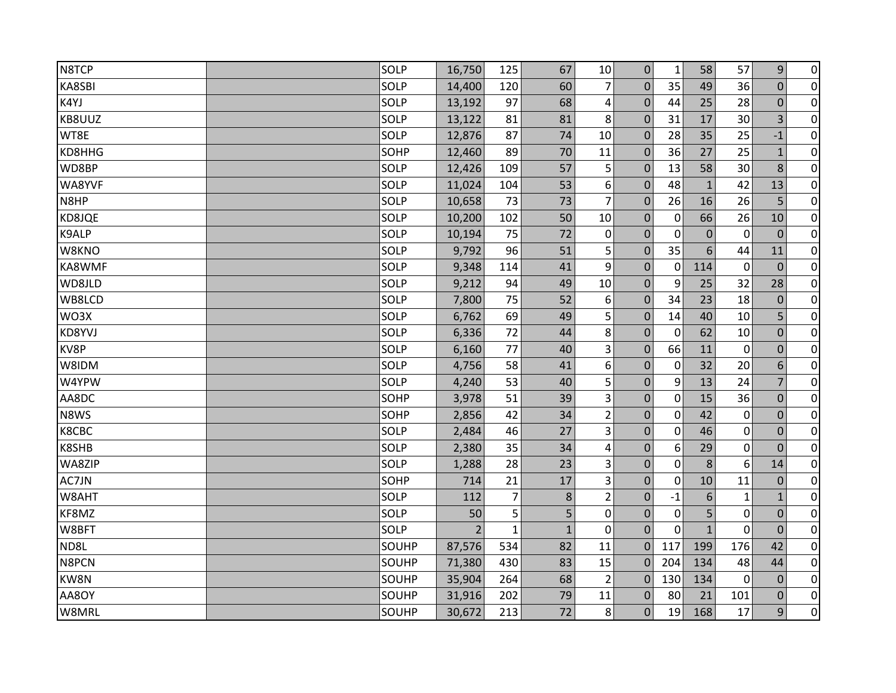| N8TCP  | SOLP         | 16,750         | 125            | 67           | $10\,$         | $\mathbf 0$      | $\mathbf{1}$ | 58               | 57          | 9              | $\pmb{0}$      |
|--------|--------------|----------------|----------------|--------------|----------------|------------------|--------------|------------------|-------------|----------------|----------------|
| KA8SBI | SOLP         | 14,400         | 120            | 60           | 7              | $\Omega$         | 35           | 49               | 36          | $\mathbf 0$    | $\pmb{0}$      |
| K4YJ   | SOLP         | 13,192         | 97             | 68           | 4              | $\Omega$         | 44           | 25               | 28          | $\Omega$       | $\overline{0}$ |
| KB8UUZ | SOLP         | 13,122         | 81             | 81           | 8              | $\mathbf{0}$     | 31           | 17               | 30          | 3              | $\pmb{0}$      |
| WT8E   | SOLP         | 12,876         | 87             | 74           | 10             | $\mathbf{0}$     | 28           | 35               | 25          | $-1$           | $\overline{0}$ |
| KD8HHG | SOHP         | 12,460         | 89             | 70           | 11             | $\mathbf{0}$     | 36           | 27               | 25          | $\mathbf{1}$   | $\pmb{0}$      |
| WD8BP  | SOLP         | 12,426         | 109            | 57           | 5              | 0                | 13           | 58               | 30          | 8              | $\pmb{0}$      |
| WA8YVF | SOLP         | 11,024         | 104            | 53           | 6              | $\Omega$         | 48           | $\mathbf{1}$     | 42          | 13             | $\overline{0}$ |
| N8HP   | SOLP         | 10,658         | 73             | 73           | $\overline{7}$ | $\mathbf{0}$     | 26           | 16               | 26          | 5              | $\overline{0}$ |
| KD8JQE | SOLP         | 10,200         | 102            | 50           | 10             | $\mathbf{0}$     | $\mathbf 0$  | 66               | 26          | 10             | $\overline{0}$ |
| K9ALP  | SOLP         | 10,194         | 75             | 72           | $\pmb{0}$      | 0                | $\mathbf 0$  | $\boldsymbol{0}$ | $\mathbf 0$ | $\Omega$       | $\pmb{0}$      |
| W8KNO  | SOLP         | 9,792          | 96             | 51           | 5              | $\overline{0}$   | 35           | 6                | 44          | 11             | $\pmb{0}$      |
| KA8WMF | SOLP         | 9,348          | 114            | 41           | 9              | $\mathbf{0}$     | $\mathbf 0$  | 114              | 0           | $\mathbf 0$    | $\overline{0}$ |
| WD8JLD | SOLP         | 9,212          | 94             | 49           | 10             | 0                | 9            | 25               | 32          | 28             | $\pmb{0}$      |
| WB8LCD | SOLP         | 7,800          | 75             | 52           | 6              | $\mathbf 0$      | 34           | 23               | 18          | $\mathbf 0$    | $\overline{0}$ |
| WO3X   | SOLP         | 6,762          | 69             | 49           | 5              | $\mathbf{0}$     | 14           | 40               | 10          | 5              | $\pmb{0}$      |
| KD8YVJ | SOLP         | 6,336          | 72             | 44           | 8              | 0                | $\mathbf 0$  | 62               | 10          | $\mathbf 0$    | $\pmb{0}$      |
| KV8P   | SOLP         | 6,160          | 77             | 40           | 3              | $\mathbf{0}$     | 66           | 11               | 0           | $\mathbf{0}$   | $\overline{0}$ |
| W8IDM  | SOLP         | 4,756          | 58             | 41           | 6              | 0                | $\mathbf 0$  | 32               | 20          | 6              | $\overline{0}$ |
| W4YPW  | SOLP         | 4,240          | 53             | 40           | 5              | 0                | 9            | 13               | 24          | 7              | $\overline{0}$ |
| AA8DC  | SOHP         | 3,978          | 51             | 39           | 3              | 0                | $\mathbf 0$  | 15               | 36          | $\Omega$       | $\pmb{0}$      |
| N8WS   | SOHP         | 2,856          | 42             | 34           | $\overline{2}$ | $\mathbf 0$      | $\mathbf 0$  | 42               | $\mathbf 0$ | $\mathbf 0$    | $\pmb{0}$      |
| K8CBC  | SOLP         | 2,484          | 46             | 27           | $\overline{3}$ | $\Omega$         | $\mathbf{0}$ | 46               | 0           | $\Omega$       | $\overline{0}$ |
| K8SHB  | SOLP         | 2,380          | 35             | 34           | $\pmb{4}$      | 0                | 6            | 29               | $\mathbf 0$ | $\mathbf{0}$   | $\pmb{0}$      |
| WA8ZIP | SOLP         | 1,288          | 28             | 23           | 3              | $\boldsymbol{0}$ | $\mathbf 0$  | $\,8$            | 6           | 14             | $\overline{0}$ |
| AC7JN  | SOHP         | 714            | 21             | 17           | $\overline{3}$ | $\mathbf{0}$     | $\mathbf 0$  | 10               | 11          | $\mathbf{0}$   | $\pmb{0}$      |
| W8AHT  | SOLP         | 112            | $\overline{7}$ | 8            | $\overline{2}$ | $\mathbf{0}$     | $-1$         | $6\,$            | 1           | $\mathbf{1}$   | $\pmb{0}$      |
| KF8MZ  | SOLP         | 50             | 5              | 5            | $\pmb{0}$      | 0                | $\mathbf 0$  | 5                | 0           | $\overline{0}$ | $\overline{0}$ |
| W8BFT  | SOLP         | $\overline{2}$ | 1              | $\mathbf{1}$ | $\mathbf 0$    | $\mathbf{0}$     | $\mathbf 0$  | $\mathbf{1}$     | $\mathbf 0$ | $\mathbf{0}$   | $\pmb{0}$      |
| ND8L   | SOUHP        | 87,576         | 534            | 82           | 11             | $\mathbf{0}$     | 117          | 199              | 176         | 42             | $\pmb{0}$      |
| N8PCN  | SOUHP        | 71,380         | 430            | 83           | 15             | $\Omega$         | 204          | 134              | 48          | 44             | $\pmb{0}$      |
| KW8N   | <b>SOUHP</b> | 35,904         | 264            | 68           | 2              | $\Omega$         | 130          | 134              | 0           | $\Omega$       | $\pmb{0}$      |
| AA8OY  | SOUHP        | 31,916         | 202            | 79           | 11             | 0                | 80           | 21               | 101         | $\mathbf 0$    | $\overline{0}$ |
| W8MRL  | SOUHP        | 30,672         | 213            | 72           | 8              | $\mathbf{0}$     | 19           | 168              | 17          | 9              | $\overline{0}$ |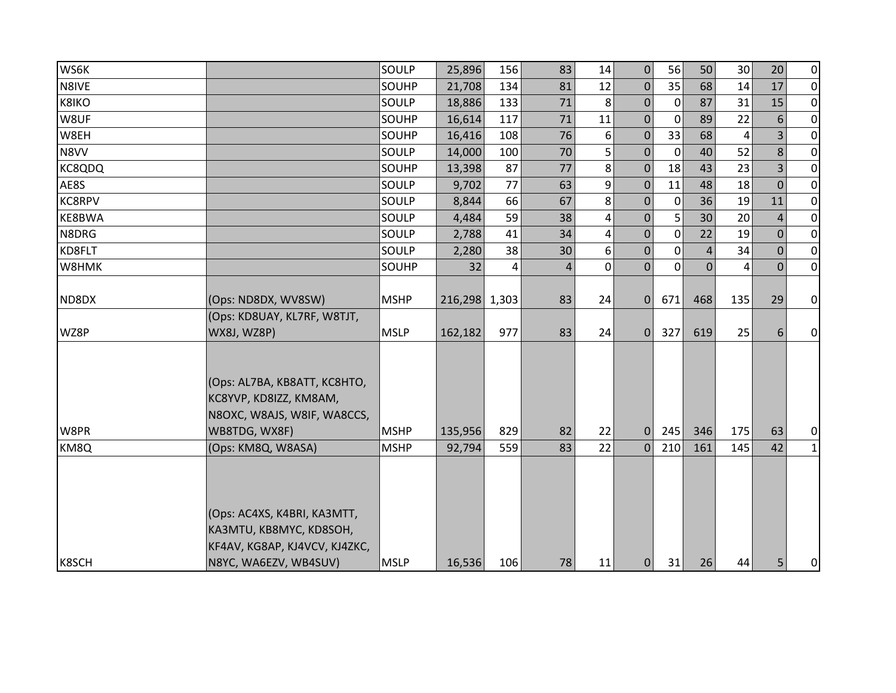| WS6K          |                               | SOULP       | 25,896        | 156 | 83             | 14                      | $\pmb{0}$        | 56          | 50          | 30  | 20             | $\overline{0}$ |
|---------------|-------------------------------|-------------|---------------|-----|----------------|-------------------------|------------------|-------------|-------------|-----|----------------|----------------|
| N8IVE         |                               | SOUHP       | 21,708        | 134 | 81             | 12                      | $\boldsymbol{0}$ | 35          | 68          | 14  | 17             | $\overline{0}$ |
| <b>K8IKO</b>  |                               | SOULP       | 18,886        | 133 | 71             | 8                       | $\mathbf{0}$     | 0           | 87          | 31  | 15             | $\overline{0}$ |
| W8UF          |                               | SOUHP       | 16,614        | 117 | 71             | 11                      | $\mathbf{0}$     | $\mathbf 0$ | 89          | 22  | 6              | $\overline{0}$ |
| W8EH          |                               | SOUHP       | 16,416        | 108 | 76             | 6                       | $\mathbf 0$      | 33          | 68          | 4   |                | $\overline{0}$ |
| N8VV          |                               | SOULP       | 14,000        | 100 | 70             | 5                       | $\mathbf 0$      | $\mathbf 0$ | 40          | 52  | 8              | $\overline{0}$ |
| <b>KC8QDQ</b> |                               | SOUHP       | 13,398        | 87  | 77             | 8                       | $\mathbf 0$      | 18          | 43          | 23  | 3              | $\overline{0}$ |
| AE8S          |                               | SOULP       | 9,702         | 77  | 63             | 9                       | $\mathbf 0$      | 11          | 48          | 18  | $\Omega$       | $\overline{0}$ |
| <b>KC8RPV</b> |                               | SOULP       | 8,844         | 66  | 67             | 8                       | 0                | $\mathbf 0$ | 36          | 19  | 11             | $\overline{0}$ |
| KE8BWA        |                               | SOULP       | 4,484         | 59  | 38             | 4                       | $\mathbf 0$      | 5           | 30          | 20  | $\overline{4}$ | $\overline{0}$ |
| N8DRG         |                               | SOULP       | 2,788         | 41  | 34             | $\overline{\mathbf{4}}$ | $\mathbf{0}$     | $\mathbf 0$ | 22          | 19  | $\mathbf{0}$   | $\overline{0}$ |
| KD8FLT        |                               | SOULP       | 2,280         | 38  | 30             | 6                       | $\pmb{0}$        | $\mathbf 0$ | 4           | 34  | $\overline{0}$ | $\overline{0}$ |
| W8HMK         |                               | SOUHP       | 32            | 4   | $\overline{4}$ | 0                       | $\mathbf 0$      | $\Omega$    | $\mathbf 0$ | 4   | $\Omega$       | $\overline{0}$ |
|               |                               |             |               |     |                |                         |                  |             |             |     |                |                |
| ND8DX         | (Ops: ND8DX, WV8SW)           | <b>MSHP</b> | 216,298 1,303 |     | 83             | 24                      | $\mathbf{0}$     | 671         | 468         | 135 | 29             | $\overline{0}$ |
|               | (Ops: KD8UAY, KL7RF, W8TJT,   |             |               |     |                |                         |                  |             |             |     |                |                |
| WZ8P          | <b>WX8J, WZ8P)</b>            | <b>MSLP</b> | 162,182       | 977 | 83             | 24                      | $\mathbf{0}$     | 327         | 619         | 25  | 6              | $\overline{0}$ |
|               |                               |             |               |     |                |                         |                  |             |             |     |                |                |
|               | (Ops: AL7BA, KB8ATT, KC8HTO,  |             |               |     |                |                         |                  |             |             |     |                |                |
|               | KC8YVP, KD8IZZ, KM8AM,        |             |               |     |                |                         |                  |             |             |     |                |                |
|               | N8OXC, W8AJS, W8IF, WA8CCS,   |             |               |     |                |                         |                  |             |             |     |                |                |
| W8PR          | WB8TDG, WX8F)                 | <b>MSHP</b> | 135,956       | 829 | 82             | 22                      | $\mathbf 0$      | 245         | 346         | 175 | 63             | $\overline{0}$ |
| KM8Q          | (Ops: KM8Q, W8ASA)            | <b>MSHP</b> | 92,794        | 559 | 83             | 22                      | $\Omega$         | 210         | 161         | 145 | 42             | $1\vert$       |
|               |                               |             |               |     |                |                         |                  |             |             |     |                |                |
|               |                               |             |               |     |                |                         |                  |             |             |     |                |                |
|               |                               |             |               |     |                |                         |                  |             |             |     |                |                |
|               | (Ops: AC4XS, K4BRI, KA3MTT,   |             |               |     |                |                         |                  |             |             |     |                |                |
|               | KA3MTU, KB8MYC, KD8SOH,       |             |               |     |                |                         |                  |             |             |     |                |                |
|               | KF4AV, KG8AP, KJ4VCV, KJ4ZKC, |             |               |     |                |                         |                  |             |             |     |                |                |
| K8SCH         | N8YC, WA6EZV, WB4SUV)         | <b>MSLP</b> | 16,536        | 106 | 78             | 11                      | $\mathbf{0}$     | 31          | 26          | 44  | 5              | $\overline{0}$ |
|               |                               |             |               |     |                |                         |                  |             |             |     |                |                |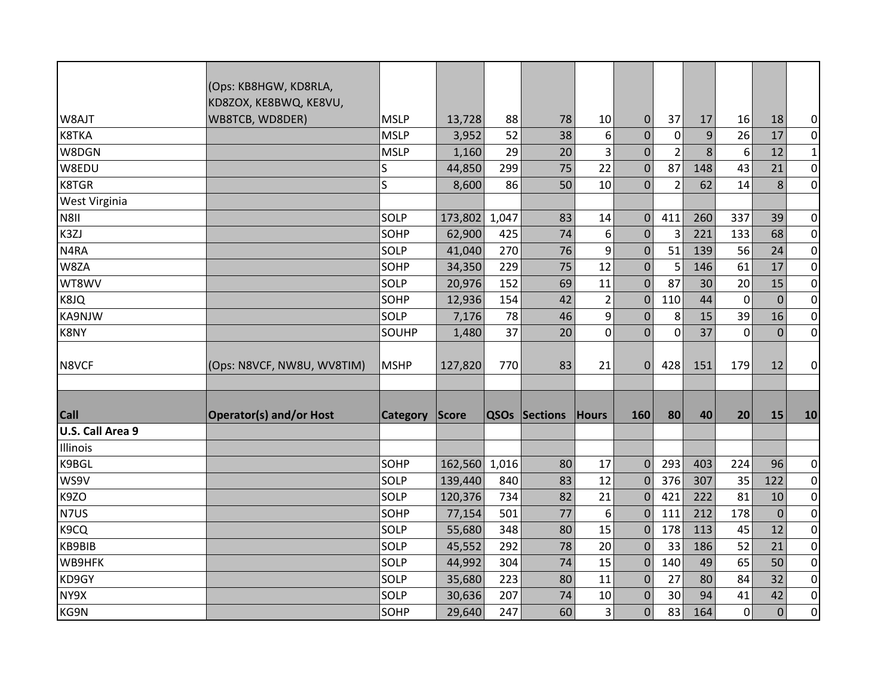|                      | (Ops: KB8HGW, KD8RLA,<br>KD8ZOX, KE8BWQ, KE8VU, |             |               |       |                      |                |                  |                  |     |             |             |                  |
|----------------------|-------------------------------------------------|-------------|---------------|-------|----------------------|----------------|------------------|------------------|-----|-------------|-------------|------------------|
| W8AJT                | WB8TCB, WD8DER)                                 | <b>MSLP</b> | 13,728        | 88    | 78                   | 10             | $\boldsymbol{0}$ | 37               | 17  | 16          | 18          | 0                |
| K8TKA                |                                                 | <b>MSLP</b> | 3,952         | 52    | 38                   | 6              | $\mathbf 0$      | $\boldsymbol{0}$ | 9   | 26          | 17          | $\pmb{0}$        |
| W8DGN                |                                                 | <b>MSLP</b> | 1,160         | 29    | 20                   | 3              | $\mathbf 0$      | $\overline{2}$   | 8   | 6           | 12          | $\mathbf 1$      |
| W8EDU                |                                                 | S           | 44,850        | 299   | 75                   | 22             | $\overline{0}$   | 87               | 148 | 43          | 21          | $\boldsymbol{0}$ |
| <b>K8TGR</b>         |                                                 | Ś           | 8,600         | 86    | 50                   | 10             | $\mathbf{0}$     | $\overline{2}$   | 62  | 14          | 8           | $\mathbf 0$      |
| <b>West Virginia</b> |                                                 |             |               |       |                      |                |                  |                  |     |             |             |                  |
| N8II                 |                                                 | SOLP        | 173,802       | 1,047 | 83                   | 14             | $\mathbf 0$      | 411              | 260 | 337         | 39          | $\pmb{0}$        |
| K3ZJ                 |                                                 | SOHP        | 62,900        | 425   | 74                   | 6              | $\mathbf 0$      | 3                | 221 | 133         | 68          | $\pmb{0}$        |
| N4RA                 |                                                 | SOLP        | 41,040        | 270   | 76                   | 9              | $\overline{0}$   | 51               | 139 | 56          | 24          | $\boldsymbol{0}$ |
| W8ZA                 |                                                 | SOHP        | 34,350        | 229   | 75                   | 12             | $\mathbf 0$      | 5                | 146 | 61          | 17          | $\pmb{0}$        |
| WT8WV                |                                                 | SOLP        | 20,976        | 152   | 69                   | 11             | $\mathbf 0$      | 87               | 30  | 20          | 15          | $\boldsymbol{0}$ |
| K8JQ                 |                                                 | SOHP        | 12,936        | 154   | 42                   | $\overline{2}$ | $\mathbf 0$      | 110              | 44  | $\mathbf 0$ | $\mathbf 0$ | $\pmb{0}$        |
| KA9NJW               |                                                 | SOLP        | 7,176         | 78    | 46                   | 9              | $\mathbf 0$      | 8                | 15  | 39          | 16          | $\pmb{0}$        |
| K8NY                 |                                                 | SOUHP       | 1,480         | 37    | 20                   | 0              | $\Omega$         | 0                | 37  | 0           | $\mathbf 0$ | $\boldsymbol{0}$ |
|                      |                                                 |             |               |       |                      |                |                  |                  |     |             |             |                  |
| N8VCF                | (Ops: N8VCF, NW8U, WV8TIM)                      | <b>MSHP</b> | 127,820       | 770   | 83                   | 21             | $\Omega$         | 428              | 151 | 179         | 12          | 0                |
|                      |                                                 |             |               |       |                      |                |                  |                  |     |             |             |                  |
|                      |                                                 |             |               |       |                      |                |                  |                  |     |             |             |                  |
| <b>Call</b>          | <b>Operator(s) and/or Host</b>                  | Category    | Score         |       | <b>QSOs Sections</b> | <b>Hours</b>   | 160              | 80               | 40  | 20          | 15          | 10               |
| U.S. Call Area 9     |                                                 |             |               |       |                      |                |                  |                  |     |             |             |                  |
| Illinois             |                                                 |             |               |       |                      |                |                  |                  |     |             |             |                  |
| K9BGL                |                                                 | SOHP        | 162,560 1,016 |       | 80                   | 17             | $\mathbf 0$      | 293              | 403 | 224         | 96          | $\pmb{0}$        |
| WS9V                 |                                                 | SOLP        | 139,440       | 840   | 83                   | 12             | $\mathbf 0$      | 376              | 307 | 35          | 122         | $\pmb{0}$        |
| K9ZO                 |                                                 | SOLP        | 120,376       | 734   | 82                   | 21             | $\mathbf 0$      | 421              | 222 | 81          | 10          | $\boldsymbol{0}$ |
| N7US                 |                                                 | SOHP        | 77,154        | 501   | 77                   | 6              | $\mathbf 0$      | 111              | 212 | 178         | $\mathbf 0$ | $\mathbf 0$      |
| K9CQ                 |                                                 | SOLP        | 55,680        | 348   | 80                   | 15             | $\mathbf 0$      | 178              | 113 | 45          | 12          | $\boldsymbol{0}$ |
| KB9BIB               |                                                 | SOLP        | 45,552        | 292   | 78                   | 20             | $\mathbf 0$      | 33               | 186 | 52          | 21          | $\boldsymbol{0}$ |
| WB9HFK               |                                                 | SOLP        | 44,992        | 304   | 74                   | 15             | $\overline{0}$   | 140              | 49  | 65          | 50          | $\boldsymbol{0}$ |
| KD9GY                |                                                 | SOLP        | 35,680        | 223   | 80                   | 11             | $\mathbf 0$      | 27               | 80  | 84          | 32          | $\mathbf 0$      |
| NY9X                 |                                                 | SOLP        | 30,636        | 207   | 74                   | 10             | $\mathbf 0$      | 30               | 94  | 41          | 42          | $\boldsymbol{0}$ |
| KG9N                 |                                                 |             |               |       | 60                   |                |                  | 83               | 164 |             |             | $\mathbf 0$      |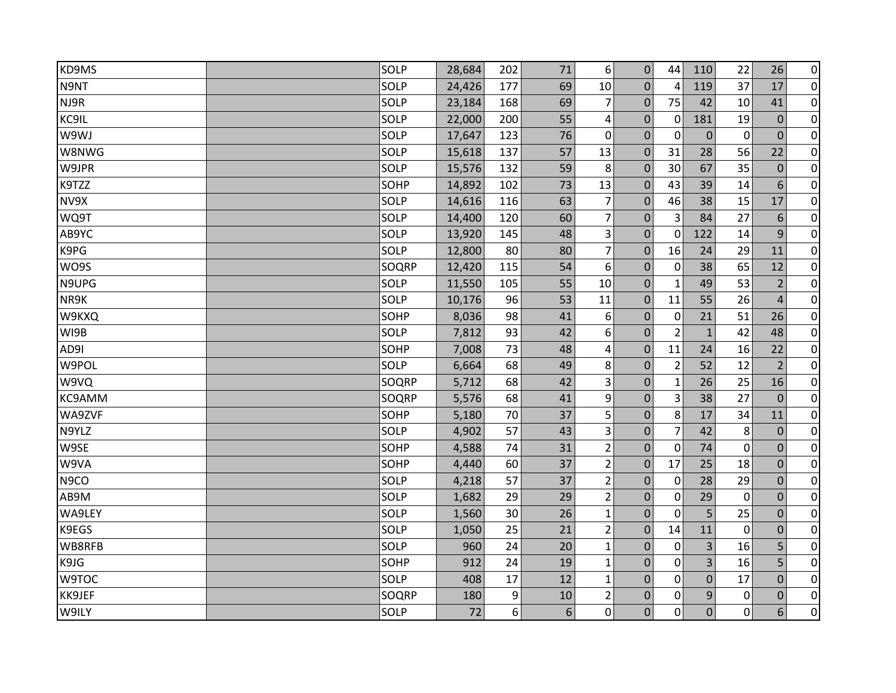| KD9MS  | SOLP  | 28,684 | 202 | 71              | 6              | $\mathbf{0}$   | 44             | 110            | 22          | 26             | $\overline{0}$ |
|--------|-------|--------|-----|-----------------|----------------|----------------|----------------|----------------|-------------|----------------|----------------|
| N9NT   | SOLP  | 24,426 | 177 | 69              | 10             | 0              | $\overline{4}$ | 119            | 37          | 17             | $\overline{0}$ |
| NJ9R   | SOLP  | 23,184 | 168 | 69              | $\overline{7}$ | $\Omega$       | 75             | 42             | 10          | 41             | $\overline{0}$ |
| KC9IL  | SOLP  | 22,000 | 200 | 55              | 4              | 0              | $\mathbf 0$    | 181            | 19          | $\mathbf 0$    | $\pmb{0}$      |
| W9WJ   | SOLP  | 17,647 | 123 | 76              | 0              | $\Omega$       | $\Omega$       | $\Omega$       | 0           | $\Omega$       | $\overline{0}$ |
| W8NWG  | SOLP  | 15,618 | 137 | 57              | 13             | 0              | 31             | 28             | 56          | 22             | $\pmb{0}$      |
| W9JPR  | SOLP  | 15,576 | 132 | 59              | 8              | $\Omega$       | 30             | 67             | 35          | $\mathbf 0$    | $\overline{0}$ |
| K9TZZ  | SOHP  | 14,892 | 102 | 73              | 13             | $\mathbf{0}$   | 43             | 39             | 14          | 6              | $\overline{0}$ |
| NV9X   | SOLP  | 14,616 | 116 | 63              | $\overline{7}$ | $\mathbf{0}$   | 46             | 38             | 15          | 17             | $\pmb{0}$      |
| WQ9T   | SOLP  | 14,400 | 120 | 60              | $\overline{7}$ | $\mathbf{0}$   | 3              | 84             | 27          | 6              | $\overline{0}$ |
| AB9YC  | SOLP  | 13,920 | 145 | 48              | $\vert$ 3      | $\overline{0}$ | $\mathbf{0}$   | 122            | 14          | 9              | $\pmb{0}$      |
| K9PG   | SOLP  | 12,800 | 80  | 80              | $\overline{7}$ | $\mathbf 0$    | 16             | 24             | 29          | 11             | $\overline{0}$ |
| WO9S   | SOQRP | 12,420 | 115 | 54              | 6              | $\mathbf{0}$   | $\mathbf 0$    | 38             | 65          | 12             | $\overline{0}$ |
| N9UPG  | SOLP  | 11,550 | 105 | 55              | 10             | $\mathbf 0$    | 1              | 49             | 53          | $\overline{2}$ | $\pmb{0}$      |
| NR9K   | SOLP  | 10,176 | 96  | 53              | 11             | $\mathbf 0$    | 11             | 55             | 26          | $\overline{4}$ | $\overline{0}$ |
| W9KXQ  | SOHP  | 8,036  | 98  | 41              | 6              | $\mathbf{0}$   | $\mathbf 0$    | 21             | 51          | 26             | $\pmb{0}$      |
| WI9B   | SOLP  | 7,812  | 93  | 42              | 6              | $\Omega$       | $\overline{2}$ | $\mathbf{1}$   | 42          | 48             | $\overline{0}$ |
| AD9I   | SOHP  | 7,008  | 73  | 48              | 4              | $\mathbf{0}$   | 11             | 24             | 16          | 22             | $\overline{0}$ |
| W9POL  | SOLP  | 6,664  | 68  | 49              | 8              | $\Omega$       | $\overline{2}$ | 52             | 12          | $\overline{2}$ | $\pmb{0}$      |
| W9VQ   | SOQRP | 5,712  | 68  | 42              | 3              | $\mathbf{0}$   | 1              | 26             | 25          | 16             | $\overline{0}$ |
| KC9AMM | SOQRP | 5,576  | 68  | 41              | 9              | 0              | 3              | 38             | 27          | $\theta$       | $\pmb{0}$      |
| WA9ZVF | SOHP  | 5,180  | 70  | 37              | 5              | $\mathbf 0$    | 8              | 17             | 34          | 11             | $\overline{0}$ |
| N9YLZ  | SOLP  | 4,902  | 57  | 43              | $\vert$ 3      | $\mathbf 0$    | $\overline{7}$ | 42             | 8           | $\overline{0}$ | $\overline{0}$ |
| W9SE   | SOHP  | 4,588  | 74  | 31              | 2 <sup>1</sup> | $\mathbf 0$    | $\mathbf 0$    | 74             | $\mathbf 0$ | $\mathbf 0$    | $\pmb{0}$      |
| W9VA   | SOHP  | 4,440  | 60  | 37              | $\overline{2}$ | $\mathbf{0}$   | 17             | 25             | 18          | $\Omega$       | $\overline{0}$ |
| N9CO   | SOLP  | 4,218  | 57  | 37              | $\overline{2}$ | $\mathbf{0}$   | 0              | 28             | 29          | $\mathbf 0$    | $\pmb{0}$      |
| AB9M   | SOLP  | 1,682  | 29  | 29              | $2\vert$       | $\mathbf 0$    | $\mathbf 0$    | 29             | $\mathbf 0$ | $\mathbf 0$    | $\overline{0}$ |
| WA9LEY | SOLP  | 1,560  | 30  | 26              | $\mathbf{1}$   | $\mathbf{0}$   | $\mathbf 0$    | 5              | 25          | $\mathbf{0}$   | $\overline{0}$ |
| K9EGS  | SOLP  | 1,050  | 25  | 21              | 2              | $\mathbf 0$    | 14             | 11             | $\mathbf 0$ | $\overline{0}$ | $\pmb{0}$      |
| WB8RFB | SOLP  | 960    | 24  | 20              | $\mathbf{1}$   | $\mathbf{0}$   | $\mathbf 0$    | 3              | 16          | 5              | $\overline{0}$ |
| K9JG   | SOHP  | 912    | 24  | 19              | $\mathbf{1}$   | 0              | $\Omega$       | $\overline{3}$ | 16          | 5              | $\pmb{0}$      |
| W9TOC  | SOLP  | 408    | 17  | 12              | $\mathbf{1}$   | 0              | 0              | $\mathbf 0$    | 17          | $\mathbf{0}$   | $\overline{0}$ |
| KK9JEF | SOQRP | 180    | 9   | 10              | $\overline{2}$ | 0              | 0              | 9              | $\mathbf 0$ | $\mathbf{0}$   | $\overline{0}$ |
| W9ILY  | SOLP  | 72     | 6   | $6\overline{6}$ | 0              | $\overline{0}$ | $\mathbf 0$    | $\overline{0}$ | $\mathbf 0$ | 6              | $\overline{0}$ |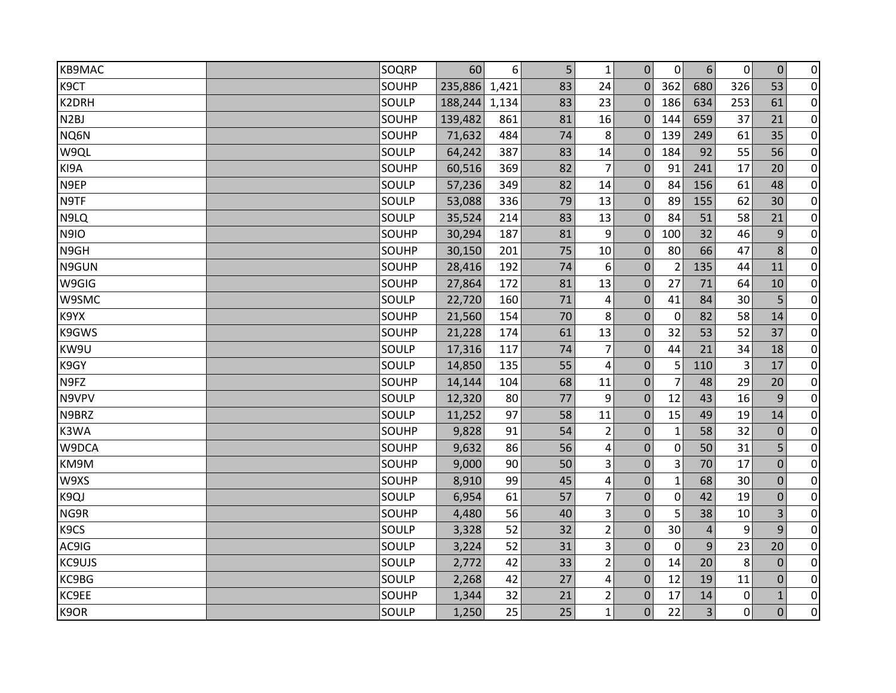| <b>KB9MAC</b>     | SOQRP | 60      | 6     | 5 <sup>1</sup> | $\mathbf{1}$   | $\Omega$       | $\mathbf{0}$   | $6\phantom{1}$ | $\pmb{0}$ | $\mathbf 0$  | $\overline{0}$ |
|-------------------|-------|---------|-------|----------------|----------------|----------------|----------------|----------------|-----------|--------------|----------------|
| K9CT              | SOUHP | 235,886 | 1,421 | 83             | 24             | $\Omega$       | 362            | 680            | 326       | 53           | $\overline{0}$ |
| K2DRH             | SOULP | 188,244 | 1,134 | 83             | 23             | $\mathbf 0$    | 186            | 634            | 253       | 61           | $\overline{0}$ |
| N <sub>2</sub> BJ | SOUHP | 139,482 | 861   | 81             | 16             | $\mathbf 0$    | 144            | 659            | 37        | 21           | $\mathbf 0$    |
| NQ6N              | SOUHP | 71,632  | 484   | 74             | 8              | $\mathbf 0$    | 139            | 249            | 61        | 35           | $\mathbf 0$    |
| W9QL              | SOULP | 64,242  | 387   | 83             | 14             | $\Omega$       | 184            | 92             | 55        | 56           | $\pmb{0}$      |
| KI9A              | SOUHP | 60,516  | 369   | 82             | 7              | $\mathbf 0$    | 91             | 241            | 17        | 20           | $\overline{0}$ |
| N9EP              | SOULP | 57,236  | 349   | 82             | 14             | $\mathbf{0}$   | 84             | 156            | 61        | 48           | $\overline{0}$ |
| N9TF              | SOULP | 53,088  | 336   | 79             | 13             | $\mathbf 0$    | 89             | 155            | 62        | 30           | $\pmb{0}$      |
| N9LQ              | SOULP | 35,524  | 214   | 83             | 13             | $\Omega$       | 84             | 51             | 58        | 21           | $\pmb{0}$      |
| <b>N9IO</b>       | SOUHP | 30,294  | 187   | 81             | 9              | $\Omega$       | 100            | 32             | 46        | 9            | $\pmb{0}$      |
| N9GH              | SOUHP | 30,150  | 201   | 75             | 10             | $\mathbf 0$    | 80             | 66             | 47        | 8            | $\pmb{0}$      |
| N9GUN             | SOUHP | 28,416  | 192   | 74             | 6              | $\mathbf 0$    | $\overline{2}$ | 135            | 44        | 11           | $\overline{0}$ |
| W9GIG             | SOUHP | 27,864  | 172   | 81             | 13             | $\mathbf 0$    | 27             | 71             | 64        | 10           | $\pmb{0}$      |
| W9SMC             | SOULP | 22,720  | 160   | 71             | 4              | $\mathbf 0$    | 41             | 84             | 30        | 5            | $\overline{0}$ |
| K9YX              | SOUHP | 21,560  | 154   | 70             | 8              | $\mathbf 0$    | 0              | 82             | 58        | 14           | $\pmb{0}$      |
| K9GWS             | SOUHP | 21,228  | 174   | 61             | 13             | $\overline{0}$ | 32             | 53             | 52        | 37           | $\pmb{0}$      |
| KW9U              | SOULP | 17,316  | 117   | 74             | $\overline{7}$ | $\mathbf 0$    | 44             | 21             | 34        | 18           | $\overline{0}$ |
| K9GY              | SOULP | 14,850  | 135   | 55             | 4              | $\mathbf{0}$   | 5              | 110            | 3         | 17           | $\pmb{0}$      |
| N9FZ              | SOUHP | 14,144  | 104   | 68             | 11             | $\mathbf 0$    | 7              | 48             | 29        | 20           | $\pmb{0}$      |
| N9VPV             | SOULP | 12,320  | 80    | 77             | 9              | $\Omega$       | 12             | 43             | 16        | 9            | $\mathbf 0$    |
| N9BRZ             | SOULP | 11,252  | 97    | 58             | 11             | $\mathbf 0$    | 15             | 49             | 19        | 14           | $\overline{0}$ |
| K3WA              | SOUHP | 9,828   | 91    | 54             | $\overline{2}$ | 0              | $\mathbf{1}$   | 58             | 32        | $\mathbf 0$  | $\overline{0}$ |
| W9DCA             | SOUHP | 9,632   | 86    | 56             | 4              | $\mathbf 0$    | 0              | 50             | 31        | 5            | $\mathbf 0$    |
| KM9M              | SOUHP | 9,000   | 90    | 50             | 3              | $\mathbf 0$    | 3              | 70             | 17        | $\mathbf 0$  | $\pmb{0}$      |
| W9XS              | SOUHP | 8,910   | 99    | 45             | 4              | $\mathbf 0$    | $\mathbf{1}$   | 68             | 30        | $\mathbf 0$  | $\pmb{0}$      |
| K9QJ              | SOULP | 6,954   | 61    | 57             | $\overline{7}$ | $\mathbf 0$    | 0              | 42             | 19        | $\mathbf 0$  | $\pmb{0}$      |
| NG9R              | SOUHP | 4,480   | 56    | 40             | 3              | $\Omega$       | 5              | 38             | 10        | 3            | $\overline{0}$ |
| K9CS              | SOULP | 3,328   | 52    | 32             | $\overline{2}$ | $\mathbf{0}$   | 30             | $\overline{4}$ | 9         | 9            | $\pmb{0}$      |
| AC9IG             | SOULP | 3,224   | 52    | 31             | 3              | $\overline{0}$ | $\mathbf 0$    | 9              | 23        | 20           | $\overline{0}$ |
| <b>KC9UJS</b>     | SOULP | 2,772   | 42    | 33             | $\overline{2}$ | $\mathbf 0$    | 14             | 20             | 8         | $\mathbf 0$  | $\pmb{0}$      |
| KC9BG             | SOULP | 2,268   | 42    | 27             | 4              | $\Omega$       | 12             | 19             | 11        | $\Omega$     | $\pmb{0}$      |
| KC9EE             | SOUHP | 1,344   | 32    | 21             | $\overline{2}$ | $\mathbf 0$    | 17             | 14             | 0         | $\mathbf{1}$ | $\overline{0}$ |
| K9OR              | SOULP | 1,250   | 25    | 25             | $\mathbf{1}$   | $\Omega$       | 22             | 3              | $\Omega$  | $\Omega$     | $\pmb{0}$      |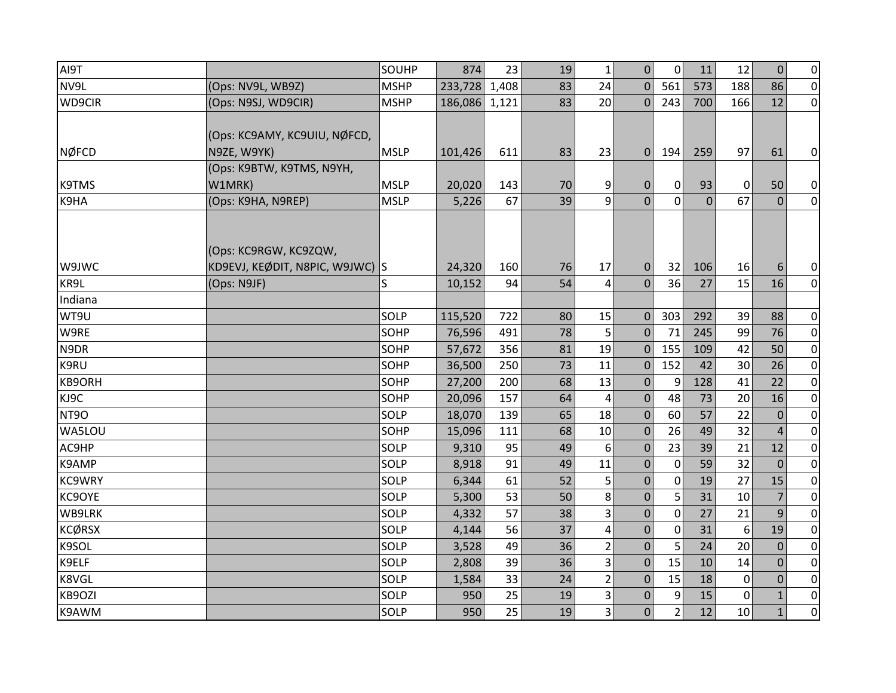| AI9T          |                                 | SOUHP       | 874     | 23    | 19 | $\mathbf{1}$   | $\Omega$       | $\mathbf{0}$   | 11       | 12           | $\Omega$       | $\overline{0}$ |
|---------------|---------------------------------|-------------|---------|-------|----|----------------|----------------|----------------|----------|--------------|----------------|----------------|
| NV9L          | (Ops: NV9L, WB9Z)               | <b>MSHP</b> | 233,728 | 1,408 | 83 | 24             | $\Omega$       | 561            | 573      | 188          | 86             | $\overline{0}$ |
| WD9CIR        | (Ops: N9SJ, WD9CIR)             | <b>MSHP</b> | 186,086 | 1,121 | 83 | 20             | $\theta$       | 243            | 700      | 166          | 12             | $\overline{0}$ |
|               |                                 |             |         |       |    |                |                |                |          |              |                |                |
|               | (Ops: KC9AMY, KC9UIU, NØFCD,    |             |         |       |    |                |                |                |          |              |                |                |
| <b>NØFCD</b>  | N9ZE, W9YK)                     | <b>MSLP</b> | 101,426 | 611   | 83 | 23             | $\mathbf{0}$   | 194            | 259      | 97           | 61             | $\overline{0}$ |
|               | (Ops: K9BTW, K9TMS, N9YH,       |             |         |       |    |                |                |                |          |              |                |                |
| <b>K9TMS</b>  | W1MRK)                          | <b>MSLP</b> | 20,020  | 143   | 70 | 9              | $\mathbf 0$    | 0              | 93       | $\mathbf{0}$ | 50             | $\overline{0}$ |
| K9HA          | (Ops: K9HA, N9REP)              | <b>MSLP</b> | 5,226   | 67    | 39 | 9              | $\Omega$       | $\Omega$       | $\Omega$ | 67           | $\Omega$       | $\overline{0}$ |
|               |                                 |             |         |       |    |                |                |                |          |              |                |                |
|               |                                 |             |         |       |    |                |                |                |          |              |                |                |
|               | (Ops: KC9RGW, KC9ZQW,           |             |         |       |    |                |                |                |          |              |                |                |
| W9JWC         | KD9EVJ, KEØDIT, N8PIC, W9JWC) S |             | 24,320  | 160   | 76 | 17             | $\mathbf{0}$   | 32             | 106      | 16           | 6              | $\overline{0}$ |
| KR9L          | (Ops: N9JF)                     | S           | 10,152  | 94    | 54 | 4              | $\mathbf{0}$   | 36             | 27       | 15           | 16             | $\overline{0}$ |
| Indiana       |                                 |             |         |       |    |                |                |                |          |              |                |                |
| WT9U          |                                 | SOLP        | 115,520 | 722   | 80 | 15             | $\Omega$       | 303            | 292      | 39           | 88             | $\overline{0}$ |
| W9RE          |                                 | SOHP        | 76,596  | 491   | 78 | 5              | $\mathbf{0}$   | 71             | 245      | 99           | 76             | $\overline{0}$ |
| N9DR          |                                 | SOHP        | 57,672  | 356   | 81 | 19             | $\theta$       | 155            | 109      | 42           | 50             | $\overline{0}$ |
| K9RU          |                                 | SOHP        | 36,500  | 250   | 73 | 11             | $\mathbf{0}$   | 152            | 42       | 30           | 26             | $\overline{0}$ |
| KB9ORH        |                                 | SOHP        | 27,200  | 200   | 68 | 13             | $\mathbf{0}$   | 9              | 128      | 41           | 22             | $\overline{0}$ |
| KJ9C          |                                 | SOHP        | 20,096  | 157   | 64 | 4              | $\mathbf 0$    | 48             | 73       | 20           | 16             | $\pmb{0}$      |
| <b>NT9O</b>   |                                 | SOLP        | 18,070  | 139   | 65 | 18             | $\Omega$       | 60             | 57       | 22           | $\Omega$       | $\overline{0}$ |
| WA5LOU        |                                 | SOHP        | 15,096  | 111   | 68 | 10             | $\mathbf 0$    | 26             | 49       | 32           | $\overline{4}$ | $\overline{0}$ |
| AC9HP         |                                 | SOLP        | 9,310   | 95    | 49 | 6              | $\mathbf 0$    | 23             | 39       | 21           | 12             | $\overline{0}$ |
| K9AMP         |                                 | SOLP        | 8,918   | 91    | 49 | 11             | $\mathbf 0$    | 0              | 59       | 32           | $\mathbf{0}$   | $\overline{0}$ |
| <b>KC9WRY</b> |                                 | SOLP        | 6,344   | 61    | 52 | 5              | $\Omega$       | 0              | 19       | 27           | 15             | $\overline{0}$ |
| KC9OYE        |                                 | SOLP        | 5,300   | 53    | 50 | 8              | $\mathbf 0$    | 5              | 31       | 10           | $\overline{7}$ | $\pmb{0}$      |
| WB9LRK        |                                 | SOLP        | 4,332   | 57    | 38 | 3              | $\Omega$       | $\mathbf{0}$   | 27       | 21           | $\mathbf{q}$   | $\overline{0}$ |
| <b>KCØRSX</b> |                                 | SOLP        | 4,144   | 56    | 37 | 4              | $\mathbf 0$    | $\mathbf 0$    | 31       | 6            | 19             | $\overline{0}$ |
| K9SOL         |                                 | SOLP        | 3,528   | 49    | 36 | $\overline{2}$ | $\overline{0}$ | 5              | 24       | 20           | $\Omega$       | $\overline{0}$ |
| K9ELF         |                                 | SOLP        | 2,808   | 39    | 36 | 3              | $\mathbf 0$    | 15             | 10       | 14           | $\mathbf 0$    | $\overline{0}$ |
| K8VGL         |                                 | SOLP        | 1,584   | 33    | 24 | $\overline{2}$ | $\mathbf 0$    | 15             | 18       | 0            | $\mathbf 0$    | $\overline{0}$ |
| KB9OZI        |                                 | SOLP        | 950     | 25    | 19 | 3              | $\mathbf 0$    | 9              | 15       | $\Omega$     | $\mathbf{1}$   | $\overline{0}$ |
| K9AWM         |                                 | SOLP        | 950     | 25    | 19 | 3              | $\overline{0}$ | $\overline{2}$ | 12       | 10           | $\mathbf{1}$   | $\overline{0}$ |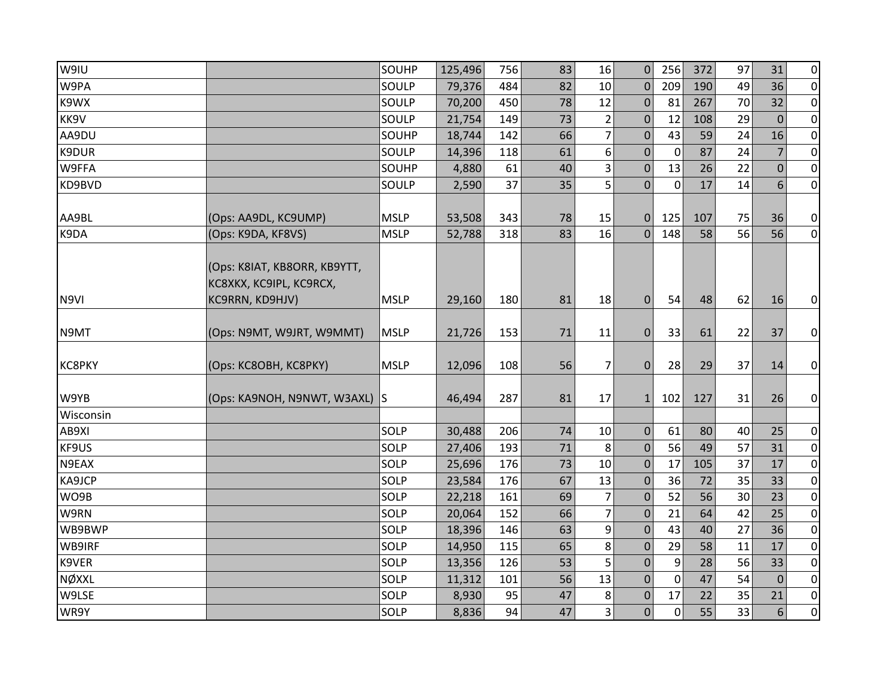| W9IU          |                               | SOUHP       | 125,496 | 756 | 83 | 16             | $\Omega$       | 256            | 372 | 97 | 31             | $\overline{0}$ |
|---------------|-------------------------------|-------------|---------|-----|----|----------------|----------------|----------------|-----|----|----------------|----------------|
| W9PA          |                               | SOULP       | 79,376  | 484 | 82 | 10             | $\Omega$       | 209            | 190 | 49 | 36             | $\overline{0}$ |
| K9WX          |                               | SOULP       | 70,200  | 450 | 78 | 12             | $\mathbf{0}$   | 81             | 267 | 70 | 32             | $\overline{0}$ |
| KK9V          |                               | SOULP       | 21,754  | 149 | 73 | $\overline{2}$ | $\Omega$       | 12             | 108 | 29 | $\Omega$       | $\overline{0}$ |
| AA9DU         |                               | SOUHP       | 18,744  | 142 | 66 | $\overline{7}$ | $\mathbf{0}$   | 43             | 59  | 24 | 16             | $\overline{0}$ |
| K9DUR         |                               | SOULP       | 14,396  | 118 | 61 | 6              | 0              | $\mathbf 0$    | 87  | 24 | 7              | $\overline{0}$ |
| W9FFA         |                               | SOUHP       | 4,880   | 61  | 40 | 3              | $\overline{0}$ | 13             | 26  | 22 | $\overline{0}$ | $\overline{0}$ |
| KD9BVD        |                               | SOULP       | 2,590   | 37  | 35 | 5              | $\overline{0}$ | $\mathbf 0$    | 17  | 14 | 6              | $\overline{0}$ |
|               |                               |             |         |     |    |                |                |                |     |    |                |                |
| AA9BL         | (Ops: AA9DL, KC9UMP)          | <b>MSLP</b> | 53,508  | 343 | 78 | 15             | $\Omega$       | 125            | 107 | 75 | 36             | $\overline{0}$ |
| K9DA          | (Ops: K9DA, KF8VS)            | <b>MSLP</b> | 52,788  | 318 | 83 | 16             | $\Omega$       | 148            | 58  | 56 | 56             | $\overline{0}$ |
|               |                               |             |         |     |    |                |                |                |     |    |                |                |
|               | (Ops: K8IAT, KB8ORR, KB9YTT,  |             |         |     |    |                |                |                |     |    |                |                |
|               | KC8XKX, KC9IPL, KC9RCX,       |             |         |     |    |                |                |                |     |    |                |                |
| N9VI          | KC9RRN, KD9HJV)               | <b>MSLP</b> | 29,160  | 180 | 81 | 18             | $\mathbf 0$    | 54             | 48  | 62 | 16             | $\overline{0}$ |
|               |                               |             |         |     |    |                |                |                |     |    |                |                |
| N9MT          | (Ops: N9MT, W9JRT, W9MMT)     | <b>MSLP</b> | 21,726  | 153 | 71 | 11             | $\mathbf{0}$   | 33             | 61  | 22 | 37             | $\overline{0}$ |
|               |                               |             |         |     |    |                |                |                |     |    |                |                |
| <b>KC8PKY</b> | (Ops: KC8OBH, KC8PKY)         | <b>MSLP</b> | 12,096  | 108 | 56 | 7              | $\Omega$       | 28             | 29  | 37 | 14             | $\overline{0}$ |
|               |                               |             |         |     |    |                |                |                |     |    |                |                |
| W9YB          | (Ops: KA9NOH, N9NWT, W3AXL) S |             | 46,494  | 287 | 81 | 17             | $\mathbf{1}$   | 102            | 127 | 31 | 26             | $\overline{0}$ |
| Wisconsin     |                               |             |         |     |    |                |                |                |     |    |                |                |
| AB9XI         |                               | SOLP        | 30,488  | 206 | 74 | 10             | $\mathbf{0}$   | 61             | 80  | 40 | 25             | $\overline{0}$ |
| KF9US         |                               | SOLP        | 27,406  | 193 | 71 | 8              | $\mathbf{0}$   | 56             | 49  | 57 | 31             | $\overline{0}$ |
| N9EAX         |                               | SOLP        | 25,696  | 176 | 73 | 10             | $\mathbf 0$    | 17             | 105 | 37 | 17             | $\overline{0}$ |
| KA9JCP        |                               | SOLP        | 23,584  | 176 | 67 | 13             | $\mathbf{0}$   | 36             | 72  | 35 | 33             | $\overline{0}$ |
| WO9B          |                               | SOLP        | 22,218  | 161 | 69 | $\overline{7}$ | $\mathbf{0}$   | 52             | 56  | 30 | 23             | $\overline{0}$ |
| W9RN          |                               | SOLP        | 20,064  | 152 | 66 | $\overline{7}$ | $\mathbf{0}$   | 21             | 64  | 42 | 25             | $\overline{0}$ |
| WB9BWP        |                               | SOLP        | 18,396  | 146 | 63 | 9              | $\Omega$       | 43             | 40  | 27 | 36             | $\overline{0}$ |
| WB9IRF        |                               | SOLP        | 14,950  | 115 | 65 | 8              | $\mathbf 0$    | 29             | 58  | 11 | 17             | $\overline{0}$ |
| K9VER         |                               | SOLP        | 13,356  | 126 | 53 | 5              | $\mathbf{0}$   | 9              | 28  | 56 | 33             | $\overline{0}$ |
| NØXXL         |                               | SOLP        | 11,312  | 101 | 56 | 13             | $\overline{0}$ | $\mathbf 0$    | 47  | 54 | $\overline{0}$ | $\overline{0}$ |
| W9LSE         |                               | SOLP        | 8,930   | 95  | 47 | 8              | 0              | 17             | 22  | 35 | 21             | $\overline{0}$ |
| WR9Y          |                               | SOLP        | 8,836   | 94  | 47 | $\overline{3}$ | $\overline{0}$ | $\overline{0}$ | 55  | 33 | 6              | $\overline{0}$ |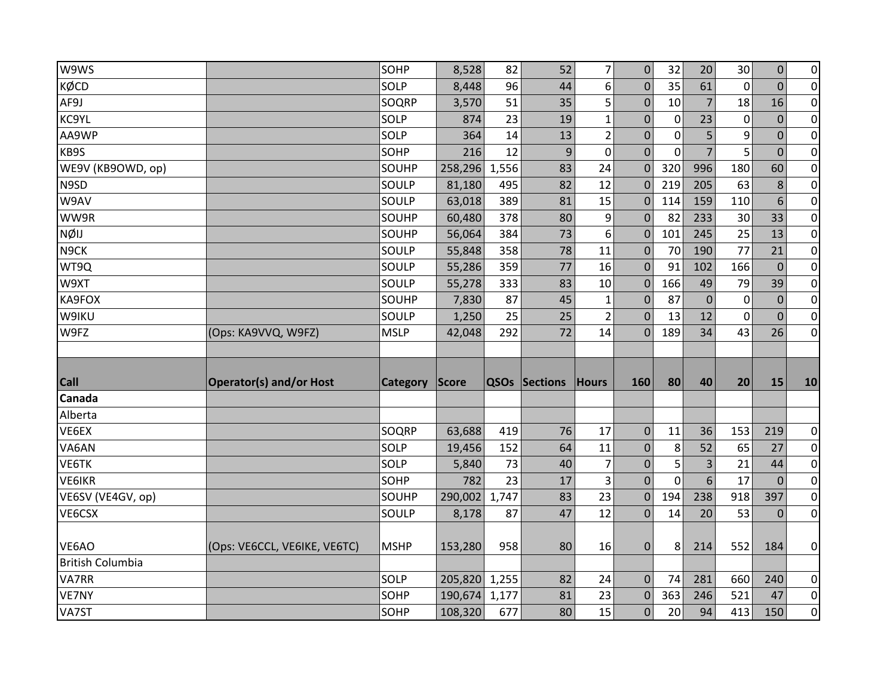| W9WS                    |                                | SOHP            | 8,528        | 82    | 52                   | $\overline{7}$          | $\mathbf{0}$     | 32          | 20             | 30          | $\overline{0}$   | $\pmb{0}$                     |
|-------------------------|--------------------------------|-----------------|--------------|-------|----------------------|-------------------------|------------------|-------------|----------------|-------------|------------------|-------------------------------|
| KØCD                    |                                | SOLP            | 8,448        | 96    | 44                   | 6                       | $\mathbf 0$      | 35          | 61             | $\mathbf 0$ | $\mathbf{0}$     | $\mathbf 0$                   |
| AF9J                    |                                | SOQRP           | 3,570        | 51    | 35                   | 5                       | $\mathbf{0}$     | 10          | $\overline{7}$ | 18          | 16               | $\overline{0}$                |
| KC9YL                   |                                | SOLP            | 874          | 23    | 19                   | $\mathbf{1}$            | $\boldsymbol{0}$ | 0           | 23             | 0           | $\overline{0}$   | $\pmb{0}$                     |
| AA9WP                   |                                | SOLP            | 364          | 14    | 13                   | $\overline{2}$          | $\mathbf{0}$     | $\mathbf 0$ | 5              | 9           | $\mathbf{0}$     | $\pmb{0}$                     |
| KB9S                    |                                | SOHP            | 216          | 12    | 9                    | $\mathbf 0$             | $\mathbf{0}$     | $\mathbf 0$ | 7              | 5           | $\mathbf{0}$     | $\mathbf 0$                   |
| WE9V (KB9OWD, op)       |                                | SOUHP           | 258,296      | 1,556 | 83                   | 24                      | $\mathbf{0}$     | 320         | 996            | 180         | 60               | $\pmb{0}$                     |
| N9SD                    |                                | SOULP           | 81,180       | 495   | 82                   | 12                      | $\mathbf{0}$     | 219         | 205            | 63          | 8                | $\mathbf 0$                   |
| W9AV                    |                                | SOULP           | 63,018       | 389   | 81                   | 15                      | $\mathbf{0}$     | 114         | 159            | 110         | $6 \overline{6}$ | $\pmb{0}$                     |
| WW9R                    |                                | SOUHP           | 60,480       | 378   | 80                   | 9                       | $\mathbf{0}$     | 82          | 233            | 30          | 33               | $\pmb{0}$                     |
| <b>NØIJ</b>             |                                | SOUHP           | 56,064       | 384   | 73                   | 6                       | $\Omega$         | 101         | 245            | 25          | 13               | $\pmb{0}$                     |
| N9CK                    |                                | SOULP           | 55,848       | 358   | 78                   | 11                      | $\mathbf{0}$     | 70          | 190            | 77          | 21               | $\pmb{0}$                     |
| WT9Q                    |                                | SOULP           | 55,286       | 359   | 77                   | 16                      | $\Omega$         | 91          | 102            | 166         | $\theta$         | $\pmb{0}$                     |
| W9XT                    |                                | SOULP           | 55,278       | 333   | 83                   | 10                      | $\mathbf{0}$     | 166         | 49             | 79          | 39               | $\pmb{0}$                     |
| KA9FOX                  |                                | SOUHP           | 7,830        | 87    | 45                   | $\mathbf 1$             | $\mathbf{0}$     | 87          | $\mathbf 0$    | 0           | $\overline{0}$   | $\pmb{0}$                     |
| W9IKU                   |                                | SOULP           | 1,250        | 25    | 25                   | $\overline{2}$          | $\Omega$         | 13          | 12             | $\Omega$    | $\mathbf{0}$     | $\boldsymbol{0}$              |
|                         |                                | <b>MSLP</b>     | 42,048       | 292   | 72                   | 14                      | $\Omega$         | 189         | 34             | 43          | 26               | $\pmb{0}$                     |
| W9FZ                    | (Ops: KA9VVQ, W9FZ)            |                 |              |       |                      |                         |                  |             |                |             |                  |                               |
|                         |                                |                 |              |       |                      |                         |                  |             |                |             |                  |                               |
|                         |                                |                 |              |       |                      |                         |                  |             |                |             |                  |                               |
| <b>Call</b>             | <b>Operator(s) and/or Host</b> | <b>Category</b> | <b>Score</b> |       | <b>QSOs Sections</b> | Hours                   | 160              | 80          | 40             | 20          | 15               | 10                            |
| Canada                  |                                |                 |              |       |                      |                         |                  |             |                |             |                  |                               |
| Alberta                 |                                |                 |              |       |                      |                         |                  |             |                |             |                  |                               |
| VE6EX                   |                                | SOQRP           | 63,688       | 419   | 76                   | 17                      | $\mathbf{0}$     | 11          | 36             | 153         | 219              | $\overline{0}$                |
| VA6AN                   |                                | SOLP            | 19,456       | 152   | 64                   | 11                      | $\mathbf{0}$     | 8           | 52             | 65          | 27               | $\overline{0}$                |
| VE6TK                   |                                | SOLP            | 5,840        | 73    | 40                   | $\overline{\mathbf{z}}$ | $\mathbf{0}$     | 5           | 3              | 21          | 44               | $\pmb{0}$                     |
| <b>VE6IKR</b>           |                                | SOHP            | 782          | 23    | 17                   | 3                       | $\mathbf{0}$     | $\mathbf 0$ | 6              | 17          | $\mathbf{0}$     | $\mathbf 0$                   |
| VE6SV (VE4GV, op)       |                                | SOUHP           | 290,002      | 1,747 | 83                   | 23                      | $\mathbf 0$      | 194         | 238            | 918         | 397              | $\pmb{0}$                     |
| VE6CSX                  |                                | SOULP           | 8,178        | 87    | 47                   | 12                      | $\overline{0}$   | 14          | 20             | 53          | $\Omega$         | $\overline{0}$                |
|                         |                                |                 |              |       |                      |                         |                  |             |                |             |                  |                               |
| VE6AO                   | (Ops: VE6CCL, VE6IKE, VE6TC)   | <b>MSHP</b>     | 153,280      | 958   | 80                   | 16                      | $\boldsymbol{0}$ | 8           | 214            | 552         | 184              | 0                             |
| <b>British Columbia</b> |                                |                 |              |       |                      |                         |                  |             |                |             |                  |                               |
| VA7RR                   |                                | SOLP            | 205,820      | 1,255 | 82                   | 24                      | $\mathbf{0}$     | 74          | 281            | 660         | 240              | 0                             |
| VE7NY                   |                                | SOHP            | 190,674      | 1,177 | 81                   | 23                      | $\mathbf{0}$     | 363         | 246            | 521         | 47               | $\mathbf 0$<br>$\overline{0}$ |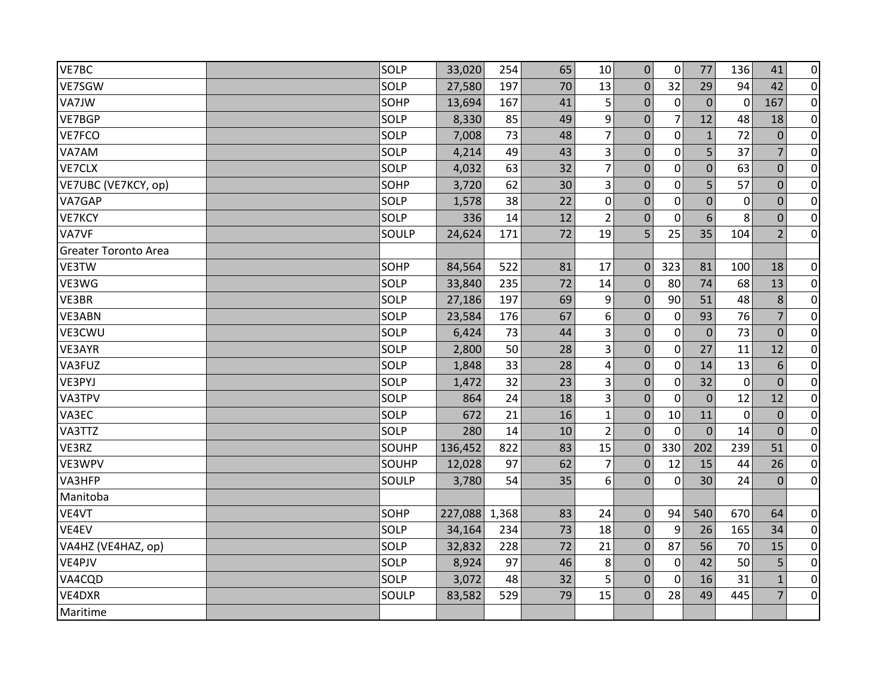| VE7BC                       | SOLP  | 33,020  | 254   | 65 | 10             | $\mathbf 0$    | 0              | 77             | 136          | 41             | $\overline{0}$ |
|-----------------------------|-------|---------|-------|----|----------------|----------------|----------------|----------------|--------------|----------------|----------------|
| VE7SGW                      | SOLP  | 27,580  | 197   | 70 | 13             | $\overline{0}$ | 32             | 29             | 94           | 42             | $\overline{0}$ |
| VA7JW                       | SOHP  | 13,694  | 167   | 41 | 5              | $\mathbf{0}$   | $\mathbf 0$    | $\mathbf 0$    | $\mathbf 0$  | 167            | $\overline{0}$ |
| VE7BGP                      | SOLP  | 8,330   | 85    | 49 | 9              | $\mathbf{0}$   | $\overline{7}$ | 12             | 48           | 18             | $\overline{0}$ |
| VE7FCO                      | SOLP  | 7,008   | 73    | 48 | $\overline{7}$ | $\mathbf{0}$   | $\mathbf 0$    | $\mathbf{1}$   | 72           | $\mathbf{0}$   | $\overline{0}$ |
| VA7AM                       | SOLP  | 4,214   | 49    | 43 | 3              | $\Omega$       | $\Omega$       | 5              | 37           | 7              | $\overline{0}$ |
| VE7CLX                      | SOLP  | 4,032   | 63    | 32 | $\overline{7}$ | $\mathbf 0$    | $\mathbf 0$    | $\mathbf 0$    | 63           | $\mathbf 0$    | $\overline{0}$ |
| VE7UBC (VE7KCY, op)         | SOHP  | 3,720   | 62    | 30 | 3              | $\mathbf 0$    | $\mathbf 0$    | 5              | 57           | $\mathbf{0}$   | $\overline{0}$ |
| VA7GAP                      | SOLP  | 1,578   | 38    | 22 | $\mathbf 0$    | $\overline{0}$ | $\mathbf 0$    | $\overline{0}$ | $\mathbf 0$  | $\overline{0}$ | $\overline{0}$ |
| VE7KCY                      | SOLP  | 336     | 14    | 12 | $\overline{2}$ | $\Omega$       | $\mathbf{0}$   | $6\phantom{1}$ | 8            | $\mathbf 0$    | $\overline{0}$ |
| VA7VF                       | SOULP | 24,624  | 171   | 72 | 19             | 5              | 25             | 35             | 104          | 2              | $\overline{0}$ |
| <b>Greater Toronto Area</b> |       |         |       |    |                |                |                |                |              |                |                |
| VE3TW                       | SOHP  | 84,564  | 522   | 81 | 17             | $\Omega$       | 323            | 81             | 100          | 18             | $\overline{0}$ |
| VE3WG                       | SOLP  | 33,840  | 235   | 72 | 14             | $\Omega$       | 80             | 74             | 68           | 13             | $\overline{0}$ |
| VE3BR                       | SOLP  | 27,186  | 197   | 69 | 9              | $\mathbf{0}$   | 90             | 51             | 48           | 8              | $\overline{0}$ |
| VE3ABN                      | SOLP  | 23,584  | 176   | 67 | 6              | $\mathbf{0}$   | $\mathbf 0$    | 93             | 76           | $\overline{7}$ | $\overline{0}$ |
| VE3CWU                      | SOLP  | 6,424   | 73    | 44 | 3              | $\mathbf{0}$   | $\mathbf 0$    | $\mathbf{0}$   | 73           | $\Omega$       | $\overline{0}$ |
| VE3AYR                      | SOLP  | 2,800   | 50    | 28 | $\overline{3}$ | $\Omega$       | $\mathbf 0$    | 27             | 11           | 12             | $\overline{0}$ |
| VA3FUZ                      | SOLP  | 1,848   | 33    | 28 | 4              | $\mathbf 0$    | $\mathbf 0$    | 14             | 13           | 6              | $\overline{0}$ |
| VE3PYJ                      | SOLP  | 1,472   | 32    | 23 | 3              | $\Omega$       | $\mathbf{0}$   | 32             | $\mathbf{0}$ | $\Omega$       | $\overline{0}$ |
| VA3TPV                      | SOLP  | 864     | 24    | 18 | 3              | $\mathbf 0$    | $\mathbf 0$    | $\mathbf 0$    | 12           | 12             | $\pmb{0}$      |
| VA3EC                       | SOLP  | 672     | 21    | 16 | $\mathbf{1}$   | $\mathbf{0}$   | 10             | 11             | $\mathbf 0$  | $\mathbf{0}$   | $\overline{0}$ |
| VA3TTZ                      | SOLP  | 280     | 14    | 10 | $\overline{2}$ | $\overline{0}$ | $\Omega$       | $\Omega$       | 14           | $\overline{0}$ | $\overline{0}$ |
| VE3RZ                       | SOUHP | 136,452 | 822   | 83 | 15             | $\mathbf 0$    | 330            | 202            | 239          | 51             | $\overline{0}$ |
| VE3WPV                      | SOUHP | 12,028  | 97    | 62 | $\overline{7}$ | $\mathbf{0}$   | 12             | 15             | 44           | 26             | $\overline{0}$ |
| VA3HFP                      | SOULP | 3,780   | 54    | 35 | 6              | $\Omega$       | 0              | 30             | 24           | $\mathbf{0}$   | $\overline{0}$ |
| Manitoba                    |       |         |       |    |                |                |                |                |              |                |                |
| VE4VT                       | SOHP  | 227,088 | 1,368 | 83 | 24             | $\Omega$       | 94             | 540            | 670          | 64             | $\overline{0}$ |
| VE4EV                       | SOLP  | 34,164  | 234   | 73 | 18             | $\mathbf{0}$   | 9              | 26             | 165          | 34             | $\overline{0}$ |
| VA4HZ (VE4HAZ, op)          | SOLP  | 32,832  | 228   | 72 | 21             | $\mathbf 0$    | 87             | 56             | 70           | 15             | $\overline{0}$ |
| VE4PJV                      | SOLP  | 8,924   | 97    | 46 | 8              | $\mathbf{0}$   | 0              | 42             | 50           | 5              | $\overline{0}$ |
| VA4CQD                      | SOLP  | 3,072   | 48    | 32 | 5              | $\Omega$       | $\mathbf{0}$   | 16             | 31           | $\mathbf{1}$   | $\overline{0}$ |
| VE4DXR                      | SOULP | 83,582  | 529   | 79 | 15             | $\Omega$       | 28             | 49             | 445          | $\overline{7}$ | $\overline{0}$ |
| Maritime                    |       |         |       |    |                |                |                |                |              |                |                |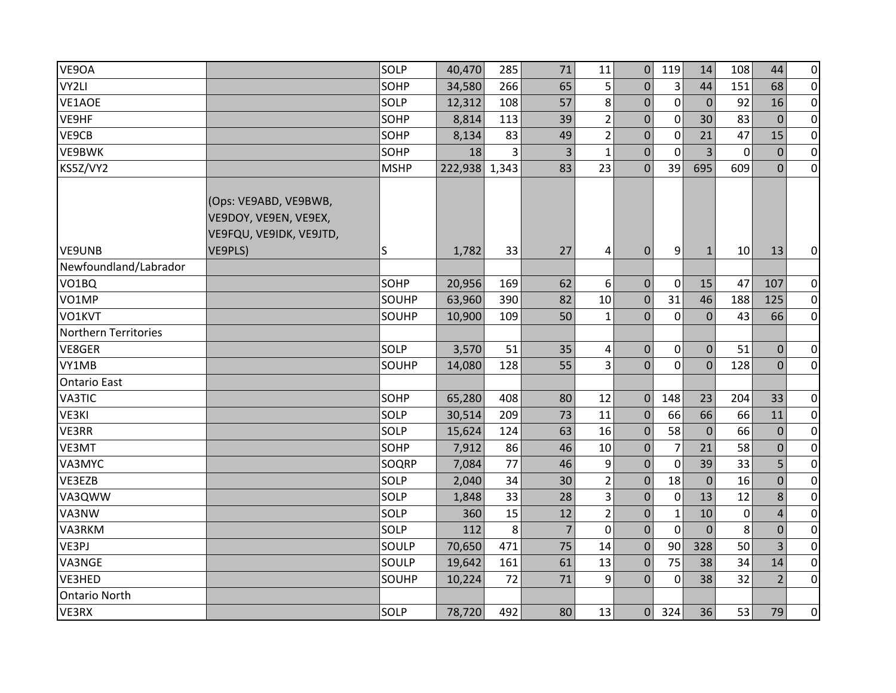| VE9OA                 |                                                                           | SOLP        | 40,470  | 285   | 71             | 11               | $\mathbf 0$      | 119            | 14             | 108         | 44             | $\overline{0}$ |
|-----------------------|---------------------------------------------------------------------------|-------------|---------|-------|----------------|------------------|------------------|----------------|----------------|-------------|----------------|----------------|
| VY2LI                 |                                                                           | SOHP        | 34,580  | 266   | 65             | 5                | $\mathbf 0$      | 3              | 44             | 151         | 68             | $\overline{0}$ |
| VE1AOE                |                                                                           | SOLP        | 12,312  | 108   | 57             | 8                | $\mathbf 0$      | $\mathbf 0$    | $\mathbf{0}$   | 92          | 16             | $\overline{0}$ |
| VE9HF                 |                                                                           | SOHP        | 8,814   | 113   | 39             | $\overline{2}$   | $\mathbf 0$      | $\mathbf 0$    | 30             | 83          | $\overline{0}$ | $\overline{0}$ |
| VE9CB                 |                                                                           | SOHP        | 8,134   | 83    | 49             | $\overline{2}$   | $\mathbf 0$      | $\mathbf 0$    | 21             | 47          | 15             | $\overline{0}$ |
| VE9BWK                |                                                                           | SOHP        | 18      | 3     | 3              | $\mathbf{1}$     | $\Omega$         | $\mathbf{0}$   | 3              | $\Omega$    | $\Omega$       | $\overline{0}$ |
| KS5Z/VY2              |                                                                           | <b>MSHP</b> | 222,938 | 1,343 | 83             | 23               | $\mathbf{0}$     | 39             | 695            | 609         | $\mathbf{0}$   | $\overline{0}$ |
|                       | (Ops: VE9ABD, VE9BWB,<br>VE9DOY, VE9EN, VE9EX,<br>VE9FQU, VE9IDK, VE9JTD, |             |         |       |                |                  |                  |                |                |             |                |                |
| VE9UNB                | VE9PLS)                                                                   | S           | 1,782   | 33    | 27             | 4                | $\mathbf{0}$     | 9              | $\mathbf{1}$   | 10          | 13             | $\overline{0}$ |
| Newfoundland/Labrador |                                                                           |             |         |       |                |                  |                  |                |                |             |                |                |
| VO1BQ                 |                                                                           | SOHP        | 20,956  | 169   | 62             | 6                | $\mathbf{0}$     | $\mathbf 0$    | 15             | 47          | 107            | $\overline{0}$ |
| VO1MP                 |                                                                           | SOUHP       | 63,960  | 390   | 82             | 10               | $\boldsymbol{0}$ | 31             | 46             | 188         | 125            | $\overline{0}$ |
| VO1KVT                |                                                                           | SOUHP       | 10,900  | 109   | 50             | $\mathbf{1}$     | $\Omega$         | $\mathbf 0$    | $\mathbf 0$    | 43          | 66             | $\overline{0}$ |
| Northern Territories  |                                                                           |             |         |       |                |                  |                  |                |                |             |                |                |
| VE8GER                |                                                                           | SOLP        | 3,570   | 51    | 35             | 4                | $\mathbf{0}$     | $\mathbf 0$    | $\overline{0}$ | 51          | $\Omega$       | $\overline{0}$ |
| VY1MB                 |                                                                           | SOUHP       | 14,080  | 128   | 55             | $\overline{3}$   | $\overline{0}$   | $\mathbf 0$    | $\overline{0}$ | 128         | $\overline{0}$ | $\overline{0}$ |
| <b>Ontario East</b>   |                                                                           |             |         |       |                |                  |                  |                |                |             |                |                |
| VA3TIC                |                                                                           | SOHP        | 65,280  | 408   | 80             | 12               | $\mathbf{0}$     | 148            | 23             | 204         | 33             | $\overline{0}$ |
| VE3KI                 |                                                                           | SOLP        | 30,514  | 209   | 73             | 11               | $\mathbf{0}$     | 66             | 66             | 66          | 11             | $\overline{0}$ |
| VE3RR                 |                                                                           | SOLP        | 15,624  | 124   | 63             | 16               | $\mathbf 0$      | 58             | $\mathbf 0$    | 66          | $\mathbf{0}$   | $\overline{0}$ |
| VE3MT                 |                                                                           | SOHP        | 7,912   | 86    | 46             | 10               | $\mathbf 0$      | $\overline{7}$ | 21             | 58          | $\mathbf 0$    | $\overline{0}$ |
| VA3MYC                |                                                                           | SOQRP       | 7,084   | 77    | 46             | $\boldsymbol{9}$ | $\overline{0}$   | $\mathbf 0$    | 39             | 33          | 5              | $\overline{0}$ |
| VE3EZB                |                                                                           | SOLP        | 2,040   | 34    | 30             | $\overline{2}$   | $\mathbf{0}$     | 18             | $\mathbf 0$    | 16          | $\mathbf 0$    | $\overline{0}$ |
| VA3QWW                |                                                                           | SOLP        | 1,848   | 33    | 28             | 3                | $\Omega$         | $\mathbf 0$    | 13             | 12          | 8              | $\overline{0}$ |
| VA3NW                 |                                                                           | SOLP        | 360     | 15    | 12             | $\overline{2}$   | $\mathbf 0$      | $\mathbf{1}$   | 10             | $\mathbf 0$ | $\overline{4}$ | $\overline{0}$ |
| VA3RKM                |                                                                           | SOLP        | 112     | 8     | $\overline{7}$ | $\mathbf 0$      | $\mathbf 0$      | $\mathbf 0$    | $\mathbf{0}$   | 8           | $\mathbf 0$    | $\overline{0}$ |
| VE3PJ                 |                                                                           | SOULP       | 70,650  | 471   | 75             | 14               | $\mathbf 0$      | 90             | 328            | 50          | $\overline{3}$ | $\overline{0}$ |
| VA3NGE                |                                                                           | SOULP       | 19,642  | 161   | 61             | 13               | $\boldsymbol{0}$ | 75             | 38             | 34          | 14             | $\overline{0}$ |
| VE3HED                |                                                                           | SOUHP       | 10,224  | 72    | 71             | 9                | $\Omega$         | $\mathbf{0}$   | 38             | 32          | $\overline{2}$ | $\overline{0}$ |
| <b>Ontario North</b>  |                                                                           |             |         |       |                |                  |                  |                |                |             |                |                |
| VE3RX                 |                                                                           | SOLP        | 78,720  | 492   | 80             | 13               | $\overline{0}$   | 324            | 36             | 53          | 79             | $\overline{0}$ |